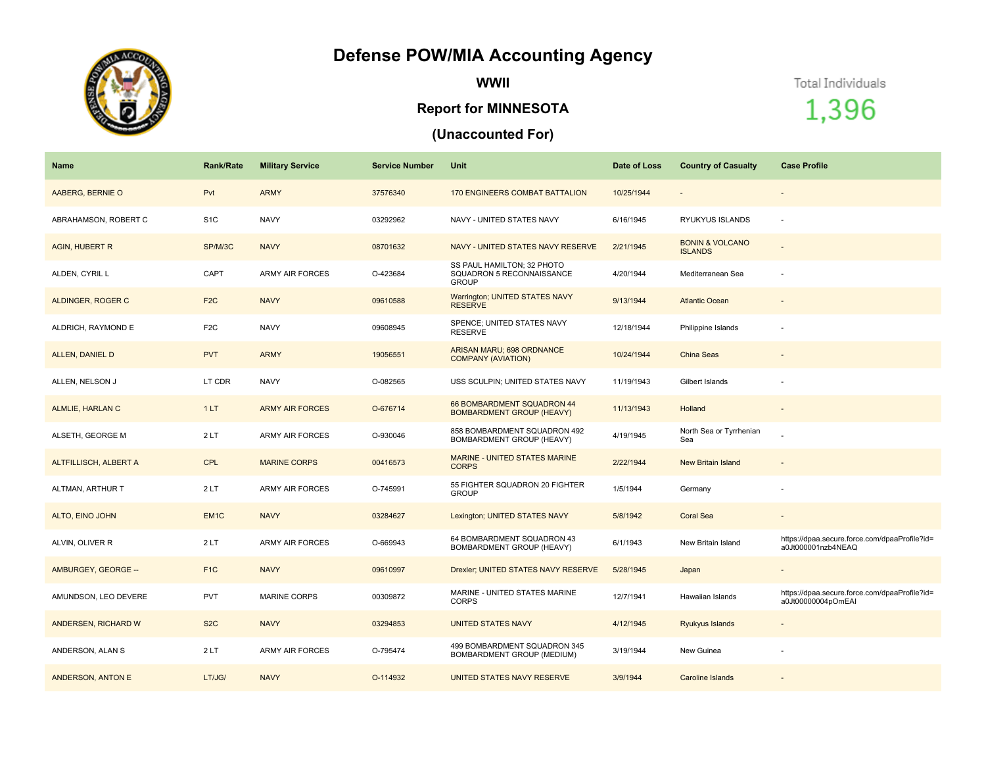## **Defense POW/MIA Accounting Agency**



**WWII**

## **Report for MINNESOTA**

## **(Unaccounted For)**

Total Individuals

1,396

| Name                   | <b>Rank/Rate</b> | <b>Military Service</b> | <b>Service Number</b> | Unit                                                                    | Date of Loss | <b>Country of Casualty</b>                   | <b>Case Profile</b>                                                 |
|------------------------|------------------|-------------------------|-----------------------|-------------------------------------------------------------------------|--------------|----------------------------------------------|---------------------------------------------------------------------|
| AABERG, BERNIE O       | Pvt              | <b>ARMY</b>             | 37576340              | <b>170 ENGINEERS COMBAT BATTALION</b>                                   | 10/25/1944   | $\sim$                                       | $\overline{\phantom{a}}$                                            |
| ABRAHAMSON, ROBERT C   | S <sub>1</sub> C | <b>NAVY</b>             | 03292962              | NAVY - UNITED STATES NAVY                                               | 6/16/1945    | RYUKYUS ISLANDS                              | $\overline{\phantom{a}}$                                            |
| AGIN, HUBERT R         | SP/M/3C          | <b>NAVY</b>             | 08701632              | NAVY - UNITED STATES NAVY RESERVE                                       | 2/21/1945    | <b>BONIN &amp; VOLCANO</b><br><b>ISLANDS</b> |                                                                     |
| ALDEN, CYRIL L         | CAPT             | <b>ARMY AIR FORCES</b>  | O-423684              | SS PAUL HAMILTON; 32 PHOTO<br>SQUADRON 5 RECONNAISSANCE<br><b>GROUP</b> | 4/20/1944    | Mediterranean Sea                            |                                                                     |
| ALDINGER, ROGER C      | F <sub>2C</sub>  | <b>NAVY</b>             | 09610588              | Warrington; UNITED STATES NAVY<br><b>RESERVE</b>                        | 9/13/1944    | <b>Atlantic Ocean</b>                        | $\sim$                                                              |
| ALDRICH, RAYMOND E     | F <sub>2</sub> C | <b>NAVY</b>             | 09608945              | SPENCE; UNITED STATES NAVY<br><b>RESERVE</b>                            | 12/18/1944   | Philippine Islands                           |                                                                     |
| ALLEN, DANIEL D        | <b>PVT</b>       | <b>ARMY</b>             | 19056551              | ARISAN MARU; 698 ORDNANCE<br><b>COMPANY (AVIATION)</b>                  | 10/24/1944   | <b>China Seas</b>                            |                                                                     |
| ALLEN, NELSON J        | LT CDR           | <b>NAVY</b>             | O-082565              | USS SCULPIN; UNITED STATES NAVY                                         | 11/19/1943   | Gilbert Islands                              |                                                                     |
| ALMLIE, HARLAN C       | 1LT              | <b>ARMY AIR FORCES</b>  | O-676714              | 66 BOMBARDMENT SQUADRON 44<br><b>BOMBARDMENT GROUP (HEAVY)</b>          | 11/13/1943   | Holland                                      | $\sim$                                                              |
| ALSETH, GEORGE M       | 2LT              | <b>ARMY AIR FORCES</b>  | O-930046              | 858 BOMBARDMENT SQUADRON 492<br>BOMBARDMENT GROUP (HEAVY)               | 4/19/1945    | North Sea or Tyrrhenian<br>Sea               |                                                                     |
| ALTFILLISCH, ALBERT A  | <b>CPL</b>       | <b>MARINE CORPS</b>     | 00416573              | <b>MARINE - UNITED STATES MARINE</b><br><b>CORPS</b>                    | 2/22/1944    | New Britain Island                           |                                                                     |
| ALTMAN, ARTHUR T       | 2LT              | <b>ARMY AIR FORCES</b>  | O-745991              | 55 FIGHTER SQUADRON 20 FIGHTER<br><b>GROUP</b>                          | 1/5/1944     | Germany                                      |                                                                     |
| <b>ALTO, EINO JOHN</b> | EM <sub>1C</sub> | <b>NAVY</b>             | 03284627              | Lexington; UNITED STATES NAVY                                           | 5/8/1942     | <b>Coral Sea</b>                             | $\sim$                                                              |
| ALVIN, OLIVER R        | 2LT              | <b>ARMY AIR FORCES</b>  | O-669943              | 64 BOMBARDMENT SQUADRON 43<br>BOMBARDMENT GROUP (HEAVY)                 | 6/1/1943     | New Britain Island                           | https://dpaa.secure.force.com/dpaaProfile?id=<br>a0Jt000001nzb4NEAQ |
| AMBURGEY, GEORGE --    | F <sub>1C</sub>  | <b>NAVY</b>             | 09610997              | Drexler; UNITED STATES NAVY RESERVE                                     | 5/28/1945    | Japan                                        |                                                                     |
| AMUNDSON, LEO DEVERE   | <b>PVT</b>       | <b>MARINE CORPS</b>     | 00309872              | MARINE - UNITED STATES MARINE<br><b>CORPS</b>                           | 12/7/1941    | Hawaiian Islands                             | https://dpaa.secure.force.com/dpaaProfile?id=<br>a0Jt00000004pOmEAI |
| ANDERSEN, RICHARD W    | S <sub>2</sub> C | <b>NAVY</b>             | 03294853              | <b>UNITED STATES NAVY</b>                                               | 4/12/1945    | Ryukyus Islands                              |                                                                     |
| ANDERSON, ALAN S       | 2LT              | <b>ARMY AIR FORCES</b>  | O-795474              | 499 BOMBARDMENT SQUADRON 345<br>BOMBARDMENT GROUP (MEDIUM)              | 3/19/1944    | New Guinea                                   |                                                                     |
| ANDERSON, ANTON E      | LT/JG/           | <b>NAVY</b>             | O-114932              | UNITED STATES NAVY RESERVE                                              | 3/9/1944     | <b>Caroline Islands</b>                      |                                                                     |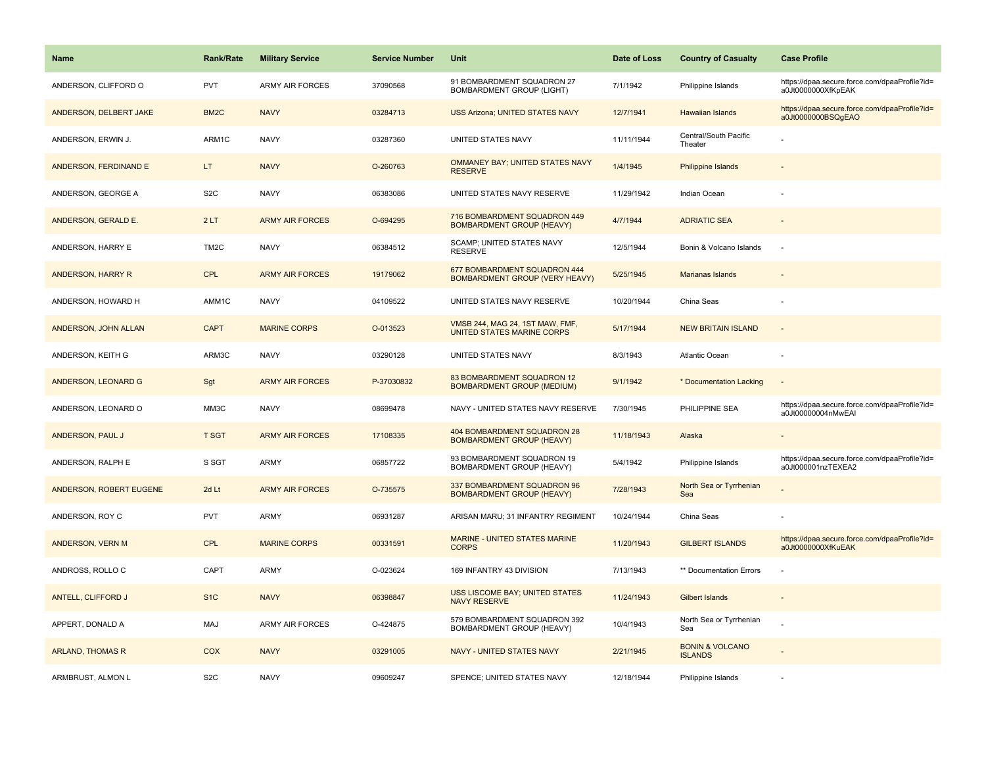| Name                      | <b>Rank/Rate</b>  | <b>Military Service</b> | <b>Service Number</b> | Unit                                                                  | Date of Loss | <b>Country of Casualty</b>                   | <b>Case Profile</b>                                                 |
|---------------------------|-------------------|-------------------------|-----------------------|-----------------------------------------------------------------------|--------------|----------------------------------------------|---------------------------------------------------------------------|
| ANDERSON, CLIFFORD O      | <b>PVT</b>        | <b>ARMY AIR FORCES</b>  | 37090568              | 91 BOMBARDMENT SQUADRON 27<br><b>BOMBARDMENT GROUP (LIGHT)</b>        | 7/1/1942     | Philippine Islands                           | https://dpaa.secure.force.com/dpaaProfile?id=<br>a0Jt0000000XfKpEAK |
| ANDERSON, DELBERT JAKE    | BM <sub>2</sub> C | <b>NAVY</b>             | 03284713              | <b>USS Arizona; UNITED STATES NAVY</b>                                | 12/7/1941    | <b>Hawaiian Islands</b>                      | https://dpaa.secure.force.com/dpaaProfile?id=<br>a0Jt0000000BSQgEAO |
| ANDERSON, ERWIN J.        | ARM1C             | <b>NAVY</b>             | 03287360              | UNITED STATES NAVY                                                    | 11/11/1944   | Central/South Pacific<br>Theater             |                                                                     |
| ANDERSON, FERDINAND E     | LT.               | <b>NAVY</b>             | O-260763              | <b>OMMANEY BAY; UNITED STATES NAVY</b><br><b>RESERVE</b>              | 1/4/1945     | Philippine Islands                           |                                                                     |
| ANDERSON, GEORGE A        | S <sub>2</sub> C  | <b>NAVY</b>             | 06383086              | UNITED STATES NAVY RESERVE                                            | 11/29/1942   | Indian Ocean                                 |                                                                     |
| ANDERSON, GERALD E.       | 2LT               | <b>ARMY AIR FORCES</b>  | O-694295              | 716 BOMBARDMENT SQUADRON 449<br><b>BOMBARDMENT GROUP (HEAVY)</b>      | 4/7/1944     | <b>ADRIATIC SEA</b>                          |                                                                     |
| ANDERSON, HARRY E         | TM <sub>2</sub> C | <b>NAVY</b>             | 06384512              | SCAMP; UNITED STATES NAVY<br><b>RESERVE</b>                           | 12/5/1944    | Bonin & Volcano Islands                      |                                                                     |
| ANDERSON, HARRY R         | <b>CPL</b>        | <b>ARMY AIR FORCES</b>  | 19179062              | 677 BOMBARDMENT SQUADRON 444<br><b>BOMBARDMENT GROUP (VERY HEAVY)</b> | 5/25/1945    | Marianas Islands                             |                                                                     |
| ANDERSON, HOWARD H        | AMM1C             | <b>NAVY</b>             | 04109522              | UNITED STATES NAVY RESERVE                                            | 10/20/1944   | China Seas                                   |                                                                     |
| ANDERSON, JOHN ALLAN      | <b>CAPT</b>       | <b>MARINE CORPS</b>     | O-013523              | VMSB 244, MAG 24, 1ST MAW, FMF,<br>UNITED STATES MARINE CORPS         | 5/17/1944    | <b>NEW BRITAIN ISLAND</b>                    |                                                                     |
| ANDERSON, KEITH G         | ARM3C             | <b>NAVY</b>             | 03290128              | UNITED STATES NAVY                                                    | 8/3/1943     | Atlantic Ocean                               |                                                                     |
| ANDERSON, LEONARD G       | Sgt               | <b>ARMY AIR FORCES</b>  | P-37030832            | 83 BOMBARDMENT SQUADRON 12<br><b>BOMBARDMENT GROUP (MEDIUM)</b>       | 9/1/1942     | * Documentation Lacking                      |                                                                     |
| ANDERSON, LEONARD O       | MM3C              | <b>NAVY</b>             | 08699478              | NAVY - UNITED STATES NAVY RESERVE                                     | 7/30/1945    | PHILIPPINE SEA                               | https://dpaa.secure.force.com/dpaaProfile?id=<br>a0Jt00000004nMwEAI |
| ANDERSON, PAUL J          | <b>T SGT</b>      | <b>ARMY AIR FORCES</b>  | 17108335              | 404 BOMBARDMENT SQUADRON 28<br><b>BOMBARDMENT GROUP (HEAVY)</b>       | 11/18/1943   | Alaska                                       |                                                                     |
| ANDERSON, RALPH E         | S SGT             | <b>ARMY</b>             | 06857722              | 93 BOMBARDMENT SQUADRON 19<br>BOMBARDMENT GROUP (HEAVY)               | 5/4/1942     | Philippine Islands                           | https://dpaa.secure.force.com/dpaaProfile?id=<br>a0Jt000001nzTEXEA2 |
| ANDERSON, ROBERT EUGENE   | 2d Lt             | <b>ARMY AIR FORCES</b>  | O-735575              | 337 BOMBARDMENT SQUADRON 96<br><b>BOMBARDMENT GROUP (HEAVY)</b>       | 7/28/1943    | North Sea or Tyrrhenian<br>Sea               |                                                                     |
| ANDERSON, ROY C           | <b>PVT</b>        | <b>ARMY</b>             | 06931287              | ARISAN MARU; 31 INFANTRY REGIMENT                                     | 10/24/1944   | China Seas                                   |                                                                     |
| ANDERSON, VERN M          | <b>CPL</b>        | <b>MARINE CORPS</b>     | 00331591              | MARINE - UNITED STATES MARINE<br><b>CORPS</b>                         | 11/20/1943   | <b>GILBERT ISLANDS</b>                       | https://dpaa.secure.force.com/dpaaProfile?id=<br>a0Jt0000000XfKuEAK |
| ANDROSS, ROLLOC           | CAPT              | ARMY                    | O-023624              | 169 INFANTRY 43 DIVISION                                              | 7/13/1943    | ** Documentation Errors                      |                                                                     |
| <b>ANTELL, CLIFFORD J</b> | S <sub>1C</sub>   | <b>NAVY</b>             | 06398847              | <b>USS LISCOME BAY; UNITED STATES</b><br><b>NAVY RESERVE</b>          | 11/24/1943   | Gilbert Islands                              |                                                                     |
| APPERT, DONALD A          | MAJ               | <b>ARMY AIR FORCES</b>  | O-424875              | 579 BOMBARDMENT SQUADRON 392<br>BOMBARDMENT GROUP (HEAVY)             | 10/4/1943    | North Sea or Tyrrhenian<br>Sea               |                                                                     |
| <b>ARLAND, THOMAS R</b>   | <b>COX</b>        | <b>NAVY</b>             | 03291005              | NAVY - UNITED STATES NAVY                                             | 2/21/1945    | <b>BONIN &amp; VOLCANO</b><br><b>ISLANDS</b> |                                                                     |
| ARMBRUST, ALMON L         | S <sub>2</sub> C  | <b>NAVY</b>             | 09609247              | SPENCE; UNITED STATES NAVY                                            | 12/18/1944   | Philippine Islands                           |                                                                     |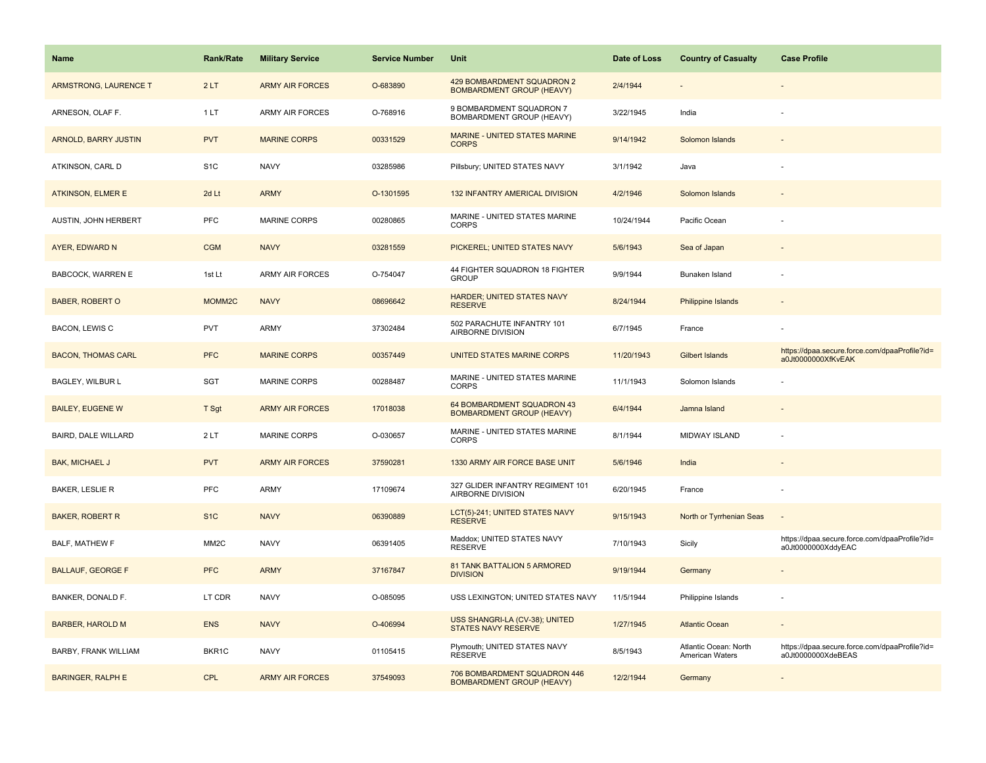| Name                         | <b>Rank/Rate</b>   | <b>Military Service</b> | <b>Service Number</b> | Unit                                                             | Date of Loss | <b>Country of Casualty</b>               | <b>Case Profile</b>                                                 |
|------------------------------|--------------------|-------------------------|-----------------------|------------------------------------------------------------------|--------------|------------------------------------------|---------------------------------------------------------------------|
| <b>ARMSTRONG, LAURENCE T</b> | 2LT                | <b>ARMY AIR FORCES</b>  | O-683890              | 429 BOMBARDMENT SQUADRON 2<br><b>BOMBARDMENT GROUP (HEAVY)</b>   | 2/4/1944     |                                          |                                                                     |
| ARNESON, OLAF F.             | 1LT                | <b>ARMY AIR FORCES</b>  | O-768916              | 9 BOMBARDMENT SQUADRON 7<br>BOMBARDMENT GROUP (HEAVY)            | 3/22/1945    | India                                    |                                                                     |
| ARNOLD, BARRY JUSTIN         | <b>PVT</b>         | <b>MARINE CORPS</b>     | 00331529              | MARINE - UNITED STATES MARINE<br><b>CORPS</b>                    | 9/14/1942    | Solomon Islands                          |                                                                     |
| ATKINSON, CARL D             | S <sub>1</sub> C   | <b>NAVY</b>             | 03285986              | Pillsbury; UNITED STATES NAVY                                    | 3/1/1942     | Java                                     |                                                                     |
| <b>ATKINSON, ELMER E</b>     | 2d Lt              | <b>ARMY</b>             | O-1301595             | 132 INFANTRY AMERICAL DIVISION                                   | 4/2/1946     | Solomon Islands                          |                                                                     |
| AUSTIN, JOHN HERBERT         | PFC                | <b>MARINE CORPS</b>     | 00280865              | MARINE - UNITED STATES MARINE<br><b>CORPS</b>                    | 10/24/1944   | Pacific Ocean                            |                                                                     |
| AYER, EDWARD N               | <b>CGM</b>         | <b>NAVY</b>             | 03281559              | PICKEREL; UNITED STATES NAVY                                     | 5/6/1943     | Sea of Japan                             |                                                                     |
| <b>BABCOCK, WARREN E</b>     | 1st Lt             | <b>ARMY AIR FORCES</b>  | O-754047              | 44 FIGHTER SQUADRON 18 FIGHTER<br><b>GROUP</b>                   | 9/9/1944     | Bunaken Island                           |                                                                     |
| <b>BABER, ROBERT O</b>       | MOMM <sub>2C</sub> | <b>NAVY</b>             | 08696642              | HARDER; UNITED STATES NAVY<br><b>RESERVE</b>                     | 8/24/1944    | Philippine Islands                       |                                                                     |
| BACON, LEWIS C               | PVT                | ARMY                    | 37302484              | 502 PARACHUTE INFANTRY 101<br>AIRBORNE DIVISION                  | 6/7/1945     | France                                   |                                                                     |
| <b>BACON, THOMAS CARL</b>    | <b>PFC</b>         | <b>MARINE CORPS</b>     | 00357449              | UNITED STATES MARINE CORPS                                       | 11/20/1943   | <b>Gilbert Islands</b>                   | https://dpaa.secure.force.com/dpaaProfile?id=<br>a0Jt0000000XfKvEAK |
| BAGLEY, WILBUR L             | <b>SGT</b>         | <b>MARINE CORPS</b>     | 00288487              | MARINE - UNITED STATES MARINE<br><b>CORPS</b>                    | 11/1/1943    | Solomon Islands                          |                                                                     |
| <b>BAILEY, EUGENE W</b>      | T Sgt              | <b>ARMY AIR FORCES</b>  | 17018038              | 64 BOMBARDMENT SQUADRON 43<br><b>BOMBARDMENT GROUP (HEAVY)</b>   | 6/4/1944     | Jamna Island                             |                                                                     |
| <b>BAIRD, DALE WILLARD</b>   | 2LT                | <b>MARINE CORPS</b>     | O-030657              | MARINE - UNITED STATES MARINE<br><b>CORPS</b>                    | 8/1/1944     | <b>MIDWAY ISLAND</b>                     |                                                                     |
| <b>BAK, MICHAEL J</b>        | <b>PVT</b>         | <b>ARMY AIR FORCES</b>  | 37590281              | 1330 ARMY AIR FORCE BASE UNIT                                    | 5/6/1946     | India                                    |                                                                     |
| BAKER, LESLIE R              | PFC                | <b>ARMY</b>             | 17109674              | 327 GLIDER INFANTRY REGIMENT 101<br>AIRBORNE DIVISION            | 6/20/1945    | France                                   |                                                                     |
| <b>BAKER, ROBERT R</b>       | S <sub>1C</sub>    | <b>NAVY</b>             | 06390889              | LCT(5)-241; UNITED STATES NAVY<br><b>RESERVE</b>                 | 9/15/1943    | North or Tyrrhenian Seas                 |                                                                     |
| BALF, MATHEW F               | MM <sub>2</sub> C  | <b>NAVY</b>             | 06391405              | Maddox; UNITED STATES NAVY<br><b>RESERVE</b>                     | 7/10/1943    | Sicily                                   | https://dpaa.secure.force.com/dpaaProfile?id=<br>a0Jt0000000XddyEAC |
| <b>BALLAUF, GEORGE F</b>     | <b>PFC</b>         | <b>ARMY</b>             | 37167847              | 81 TANK BATTALION 5 ARMORED<br><b>DIVISION</b>                   | 9/19/1944    | Germany                                  |                                                                     |
| BANKER, DONALD F.            | LT CDR             | <b>NAVY</b>             | O-085095              | USS LEXINGTON; UNITED STATES NAVY                                | 11/5/1944    | Philippine Islands                       |                                                                     |
| <b>BARBER, HAROLD M</b>      | <b>ENS</b>         | <b>NAVY</b>             | O-406994              | USS SHANGRI-LA (CV-38); UNITED<br>STATES NAVY RESERVE            | 1/27/1945    | <b>Atlantic Ocean</b>                    |                                                                     |
| BARBY, FRANK WILLIAM         | BKR1C              | <b>NAVY</b>             | 01105415              | Plymouth; UNITED STATES NAVY<br><b>RESERVE</b>                   | 8/5/1943     | Atlantic Ocean: North<br>American Waters | https://dpaa.secure.force.com/dpaaProfile?id=<br>a0Jt0000000XdeBEAS |
| <b>BARINGER, RALPH E</b>     | CPL                | <b>ARMY AIR FORCES</b>  | 37549093              | 706 BOMBARDMENT SQUADRON 446<br><b>BOMBARDMENT GROUP (HEAVY)</b> | 12/2/1944    | Germany                                  |                                                                     |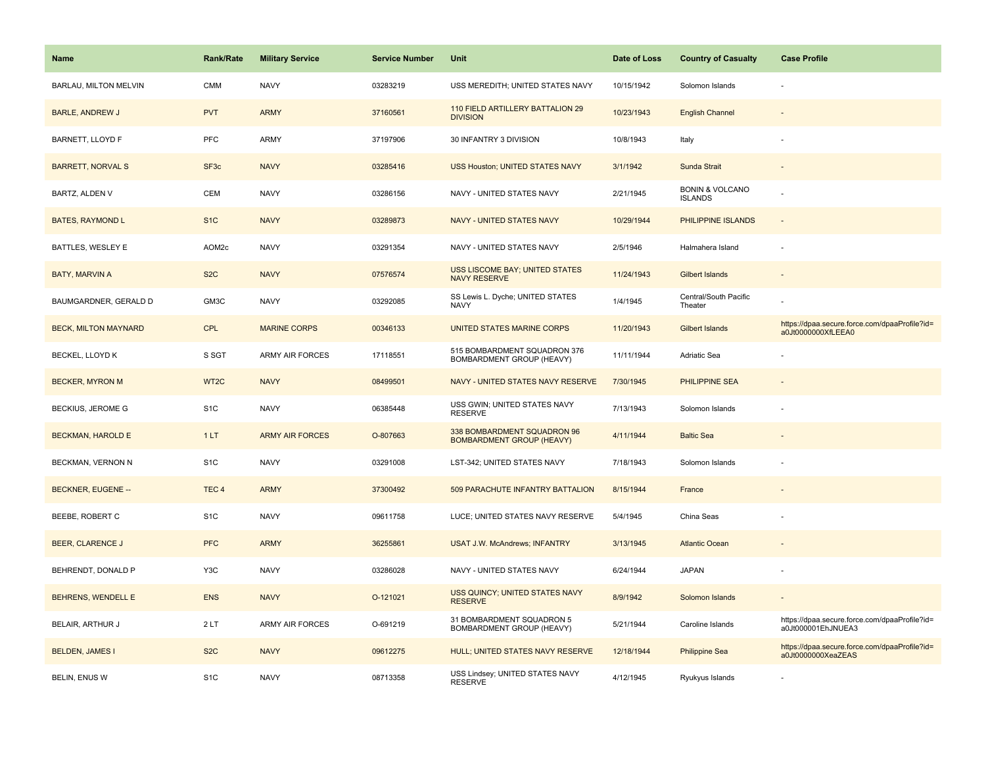| Name                         | <b>Rank/Rate</b> | <b>Military Service</b> | <b>Service Number</b> | Unit                                                            | Date of Loss | <b>Country of Casualty</b>                   | <b>Case Profile</b>                                                 |
|------------------------------|------------------|-------------------------|-----------------------|-----------------------------------------------------------------|--------------|----------------------------------------------|---------------------------------------------------------------------|
| <b>BARLAU, MILTON MELVIN</b> | <b>CMM</b>       | <b>NAVY</b>             | 03283219              | USS MEREDITH; UNITED STATES NAVY                                | 10/15/1942   | Solomon Islands                              |                                                                     |
| <b>BARLE, ANDREW J</b>       | <b>PVT</b>       | <b>ARMY</b>             | 37160561              | 110 FIELD ARTILLERY BATTALION 29<br><b>DIVISION</b>             | 10/23/1943   | <b>English Channel</b>                       |                                                                     |
| BARNETT, LLOYD F             | <b>PFC</b>       | ARMY                    | 37197906              | 30 INFANTRY 3 DIVISION                                          | 10/8/1943    | Italy                                        |                                                                     |
| <b>BARRETT, NORVAL S</b>     | SF <sub>3c</sub> | <b>NAVY</b>             | 03285416              | <b>USS Houston; UNITED STATES NAVY</b>                          | 3/1/1942     | Sunda Strait                                 |                                                                     |
| <b>BARTZ, ALDEN V</b>        | CEM              | <b>NAVY</b>             | 03286156              | NAVY - UNITED STATES NAVY                                       | 2/21/1945    | <b>BONIN &amp; VOLCANO</b><br><b>ISLANDS</b> |                                                                     |
| <b>BATES, RAYMOND L</b>      | S <sub>1</sub> C | <b>NAVY</b>             | 03289873              | <b>NAVY - UNITED STATES NAVY</b>                                | 10/29/1944   | PHILIPPINE ISLANDS                           | $\sim$                                                              |
| BATTLES, WESLEY E            | AOM2c            | <b>NAVY</b>             | 03291354              | NAVY - UNITED STATES NAVY                                       | 2/5/1946     | Halmahera Island                             | $\overline{a}$                                                      |
| <b>BATY, MARVIN A</b>        | S <sub>2</sub> C | <b>NAVY</b>             | 07576574              | USS LISCOME BAY; UNITED STATES<br><b>NAVY RESERVE</b>           | 11/24/1943   | <b>Gilbert Islands</b>                       |                                                                     |
| BAUMGARDNER, GERALD D        | GM3C             | <b>NAVY</b>             | 03292085              | SS Lewis L. Dyche; UNITED STATES<br><b>NAVY</b>                 | 1/4/1945     | Central/South Pacific<br>Theater             |                                                                     |
| <b>BECK, MILTON MAYNARD</b>  | <b>CPL</b>       | <b>MARINE CORPS</b>     | 00346133              | UNITED STATES MARINE CORPS                                      | 11/20/1943   | <b>Gilbert Islands</b>                       | https://dpaa.secure.force.com/dpaaProfile?id=<br>a0Jt0000000XfLEEA0 |
| BECKEL, LLOYD K              | S SGT            | <b>ARMY AIR FORCES</b>  | 17118551              | 515 BOMBARDMENT SQUADRON 376<br>BOMBARDMENT GROUP (HEAVY)       | 11/11/1944   | <b>Adriatic Sea</b>                          |                                                                     |
| <b>BECKER, MYRON M</b>       | WT2C             | <b>NAVY</b>             | 08499501              | NAVY - UNITED STATES NAVY RESERVE                               | 7/30/1945    | PHILIPPINE SEA                               |                                                                     |
| BECKIUS, JEROME G            | S <sub>1</sub> C | <b>NAVY</b>             | 06385448              | USS GWIN; UNITED STATES NAVY<br><b>RESERVE</b>                  | 7/13/1943    | Solomon Islands                              |                                                                     |
| <b>BECKMAN, HAROLD E</b>     | 1LT              | <b>ARMY AIR FORCES</b>  | O-807663              | 338 BOMBARDMENT SQUADRON 96<br><b>BOMBARDMENT GROUP (HEAVY)</b> | 4/11/1944    | <b>Baltic Sea</b>                            |                                                                     |
| BECKMAN, VERNON N            | S <sub>1</sub> C | <b>NAVY</b>             | 03291008              | LST-342; UNITED STATES NAVY                                     | 7/18/1943    | Solomon Islands                              |                                                                     |
| <b>BECKNER, EUGENE --</b>    | TEC <sub>4</sub> | <b>ARMY</b>             | 37300492              | 509 PARACHUTE INFANTRY BATTALION                                | 8/15/1944    | France                                       |                                                                     |
| BEEBE, ROBERT C              | S <sub>1</sub> C | <b>NAVY</b>             | 09611758              | LUCE; UNITED STATES NAVY RESERVE                                | 5/4/1945     | China Seas                                   |                                                                     |
| <b>BEER, CLARENCE J</b>      | <b>PFC</b>       | <b>ARMY</b>             | 36255861              | <b>USAT J.W. McAndrews; INFANTRY</b>                            | 3/13/1945    | <b>Atlantic Ocean</b>                        |                                                                     |
| BEHRENDT, DONALD P           | Y3C              | <b>NAVY</b>             | 03286028              | NAVY - UNITED STATES NAVY                                       | 6/24/1944    | <b>JAPAN</b>                                 |                                                                     |
| <b>BEHRENS, WENDELL E</b>    | <b>ENS</b>       | <b>NAVY</b>             | O-121021              | USS QUINCY; UNITED STATES NAVY<br><b>RESERVE</b>                | 8/9/1942     | Solomon Islands                              |                                                                     |
| BELAIR, ARTHUR J             | 2LT              | ARMY AIR FORCES         | O-691219              | 31 BOMBARDMENT SQUADRON 5<br>BOMBARDMENT GROUP (HEAVY)          | 5/21/1944    | Caroline Islands                             | https://dpaa.secure.force.com/dpaaProfile?id=<br>a0Jt000001EhJNUEA3 |
| <b>BELDEN, JAMES I</b>       | S <sub>2</sub> C | <b>NAVY</b>             | 09612275              | HULL; UNITED STATES NAVY RESERVE                                | 12/18/1944   | <b>Philippine Sea</b>                        | https://dpaa.secure.force.com/dpaaProfile?id=<br>a0Jt0000000XeaZEAS |
| <b>BELIN, ENUS W</b>         | S <sub>1</sub> C | <b>NAVY</b>             | 08713358              | USS Lindsey; UNITED STATES NAVY<br><b>RESERVE</b>               | 4/12/1945    | Ryukyus Islands                              |                                                                     |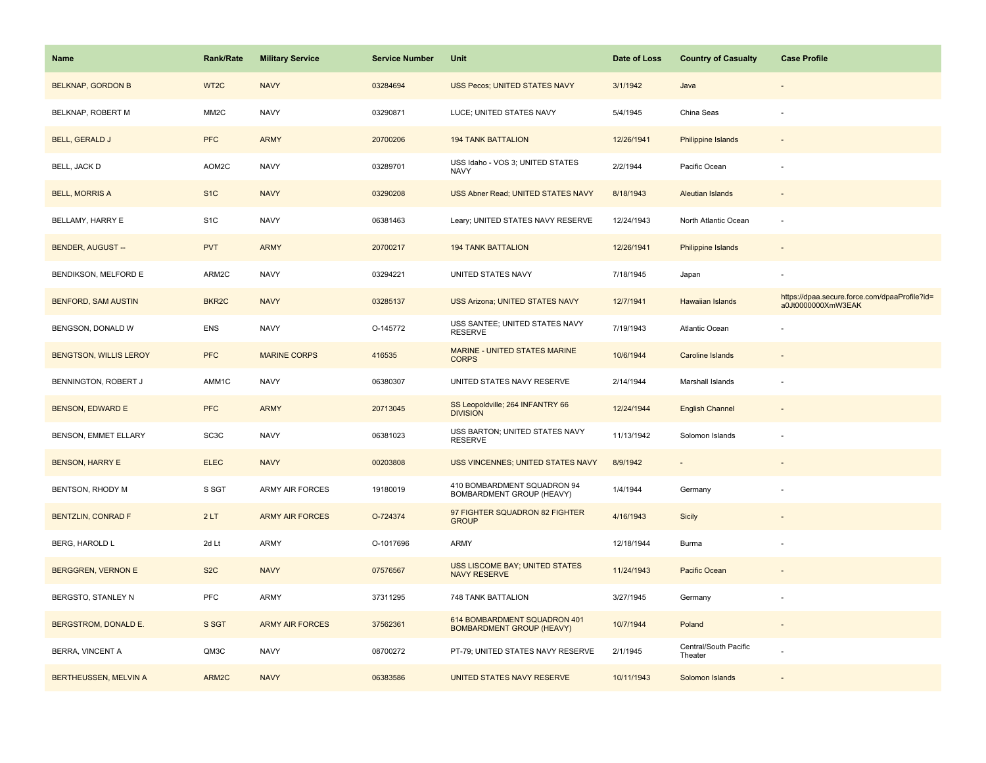| Name                          | <b>Rank/Rate</b>   | <b>Military Service</b> | <b>Service Number</b> | Unit                                                             | Date of Loss | <b>Country of Casualty</b>       | <b>Case Profile</b>                                                 |
|-------------------------------|--------------------|-------------------------|-----------------------|------------------------------------------------------------------|--------------|----------------------------------|---------------------------------------------------------------------|
| <b>BELKNAP, GORDON B</b>      | WT <sub>2</sub> C  | <b>NAVY</b>             | 03284694              | USS Pecos; UNITED STATES NAVY                                    | 3/1/1942     | Java                             |                                                                     |
| BELKNAP, ROBERT M             | MM <sub>2</sub> C  | <b>NAVY</b>             | 03290871              | LUCE; UNITED STATES NAVY                                         | 5/4/1945     | China Seas                       |                                                                     |
| <b>BELL, GERALD J</b>         | <b>PFC</b>         | <b>ARMY</b>             | 20700206              | <b>194 TANK BATTALION</b>                                        | 12/26/1941   | <b>Philippine Islands</b>        |                                                                     |
| BELL, JACK D                  | AOM2C              | <b>NAVY</b>             | 03289701              | USS Idaho - VOS 3; UNITED STATES<br><b>NAVY</b>                  | 2/2/1944     | Pacific Ocean                    |                                                                     |
| <b>BELL, MORRIS A</b>         | S <sub>1</sub> C   | <b>NAVY</b>             | 03290208              | USS Abner Read; UNITED STATES NAVY                               | 8/18/1943    | <b>Aleutian Islands</b>          |                                                                     |
| BELLAMY, HARRY E              | S <sub>1</sub> C   | <b>NAVY</b>             | 06381463              | Leary; UNITED STATES NAVY RESERVE                                | 12/24/1943   | North Atlantic Ocean             |                                                                     |
| BENDER, AUGUST --             | <b>PVT</b>         | <b>ARMY</b>             | 20700217              | <b>194 TANK BATTALION</b>                                        | 12/26/1941   | <b>Philippine Islands</b>        | $\overline{\phantom{a}}$                                            |
| <b>BENDIKSON, MELFORD E</b>   | ARM2C              | <b>NAVY</b>             | 03294221              | UNITED STATES NAVY                                               | 7/18/1945    | Japan                            |                                                                     |
| <b>BENFORD, SAM AUSTIN</b>    | BKR <sub>2</sub> C | <b>NAVY</b>             | 03285137              | USS Arizona; UNITED STATES NAVY                                  | 12/7/1941    | Hawaiian Islands                 | https://dpaa.secure.force.com/dpaaProfile?id=<br>a0Jt0000000XmW3EAK |
| BENGSON, DONALD W             | <b>ENS</b>         | <b>NAVY</b>             | O-145772              | USS SANTEE; UNITED STATES NAVY<br><b>RESERVE</b>                 | 7/19/1943    | Atlantic Ocean                   |                                                                     |
| <b>BENGTSON, WILLIS LEROY</b> | <b>PFC</b>         | <b>MARINE CORPS</b>     | 416535                | MARINE - UNITED STATES MARINE<br><b>CORPS</b>                    | 10/6/1944    | <b>Caroline Islands</b>          |                                                                     |
| BENNINGTON, ROBERT J          | AMM1C              | <b>NAVY</b>             | 06380307              | UNITED STATES NAVY RESERVE                                       | 2/14/1944    | Marshall Islands                 |                                                                     |
| <b>BENSON, EDWARD E</b>       | <b>PFC</b>         | <b>ARMY</b>             | 20713045              | SS Leopoldville; 264 INFANTRY 66<br><b>DIVISION</b>              | 12/24/1944   | <b>English Channel</b>           |                                                                     |
| BENSON, EMMET ELLARY          | SC <sub>3</sub> C  | <b>NAVY</b>             | 06381023              | USS BARTON; UNITED STATES NAVY<br><b>RESERVE</b>                 | 11/13/1942   | Solomon Islands                  |                                                                     |
| <b>BENSON, HARRY E</b>        | <b>ELEC</b>        | <b>NAVY</b>             | 00203808              | <b>USS VINCENNES; UNITED STATES NAVY</b>                         | 8/9/1942     |                                  |                                                                     |
| BENTSON, RHODY M              | S SGT              | ARMY AIR FORCES         | 19180019              | 410 BOMBARDMENT SQUADRON 94<br>BOMBARDMENT GROUP (HEAVY)         | 1/4/1944     | Germany                          |                                                                     |
| <b>BENTZLIN, CONRAD F</b>     | 2LT                | <b>ARMY AIR FORCES</b>  | O-724374              | 97 FIGHTER SQUADRON 82 FIGHTER<br><b>GROUP</b>                   | 4/16/1943    | Sicily                           |                                                                     |
| BERG, HAROLD L                | 2d Lt              | <b>ARMY</b>             | O-1017696             | <b>ARMY</b>                                                      | 12/18/1944   | Burma                            |                                                                     |
| <b>BERGGREN, VERNON E</b>     | S <sub>2</sub> C   | <b>NAVY</b>             | 07576567              | USS LISCOME BAY; UNITED STATES<br><b>NAVY RESERVE</b>            | 11/24/1943   | Pacific Ocean                    |                                                                     |
| BERGSTO, STANLEY N            | <b>PFC</b>         | <b>ARMY</b>             | 37311295              | 748 TANK BATTALION                                               | 3/27/1945    | Germany                          |                                                                     |
| BERGSTROM, DONALD E.          | S SGT              | <b>ARMY AIR FORCES</b>  | 37562361              | 614 BOMBARDMENT SQUADRON 401<br><b>BOMBARDMENT GROUP (HEAVY)</b> | 10/7/1944    | Poland                           | $\sim$                                                              |
| BERRA, VINCENT A              | QM3C               | <b>NAVY</b>             | 08700272              | PT-79; UNITED STATES NAVY RESERVE                                | 2/1/1945     | Central/South Pacific<br>Theater |                                                                     |
| BERTHEUSSEN, MELVIN A         | ARM2C              | <b>NAVY</b>             | 06383586              | UNITED STATES NAVY RESERVE                                       | 10/11/1943   | Solomon Islands                  |                                                                     |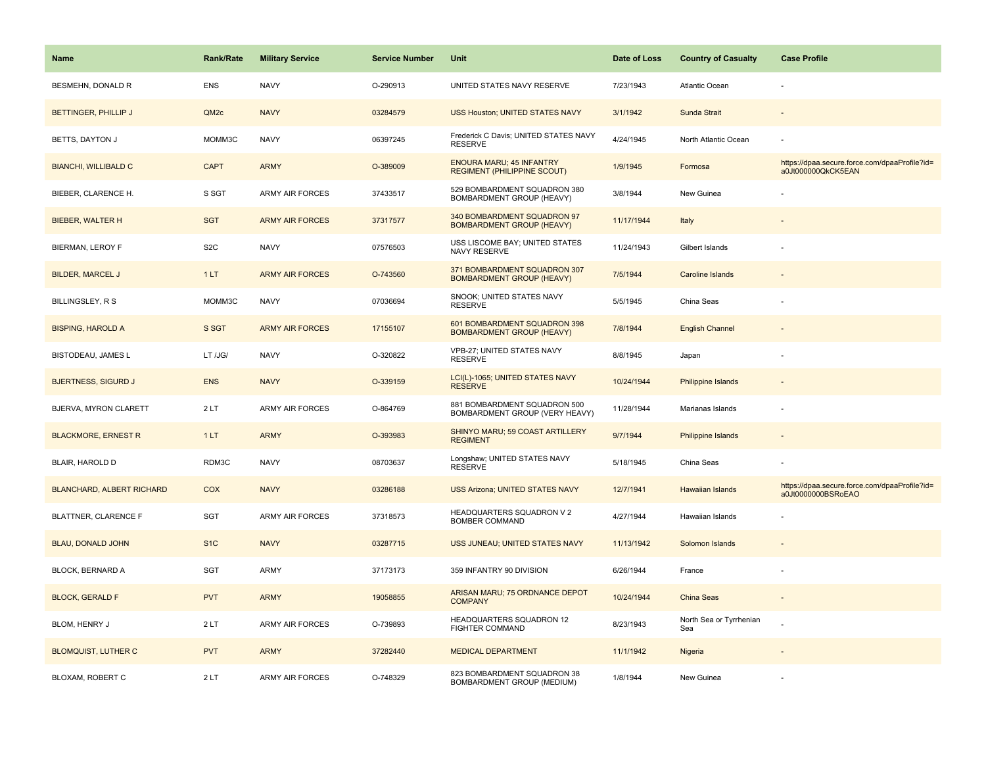| <b>Name</b>                      | <b>Rank/Rate</b> | <b>Military Service</b> | <b>Service Number</b> | Unit                                                             | Date of Loss | <b>Country of Casualty</b>     | <b>Case Profile</b>                                                 |
|----------------------------------|------------------|-------------------------|-----------------------|------------------------------------------------------------------|--------------|--------------------------------|---------------------------------------------------------------------|
| BESMEHN, DONALD R                | <b>ENS</b>       | <b>NAVY</b>             | O-290913              | UNITED STATES NAVY RESERVE                                       | 7/23/1943    | <b>Atlantic Ocean</b>          |                                                                     |
| BETTINGER, PHILLIP J             | QM <sub>2c</sub> | <b>NAVY</b>             | 03284579              | USS Houston; UNITED STATES NAVY                                  | 3/1/1942     | Sunda Strait                   |                                                                     |
| BETTS, DAYTON J                  | MOMM3C           | <b>NAVY</b>             | 06397245              | Frederick C Davis; UNITED STATES NAVY<br><b>RESERVE</b>          | 4/24/1945    | North Atlantic Ocean           |                                                                     |
| <b>BIANCHI, WILLIBALD C</b>      | <b>CAPT</b>      | <b>ARMY</b>             | O-389009              | ENOURA MARU; 45 INFANTRY<br><b>REGIMENT (PHILIPPINE SCOUT)</b>   | 1/9/1945     | Formosa                        | https://dpaa.secure.force.com/dpaaProfile?id=<br>a0Jt000000QkCK5EAN |
| BIEBER, CLARENCE H.              | S SGT            | <b>ARMY AIR FORCES</b>  | 37433517              | 529 BOMBARDMENT SQUADRON 380<br>BOMBARDMENT GROUP (HEAVY)        | 3/8/1944     | New Guinea                     |                                                                     |
| <b>BIEBER, WALTER H</b>          | <b>SGT</b>       | <b>ARMY AIR FORCES</b>  | 37317577              | 340 BOMBARDMENT SQUADRON 97<br><b>BOMBARDMENT GROUP (HEAVY)</b>  | 11/17/1944   | Italy                          |                                                                     |
| <b>BIERMAN, LEROY F</b>          | S <sub>2</sub> C | <b>NAVY</b>             | 07576503              | USS LISCOME BAY; UNITED STATES<br>NAVY RESERVE                   | 11/24/1943   | Gilbert Islands                |                                                                     |
| <b>BILDER, MARCEL J</b>          | 1LT              | <b>ARMY AIR FORCES</b>  | O-743560              | 371 BOMBARDMENT SQUADRON 307<br><b>BOMBARDMENT GROUP (HEAVY)</b> | 7/5/1944     | <b>Caroline Islands</b>        |                                                                     |
| <b>BILLINGSLEY, R S</b>          | MOMM3C           | <b>NAVY</b>             | 07036694              | SNOOK; UNITED STATES NAVY<br><b>RESERVE</b>                      | 5/5/1945     | China Seas                     |                                                                     |
| <b>BISPING, HAROLD A</b>         | S SGT            | <b>ARMY AIR FORCES</b>  | 17155107              | 601 BOMBARDMENT SQUADRON 398<br><b>BOMBARDMENT GROUP (HEAVY)</b> | 7/8/1944     | <b>English Channel</b>         |                                                                     |
| <b>BISTODEAU, JAMES L</b>        | LT /JG/          | <b>NAVY</b>             | O-320822              | VPB-27; UNITED STATES NAVY<br><b>RESERVE</b>                     | 8/8/1945     | Japan                          |                                                                     |
| <b>BJERTNESS, SIGURD J</b>       | <b>ENS</b>       | <b>NAVY</b>             | O-339159              | LCI(L)-1065; UNITED STATES NAVY<br><b>RESERVE</b>                | 10/24/1944   | <b>Philippine Islands</b>      |                                                                     |
| BJERVA, MYRON CLARETT            | 2LT              | <b>ARMY AIR FORCES</b>  | O-864769              | 881 BOMBARDMENT SQUADRON 500<br>BOMBARDMENT GROUP (VERY HEAVY)   | 11/28/1944   | Marianas Islands               |                                                                     |
| <b>BLACKMORE, ERNEST R</b>       | 1LT              | <b>ARMY</b>             | O-393983              | SHINYO MARU; 59 COAST ARTILLERY<br><b>REGIMENT</b>               | 9/7/1944     | <b>Philippine Islands</b>      |                                                                     |
| BLAIR, HAROLD D                  | RDM3C            | <b>NAVY</b>             | 08703637              | Longshaw; UNITED STATES NAVY<br><b>RESERVE</b>                   | 5/18/1945    | China Seas                     |                                                                     |
| <b>BLANCHARD, ALBERT RICHARD</b> | <b>COX</b>       | <b>NAVY</b>             | 03286188              | <b>USS Arizona; UNITED STATES NAVY</b>                           | 12/7/1941    | Hawaiian Islands               | https://dpaa.secure.force.com/dpaaProfile?id=<br>a0Jt0000000BSRoEAO |
| BLATTNER, CLARENCE F             | SGT              | ARMY AIR FORCES         | 37318573              | HEADQUARTERS SQUADRON V 2<br><b>BOMBER COMMAND</b>               | 4/27/1944    | Hawaiian Islands               |                                                                     |
| <b>BLAU, DONALD JOHN</b>         | S <sub>1</sub> C | <b>NAVY</b>             | 03287715              | USS JUNEAU; UNITED STATES NAVY                                   | 11/13/1942   | Solomon Islands                |                                                                     |
| <b>BLOCK, BERNARD A</b>          | SGT              | <b>ARMY</b>             | 37173173              | 359 INFANTRY 90 DIVISION                                         | 6/26/1944    | France                         |                                                                     |
| <b>BLOCK, GERALD F</b>           | <b>PVT</b>       | <b>ARMY</b>             | 19058855              | ARISAN MARU; 75 ORDNANCE DEPOT<br><b>COMPANY</b>                 | 10/24/1944   | China Seas                     |                                                                     |
| BLOM, HENRY J                    | 2LT              | <b>ARMY AIR FORCES</b>  | O-739893              | HEADQUARTERS SQUADRON 12<br>FIGHTER COMMAND                      | 8/23/1943    | North Sea or Tyrrhenian<br>Sea |                                                                     |
| <b>BLOMQUIST, LUTHER C</b>       | <b>PVT</b>       | <b>ARMY</b>             | 37282440              | <b>MEDICAL DEPARTMENT</b>                                        | 11/1/1942    | Nigeria                        |                                                                     |
| BLOXAM, ROBERT C                 | 2LT              | <b>ARMY AIR FORCES</b>  | O-748329              | 823 BOMBARDMENT SQUADRON 38<br>BOMBARDMENT GROUP (MEDIUM)        | 1/8/1944     | New Guinea                     |                                                                     |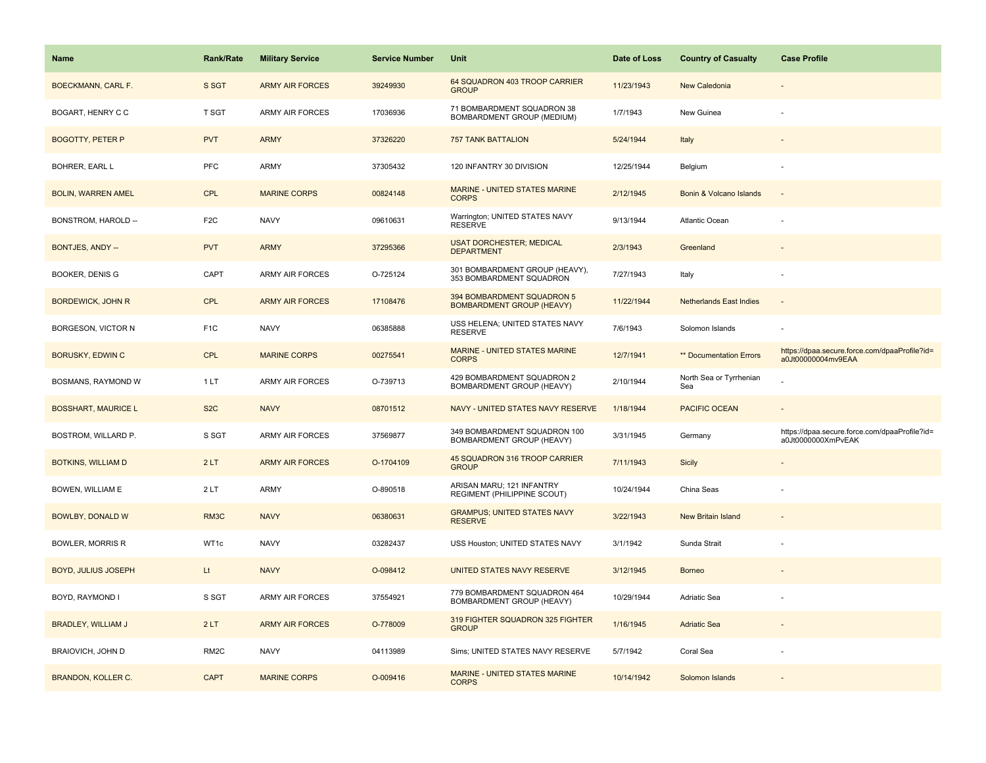| Name                       | <b>Rank/Rate</b>  | <b>Military Service</b> | <b>Service Number</b> | Unit                                                           | Date of Loss | <b>Country of Casualty</b>     | <b>Case Profile</b>                                                 |
|----------------------------|-------------------|-------------------------|-----------------------|----------------------------------------------------------------|--------------|--------------------------------|---------------------------------------------------------------------|
| <b>BOECKMANN, CARL F.</b>  | S SGT             | <b>ARMY AIR FORCES</b>  | 39249930              | 64 SQUADRON 403 TROOP CARRIER<br><b>GROUP</b>                  | 11/23/1943   | <b>New Caledonia</b>           |                                                                     |
| BOGART, HENRY C C          | T SGT             | ARMY AIR FORCES         | 17036936              | 71 BOMBARDMENT SQUADRON 38<br>BOMBARDMENT GROUP (MEDIUM)       | 1/7/1943     | New Guinea                     |                                                                     |
| <b>BOGOTTY, PETER P</b>    | <b>PVT</b>        | <b>ARMY</b>             | 37326220              | <b>757 TANK BATTALION</b>                                      | 5/24/1944    | Italy                          |                                                                     |
| BOHRER, EARL L             | <b>PFC</b>        | ARMY                    | 37305432              | 120 INFANTRY 30 DIVISION                                       | 12/25/1944   | Belgium                        |                                                                     |
| <b>BOLIN, WARREN AMEL</b>  | <b>CPL</b>        | <b>MARINE CORPS</b>     | 00824148              | <b>MARINE - UNITED STATES MARINE</b><br><b>CORPS</b>           | 2/12/1945    | Bonin & Volcano Islands        |                                                                     |
| BONSTROM, HAROLD --        | F <sub>2</sub> C  | <b>NAVY</b>             | 09610631              | Warrington; UNITED STATES NAVY<br><b>RESERVE</b>               | 9/13/1944    | Atlantic Ocean                 |                                                                     |
| <b>BONTJES, ANDY --</b>    | <b>PVT</b>        | <b>ARMY</b>             | 37295366              | <b>USAT DORCHESTER; MEDICAL</b><br><b>DEPARTMENT</b>           | 2/3/1943     | Greenland                      |                                                                     |
| BOOKER, DENIS G            | CAPT              | <b>ARMY AIR FORCES</b>  | O-725124              | 301 BOMBARDMENT GROUP (HEAVY),<br>353 BOMBARDMENT SQUADRON     | 7/27/1943    | Italy                          |                                                                     |
| <b>BORDEWICK, JOHN R</b>   | <b>CPL</b>        | <b>ARMY AIR FORCES</b>  | 17108476              | 394 BOMBARDMENT SQUADRON 5<br><b>BOMBARDMENT GROUP (HEAVY)</b> | 11/22/1944   | <b>Netherlands East Indies</b> | $\sim$                                                              |
| BORGESON, VICTOR N         | F <sub>1</sub> C  | <b>NAVY</b>             | 06385888              | USS HELENA; UNITED STATES NAVY<br><b>RESERVE</b>               | 7/6/1943     | Solomon Islands                |                                                                     |
| <b>BORUSKY, EDWIN C</b>    | <b>CPL</b>        | <b>MARINE CORPS</b>     | 00275541              | MARINE - UNITED STATES MARINE<br><b>CORPS</b>                  | 12/7/1941    | ** Documentation Errors        | https://dpaa.secure.force.com/dpaaProfile?id=<br>a0Jt00000004mv9EAA |
| BOSMANS, RAYMOND W         | 1LT               | <b>ARMY AIR FORCES</b>  | O-739713              | 429 BOMBARDMENT SQUADRON 2<br>BOMBARDMENT GROUP (HEAVY)        | 2/10/1944    | North Sea or Tyrrhenian<br>Sea |                                                                     |
| <b>BOSSHART, MAURICE L</b> | S <sub>2</sub> C  | <b>NAVY</b>             | 08701512              | NAVY - UNITED STATES NAVY RESERVE                              | 1/18/1944    | <b>PACIFIC OCEAN</b>           |                                                                     |
| BOSTROM, WILLARD P.        | S SGT             | ARMY AIR FORCES         | 37569877              | 349 BOMBARDMENT SQUADRON 100<br>BOMBARDMENT GROUP (HEAVY)      | 3/31/1945    | Germany                        | https://dpaa.secure.force.com/dpaaProfile?id=<br>a0Jt0000000XmPvEAK |
| <b>BOTKINS, WILLIAM D</b>  | 2LT               | <b>ARMY AIR FORCES</b>  | O-1704109             | 45 SQUADRON 316 TROOP CARRIER<br><b>GROUP</b>                  | 7/11/1943    | <b>Sicily</b>                  |                                                                     |
| BOWEN, WILLIAM E           | 2LT               | <b>ARMY</b>             | O-890518              | ARISAN MARU; 121 INFANTRY<br>REGIMENT (PHILIPPINE SCOUT)       | 10/24/1944   | China Seas                     |                                                                     |
| <b>BOWLBY, DONALD W</b>    | RM3C              | <b>NAVY</b>             | 06380631              | <b>GRAMPUS; UNITED STATES NAVY</b><br><b>RESERVE</b>           | 3/22/1943    | <b>New Britain Island</b>      |                                                                     |
| <b>BOWLER, MORRIS R</b>    | WT1c              | <b>NAVY</b>             | 03282437              | USS Houston; UNITED STATES NAVY                                | 3/1/1942     | Sunda Strait                   |                                                                     |
| <b>BOYD, JULIUS JOSEPH</b> | Lt                | <b>NAVY</b>             | O-098412              | UNITED STATES NAVY RESERVE                                     | 3/12/1945    | <b>Borneo</b>                  |                                                                     |
| BOYD, RAYMOND I            | S SGT             | <b>ARMY AIR FORCES</b>  | 37554921              | 779 BOMBARDMENT SQUADRON 464<br>BOMBARDMENT GROUP (HEAVY)      | 10/29/1944   | Adriatic Sea                   |                                                                     |
| <b>BRADLEY, WILLIAM J</b>  | 2LT               | <b>ARMY AIR FORCES</b>  | O-778009              | 319 FIGHTER SQUADRON 325 FIGHTER<br><b>GROUP</b>               | 1/16/1945    | <b>Adriatic Sea</b>            |                                                                     |
| <b>BRAIOVICH, JOHN D</b>   | RM <sub>2</sub> C | <b>NAVY</b>             | 04113989              | Sims; UNITED STATES NAVY RESERVE                               | 5/7/1942     | Coral Sea                      |                                                                     |
| <b>BRANDON, KOLLER C.</b>  | <b>CAPT</b>       | <b>MARINE CORPS</b>     | O-009416              | <b>MARINE - UNITED STATES MARINE</b><br><b>CORPS</b>           | 10/14/1942   | Solomon Islands                |                                                                     |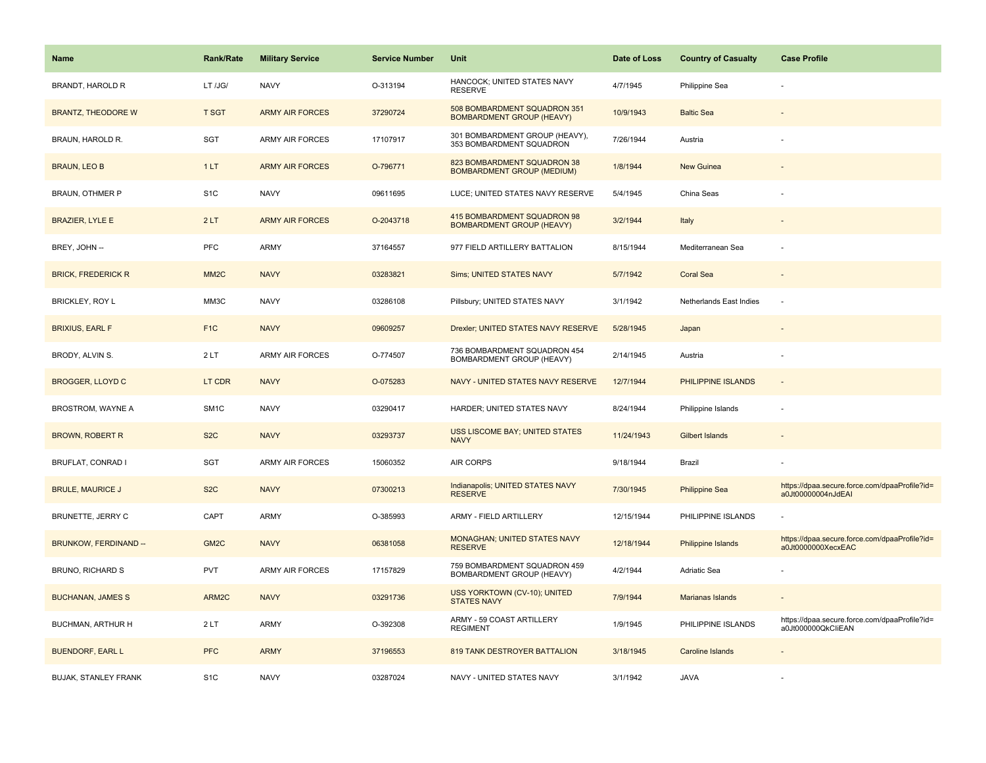| Name                         | <b>Rank/Rate</b>  | <b>Military Service</b> | <b>Service Number</b> | <b>Unit</b>                                                      | Date of Loss | <b>Country of Casualty</b> | <b>Case Profile</b>                                                 |
|------------------------------|-------------------|-------------------------|-----------------------|------------------------------------------------------------------|--------------|----------------------------|---------------------------------------------------------------------|
| <b>BRANDT, HAROLD R</b>      | LT /JG/           | <b>NAVY</b>             | O-313194              | HANCOCK; UNITED STATES NAVY<br><b>RESERVE</b>                    | 4/7/1945     | Philippine Sea             |                                                                     |
| <b>BRANTZ, THEODORE W</b>    | <b>T SGT</b>      | <b>ARMY AIR FORCES</b>  | 37290724              | 508 BOMBARDMENT SQUADRON 351<br><b>BOMBARDMENT GROUP (HEAVY)</b> | 10/9/1943    | <b>Baltic Sea</b>          |                                                                     |
| BRAUN, HAROLD R.             | SGT               | <b>ARMY AIR FORCES</b>  | 17107917              | 301 BOMBARDMENT GROUP (HEAVY),<br>353 BOMBARDMENT SQUADRON       | 7/26/1944    | Austria                    |                                                                     |
| <b>BRAUN, LEO B</b>          | 1LT               | <b>ARMY AIR FORCES</b>  | O-796771              | 823 BOMBARDMENT SQUADRON 38<br><b>BOMBARDMENT GROUP (MEDIUM)</b> | 1/8/1944     | <b>New Guinea</b>          |                                                                     |
| <b>BRAUN, OTHMER P</b>       | S <sub>1</sub> C  | <b>NAVY</b>             | 09611695              | LUCE; UNITED STATES NAVY RESERVE                                 | 5/4/1945     | China Seas                 |                                                                     |
| <b>BRAZIER, LYLE E</b>       | 2LT               | <b>ARMY AIR FORCES</b>  | O-2043718             | 415 BOMBARDMENT SQUADRON 98<br><b>BOMBARDMENT GROUP (HEAVY)</b>  | 3/2/1944     | Italy                      |                                                                     |
| BREY, JOHN --                | PFC               | ARMY                    | 37164557              | 977 FIELD ARTILLERY BATTALION                                    | 8/15/1944    | Mediterranean Sea          |                                                                     |
| <b>BRICK, FREDERICK R</b>    | MM <sub>2</sub> C | <b>NAVY</b>             | 03283821              | <b>Sims; UNITED STATES NAVY</b>                                  | 5/7/1942     | <b>Coral Sea</b>           |                                                                     |
| <b>BRICKLEY, ROY L</b>       | MM3C              | <b>NAVY</b>             | 03286108              | Pillsbury; UNITED STATES NAVY                                    | 3/1/1942     | Netherlands East Indies    | ÷,                                                                  |
| <b>BRIXIUS, EARL F</b>       | F <sub>1</sub> C  | <b>NAVY</b>             | 09609257              | Drexler; UNITED STATES NAVY RESERVE                              | 5/28/1945    | Japan                      |                                                                     |
| BRODY, ALVIN S.              | 2LT               | ARMY AIR FORCES         | O-774507              | 736 BOMBARDMENT SQUADRON 454<br>BOMBARDMENT GROUP (HEAVY)        | 2/14/1945    | Austria                    |                                                                     |
| <b>BROGGER, LLOYD C</b>      | LT CDR            | <b>NAVY</b>             | O-075283              | NAVY - UNITED STATES NAVY RESERVE                                | 12/7/1944    | PHILIPPINE ISLANDS         | $\overline{\phantom{a}}$                                            |
| BROSTROM, WAYNE A            | SM <sub>1</sub> C | <b>NAVY</b>             | 03290417              | HARDER; UNITED STATES NAVY                                       | 8/24/1944    | Philippine Islands         |                                                                     |
| <b>BROWN, ROBERT R</b>       | S <sub>2</sub> C  | <b>NAVY</b>             | 03293737              | USS LISCOME BAY; UNITED STATES<br><b>NAVY</b>                    | 11/24/1943   | Gilbert Islands            |                                                                     |
| BRUFLAT, CONRAD I            | <b>SGT</b>        | <b>ARMY AIR FORCES</b>  | 15060352              | <b>AIR CORPS</b>                                                 | 9/18/1944    | Brazil                     |                                                                     |
| <b>BRULE, MAURICE J</b>      | S <sub>2</sub> C  | <b>NAVY</b>             | 07300213              | Indianapolis; UNITED STATES NAVY<br><b>RESERVE</b>               | 7/30/1945    | <b>Philippine Sea</b>      | https://dpaa.secure.force.com/dpaaProfile?id=<br>a0Jt00000004nJdEAI |
| BRUNETTE, JERRY C            | CAPT              | <b>ARMY</b>             | O-385993              | ARMY - FIELD ARTILLERY                                           | 12/15/1944   | PHILIPPINE ISLANDS         |                                                                     |
| <b>BRUNKOW, FERDINAND --</b> | GM <sub>2</sub> C | <b>NAVY</b>             | 06381058              | MONAGHAN; UNITED STATES NAVY<br><b>RESERVE</b>                   | 12/18/1944   | Philippine Islands         | https://dpaa.secure.force.com/dpaaProfile?id=<br>a0Jt0000000XecxEAC |
| BRUNO, RICHARD S             | <b>PVT</b>        | ARMY AIR FORCES         | 17157829              | 759 BOMBARDMENT SQUADRON 459<br>BOMBARDMENT GROUP (HEAVY)        | 4/2/1944     | Adriatic Sea               |                                                                     |
| <b>BUCHANAN, JAMES S</b>     | ARM2C             | <b>NAVY</b>             | 03291736              | USS YORKTOWN (CV-10); UNITED<br><b>STATES NAVY</b>               | 7/9/1944     | Marianas Islands           |                                                                     |
| BUCHMAN, ARTHUR H            | 2LT               | ARMY                    | O-392308              | ARMY - 59 COAST ARTILLERY<br><b>REGIMENT</b>                     | 1/9/1945     | PHILIPPINE ISLANDS         | https://dpaa.secure.force.com/dpaaProfile?id=<br>a0Jt000000QkCliEAN |
| <b>BUENDORF, EARL L</b>      | <b>PFC</b>        | <b>ARMY</b>             | 37196553              | 819 TANK DESTROYER BATTALION                                     | 3/18/1945    | Caroline Islands           |                                                                     |
| <b>BUJAK, STANLEY FRANK</b>  | S <sub>1</sub> C  | <b>NAVY</b>             | 03287024              | NAVY - UNITED STATES NAVY                                        | 3/1/1942     | <b>JAVA</b>                |                                                                     |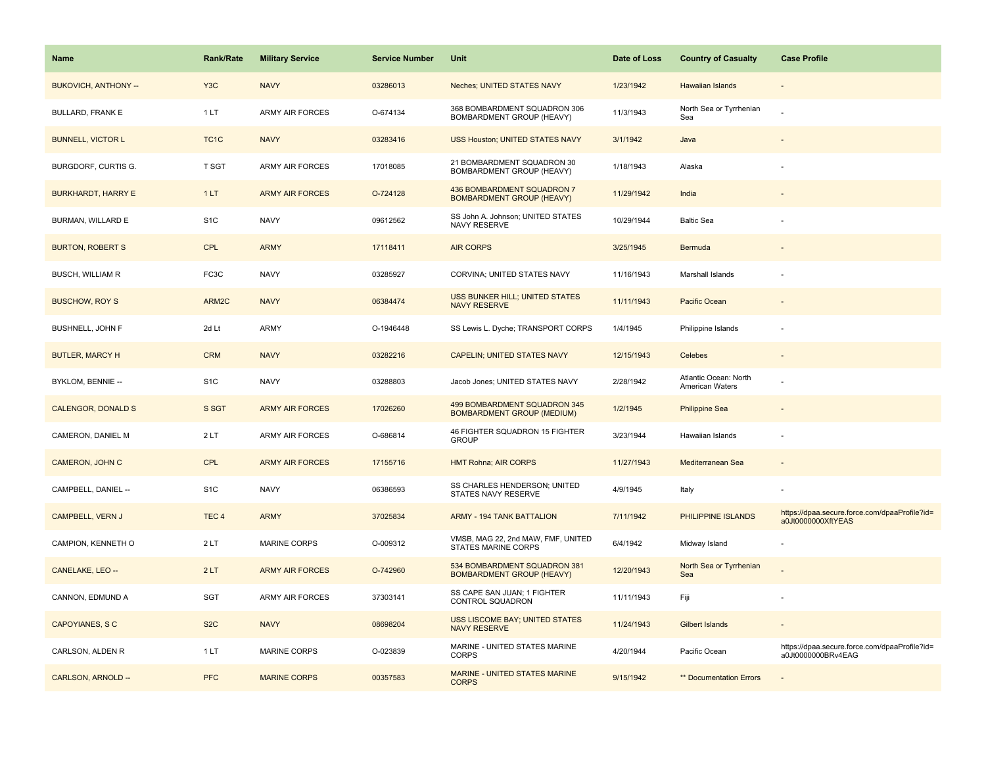| Name                      | <b>Rank/Rate</b>  | <b>Military Service</b> | <b>Service Number</b> | Unit                                                              | Date of Loss | <b>Country of Casualty</b>               | <b>Case Profile</b>                                                 |
|---------------------------|-------------------|-------------------------|-----------------------|-------------------------------------------------------------------|--------------|------------------------------------------|---------------------------------------------------------------------|
| BUKOVICH, ANTHONY --      | Y <sub>3</sub> C  | <b>NAVY</b>             | 03286013              | Neches; UNITED STATES NAVY                                        | 1/23/1942    | Hawaiian Islands                         |                                                                     |
| <b>BULLARD, FRANK E</b>   | 1LT               | <b>ARMY AIR FORCES</b>  | O-674134              | 368 BOMBARDMENT SQUADRON 306<br>BOMBARDMENT GROUP (HEAVY)         | 11/3/1943    | North Sea or Tyrrhenian<br>Sea           |                                                                     |
| <b>BUNNELL, VICTOR L</b>  | TC <sub>1</sub> C | <b>NAVY</b>             | 03283416              | <b>USS Houston; UNITED STATES NAVY</b>                            | 3/1/1942     | Java                                     |                                                                     |
| BURGDORF, CURTIS G.       | T SGT             | <b>ARMY AIR FORCES</b>  | 17018085              | 21 BOMBARDMENT SQUADRON 30<br>BOMBARDMENT GROUP (HEAVY)           | 1/18/1943    | Alaska                                   |                                                                     |
| <b>BURKHARDT, HARRY E</b> | 1LT               | <b>ARMY AIR FORCES</b>  | O-724128              | 436 BOMBARDMENT SQUADRON 7<br><b>BOMBARDMENT GROUP (HEAVY)</b>    | 11/29/1942   | India                                    |                                                                     |
| BURMAN, WILLARD E         | S <sub>1</sub> C  | <b>NAVY</b>             | 09612562              | SS John A. Johnson; UNITED STATES<br>NAVY RESERVE                 | 10/29/1944   | <b>Baltic Sea</b>                        |                                                                     |
| <b>BURTON, ROBERT S</b>   | <b>CPL</b>        | <b>ARMY</b>             | 17118411              | <b>AIR CORPS</b>                                                  | 3/25/1945    | <b>Bermuda</b>                           |                                                                     |
| <b>BUSCH, WILLIAM R</b>   | FC3C              | <b>NAVY</b>             | 03285927              | CORVINA; UNITED STATES NAVY                                       | 11/16/1943   | Marshall Islands                         |                                                                     |
| <b>BUSCHOW, ROY S</b>     | ARM2C             | <b>NAVY</b>             | 06384474              | <b>USS BUNKER HILL; UNITED STATES</b><br><b>NAVY RESERVE</b>      | 11/11/1943   | Pacific Ocean                            |                                                                     |
| <b>BUSHNELL, JOHN F</b>   | 2d Lt             | ARMY                    | O-1946448             | SS Lewis L. Dyche; TRANSPORT CORPS                                | 1/4/1945     | Philippine Islands                       |                                                                     |
| <b>BUTLER, MARCY H</b>    | <b>CRM</b>        | <b>NAVY</b>             | 03282216              | <b>CAPELIN; UNITED STATES NAVY</b>                                | 12/15/1943   | Celebes                                  |                                                                     |
| BYKLOM, BENNIE --         | S <sub>1</sub> C  | <b>NAVY</b>             | 03288803              | Jacob Jones; UNITED STATES NAVY                                   | 2/28/1942    | Atlantic Ocean: North<br>American Waters |                                                                     |
| <b>CALENGOR, DONALD S</b> | S SGT             | <b>ARMY AIR FORCES</b>  | 17026260              | 499 BOMBARDMENT SQUADRON 345<br><b>BOMBARDMENT GROUP (MEDIUM)</b> | 1/2/1945     | <b>Philippine Sea</b>                    |                                                                     |
| CAMERON, DANIEL M         | 2LT               | ARMY AIR FORCES         | O-686814              | 46 FIGHTER SQUADRON 15 FIGHTER<br><b>GROUP</b>                    | 3/23/1944    | Hawaiian Islands                         |                                                                     |
| CAMERON, JOHN C           | <b>CPL</b>        | <b>ARMY AIR FORCES</b>  | 17155716              | <b>HMT Rohna; AIR CORPS</b>                                       | 11/27/1943   | Mediterranean Sea                        |                                                                     |
| CAMPBELL, DANIEL --       | S <sub>1</sub> C  | <b>NAVY</b>             | 06386593              | SS CHARLES HENDERSON; UNITED<br>STATES NAVY RESERVE               | 4/9/1945     | Italy                                    |                                                                     |
| CAMPBELL, VERN J          | TEC <sub>4</sub>  | <b>ARMY</b>             | 37025834              | <b>ARMY - 194 TANK BATTALION</b>                                  | 7/11/1942    | PHILIPPINE ISLANDS                       | https://dpaa.secure.force.com/dpaaProfile?id=<br>a0Jt0000000XftYEAS |
| CAMPION, KENNETH O        | 2LT               | MARINE CORPS            | O-009312              | VMSB, MAG 22, 2nd MAW, FMF, UNITED<br><b>STATES MARINE CORPS</b>  | 6/4/1942     | Midway Island                            |                                                                     |
| CANELAKE, LEO --          | 2LT               | <b>ARMY AIR FORCES</b>  | O-742960              | 534 BOMBARDMENT SQUADRON 381<br><b>BOMBARDMENT GROUP (HEAVY)</b>  | 12/20/1943   | North Sea or Tyrrhenian<br>Sea           |                                                                     |
| CANNON, EDMUND A          | <b>SGT</b>        | <b>ARMY AIR FORCES</b>  | 37303141              | SS CAPE SAN JUAN; 1 FIGHTER<br>CONTROL SQUADRON                   | 11/11/1943   | Fiji                                     |                                                                     |
| <b>CAPOYIANES, S C</b>    | S <sub>2</sub> C  | <b>NAVY</b>             | 08698204              | <b>USS LISCOME BAY: UNITED STATES</b><br><b>NAVY RESERVE</b>      | 11/24/1943   | <b>Gilbert Islands</b>                   |                                                                     |
| CARLSON, ALDEN R          | 1LT               | <b>MARINE CORPS</b>     | O-023839              | MARINE - UNITED STATES MARINE<br><b>CORPS</b>                     | 4/20/1944    | Pacific Ocean                            | https://dpaa.secure.force.com/dpaaProfile?id=<br>a0Jt0000000BRv4EAG |
| CARLSON, ARNOLD --        | <b>PFC</b>        | <b>MARINE CORPS</b>     | 00357583              | MARINE - UNITED STATES MARINE<br><b>CORPS</b>                     | 9/15/1942    | <b>** Documentation Errors</b>           |                                                                     |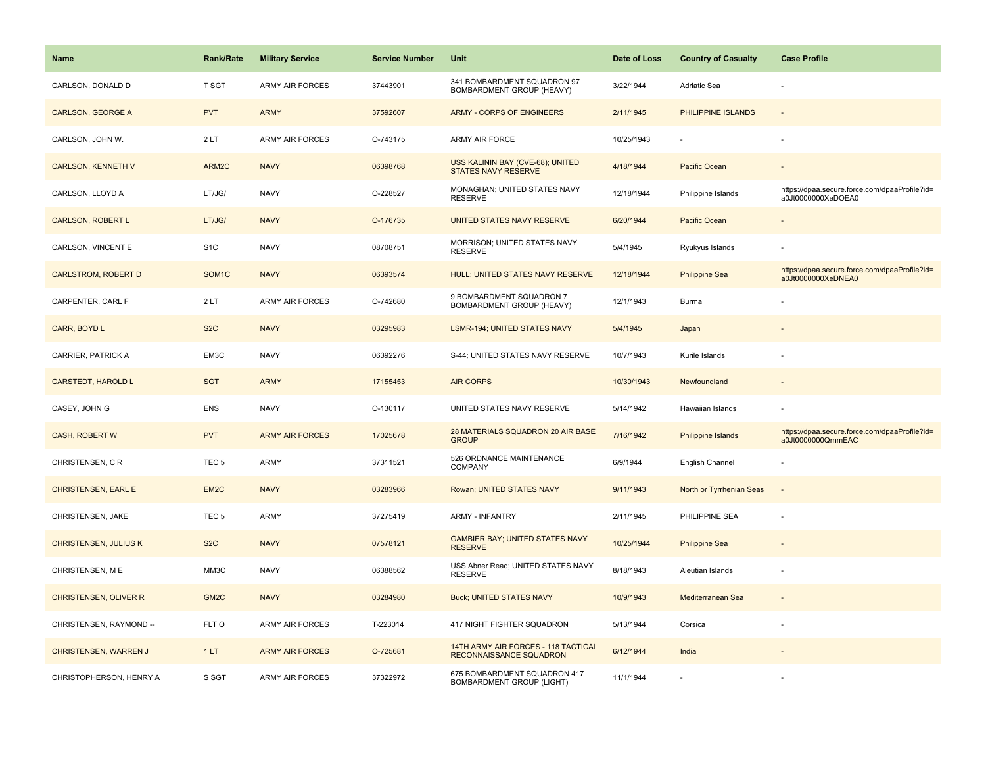| <b>Name</b>                  | <b>Rank/Rate</b>   | <b>Military Service</b> | <b>Service Number</b> | Unit                                                             | Date of Loss | <b>Country of Casualty</b> | <b>Case Profile</b>                                                 |
|------------------------------|--------------------|-------------------------|-----------------------|------------------------------------------------------------------|--------------|----------------------------|---------------------------------------------------------------------|
| CARLSON, DONALD D            | T SGT              | <b>ARMY AIR FORCES</b>  | 37443901              | 341 BOMBARDMENT SQUADRON 97<br>BOMBARDMENT GROUP (HEAVY)         | 3/22/1944    | <b>Adriatic Sea</b>        |                                                                     |
| <b>CARLSON, GEORGE A</b>     | <b>PVT</b>         | <b>ARMY</b>             | 37592607              | <b>ARMY - CORPS OF ENGINEERS</b>                                 | 2/11/1945    | PHILIPPINE ISLANDS         | $\sim$                                                              |
| CARLSON, JOHN W.             | 2LT                | <b>ARMY AIR FORCES</b>  | O-743175              | ARMY AIR FORCE                                                   | 10/25/1943   |                            |                                                                     |
| <b>CARLSON, KENNETH V</b>    | ARM2C              | <b>NAVY</b>             | 06398768              | USS KALININ BAY (CVE-68); UNITED<br><b>STATES NAVY RESERVE</b>   | 4/18/1944    | Pacific Ocean              |                                                                     |
| CARLSON, LLOYD A             | LT/JG/             | <b>NAVY</b>             | O-228527              | MONAGHAN; UNITED STATES NAVY<br><b>RESERVE</b>                   | 12/18/1944   | Philippine Islands         | https://dpaa.secure.force.com/dpaaProfile?id=<br>a0Jt0000000XeDOEA0 |
| <b>CARLSON, ROBERT L</b>     | LT/JG/             | <b>NAVY</b>             | O-176735              | UNITED STATES NAVY RESERVE                                       | 6/20/1944    | Pacific Ocean              |                                                                     |
| CARLSON, VINCENT E           | S <sub>1</sub> C   | <b>NAVY</b>             | 08708751              | MORRISON; UNITED STATES NAVY<br><b>RESERVE</b>                   | 5/4/1945     | Ryukyus Islands            |                                                                     |
| <b>CARLSTROM, ROBERT D</b>   | SOM <sub>1</sub> C | <b>NAVY</b>             | 06393574              | HULL; UNITED STATES NAVY RESERVE                                 | 12/18/1944   | <b>Philippine Sea</b>      | https://dpaa.secure.force.com/dpaaProfile?id=<br>a0Jt0000000XeDNEA0 |
| CARPENTER, CARL F            | 2LT                | ARMY AIR FORCES         | O-742680              | 9 BOMBARDMENT SQUADRON 7<br>BOMBARDMENT GROUP (HEAVY)            | 12/1/1943    | Burma                      |                                                                     |
| CARR, BOYD L                 | S <sub>2</sub> C   | <b>NAVY</b>             | 03295983              | <b>LSMR-194; UNITED STATES NAVY</b>                              | 5/4/1945     | Japan                      |                                                                     |
| <b>CARRIER, PATRICK A</b>    | EM3C               | <b>NAVY</b>             | 06392276              | S-44; UNITED STATES NAVY RESERVE                                 | 10/7/1943    | Kurile Islands             |                                                                     |
| <b>CARSTEDT, HAROLD L</b>    | <b>SGT</b>         | <b>ARMY</b>             | 17155453              | <b>AIR CORPS</b>                                                 | 10/30/1943   | Newfoundland               | $\sim$                                                              |
| CASEY, JOHN G                | <b>ENS</b>         | <b>NAVY</b>             | O-130117              | UNITED STATES NAVY RESERVE                                       | 5/14/1942    | Hawaiian Islands           |                                                                     |
| <b>CASH, ROBERT W</b>        | <b>PVT</b>         | <b>ARMY AIR FORCES</b>  | 17025678              | 28 MATERIALS SQUADRON 20 AIR BASE<br><b>GROUP</b>                | 7/16/1942    | <b>Philippine Islands</b>  | https://dpaa.secure.force.com/dpaaProfile?id=<br>a0Jt0000000QrnmEAC |
| CHRISTENSEN, CR              | TEC <sub>5</sub>   | <b>ARMY</b>             | 37311521              | 526 ORDNANCE MAINTENANCE<br>COMPANY                              | 6/9/1944     | English Channel            |                                                                     |
| <b>CHRISTENSEN, EARL E</b>   | EM <sub>2</sub> C  | <b>NAVY</b>             | 03283966              | Rowan; UNITED STATES NAVY                                        | 9/11/1943    | North or Tyrrhenian Seas   |                                                                     |
| CHRISTENSEN, JAKE            | TEC <sub>5</sub>   | <b>ARMY</b>             | 37275419              | <b>ARMY - INFANTRY</b>                                           | 2/11/1945    | PHILIPPINE SEA             |                                                                     |
| <b>CHRISTENSEN, JULIUS K</b> | S <sub>2</sub> C   | <b>NAVY</b>             | 07578121              | <b>GAMBIER BAY; UNITED STATES NAVY</b><br><b>RESERVE</b>         | 10/25/1944   | <b>Philippine Sea</b>      |                                                                     |
| CHRISTENSEN, M E             | MM3C               | <b>NAVY</b>             | 06388562              | USS Abner Read; UNITED STATES NAVY<br><b>RESERVE</b>             | 8/18/1943    | Aleutian Islands           |                                                                     |
| <b>CHRISTENSEN, OLIVER R</b> | GM <sub>2</sub> C  | <b>NAVY</b>             | 03284980              | <b>Buck; UNITED STATES NAVY</b>                                  | 10/9/1943    | Mediterranean Sea          |                                                                     |
| CHRISTENSEN, RAYMOND --      | FLT O              | <b>ARMY AIR FORCES</b>  | T-223014              | 417 NIGHT FIGHTER SQUADRON                                       | 5/13/1944    | Corsica                    |                                                                     |
| CHRISTENSEN, WARREN J        | 1LT                | <b>ARMY AIR FORCES</b>  | O-725681              | 14TH ARMY AIR FORCES - 118 TACTICAL<br>RECONNAISSANCE SQUADRON   | 6/12/1944    | India                      |                                                                     |
| CHRISTOPHERSON, HENRY A      | S SGT              | <b>ARMY AIR FORCES</b>  | 37322972              | 675 BOMBARDMENT SQUADRON 417<br><b>BOMBARDMENT GROUP (LIGHT)</b> | 11/1/1944    |                            |                                                                     |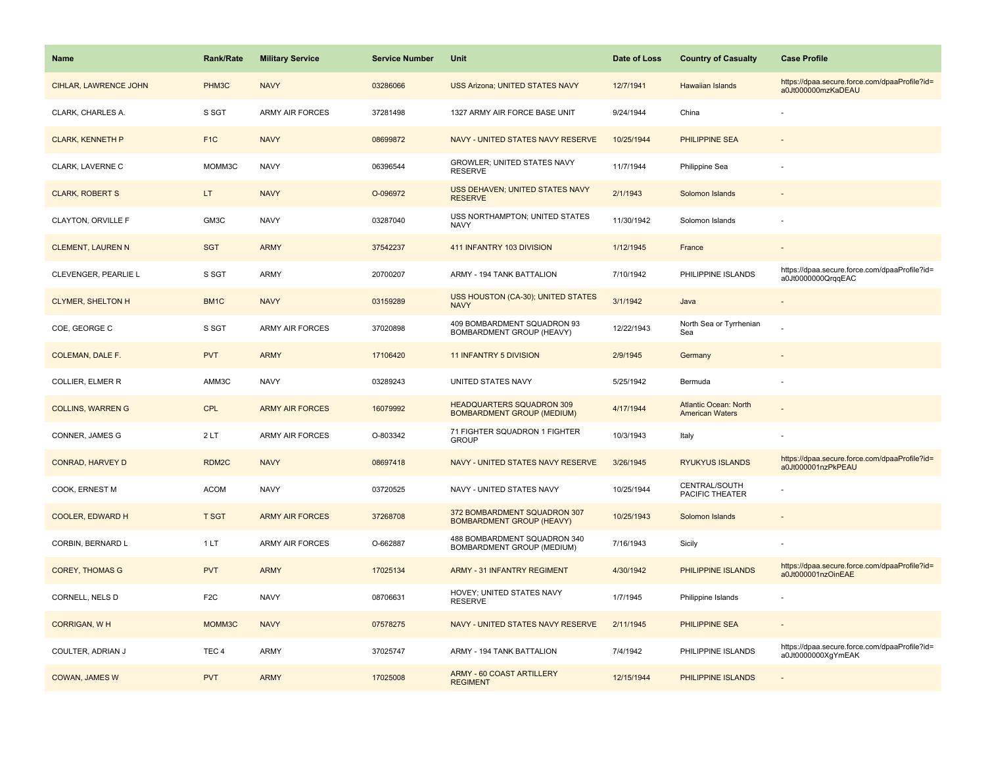| <b>Name</b>              | <b>Rank/Rate</b>  | <b>Military Service</b> | <b>Service Number</b> | <b>Unit</b>                                                           | Date of Loss | <b>Country of Casualty</b>                             | <b>Case Profile</b>                                                 |
|--------------------------|-------------------|-------------------------|-----------------------|-----------------------------------------------------------------------|--------------|--------------------------------------------------------|---------------------------------------------------------------------|
| CIHLAR, LAWRENCE JOHN    | PHM3C             | <b>NAVY</b>             | 03286066              | <b>USS Arizona; UNITED STATES NAVY</b>                                | 12/7/1941    | Hawaiian Islands                                       | https://dpaa.secure.force.com/dpaaProfile?id=<br>a0Jt000000mzKaDEAU |
| CLARK, CHARLES A.        | S SGT             | <b>ARMY AIR FORCES</b>  | 37281498              | 1327 ARMY AIR FORCE BASE UNIT                                         | 9/24/1944    | China                                                  |                                                                     |
| <b>CLARK, KENNETH P</b>  | F <sub>1</sub> C  | <b>NAVY</b>             | 08699872              | NAVY - UNITED STATES NAVY RESERVE                                     | 10/25/1944   | PHILIPPINE SEA                                         |                                                                     |
| CLARK, LAVERNE C         | MOMM3C            | <b>NAVY</b>             | 06396544              | <b>GROWLER: UNITED STATES NAVY</b><br><b>RESERVE</b>                  | 11/7/1944    | Philippine Sea                                         |                                                                     |
| <b>CLARK, ROBERT S</b>   | LT.               | <b>NAVY</b>             | O-096972              | USS DEHAVEN; UNITED STATES NAVY<br><b>RESERVE</b>                     | 2/1/1943     | Solomon Islands                                        |                                                                     |
| CLAYTON, ORVILLE F       | GM3C              | <b>NAVY</b>             | 03287040              | USS NORTHAMPTON; UNITED STATES<br><b>NAVY</b>                         | 11/30/1942   | Solomon Islands                                        |                                                                     |
| <b>CLEMENT, LAUREN N</b> | <b>SGT</b>        | <b>ARMY</b>             | 37542237              | 411 INFANTRY 103 DIVISION                                             | 1/12/1945    | France                                                 |                                                                     |
| CLEVENGER, PEARLIE L     | S SGT             | <b>ARMY</b>             | 20700207              | ARMY - 194 TANK BATTALION                                             | 7/10/1942    | PHILIPPINE ISLANDS                                     | https://dpaa.secure.force.com/dpaaProfile?id=<br>a0Jt0000000QrqqEAC |
| <b>CLYMER, SHELTON H</b> | BM <sub>1</sub> C | <b>NAVY</b>             | 03159289              | USS HOUSTON (CA-30); UNITED STATES<br><b>NAVY</b>                     | 3/1/1942     | Java                                                   |                                                                     |
| COE, GEORGE C            | S SGT             | <b>ARMY AIR FORCES</b>  | 37020898              | 409 BOMBARDMENT SQUADRON 93<br>BOMBARDMENT GROUP (HEAVY)              | 12/22/1943   | North Sea or Tyrrhenian<br>Sea                         |                                                                     |
| <b>COLEMAN, DALE F.</b>  | <b>PVT</b>        | <b>ARMY</b>             | 17106420              | <b>11 INFANTRY 5 DIVISION</b>                                         | 2/9/1945     | Germany                                                |                                                                     |
| COLLIER, ELMER R         | AMM3C             | <b>NAVY</b>             | 03289243              | UNITED STATES NAVY                                                    | 5/25/1942    | Bermuda                                                |                                                                     |
| <b>COLLINS, WARREN G</b> | <b>CPL</b>        | <b>ARMY AIR FORCES</b>  | 16079992              | <b>HEADQUARTERS SQUADRON 309</b><br><b>BOMBARDMENT GROUP (MEDIUM)</b> | 4/17/1944    | <b>Atlantic Ocean: North</b><br><b>American Waters</b> |                                                                     |
| CONNER, JAMES G          | 2LT               | ARMY AIR FORCES         | O-803342              | 71 FIGHTER SQUADRON 1 FIGHTER<br><b>GROUP</b>                         | 10/3/1943    | Italy                                                  |                                                                     |
| <b>CONRAD, HARVEY D</b>  | RDM2C             | <b>NAVY</b>             | 08697418              | NAVY - UNITED STATES NAVY RESERVE                                     | 3/26/1945    | <b>RYUKYUS ISLANDS</b>                                 | https://dpaa.secure.force.com/dpaaProfile?id=<br>a0Jt000001nzPkPEAU |
| COOK, ERNEST M           | <b>ACOM</b>       | <b>NAVY</b>             | 03720525              | NAVY - UNITED STATES NAVY                                             | 10/25/1944   | CENTRAL/SOUTH<br>PACIFIC THEATER                       |                                                                     |
| <b>COOLER, EDWARD H</b>  | <b>T SGT</b>      | <b>ARMY AIR FORCES</b>  | 37268708              | 372 BOMBARDMENT SQUADRON 307<br><b>BOMBARDMENT GROUP (HEAVY)</b>      | 10/25/1943   | Solomon Islands                                        |                                                                     |
| CORBIN, BERNARD L        | 1LT               | <b>ARMY AIR FORCES</b>  | O-662887              | 488 BOMBARDMENT SQUADRON 340<br><b>BOMBARDMENT GROUP (MEDIUM)</b>     | 7/16/1943    | Sicily                                                 |                                                                     |
| <b>COREY, THOMAS G</b>   | <b>PVT</b>        | <b>ARMY</b>             | 17025134              | <b>ARMY - 31 INFANTRY REGIMENT</b>                                    | 4/30/1942    | PHILIPPINE ISLANDS                                     | https://dpaa.secure.force.com/dpaaProfile?id=<br>a0Jt000001nzOinEAE |
| CORNELL, NELS D          | F <sub>2C</sub>   | <b>NAVY</b>             | 08706631              | HOVEY; UNITED STATES NAVY<br><b>RESERVE</b>                           | 1/7/1945     | Philippine Islands                                     |                                                                     |
| <b>CORRIGAN, WH</b>      | MOMM3C            | <b>NAVY</b>             | 07578275              | NAVY - UNITED STATES NAVY RESERVE                                     | 2/11/1945    | <b>PHILIPPINE SEA</b>                                  |                                                                     |
| COULTER, ADRIAN J        | TEC <sub>4</sub>  | <b>ARMY</b>             | 37025747              | ARMY - 194 TANK BATTALION                                             | 7/4/1942     | PHILIPPINE ISLANDS                                     | https://dpaa.secure.force.com/dpaaProfile?id=<br>a0Jt0000000XgYmEAK |
| <b>COWAN, JAMES W</b>    | <b>PVT</b>        | <b>ARMY</b>             | 17025008              | ARMY - 60 COAST ARTILLERY<br><b>REGIMENT</b>                          | 12/15/1944   | PHILIPPINE ISLANDS                                     |                                                                     |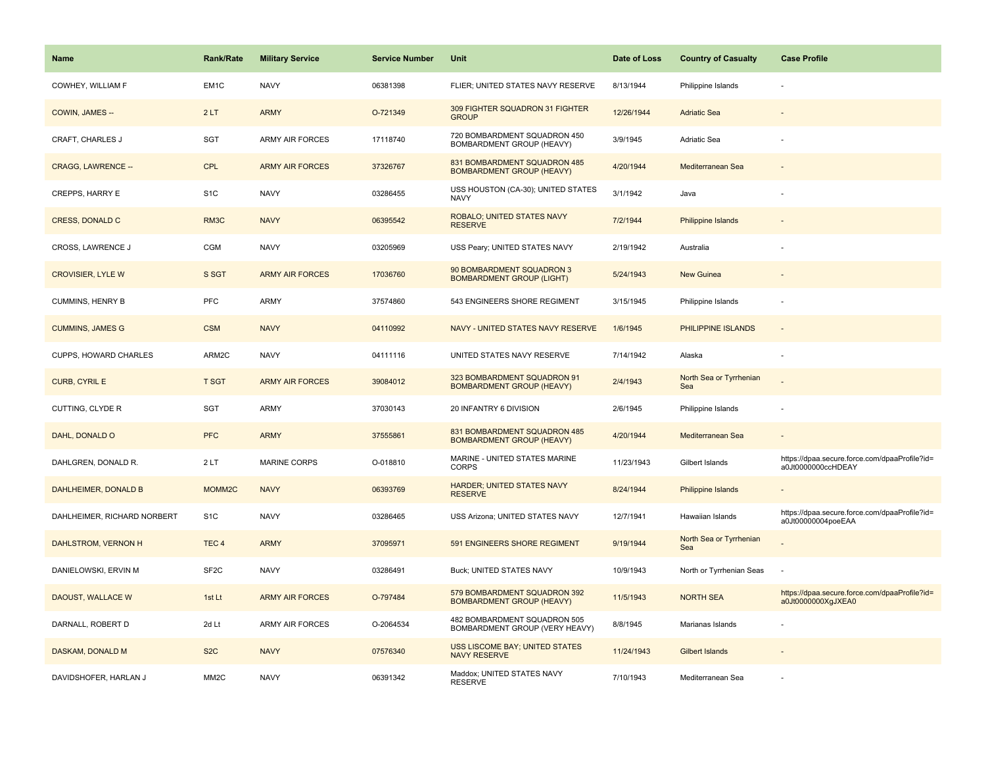| <b>Name</b>                  | <b>Rank/Rate</b>   | <b>Military Service</b> | <b>Service Number</b> | Unit                                                             | Date of Loss | <b>Country of Casualty</b>     | <b>Case Profile</b>                                                 |
|------------------------------|--------------------|-------------------------|-----------------------|------------------------------------------------------------------|--------------|--------------------------------|---------------------------------------------------------------------|
| COWHEY, WILLIAM F            | EM <sub>1</sub> C  | <b>NAVY</b>             | 06381398              | FLIER; UNITED STATES NAVY RESERVE                                | 8/13/1944    | Philippine Islands             |                                                                     |
| COWIN, JAMES --              | 2LT                | <b>ARMY</b>             | O-721349              | 309 FIGHTER SQUADRON 31 FIGHTER<br><b>GROUP</b>                  | 12/26/1944   | <b>Adriatic Sea</b>            |                                                                     |
| <b>CRAFT, CHARLES J</b>      | <b>SGT</b>         | <b>ARMY AIR FORCES</b>  | 17118740              | 720 BOMBARDMENT SQUADRON 450<br>BOMBARDMENT GROUP (HEAVY)        | 3/9/1945     | <b>Adriatic Sea</b>            |                                                                     |
| <b>CRAGG, LAWRENCE --</b>    | <b>CPL</b>         | <b>ARMY AIR FORCES</b>  | 37326767              | 831 BOMBARDMENT SQUADRON 485<br><b>BOMBARDMENT GROUP (HEAVY)</b> | 4/20/1944    | Mediterranean Sea              |                                                                     |
| <b>CREPPS, HARRY E</b>       | S <sub>1</sub> C   | <b>NAVY</b>             | 03286455              | USS HOUSTON (CA-30); UNITED STATES<br><b>NAVY</b>                | 3/1/1942     | Java                           |                                                                     |
| <b>CRESS, DONALD C</b>       | RM3C               | <b>NAVY</b>             | 06395542              | <b>ROBALO; UNITED STATES NAVY</b><br><b>RESERVE</b>              | 7/2/1944     | Philippine Islands             |                                                                     |
| CROSS, LAWRENCE J            | CGM                | <b>NAVY</b>             | 03205969              | USS Peary; UNITED STATES NAVY                                    | 2/19/1942    | Australia                      |                                                                     |
| <b>CROVISIER, LYLE W</b>     | S SGT              | <b>ARMY AIR FORCES</b>  | 17036760              | 90 BOMBARDMENT SQUADRON 3<br><b>BOMBARDMENT GROUP (LIGHT)</b>    | 5/24/1943    | <b>New Guinea</b>              |                                                                     |
| <b>CUMMINS, HENRY B</b>      | <b>PFC</b>         | ARMY                    | 37574860              | 543 ENGINEERS SHORE REGIMENT                                     | 3/15/1945    | Philippine Islands             |                                                                     |
| <b>CUMMINS, JAMES G</b>      | <b>CSM</b>         | <b>NAVY</b>             | 04110992              | NAVY - UNITED STATES NAVY RESERVE                                | 1/6/1945     | PHILIPPINE ISLANDS             |                                                                     |
| <b>CUPPS, HOWARD CHARLES</b> | ARM2C              | <b>NAVY</b>             | 04111116              | UNITED STATES NAVY RESERVE                                       | 7/14/1942    | Alaska                         |                                                                     |
| <b>CURB, CYRIL E</b>         | <b>T SGT</b>       | <b>ARMY AIR FORCES</b>  | 39084012              | 323 BOMBARDMENT SQUADRON 91<br><b>BOMBARDMENT GROUP (HEAVY)</b>  | 2/4/1943     | North Sea or Tyrrhenian<br>Sea |                                                                     |
| CUTTING, CLYDE R             | <b>SGT</b>         | ARMY                    | 37030143              | 20 INFANTRY 6 DIVISION                                           | 2/6/1945     | Philippine Islands             |                                                                     |
| DAHL, DONALD O               | <b>PFC</b>         | <b>ARMY</b>             | 37555861              | 831 BOMBARDMENT SQUADRON 485<br><b>BOMBARDMENT GROUP (HEAVY)</b> | 4/20/1944    | Mediterranean Sea              |                                                                     |
| DAHLGREN, DONALD R.          | 2LT                | <b>MARINE CORPS</b>     | O-018810              | MARINE - UNITED STATES MARINE<br><b>CORPS</b>                    | 11/23/1943   | Gilbert Islands                | https://dpaa.secure.force.com/dpaaProfile?id=<br>a0Jt0000000ccHDEAY |
| DAHLHEIMER, DONALD B         | MOMM <sub>2C</sub> | <b>NAVY</b>             | 06393769              | <b>HARDER; UNITED STATES NAVY</b><br><b>RESERVE</b>              | 8/24/1944    | Philippine Islands             |                                                                     |
| DAHLHEIMER, RICHARD NORBERT  | S <sub>1</sub> C   | <b>NAVY</b>             | 03286465              | USS Arizona; UNITED STATES NAVY                                  | 12/7/1941    | Hawaiian Islands               | https://dpaa.secure.force.com/dpaaProfile?id=<br>a0Jt00000004poeEAA |
| DAHLSTROM, VERNON H          | TEC <sub>4</sub>   | <b>ARMY</b>             | 37095971              | 591 ENGINEERS SHORE REGIMENT                                     | 9/19/1944    | North Sea or Tyrrhenian<br>Sea |                                                                     |
| DANIELOWSKI, ERVIN M         | SF <sub>2</sub> C  | <b>NAVY</b>             | 03286491              | Buck; UNITED STATES NAVY                                         | 10/9/1943    | North or Tyrrhenian Seas       |                                                                     |
| DAOUST, WALLACE W            | 1st Lt             | <b>ARMY AIR FORCES</b>  | O-797484              | 579 BOMBARDMENT SQUADRON 392<br><b>BOMBARDMENT GROUP (HEAVY)</b> | 11/5/1943    | <b>NORTH SEA</b>               | https://dpaa.secure.force.com/dpaaProfile?id=<br>a0Jt0000000XgJXEA0 |
| DARNALL, ROBERT D            | 2d Lt              | <b>ARMY AIR FORCES</b>  | O-2064534             | 482 BOMBARDMENT SQUADRON 505<br>BOMBARDMENT GROUP (VERY HEAVY)   | 8/8/1945     | Marianas Islands               |                                                                     |
| DASKAM, DONALD M             | S <sub>2</sub> C   | <b>NAVY</b>             | 07576340              | USS LISCOME BAY; UNITED STATES<br><b>NAVY RESERVE</b>            | 11/24/1943   | <b>Gilbert Islands</b>         |                                                                     |
| DAVIDSHOFER, HARLAN J        | MM <sub>2</sub> C  | <b>NAVY</b>             | 06391342              | Maddox; UNITED STATES NAVY<br><b>RESERVE</b>                     | 7/10/1943    | Mediterranean Sea              |                                                                     |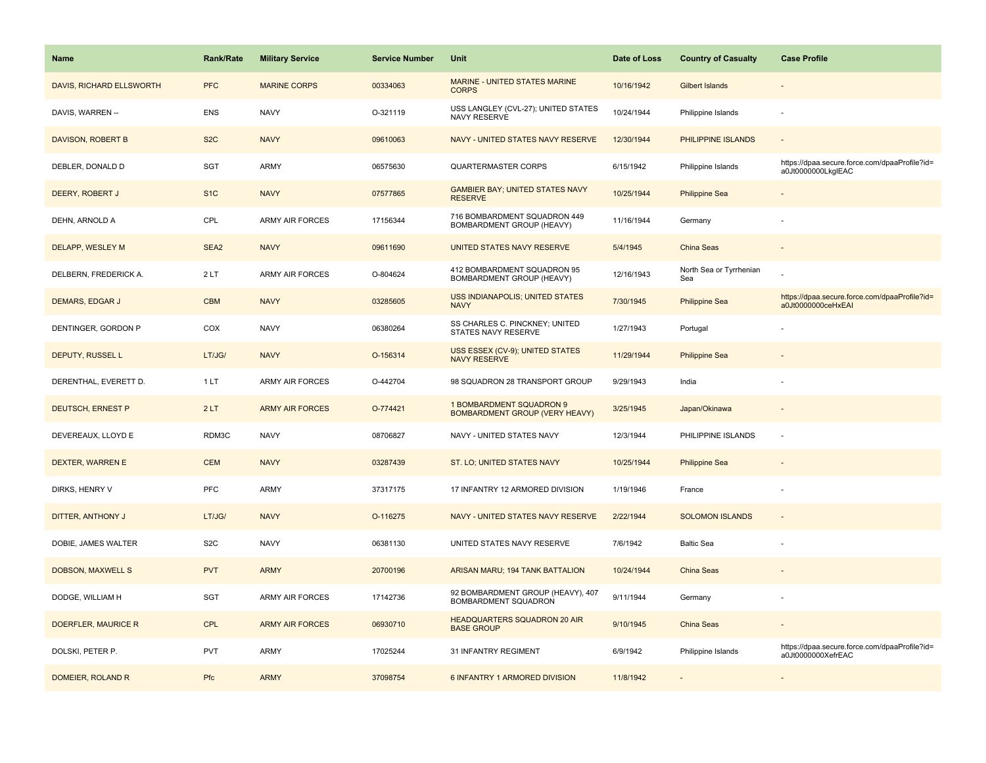| <b>Name</b>              | <b>Rank/Rate</b> | <b>Military Service</b> | <b>Service Number</b> | Unit                                                              | Date of Loss | <b>Country of Casualty</b>     | <b>Case Profile</b>                                                 |
|--------------------------|------------------|-------------------------|-----------------------|-------------------------------------------------------------------|--------------|--------------------------------|---------------------------------------------------------------------|
| DAVIS, RICHARD ELLSWORTH | <b>PFC</b>       | <b>MARINE CORPS</b>     | 00334063              | MARINE - UNITED STATES MARINE<br><b>CORPS</b>                     | 10/16/1942   | <b>Gilbert Islands</b>         |                                                                     |
| DAVIS, WARREN --         | <b>ENS</b>       | <b>NAVY</b>             | O-321119              | USS LANGLEY (CVL-27); UNITED STATES<br>NAVY RESERVE               | 10/24/1944   | Philippine Islands             |                                                                     |
| DAVISON, ROBERT B        | S <sub>2</sub> C | <b>NAVY</b>             | 09610063              | NAVY - UNITED STATES NAVY RESERVE                                 | 12/30/1944   | PHILIPPINE ISLANDS             |                                                                     |
| DEBLER, DONALD D         | SGT              | ARMY                    | 06575630              | QUARTERMASTER CORPS                                               | 6/15/1942    | Philippine Islands             | https://dpaa.secure.force.com/dpaaProfile?id=<br>a0Jt0000000LkglEAC |
| DEERY, ROBERT J          | S <sub>1C</sub>  | <b>NAVY</b>             | 07577865              | <b>GAMBIER BAY; UNITED STATES NAVY</b><br><b>RESERVE</b>          | 10/25/1944   | <b>Philippine Sea</b>          |                                                                     |
| DEHN, ARNOLD A           | CPL              | ARMY AIR FORCES         | 17156344              | 716 BOMBARDMENT SQUADRON 449<br>BOMBARDMENT GROUP (HEAVY)         | 11/16/1944   | Germany                        |                                                                     |
| DELAPP, WESLEY M         | SEA2             | <b>NAVY</b>             | 09611690              | UNITED STATES NAVY RESERVE                                        | 5/4/1945     | China Seas                     |                                                                     |
| DELBERN, FREDERICK A.    | 2LT              | ARMY AIR FORCES         | O-804624              | 412 BOMBARDMENT SQUADRON 95<br>BOMBARDMENT GROUP (HEAVY)          | 12/16/1943   | North Sea or Tyrrhenian<br>Sea |                                                                     |
| DEMARS, EDGAR J          | <b>CBM</b>       | <b>NAVY</b>             | 03285605              | <b>USS INDIANAPOLIS; UNITED STATES</b><br><b>NAVY</b>             | 7/30/1945    | <b>Philippine Sea</b>          | https://dpaa.secure.force.com/dpaaProfile?id=<br>a0Jt0000000ceHxEAI |
| DENTINGER, GORDON P      | COX              | <b>NAVY</b>             | 06380264              | SS CHARLES C. PINCKNEY; UNITED<br>STATES NAVY RESERVE             | 1/27/1943    | Portugal                       |                                                                     |
| DEPUTY, RUSSEL L         | LT/JG/           | <b>NAVY</b>             | O-156314              | USS ESSEX (CV-9); UNITED STATES<br><b>NAVY RESERVE</b>            | 11/29/1944   | <b>Philippine Sea</b>          |                                                                     |
| DERENTHAL, EVERETT D.    | 1LT              | <b>ARMY AIR FORCES</b>  | O-442704              | 98 SQUADRON 28 TRANSPORT GROUP                                    | 9/29/1943    | India                          |                                                                     |
| <b>DEUTSCH, ERNEST P</b> | 2LT              | <b>ARMY AIR FORCES</b>  | O-774421              | 1 BOMBARDMENT SQUADRON 9<br><b>BOMBARDMENT GROUP (VERY HEAVY)</b> | 3/25/1945    | Japan/Okinawa                  |                                                                     |
| DEVEREAUX, LLOYD E       | RDM3C            | <b>NAVY</b>             | 08706827              | NAVY - UNITED STATES NAVY                                         | 12/3/1944    | PHILIPPINE ISLANDS             | $\sim$                                                              |
| DEXTER, WARREN E         | <b>CEM</b>       | <b>NAVY</b>             | 03287439              | ST. LO; UNITED STATES NAVY                                        | 10/25/1944   | <b>Philippine Sea</b>          |                                                                     |
| DIRKS, HENRY V           | <b>PFC</b>       | ARMY                    | 37317175              | 17 INFANTRY 12 ARMORED DIVISION                                   | 1/19/1946    | France                         |                                                                     |
| DITTER, ANTHONY J        | LT/JG/           | <b>NAVY</b>             | O-116275              | NAVY - UNITED STATES NAVY RESERVE                                 | 2/22/1944    | <b>SOLOMON ISLANDS</b>         |                                                                     |
| DOBIE, JAMES WALTER      | S <sub>2</sub> C | <b>NAVY</b>             | 06381130              | UNITED STATES NAVY RESERVE                                        | 7/6/1942     | <b>Baltic Sea</b>              |                                                                     |
| <b>DOBSON, MAXWELL S</b> | <b>PVT</b>       | <b>ARMY</b>             | 20700196              | ARISAN MARU; 194 TANK BATTALION                                   | 10/24/1944   | <b>China Seas</b>              |                                                                     |
| DODGE, WILLIAM H         | <b>SGT</b>       | <b>ARMY AIR FORCES</b>  | 17142736              | 92 BOMBARDMENT GROUP (HEAVY), 407<br>BOMBARDMENT SQUADRON         | 9/11/1944    | Germany                        |                                                                     |
| DOERFLER, MAURICE R      | <b>CPL</b>       | <b>ARMY AIR FORCES</b>  | 06930710              | <b>HEADQUARTERS SQUADRON 20 AIR</b><br><b>BASE GROUP</b>          | 9/10/1945    | China Seas                     |                                                                     |
| DOLSKI, PETER P.         | PVT              | <b>ARMY</b>             | 17025244              | 31 INFANTRY REGIMENT                                              | 6/9/1942     | Philippine Islands             | https://dpaa.secure.force.com/dpaaProfile?id=<br>a0Jt0000000XefrEAC |
| DOMEIER, ROLAND R        | Pfc              | <b>ARMY</b>             | 37098754              | 6 INFANTRY 1 ARMORED DIVISION                                     | 11/8/1942    |                                |                                                                     |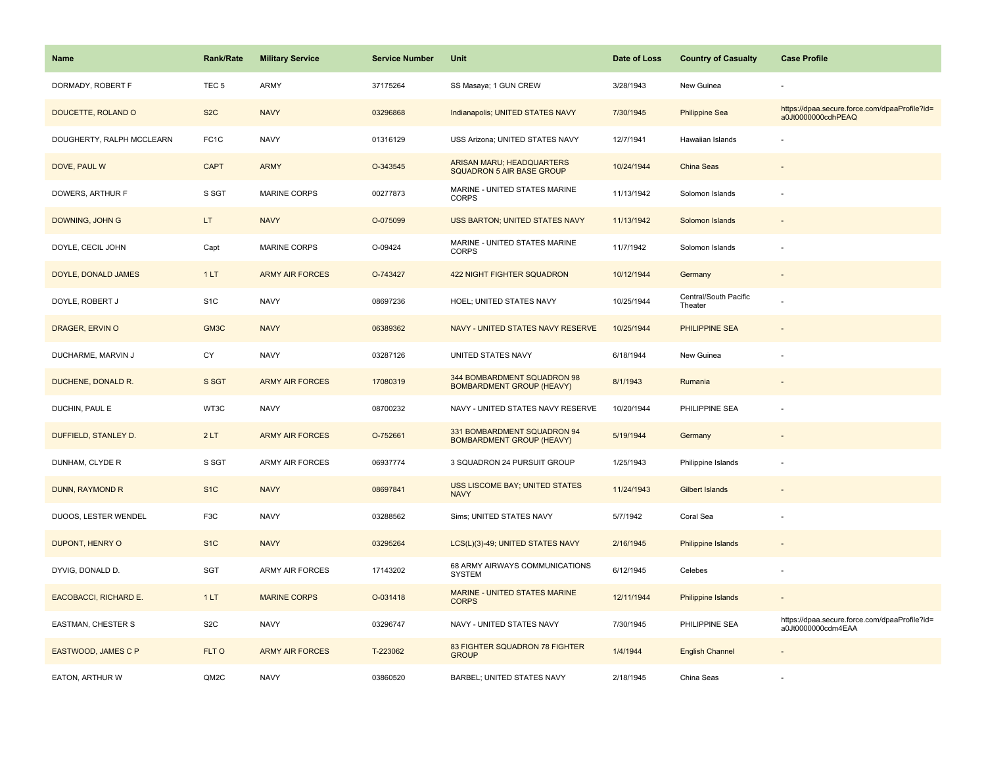| <b>Name</b>               | <b>Rank/Rate</b>  | <b>Military Service</b> | <b>Service Number</b> | Unit                                                            | Date of Loss | <b>Country of Casualty</b>       | <b>Case Profile</b>                                                 |
|---------------------------|-------------------|-------------------------|-----------------------|-----------------------------------------------------------------|--------------|----------------------------------|---------------------------------------------------------------------|
| DORMADY, ROBERT F         | TEC <sub>5</sub>  | <b>ARMY</b>             | 37175264              | SS Masaya; 1 GUN CREW                                           | 3/28/1943    | New Guinea                       |                                                                     |
| DOUCETTE, ROLAND O        | S <sub>2</sub> C  | <b>NAVY</b>             | 03296868              | Indianapolis; UNITED STATES NAVY                                | 7/30/1945    | <b>Philippine Sea</b>            | https://dpaa.secure.force.com/dpaaProfile?id=<br>a0Jt0000000cdhPEAQ |
| DOUGHERTY, RALPH MCCLEARN | FC <sub>1</sub> C | <b>NAVY</b>             | 01316129              | USS Arizona; UNITED STATES NAVY                                 | 12/7/1941    | Hawaiian Islands                 |                                                                     |
| DOVE, PAUL W              | <b>CAPT</b>       | <b>ARMY</b>             | O-343545              | ARISAN MARU; HEADQUARTERS<br>SQUADRON 5 AIR BASE GROUP          | 10/24/1944   | China Seas                       |                                                                     |
| DOWERS, ARTHUR F          | S SGT             | <b>MARINE CORPS</b>     | 00277873              | MARINE - UNITED STATES MARINE<br><b>CORPS</b>                   | 11/13/1942   | Solomon Islands                  |                                                                     |
| DOWNING, JOHN G           | LT.               | <b>NAVY</b>             | O-075099              | USS BARTON; UNITED STATES NAVY                                  | 11/13/1942   | Solomon Islands                  |                                                                     |
| DOYLE, CECIL JOHN         | Capt              | MARINE CORPS            | O-09424               | MARINE - UNITED STATES MARINE<br>CORPS                          | 11/7/1942    | Solomon Islands                  |                                                                     |
| DOYLE, DONALD JAMES       | 1LT               | <b>ARMY AIR FORCES</b>  | O-743427              | <b>422 NIGHT FIGHTER SQUADRON</b>                               | 10/12/1944   | Germany                          |                                                                     |
| DOYLE, ROBERT J           | S <sub>1</sub> C  | <b>NAVY</b>             | 08697236              | HOEL; UNITED STATES NAVY                                        | 10/25/1944   | Central/South Pacific<br>Theater |                                                                     |
| DRAGER, ERVIN O           | GM3C              | <b>NAVY</b>             | 06389362              | NAVY - UNITED STATES NAVY RESERVE                               | 10/25/1944   | <b>PHILIPPINE SEA</b>            |                                                                     |
| DUCHARME, MARVIN J        | CY                | <b>NAVY</b>             | 03287126              | UNITED STATES NAVY                                              | 6/18/1944    | New Guinea                       |                                                                     |
| DUCHENE, DONALD R.        | S SGT             | <b>ARMY AIR FORCES</b>  | 17080319              | 344 BOMBARDMENT SQUADRON 98<br><b>BOMBARDMENT GROUP (HEAVY)</b> | 8/1/1943     | Rumania                          |                                                                     |
| DUCHIN, PAUL E            | WT3C              | <b>NAVY</b>             | 08700232              | NAVY - UNITED STATES NAVY RESERVE                               | 10/20/1944   | PHILIPPINE SEA                   |                                                                     |
| DUFFIELD, STANLEY D.      | 2LT               | <b>ARMY AIR FORCES</b>  | O-752661              | 331 BOMBARDMENT SQUADRON 94<br><b>BOMBARDMENT GROUP (HEAVY)</b> | 5/19/1944    | Germany                          |                                                                     |
| DUNHAM, CLYDE R           | S SGT             | ARMY AIR FORCES         | 06937774              | 3 SQUADRON 24 PURSUIT GROUP                                     | 1/25/1943    | Philippine Islands               | $\sim$                                                              |
| DUNN, RAYMOND R           | S <sub>1</sub> C  | <b>NAVY</b>             | 08697841              | <b>USS LISCOME BAY; UNITED STATES</b><br><b>NAVY</b>            | 11/24/1943   | <b>Gilbert Islands</b>           |                                                                     |
| DUOOS, LESTER WENDEL      | F <sub>3</sub> C  | <b>NAVY</b>             | 03288562              | Sims; UNITED STATES NAVY                                        | 5/7/1942     | Coral Sea                        |                                                                     |
| DUPONT, HENRY O           | S <sub>1</sub> C  | <b>NAVY</b>             | 03295264              | LCS(L)(3)-49; UNITED STATES NAVY                                | 2/16/1945    | <b>Philippine Islands</b>        | $\sim$                                                              |
| DYVIG, DONALD D.          | SGT               | <b>ARMY AIR FORCES</b>  | 17143202              | 68 ARMY AIRWAYS COMMUNICATIONS<br><b>SYSTEM</b>                 | 6/12/1945    | Celebes                          | ÷,                                                                  |
| EACOBACCI, RICHARD E.     | 1LT               | <b>MARINE CORPS</b>     | O-031418              | MARINE - UNITED STATES MARINE<br><b>CORPS</b>                   | 12/11/1944   | Philippine Islands               | $\overline{a}$                                                      |
| <b>EASTMAN, CHESTER S</b> | S <sub>2</sub> C  | <b>NAVY</b>             | 03296747              | NAVY - UNITED STATES NAVY                                       | 7/30/1945    | PHILIPPINE SEA                   | https://dpaa.secure.force.com/dpaaProfile?id=<br>a0Jt0000000cdm4EAA |
| EASTWOOD, JAMES C P       | FLT O             | <b>ARMY AIR FORCES</b>  | T-223062              | 83 FIGHTER SQUADRON 78 FIGHTER<br><b>GROUP</b>                  | 1/4/1944     | <b>English Channel</b>           |                                                                     |
| EATON, ARTHUR W           | QM2C              | <b>NAVY</b>             | 03860520              | BARBEL; UNITED STATES NAVY                                      | 2/18/1945    | China Seas                       |                                                                     |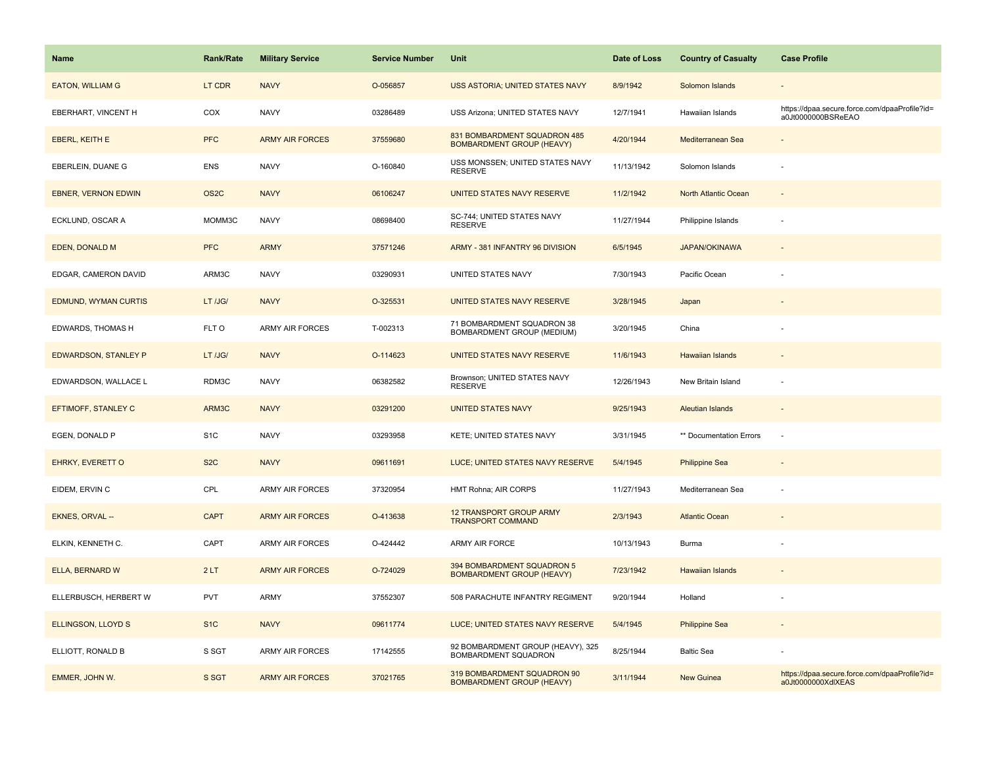| Name                        | <b>Rank/Rate</b>  | <b>Military Service</b> | <b>Service Number</b> | Unit                                                             | Date of Loss | <b>Country of Casualty</b> | <b>Case Profile</b>                                                 |
|-----------------------------|-------------------|-------------------------|-----------------------|------------------------------------------------------------------|--------------|----------------------------|---------------------------------------------------------------------|
| <b>EATON, WILLIAM G</b>     | LT CDR            | <b>NAVY</b>             | O-056857              | USS ASTORIA; UNITED STATES NAVY                                  | 8/9/1942     | Solomon Islands            |                                                                     |
| EBERHART, VINCENT H         | COX               | <b>NAVY</b>             | 03286489              | USS Arizona; UNITED STATES NAVY                                  | 12/7/1941    | Hawaiian Islands           | https://dpaa.secure.force.com/dpaaProfile?id=<br>a0Jt0000000BSReEAO |
| EBERL, KEITH E              | <b>PFC</b>        | <b>ARMY AIR FORCES</b>  | 37559680              | 831 BOMBARDMENT SQUADRON 485<br><b>BOMBARDMENT GROUP (HEAVY)</b> | 4/20/1944    | Mediterranean Sea          |                                                                     |
| EBERLEIN, DUANE G           | <b>ENS</b>        | <b>NAVY</b>             | O-160840              | USS MONSSEN; UNITED STATES NAVY<br><b>RESERVE</b>                | 11/13/1942   | Solomon Islands            |                                                                     |
| <b>EBNER, VERNON EDWIN</b>  | OS <sub>2</sub> C | <b>NAVY</b>             | 06106247              | UNITED STATES NAVY RESERVE                                       | 11/2/1942    | North Atlantic Ocean       |                                                                     |
| ECKLUND, OSCAR A            | MOMM3C            | <b>NAVY</b>             | 08698400              | SC-744; UNITED STATES NAVY<br><b>RESERVE</b>                     | 11/27/1944   | Philippine Islands         |                                                                     |
| EDEN, DONALD M              | <b>PFC</b>        | <b>ARMY</b>             | 37571246              | ARMY - 381 INFANTRY 96 DIVISION                                  | 6/5/1945     | <b>JAPAN/OKINAWA</b>       | $\overline{\phantom{a}}$                                            |
| EDGAR, CAMERON DAVID        | ARM3C             | <b>NAVY</b>             | 03290931              | UNITED STATES NAVY                                               | 7/30/1943    | Pacific Ocean              |                                                                     |
| <b>EDMUND, WYMAN CURTIS</b> | LT /JG/           | <b>NAVY</b>             | O-325531              | <b>UNITED STATES NAVY RESERVE</b>                                | 3/28/1945    | Japan                      |                                                                     |
| EDWARDS, THOMAS H           | FLT O             | <b>ARMY AIR FORCES</b>  | T-002313              | 71 BOMBARDMENT SQUADRON 38<br>BOMBARDMENT GROUP (MEDIUM)         | 3/20/1945    | China                      |                                                                     |
| <b>EDWARDSON, STANLEY P</b> | LT /JG/           | <b>NAVY</b>             | O-114623              | UNITED STATES NAVY RESERVE                                       | 11/6/1943    | Hawaiian Islands           |                                                                     |
| EDWARDSON, WALLACE L        | RDM3C             | <b>NAVY</b>             | 06382582              | Brownson; UNITED STATES NAVY<br><b>RESERVE</b>                   | 12/26/1943   | New Britain Island         |                                                                     |
| EFTIMOFF, STANLEY C         | ARM3C             | <b>NAVY</b>             | 03291200              | <b>UNITED STATES NAVY</b>                                        | 9/25/1943    | <b>Aleutian Islands</b>    |                                                                     |
| EGEN, DONALD P              | S <sub>1</sub> C  | <b>NAVY</b>             | 03293958              | KETE; UNITED STATES NAVY                                         | 3/31/1945    | ** Documentation Errors    | $\sim$                                                              |
| EHRKY, EVERETT O            | S <sub>2</sub> C  | <b>NAVY</b>             | 09611691              | LUCE; UNITED STATES NAVY RESERVE                                 | 5/4/1945     | <b>Philippine Sea</b>      |                                                                     |
| EIDEM, ERVIN C              | CPL               | ARMY AIR FORCES         | 37320954              | HMT Rohna; AIR CORPS                                             | 11/27/1943   | Mediterranean Sea          |                                                                     |
| EKNES, ORVAL --             | <b>CAPT</b>       | <b>ARMY AIR FORCES</b>  | O-413638              | 12 TRANSPORT GROUP ARMY<br><b>TRANSPORT COMMAND</b>              | 2/3/1943     | <b>Atlantic Ocean</b>      |                                                                     |
| ELKIN, KENNETH C.           | CAPT              | <b>ARMY AIR FORCES</b>  | O-424442              | ARMY AIR FORCE                                                   | 10/13/1943   | Burma                      |                                                                     |
| ELLA, BERNARD W             | 2LT               | <b>ARMY AIR FORCES</b>  | O-724029              | 394 BOMBARDMENT SQUADRON 5<br><b>BOMBARDMENT GROUP (HEAVY)</b>   | 7/23/1942    | Hawaiian Islands           |                                                                     |
| ELLERBUSCH, HERBERT W       | <b>PVT</b>        | ARMY                    | 37552307              | 508 PARACHUTE INFANTRY REGIMENT                                  | 9/20/1944    | Holland                    |                                                                     |
| <b>ELLINGSON, LLOYD S</b>   | S <sub>1</sub> C  | <b>NAVY</b>             | 09611774              | LUCE; UNITED STATES NAVY RESERVE                                 | 5/4/1945     | <b>Philippine Sea</b>      |                                                                     |
| ELLIOTT, RONALD B           | S SGT             | <b>ARMY AIR FORCES</b>  | 17142555              | 92 BOMBARDMENT GROUP (HEAVY), 325<br>BOMBARDMENT SQUADRON        | 8/25/1944    | <b>Baltic Sea</b>          |                                                                     |
| EMMER, JOHN W.              | S SGT             | <b>ARMY AIR FORCES</b>  | 37021765              | 319 BOMBARDMENT SQUADRON 90<br><b>BOMBARDMENT GROUP (HEAVY)</b>  | 3/11/1944    | <b>New Guinea</b>          | https://dpaa.secure.force.com/dpaaProfile?id=<br>a0Jt0000000XdlXEAS |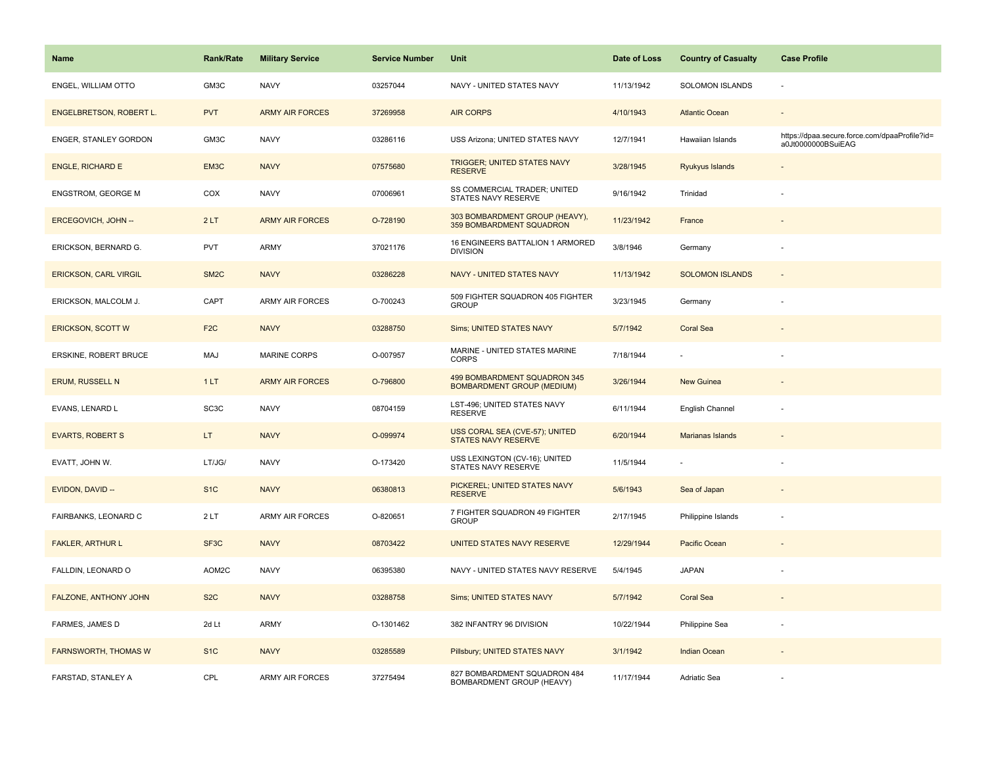| Name                           | <b>Rank/Rate</b>  | <b>Military Service</b> | <b>Service Number</b> | Unit                                                              | Date of Loss | <b>Country of Casualty</b> | <b>Case Profile</b>                                                 |
|--------------------------------|-------------------|-------------------------|-----------------------|-------------------------------------------------------------------|--------------|----------------------------|---------------------------------------------------------------------|
| ENGEL, WILLIAM OTTO            | GM3C              | <b>NAVY</b>             | 03257044              | NAVY - UNITED STATES NAVY                                         | 11/13/1942   | <b>SOLOMON ISLANDS</b>     |                                                                     |
| <b>ENGELBRETSON, ROBERT L.</b> | <b>PVT</b>        | <b>ARMY AIR FORCES</b>  | 37269958              | <b>AIR CORPS</b>                                                  | 4/10/1943    | <b>Atlantic Ocean</b>      |                                                                     |
| <b>ENGER, STANLEY GORDON</b>   | GM3C              | <b>NAVY</b>             | 03286116              | USS Arizona; UNITED STATES NAVY                                   | 12/7/1941    | Hawaiian Islands           | https://dpaa.secure.force.com/dpaaProfile?id=<br>a0Jt0000000BSuiEAG |
| <b>ENGLE, RICHARD E</b>        | EM3C              | <b>NAVY</b>             | 07575680              | <b>TRIGGER; UNITED STATES NAVY</b><br><b>RESERVE</b>              | 3/28/1945    | Ryukyus Islands            |                                                                     |
| ENGSTROM, GEORGE M             | COX               | <b>NAVY</b>             | 07006961              | SS COMMERCIAL TRADER; UNITED<br>STATES NAVY RESERVE               | 9/16/1942    | Trinidad                   |                                                                     |
| ERCEGOVICH, JOHN --            | 2LT               | <b>ARMY AIR FORCES</b>  | O-728190              | 303 BOMBARDMENT GROUP (HEAVY),<br>359 BOMBARDMENT SQUADRON        | 11/23/1942   | France                     |                                                                     |
| ERICKSON, BERNARD G.           | <b>PVT</b>        | ARMY                    | 37021176              | 16 ENGINEERS BATTALION 1 ARMORED<br><b>DIVISION</b>               | 3/8/1946     | Germany                    |                                                                     |
| <b>ERICKSON, CARL VIRGIL</b>   | SM <sub>2</sub> C | <b>NAVY</b>             | 03286228              | <b>NAVY - UNITED STATES NAVY</b>                                  | 11/13/1942   | <b>SOLOMON ISLANDS</b>     |                                                                     |
| ERICKSON, MALCOLM J.           | CAPT              | ARMY AIR FORCES         | O-700243              | 509 FIGHTER SQUADRON 405 FIGHTER<br><b>GROUP</b>                  | 3/23/1945    | Germany                    |                                                                     |
| <b>ERICKSON, SCOTT W</b>       | F <sub>2</sub> C  | <b>NAVY</b>             | 03288750              | Sims; UNITED STATES NAVY                                          | 5/7/1942     | <b>Coral Sea</b>           |                                                                     |
| ERSKINE, ROBERT BRUCE          | MAJ               | MARINE CORPS            | O-007957              | MARINE - UNITED STATES MARINE<br><b>CORPS</b>                     | 7/18/1944    |                            |                                                                     |
| <b>ERUM, RUSSELL N</b>         | 1LT               | <b>ARMY AIR FORCES</b>  | O-796800              | 499 BOMBARDMENT SQUADRON 345<br><b>BOMBARDMENT GROUP (MEDIUM)</b> | 3/26/1944    | New Guinea                 |                                                                     |
| EVANS, LENARD L                | SC <sub>3</sub> C | <b>NAVY</b>             | 08704159              | LST-496; UNITED STATES NAVY<br><b>RESERVE</b>                     | 6/11/1944    | English Channel            |                                                                     |
| <b>EVARTS, ROBERT S</b>        | LT.               | <b>NAVY</b>             | O-099974              | USS CORAL SEA (CVE-57); UNITED<br>STATES NAVY RESERVE             | 6/20/1944    | Marianas Islands           |                                                                     |
| EVATT, JOHN W.                 | LT/JG/            | <b>NAVY</b>             | O-173420              | USS LEXINGTON (CV-16); UNITED<br>STATES NAVY RESERVE              | 11/5/1944    |                            |                                                                     |
| EVIDON, DAVID --               | S <sub>1</sub> C  | <b>NAVY</b>             | 06380813              | PICKEREL; UNITED STATES NAVY<br><b>RESERVE</b>                    | 5/6/1943     | Sea of Japan               |                                                                     |
| FAIRBANKS, LEONARD C           | 2LT               | ARMY AIR FORCES         | O-820651              | 7 FIGHTER SQUADRON 49 FIGHTER<br><b>GROUP</b>                     | 2/17/1945    | Philippine Islands         |                                                                     |
| <b>FAKLER, ARTHUR L</b>        | SF <sub>3</sub> C | <b>NAVY</b>             | 08703422              | UNITED STATES NAVY RESERVE                                        | 12/29/1944   | Pacific Ocean              |                                                                     |
| FALLDIN, LEONARD O             | AOM2C             | <b>NAVY</b>             | 06395380              | NAVY - UNITED STATES NAVY RESERVE                                 | 5/4/1945     | <b>JAPAN</b>               |                                                                     |
| FALZONE, ANTHONY JOHN          | S <sub>2</sub> C  | <b>NAVY</b>             | 03288758              | Sims; UNITED STATES NAVY                                          | 5/7/1942     | <b>Coral Sea</b>           |                                                                     |
| FARMES, JAMES D                | 2d Lt             | ARMY                    | O-1301462             | 382 INFANTRY 96 DIVISION                                          | 10/22/1944   | Philippine Sea             |                                                                     |
| <b>FARNSWORTH, THOMAS W</b>    | S <sub>1C</sub>   | <b>NAVY</b>             | 03285589              | Pillsbury; UNITED STATES NAVY                                     | 3/1/1942     | <b>Indian Ocean</b>        |                                                                     |
| FARSTAD, STANLEY A             | CPL               | <b>ARMY AIR FORCES</b>  | 37275494              | 827 BOMBARDMENT SQUADRON 484<br>BOMBARDMENT GROUP (HEAVY)         | 11/17/1944   | Adriatic Sea               |                                                                     |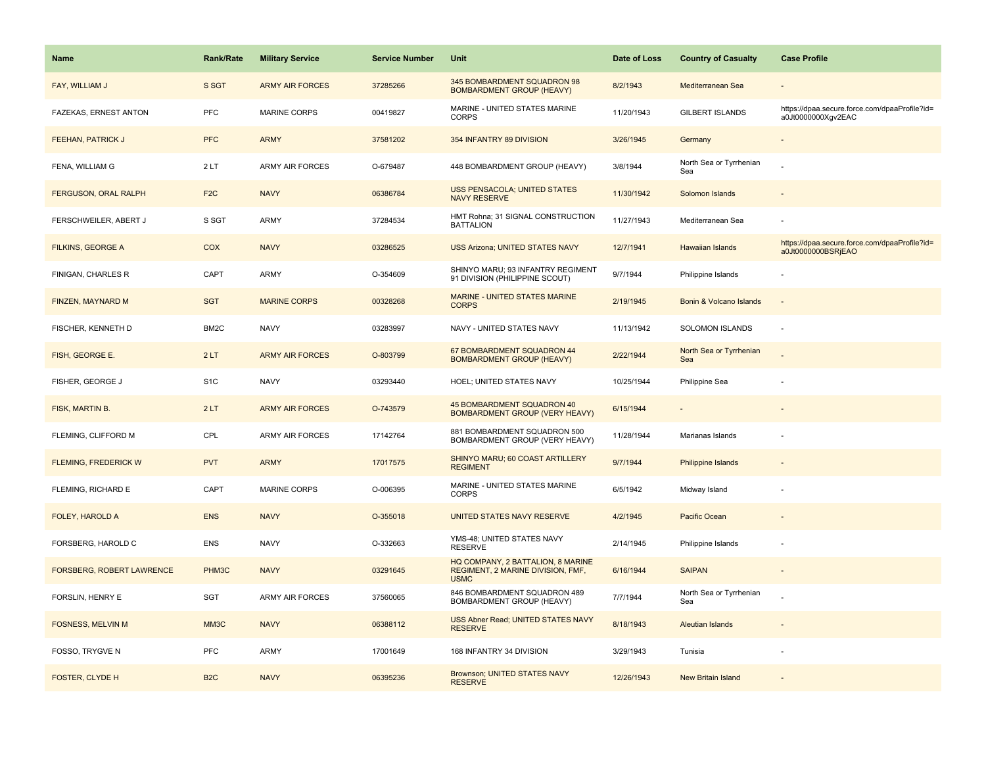| Name                        | Rank/Rate        | <b>Military Service</b> | <b>Service Number</b> | Unit                                                                                  | Date of Loss | <b>Country of Casualty</b>     | <b>Case Profile</b>                                                 |
|-----------------------------|------------------|-------------------------|-----------------------|---------------------------------------------------------------------------------------|--------------|--------------------------------|---------------------------------------------------------------------|
| FAY, WILLIAM J              | S SGT            | <b>ARMY AIR FORCES</b>  | 37285266              | 345 BOMBARDMENT SQUADRON 98<br><b>BOMBARDMENT GROUP (HEAVY)</b>                       | 8/2/1943     | Mediterranean Sea              |                                                                     |
| FAZEKAS, ERNEST ANTON       | <b>PFC</b>       | MARINE CORPS            | 00419827              | MARINE - UNITED STATES MARINE<br><b>CORPS</b>                                         | 11/20/1943   | <b>GILBERT ISLANDS</b>         | https://dpaa.secure.force.com/dpaaProfile?id=<br>a0Jt0000000Xgv2EAC |
| <b>FEEHAN, PATRICK J</b>    | <b>PFC</b>       | <b>ARMY</b>             | 37581202              | 354 INFANTRY 89 DIVISION                                                              | 3/26/1945    | Germany                        |                                                                     |
| FENA, WILLIAM G             | 2LT              | <b>ARMY AIR FORCES</b>  | O-679487              | 448 BOMBARDMENT GROUP (HEAVY)                                                         | 3/8/1944     | North Sea or Tyrrhenian<br>Sea |                                                                     |
| <b>FERGUSON, ORAL RALPH</b> | F <sub>2</sub> C | <b>NAVY</b>             | 06386784              | <b>USS PENSACOLA; UNITED STATES</b><br><b>NAVY RESERVE</b>                            | 11/30/1942   | Solomon Islands                |                                                                     |
| FERSCHWEILER, ABERT J       | S SGT            | ARMY                    | 37284534              | HMT Rohna; 31 SIGNAL CONSTRUCTION<br><b>BATTALION</b>                                 | 11/27/1943   | Mediterranean Sea              |                                                                     |
| <b>FILKINS, GEORGE A</b>    | <b>COX</b>       | <b>NAVY</b>             | 03286525              | USS Arizona; UNITED STATES NAVY                                                       | 12/7/1941    | Hawaiian Islands               | https://dpaa.secure.force.com/dpaaProfile?id=<br>a0Jt0000000BSRjEAO |
| FINIGAN, CHARLES R          | CAPT             | ARMY                    | O-354609              | SHINYO MARU; 93 INFANTRY REGIMENT<br>91 DIVISION (PHILIPPINE SCOUT)                   | 9/7/1944     | Philippine Islands             |                                                                     |
| FINZEN, MAYNARD M           | <b>SGT</b>       | <b>MARINE CORPS</b>     | 00328268              | <b>MARINE - UNITED STATES MARINE</b><br><b>CORPS</b>                                  | 2/19/1945    | Bonin & Volcano Islands        | ÷,                                                                  |
| FISCHER, KENNETH D          | BM2C             | <b>NAVY</b>             | 03283997              | NAVY - UNITED STATES NAVY                                                             | 11/13/1942   | SOLOMON ISLANDS                | ÷,                                                                  |
| FISH, GEORGE E.             | 2LT              | <b>ARMY AIR FORCES</b>  | O-803799              | 67 BOMBARDMENT SQUADRON 44<br><b>BOMBARDMENT GROUP (HEAVY)</b>                        | 2/22/1944    | North Sea or Tyrrhenian<br>Sea |                                                                     |
| FISHER, GEORGE J            | S <sub>1</sub> C | <b>NAVY</b>             | 03293440              | HOEL; UNITED STATES NAVY                                                              | 10/25/1944   | Philippine Sea                 |                                                                     |
| FISK, MARTIN B.             | 2LT              | <b>ARMY AIR FORCES</b>  | O-743579              | 45 BOMBARDMENT SQUADRON 40<br>BOMBARDMENT GROUP (VERY HEAVY)                          | 6/15/1944    |                                |                                                                     |
| FLEMING, CLIFFORD M         | CPL              | ARMY AIR FORCES         | 17142764              | 881 BOMBARDMENT SQUADRON 500<br>BOMBARDMENT GROUP (VERY HEAVY)                        | 11/28/1944   | Marianas Islands               |                                                                     |
| <b>FLEMING, FREDERICK W</b> | <b>PVT</b>       | <b>ARMY</b>             | 17017575              | SHINYO MARU; 60 COAST ARTILLERY<br><b>REGIMENT</b>                                    | 9/7/1944     | <b>Philippine Islands</b>      |                                                                     |
| FLEMING, RICHARD E          | CAPT             | <b>MARINE CORPS</b>     | O-006395              | MARINE - UNITED STATES MARINE<br><b>CORPS</b>                                         | 6/5/1942     | Midway Island                  |                                                                     |
| <b>FOLEY, HAROLD A</b>      | <b>ENS</b>       | <b>NAVY</b>             | O-355018              | <b>UNITED STATES NAVY RESERVE</b>                                                     | 4/2/1945     | Pacific Ocean                  |                                                                     |
| FORSBERG, HAROLD C          | ENS              | <b>NAVY</b>             | O-332663              | YMS-48; UNITED STATES NAVY<br><b>RESERVE</b>                                          | 2/14/1945    | Philippine Islands             |                                                                     |
| FORSBERG, ROBERT LAWRENCE   | PHM3C            | <b>NAVY</b>             | 03291645              | HQ COMPANY, 2 BATTALION, 8 MARINE<br>REGIMENT, 2 MARINE DIVISION, FMF,<br><b>USMC</b> | 6/16/1944    | <b>SAIPAN</b>                  |                                                                     |
| FORSLIN, HENRY E            | SGT              | <b>ARMY AIR FORCES</b>  | 37560065              | 846 BOMBARDMENT SQUADRON 489<br><b>BOMBARDMENT GROUP (HEAVY)</b>                      | 7/7/1944     | North Sea or Tyrrhenian<br>Sea |                                                                     |
| <b>FOSNESS, MELVIN M</b>    | MM3C             | <b>NAVY</b>             | 06388112              | <b>USS Abner Read: UNITED STATES NAVY</b><br><b>RESERVE</b>                           | 8/18/1943    | <b>Aleutian Islands</b>        |                                                                     |
| FOSSO, TRYGVE N             | <b>PFC</b>       | ARMY                    | 17001649              | 168 INFANTRY 34 DIVISION                                                              | 3/29/1943    | Tunisia                        |                                                                     |
| FOSTER, CLYDE H             | B <sub>2</sub> C | <b>NAVY</b>             | 06395236              | Brownson; UNITED STATES NAVY<br><b>RESERVE</b>                                        | 12/26/1943   | <b>New Britain Island</b>      |                                                                     |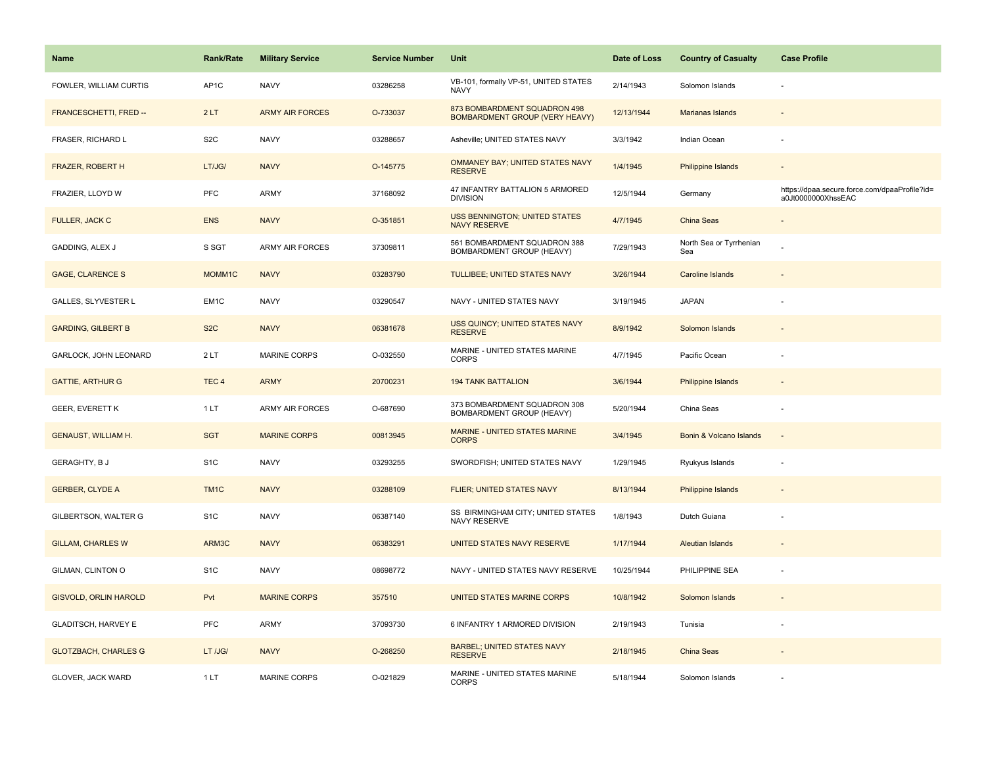| <b>Name</b>                  | <b>Rank/Rate</b>  | <b>Military Service</b> | <b>Service Number</b> | Unit                                                                  | Date of Loss | <b>Country of Casualty</b>     | <b>Case Profile</b>                                                 |
|------------------------------|-------------------|-------------------------|-----------------------|-----------------------------------------------------------------------|--------------|--------------------------------|---------------------------------------------------------------------|
| FOWLER, WILLIAM CURTIS       | AP <sub>1</sub> C | <b>NAVY</b>             | 03286258              | VB-101, formally VP-51, UNITED STATES<br><b>NAVY</b>                  | 2/14/1943    | Solomon Islands                |                                                                     |
| FRANCESCHETTI, FRED --       | 2LT               | <b>ARMY AIR FORCES</b>  | O-733037              | 873 BOMBARDMENT SQUADRON 498<br><b>BOMBARDMENT GROUP (VERY HEAVY)</b> | 12/13/1944   | Marianas Islands               |                                                                     |
| FRASER, RICHARD L            | S <sub>2</sub> C  | <b>NAVY</b>             | 03288657              | Asheville; UNITED STATES NAVY                                         | 3/3/1942     | Indian Ocean                   |                                                                     |
| FRAZER, ROBERT H             | LT/JG/            | <b>NAVY</b>             | O-145775              | OMMANEY BAY; UNITED STATES NAVY<br><b>RESERVE</b>                     | 1/4/1945     | <b>Philippine Islands</b>      |                                                                     |
| FRAZIER, LLOYD W             | PFC               | <b>ARMY</b>             | 37168092              | 47 INFANTRY BATTALION 5 ARMORED<br><b>DIVISION</b>                    | 12/5/1944    | Germany                        | https://dpaa.secure.force.com/dpaaProfile?id=<br>a0Jt0000000XhssEAC |
| FULLER, JACK C               | <b>ENS</b>        | <b>NAVY</b>             | O-351851              | <b>USS BENNINGTON; UNITED STATES</b><br><b>NAVY RESERVE</b>           | 4/7/1945     | <b>China Seas</b>              | $\blacksquare$                                                      |
| GADDING, ALEX J              | S SGT             | ARMY AIR FORCES         | 37309811              | 561 BOMBARDMENT SQUADRON 388<br>BOMBARDMENT GROUP (HEAVY)             | 7/29/1943    | North Sea or Tyrrhenian<br>Sea |                                                                     |
| <b>GAGE, CLARENCE S</b>      | MOMM1C            | <b>NAVY</b>             | 03283790              | TULLIBEE; UNITED STATES NAVY                                          | 3/26/1944    | <b>Caroline Islands</b>        |                                                                     |
| GALLES, SLYVESTER L          | EM <sub>1</sub> C | <b>NAVY</b>             | 03290547              | NAVY - UNITED STATES NAVY                                             | 3/19/1945    | <b>JAPAN</b>                   |                                                                     |
| <b>GARDING, GILBERT B</b>    | S <sub>2</sub> C  | <b>NAVY</b>             | 06381678              | USS QUINCY; UNITED STATES NAVY<br><b>RESERVE</b>                      | 8/9/1942     | Solomon Islands                |                                                                     |
| GARLOCK, JOHN LEONARD        | 2LT               | <b>MARINE CORPS</b>     | O-032550              | MARINE - UNITED STATES MARINE<br><b>CORPS</b>                         | 4/7/1945     | Pacific Ocean                  |                                                                     |
| <b>GATTIE, ARTHUR G</b>      | TEC <sub>4</sub>  | <b>ARMY</b>             | 20700231              | <b>194 TANK BATTALION</b>                                             | 3/6/1944     | <b>Philippine Islands</b>      | $\sim$                                                              |
| <b>GEER, EVERETT K</b>       | 1 LT              | <b>ARMY AIR FORCES</b>  | O-687690              | 373 BOMBARDMENT SQUADRON 308<br>BOMBARDMENT GROUP (HEAVY)             | 5/20/1944    | China Seas                     |                                                                     |
| <b>GENAUST, WILLIAM H.</b>   | <b>SGT</b>        | <b>MARINE CORPS</b>     | 00813945              | MARINE - UNITED STATES MARINE<br><b>CORPS</b>                         | 3/4/1945     | Bonin & Volcano Islands        | $\sim$                                                              |
| <b>GERAGHTY, BJ</b>          | S <sub>1</sub> C  | <b>NAVY</b>             | 03293255              | SWORDFISH; UNITED STATES NAVY                                         | 1/29/1945    | Ryukyus Islands                |                                                                     |
| <b>GERBER, CLYDE A</b>       | TM <sub>1</sub> C | <b>NAVY</b>             | 03288109              | FLIER; UNITED STATES NAVY                                             | 8/13/1944    | <b>Philippine Islands</b>      |                                                                     |
| GILBERTSON, WALTER G         | S <sub>1</sub> C  | <b>NAVY</b>             | 06387140              | SS BIRMINGHAM CITY; UNITED STATES<br>NAVY RESERVE                     | 1/8/1943     | Dutch Guiana                   |                                                                     |
| <b>GILLAM, CHARLES W</b>     | ARM3C             | <b>NAVY</b>             | 06383291              | UNITED STATES NAVY RESERVE                                            | 1/17/1944    | <b>Aleutian Islands</b>        |                                                                     |
| GILMAN, CLINTON O            | S <sub>1</sub> C  | <b>NAVY</b>             | 08698772              | NAVY - UNITED STATES NAVY RESERVE                                     | 10/25/1944   | PHILIPPINE SEA                 | $\overline{\phantom{a}}$                                            |
| <b>GISVOLD, ORLIN HAROLD</b> | Pvt               | <b>MARINE CORPS</b>     | 357510                | UNITED STATES MARINE CORPS                                            | 10/8/1942    | Solomon Islands                |                                                                     |
| <b>GLADITSCH, HARVEY E</b>   | PFC               | <b>ARMY</b>             | 37093730              | 6 INFANTRY 1 ARMORED DIVISION                                         | 2/19/1943    | Tunisia                        |                                                                     |
| <b>GLOTZBACH, CHARLES G</b>  | LT /JG/           | <b>NAVY</b>             | O-268250              | <b>BARBEL; UNITED STATES NAVY</b><br><b>RESERVE</b>                   | 2/18/1945    | <b>China Seas</b>              |                                                                     |
| GLOVER, JACK WARD            | 1LT               | <b>MARINE CORPS</b>     | O-021829              | MARINE - UNITED STATES MARINE<br><b>CORPS</b>                         | 5/18/1944    | Solomon Islands                |                                                                     |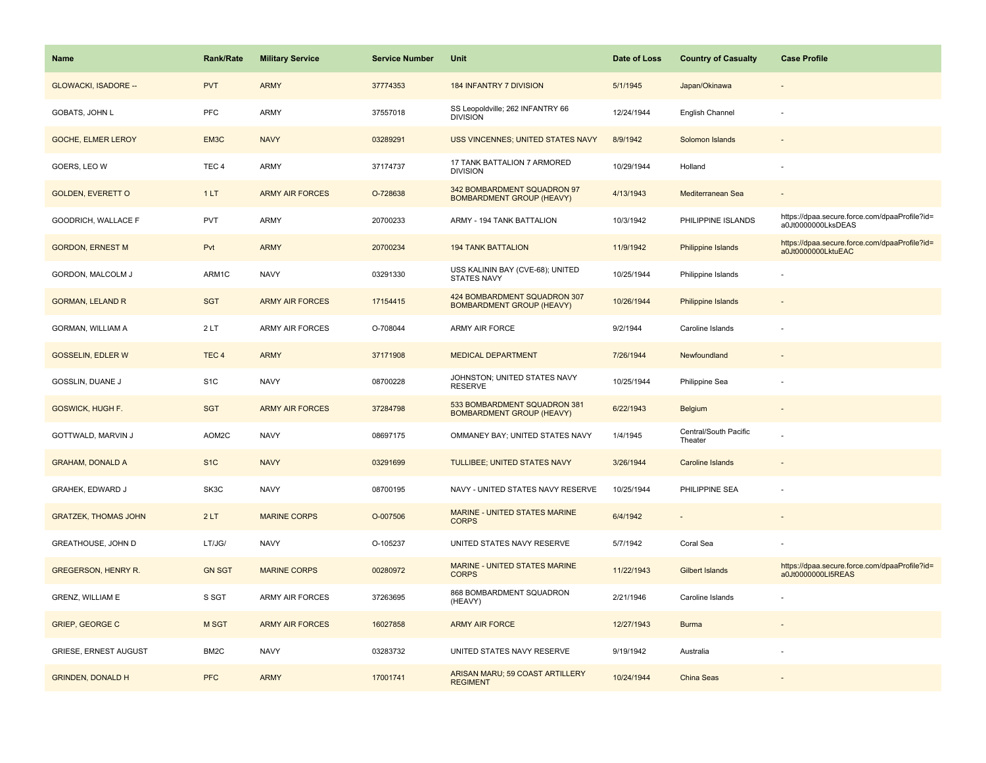| Name                         | <b>Rank/Rate</b> | <b>Military Service</b> | <b>Service Number</b> | Unit                                                             | Date of Loss | <b>Country of Casualty</b>       | <b>Case Profile</b>                                                 |
|------------------------------|------------------|-------------------------|-----------------------|------------------------------------------------------------------|--------------|----------------------------------|---------------------------------------------------------------------|
| <b>GLOWACKI, ISADORE --</b>  | <b>PVT</b>       | <b>ARMY</b>             | 37774353              | <b>184 INFANTRY 7 DIVISION</b>                                   | 5/1/1945     | Japan/Okinawa                    |                                                                     |
| GOBATS, JOHN L               | <b>PFC</b>       | ARMY                    | 37557018              | SS Leopoldville; 262 INFANTRY 66<br><b>DIVISION</b>              | 12/24/1944   | English Channel                  |                                                                     |
| <b>GOCHE, ELMER LEROY</b>    | EM3C             | <b>NAVY</b>             | 03289291              | <b>USS VINCENNES; UNITED STATES NAVY</b>                         | 8/9/1942     | Solomon Islands                  |                                                                     |
| GOERS, LEO W                 | TEC <sub>4</sub> | ARMY                    | 37174737              | 17 TANK BATTALION 7 ARMORED<br><b>DIVISION</b>                   | 10/29/1944   | Holland                          |                                                                     |
| <b>GOLDEN, EVERETT O</b>     | 1LT              | <b>ARMY AIR FORCES</b>  | O-728638              | 342 BOMBARDMENT SQUADRON 97<br><b>BOMBARDMENT GROUP (HEAVY)</b>  | 4/13/1943    | Mediterranean Sea                |                                                                     |
| GOODRICH, WALLACE F          | <b>PVT</b>       | ARMY                    | 20700233              | ARMY - 194 TANK BATTALION                                        | 10/3/1942    | PHILIPPINE ISLANDS               | https://dpaa.secure.force.com/dpaaProfile?id=<br>a0Jt0000000LksDEAS |
| <b>GORDON, ERNEST M</b>      | Pvt              | <b>ARMY</b>             | 20700234              | <b>194 TANK BATTALION</b>                                        | 11/9/1942    | Philippine Islands               | https://dpaa.secure.force.com/dpaaProfile?id=<br>a0Jt0000000LktuEAC |
| GORDON, MALCOLM J            | ARM1C            | <b>NAVY</b>             | 03291330              | USS KALININ BAY (CVE-68); UNITED<br><b>STATES NAVY</b>           | 10/25/1944   | Philippine Islands               |                                                                     |
| <b>GORMAN, LELAND R</b>      | <b>SGT</b>       | <b>ARMY AIR FORCES</b>  | 17154415              | 424 BOMBARDMENT SQUADRON 307<br><b>BOMBARDMENT GROUP (HEAVY)</b> | 10/26/1944   | Philippine Islands               |                                                                     |
| GORMAN, WILLIAM A            | 2LT              | ARMY AIR FORCES         | O-708044              | ARMY AIR FORCE                                                   | 9/2/1944     | Caroline Islands                 |                                                                     |
| <b>GOSSELIN, EDLER W</b>     | TEC <sub>4</sub> | <b>ARMY</b>             | 37171908              | <b>MEDICAL DEPARTMENT</b>                                        | 7/26/1944    | Newfoundland                     |                                                                     |
| GOSSLIN, DUANE J             | S <sub>1</sub> C | <b>NAVY</b>             | 08700228              | JOHNSTON; UNITED STATES NAVY<br><b>RESERVE</b>                   | 10/25/1944   | Philippine Sea                   |                                                                     |
| <b>GOSWICK, HUGH F.</b>      | <b>SGT</b>       | <b>ARMY AIR FORCES</b>  | 37284798              | 533 BOMBARDMENT SQUADRON 381<br><b>BOMBARDMENT GROUP (HEAVY)</b> | 6/22/1943    | Belgium                          |                                                                     |
| GOTTWALD, MARVIN J           | AOM2C            | <b>NAVY</b>             | 08697175              | OMMANEY BAY; UNITED STATES NAVY                                  | 1/4/1945     | Central/South Pacific<br>Theater |                                                                     |
| <b>GRAHAM, DONALD A</b>      | S <sub>1</sub> C | <b>NAVY</b>             | 03291699              | TULLIBEE; UNITED STATES NAVY                                     | 3/26/1944    | Caroline Islands                 |                                                                     |
| GRAHEK, EDWARD J             | SK3C             | <b>NAVY</b>             | 08700195              | NAVY - UNITED STATES NAVY RESERVE                                | 10/25/1944   | PHILIPPINE SEA                   |                                                                     |
| <b>GRATZEK, THOMAS JOHN</b>  | 2LT              | <b>MARINE CORPS</b>     | O-007506              | MARINE - UNITED STATES MARINE<br><b>CORPS</b>                    | 6/4/1942     |                                  |                                                                     |
| GREATHOUSE, JOHN D           | LT/JG/           | <b>NAVY</b>             | O-105237              | UNITED STATES NAVY RESERVE                                       | 5/7/1942     | Coral Sea                        |                                                                     |
| <b>GREGERSON, HENRY R.</b>   | <b>GN SGT</b>    | <b>MARINE CORPS</b>     | 00280972              | MARINE - UNITED STATES MARINE<br><b>CORPS</b>                    | 11/22/1943   | Gilbert Islands                  | https://dpaa.secure.force.com/dpaaProfile?id=<br>a0Jt0000000LI5REAS |
| <b>GRENZ, WILLIAM E</b>      | S SGT            | <b>ARMY AIR FORCES</b>  | 37263695              | 868 BOMBARDMENT SQUADRON<br>(HEAVY)                              | 2/21/1946    | Caroline Islands                 |                                                                     |
| <b>GRIEP, GEORGE C</b>       | M SGT            | <b>ARMY AIR FORCES</b>  | 16027858              | <b>ARMY AIR FORCE</b>                                            | 12/27/1943   | <b>Burma</b>                     |                                                                     |
| <b>GRIESE, ERNEST AUGUST</b> | BM2C             | <b>NAVY</b>             | 03283732              | UNITED STATES NAVY RESERVE                                       | 9/19/1942    | Australia                        |                                                                     |
| <b>GRINDEN, DONALD H</b>     | <b>PFC</b>       | <b>ARMY</b>             | 17001741              | ARISAN MARU; 59 COAST ARTILLERY<br><b>REGIMENT</b>               | 10/24/1944   | <b>China Seas</b>                |                                                                     |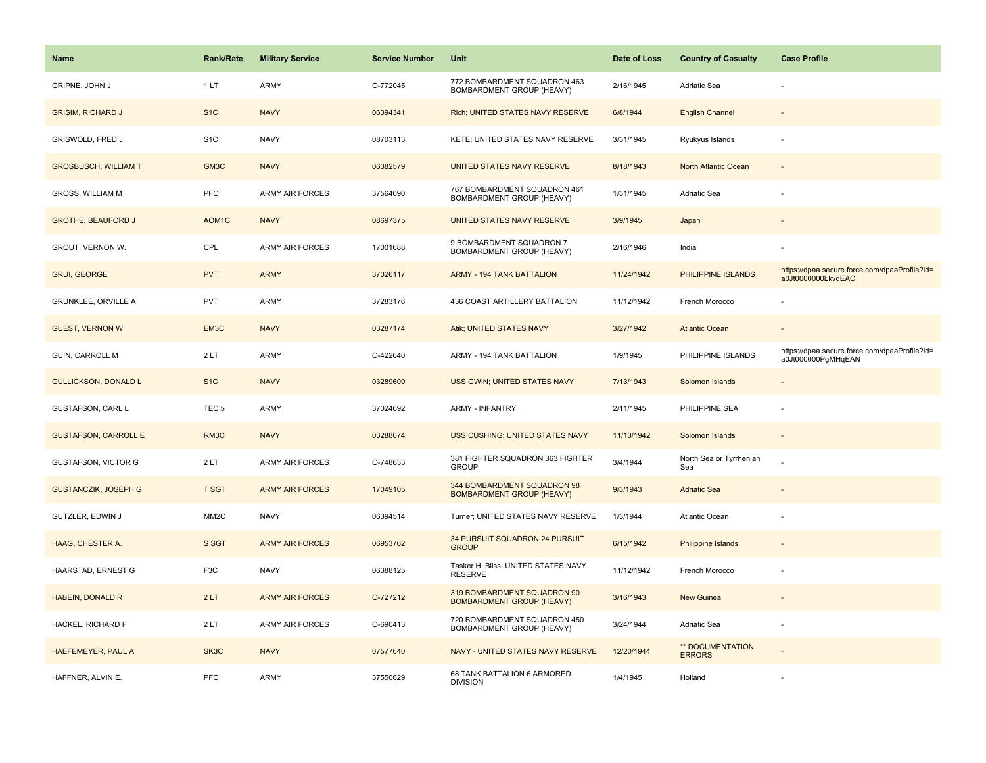| <b>Name</b>                 | Rank/Rate          | <b>Military Service</b> | <b>Service Number</b> | Unit                                                            | Date of Loss | <b>Country of Casualty</b>        | <b>Case Profile</b>                                                 |
|-----------------------------|--------------------|-------------------------|-----------------------|-----------------------------------------------------------------|--------------|-----------------------------------|---------------------------------------------------------------------|
| GRIPNE, JOHN J              | 1LT                | <b>ARMY</b>             | O-772045              | 772 BOMBARDMENT SQUADRON 463<br>BOMBARDMENT GROUP (HEAVY)       | 2/16/1945    | Adriatic Sea                      |                                                                     |
| <b>GRISIM, RICHARD J</b>    | S <sub>1</sub> C   | <b>NAVY</b>             | 06394341              | Rich; UNITED STATES NAVY RESERVE                                | 6/8/1944     | <b>English Channel</b>            |                                                                     |
| <b>GRISWOLD, FRED J</b>     | S <sub>1</sub> C   | <b>NAVY</b>             | 08703113              | KETE; UNITED STATES NAVY RESERVE                                | 3/31/1945    | Ryukyus Islands                   |                                                                     |
| <b>GROSBUSCH, WILLIAM T</b> | GM <sub>3</sub> C  | <b>NAVY</b>             | 06382579              | UNITED STATES NAVY RESERVE                                      | 8/18/1943    | <b>North Atlantic Ocean</b>       |                                                                     |
| <b>GROSS, WILLIAM M</b>     | <b>PFC</b>         | <b>ARMY AIR FORCES</b>  | 37564090              | 767 BOMBARDMENT SQUADRON 461<br>BOMBARDMENT GROUP (HEAVY)       | 1/31/1945    | Adriatic Sea                      |                                                                     |
| <b>GROTHE, BEAUFORD J</b>   | AOM <sub>1</sub> C | <b>NAVY</b>             | 08697375              | UNITED STATES NAVY RESERVE                                      | 3/9/1945     | Japan                             |                                                                     |
| GROUT, VERNON W.            | CPL                | <b>ARMY AIR FORCES</b>  | 17001688              | 9 BOMBARDMENT SQUADRON 7<br>BOMBARDMENT GROUP (HEAVY)           | 2/16/1946    | India                             |                                                                     |
| <b>GRUI, GEORGE</b>         | <b>PVT</b>         | <b>ARMY</b>             | 37026117              | <b>ARMY - 194 TANK BATTALION</b>                                | 11/24/1942   | PHILIPPINE ISLANDS                | https://dpaa.secure.force.com/dpaaProfile?id=<br>a0Jt0000000LkvqEAC |
| <b>GRUNKLEE, ORVILLE A</b>  | <b>PVT</b>         | <b>ARMY</b>             | 37283176              | 436 COAST ARTILLERY BATTALION                                   | 11/12/1942   | French Morocco                    |                                                                     |
| <b>GUEST, VERNON W</b>      | EM3C               | <b>NAVY</b>             | 03287174              | Atik; UNITED STATES NAVY                                        | 3/27/1942    | <b>Atlantic Ocean</b>             |                                                                     |
| <b>GUIN, CARROLL M</b>      | 2LT                | ARMY                    | O-422640              | ARMY - 194 TANK BATTALION                                       | 1/9/1945     | PHILIPPINE ISLANDS                | https://dpaa.secure.force.com/dpaaProfile?id=<br>a0Jt000000PgMHqEAN |
| <b>GULLICKSON, DONALD L</b> | S <sub>1</sub> C   | <b>NAVY</b>             | 03289609              | USS GWIN; UNITED STATES NAVY                                    | 7/13/1943    | Solomon Islands                   |                                                                     |
| <b>GUSTAFSON, CARL L</b>    | TEC <sub>5</sub>   | <b>ARMY</b>             | 37024692              | <b>ARMY - INFANTRY</b>                                          | 2/11/1945    | PHILIPPINE SEA                    | ÷,                                                                  |
| <b>GUSTAFSON, CARROLL E</b> | RM3C               | <b>NAVY</b>             | 03288074              | USS CUSHING; UNITED STATES NAVY                                 | 11/13/1942   | Solomon Islands                   | $\overline{a}$                                                      |
| <b>GUSTAFSON, VICTOR G</b>  | 2LT                | <b>ARMY AIR FORCES</b>  | O-748633              | 381 FIGHTER SQUADRON 363 FIGHTER<br><b>GROUP</b>                | 3/4/1944     | North Sea or Tyrrhenian<br>Sea    |                                                                     |
| <b>GUSTANCZIK, JOSEPH G</b> | T SGT              | <b>ARMY AIR FORCES</b>  | 17049105              | 344 BOMBARDMENT SQUADRON 98<br><b>BOMBARDMENT GROUP (HEAVY)</b> | 9/3/1943     | <b>Adriatic Sea</b>               |                                                                     |
| GUTZLER, EDWIN J            | MM <sub>2</sub> C  | <b>NAVY</b>             | 06394514              | Turner; UNITED STATES NAVY RESERVE                              | 1/3/1944     | Atlantic Ocean                    |                                                                     |
| HAAG, CHESTER A.            | S SGT              | <b>ARMY AIR FORCES</b>  | 06953762              | 34 PURSUIT SQUADRON 24 PURSUIT<br><b>GROUP</b>                  | 6/15/1942    | <b>Philippine Islands</b>         |                                                                     |
| HAARSTAD, ERNEST G          | F <sub>3</sub> C   | <b>NAVY</b>             | 06388125              | Tasker H. Bliss; UNITED STATES NAVY<br><b>RESERVE</b>           | 11/12/1942   | French Morocco                    |                                                                     |
| <b>HABEIN, DONALD R</b>     | 2LT                | <b>ARMY AIR FORCES</b>  | O-727212              | 319 BOMBARDMENT SQUADRON 90<br><b>BOMBARDMENT GROUP (HEAVY)</b> | 3/16/1943    | <b>New Guinea</b>                 |                                                                     |
| HACKEL, RICHARD F           | 2LT                | ARMY AIR FORCES         | O-690413              | 720 BOMBARDMENT SQUADRON 450<br>BOMBARDMENT GROUP (HEAVY)       | 3/24/1944    | Adriatic Sea                      | ÷,                                                                  |
| HAEFEMEYER, PAUL A          | SK3C               | <b>NAVY</b>             | 07577640              | NAVY - UNITED STATES NAVY RESERVE                               | 12/20/1944   | ** DOCUMENTATION<br><b>ERRORS</b> |                                                                     |
| HAFFNER, ALVIN E.           | PFC                | ARMY                    | 37550629              | 68 TANK BATTALION 6 ARMORED<br><b>DIVISION</b>                  | 1/4/1945     | Holland                           |                                                                     |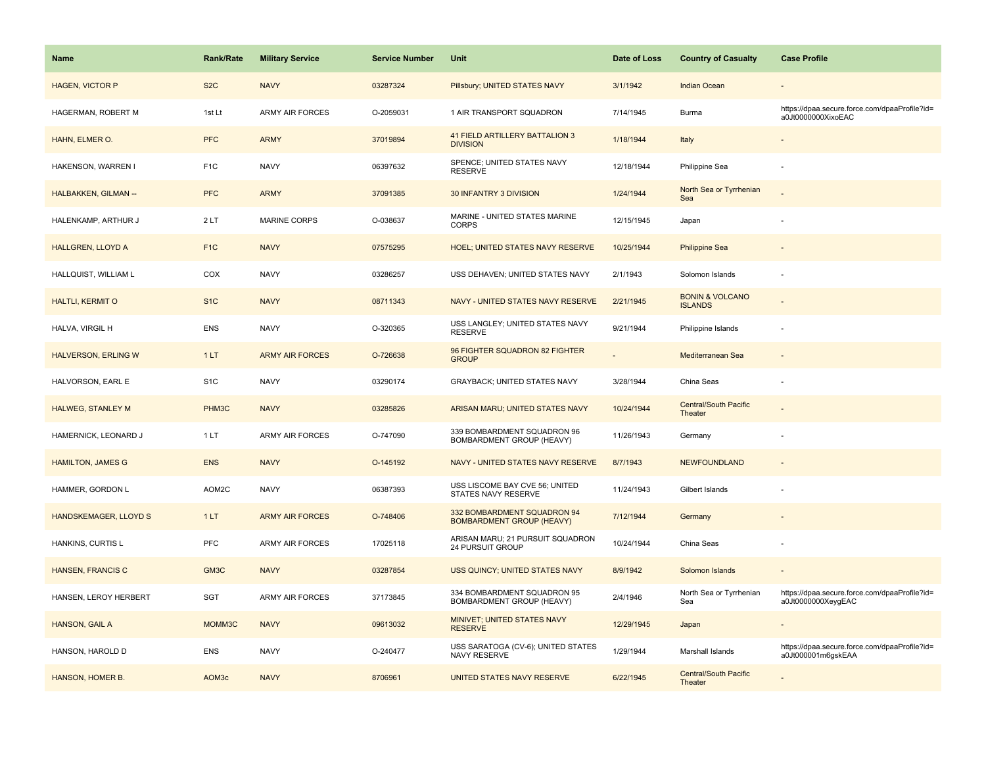| <b>Name</b>                | <b>Rank/Rate</b>   | <b>Military Service</b> | <b>Service Number</b> | Unit                                                            | Date of Loss | <b>Country of Casualty</b>                   | <b>Case Profile</b>                                                 |
|----------------------------|--------------------|-------------------------|-----------------------|-----------------------------------------------------------------|--------------|----------------------------------------------|---------------------------------------------------------------------|
| <b>HAGEN, VICTOR P</b>     | S <sub>2</sub> C   | <b>NAVY</b>             | 03287324              | Pillsbury; UNITED STATES NAVY                                   | 3/1/1942     | Indian Ocean                                 |                                                                     |
| HAGERMAN, ROBERT M         | 1st Lt             | <b>ARMY AIR FORCES</b>  | O-2059031             | 1 AIR TRANSPORT SQUADRON                                        | 7/14/1945    | Burma                                        | https://dpaa.secure.force.com/dpaaProfile?id=<br>a0Jt0000000XixoEAC |
| HAHN, ELMER O.             | <b>PFC</b>         | <b>ARMY</b>             | 37019894              | 41 FIELD ARTILLERY BATTALION 3<br><b>DIVISION</b>               | 1/18/1944    | Italy                                        |                                                                     |
| HAKENSON, WARREN I         | F <sub>1</sub> C   | <b>NAVY</b>             | 06397632              | SPENCE; UNITED STATES NAVY<br><b>RESERVE</b>                    | 12/18/1944   | Philippine Sea                               |                                                                     |
| HALBAKKEN, GILMAN --       | <b>PFC</b>         | <b>ARMY</b>             | 37091385              | 30 INFANTRY 3 DIVISION                                          | 1/24/1944    | North Sea or Tyrrhenian<br>Sea               |                                                                     |
| HALENKAMP, ARTHUR J        | 2LT                | <b>MARINE CORPS</b>     | O-038637              | MARINE - UNITED STATES MARINE<br>CORPS                          | 12/15/1945   | Japan                                        |                                                                     |
| <b>HALLGREN, LLOYD A</b>   | F <sub>1</sub> C   | <b>NAVY</b>             | 07575295              | <b>HOEL: UNITED STATES NAVY RESERVE</b>                         | 10/25/1944   | <b>Philippine Sea</b>                        |                                                                     |
| HALLQUIST, WILLIAM L       | COX                | <b>NAVY</b>             | 03286257              | USS DEHAVEN; UNITED STATES NAVY                                 | 2/1/1943     | Solomon Islands                              |                                                                     |
| <b>HALTLI, KERMIT O</b>    | S <sub>1</sub> C   | <b>NAVY</b>             | 08711343              | NAVY - UNITED STATES NAVY RESERVE                               | 2/21/1945    | <b>BONIN &amp; VOLCANO</b><br><b>ISLANDS</b> |                                                                     |
| HALVA, VIRGIL H            | <b>ENS</b>         | <b>NAVY</b>             | O-320365              | USS LANGLEY; UNITED STATES NAVY<br><b>RESERVE</b>               | 9/21/1944    | Philippine Islands                           |                                                                     |
| <b>HALVERSON, ERLING W</b> | 1LT                | <b>ARMY AIR FORCES</b>  | O-726638              | 96 FIGHTER SQUADRON 82 FIGHTER<br><b>GROUP</b>                  |              | Mediterranean Sea                            |                                                                     |
| HALVORSON, EARL E          | S <sub>1</sub> C   | <b>NAVY</b>             | 03290174              | GRAYBACK; UNITED STATES NAVY                                    | 3/28/1944    | China Seas                                   |                                                                     |
| <b>HALWEG, STANLEY M</b>   | PHM <sub>3</sub> C | <b>NAVY</b>             | 03285826              | ARISAN MARU; UNITED STATES NAVY                                 | 10/24/1944   | <b>Central/South Pacific</b><br>Theater      |                                                                     |
| HAMERNICK, LEONARD J       | 1LT                | <b>ARMY AIR FORCES</b>  | O-747090              | 339 BOMBARDMENT SQUADRON 96<br>BOMBARDMENT GROUP (HEAVY)        | 11/26/1943   | Germany                                      |                                                                     |
| <b>HAMILTON, JAMES G</b>   | <b>ENS</b>         | <b>NAVY</b>             | O-145192              | NAVY - UNITED STATES NAVY RESERVE                               | 8/7/1943     | <b>NEWFOUNDLAND</b>                          |                                                                     |
| HAMMER, GORDON L           | AOM2C              | <b>NAVY</b>             | 06387393              | USS LISCOME BAY CVE 56; UNITED<br>STATES NAVY RESERVE           | 11/24/1943   | Gilbert Islands                              |                                                                     |
| HANDSKEMAGER, LLOYD S      | 1LT                | <b>ARMY AIR FORCES</b>  | O-748406              | 332 BOMBARDMENT SQUADRON 94<br><b>BOMBARDMENT GROUP (HEAVY)</b> | 7/12/1944    | Germany                                      |                                                                     |
| HANKINS, CURTIS L          | PFC                | ARMY AIR FORCES         | 17025118              | ARISAN MARU; 21 PURSUIT SQUADRON<br><b>24 PURSUIT GROUP</b>     | 10/24/1944   | China Seas                                   |                                                                     |
| HANSEN, FRANCIS C          | GM3C               | <b>NAVY</b>             | 03287854              | USS QUINCY; UNITED STATES NAVY                                  | 8/9/1942     | Solomon Islands                              |                                                                     |
| HANSEN, LEROY HERBERT      | <b>SGT</b>         | <b>ARMY AIR FORCES</b>  | 37173845              | 334 BOMBARDMENT SQUADRON 95<br>BOMBARDMENT GROUP (HEAVY)        | 2/4/1946     | North Sea or Tyrrhenian<br>Sea               | https://dpaa.secure.force.com/dpaaProfile?id=<br>a0Jt0000000XeygEAC |
| HANSON, GAIL A             | MOMM3C             | <b>NAVY</b>             | 09613032              | <b>MINIVET: UNITED STATES NAVY</b><br><b>RESERVE</b>            | 12/29/1945   | Japan                                        |                                                                     |
| HANSON, HAROLD D           | <b>ENS</b>         | <b>NAVY</b>             | O-240477              | USS SARATOGA (CV-6); UNITED STATES<br>NAVY RESERVE              | 1/29/1944    | Marshall Islands                             | https://dpaa.secure.force.com/dpaaProfile?id=<br>a0Jt000001m6gskEAA |
| HANSON, HOMER B.           | AOM3c              | <b>NAVY</b>             | 8706961               | UNITED STATES NAVY RESERVE                                      | 6/22/1945    | <b>Central/South Pacific</b><br>Theater      |                                                                     |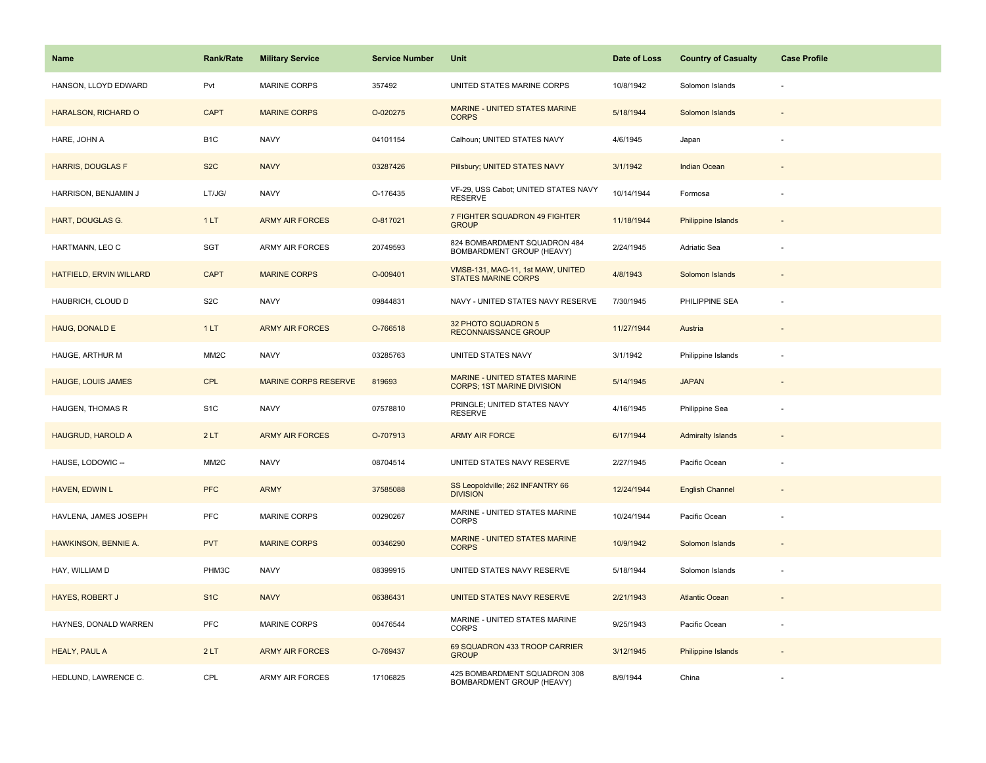| Name                      | <b>Rank/Rate</b>  | <b>Military Service</b>     | <b>Service Number</b> | Unit                                                               | Date of Loss | <b>Country of Casualty</b> | <b>Case Profile</b>      |
|---------------------------|-------------------|-----------------------------|-----------------------|--------------------------------------------------------------------|--------------|----------------------------|--------------------------|
| HANSON, LLOYD EDWARD      | Pvt               | <b>MARINE CORPS</b>         | 357492                | UNITED STATES MARINE CORPS                                         | 10/8/1942    | Solomon Islands            |                          |
| HARALSON, RICHARD O       | <b>CAPT</b>       | <b>MARINE CORPS</b>         | O-020275              | MARINE - UNITED STATES MARINE<br><b>CORPS</b>                      | 5/18/1944    | Solomon Islands            |                          |
| HARE, JOHN A              | B <sub>1</sub> C  | <b>NAVY</b>                 | 04101154              | Calhoun; UNITED STATES NAVY                                        | 4/6/1945     | Japan                      |                          |
| <b>HARRIS, DOUGLAS F</b>  | S <sub>2</sub> C  | <b>NAVY</b>                 | 03287426              | Pillsbury; UNITED STATES NAVY                                      | 3/1/1942     | <b>Indian Ocean</b>        |                          |
| HARRISON, BENJAMIN J      | LT/JG/            | <b>NAVY</b>                 | O-176435              | VF-29, USS Cabot; UNITED STATES NAVY<br><b>RESERVE</b>             | 10/14/1944   | Formosa                    |                          |
| HART, DOUGLAS G.          | 1LT               | <b>ARMY AIR FORCES</b>      | O-817021              | 7 FIGHTER SQUADRON 49 FIGHTER<br><b>GROUP</b>                      | 11/18/1944   | <b>Philippine Islands</b>  |                          |
| HARTMANN, LEO C           | SGT               | <b>ARMY AIR FORCES</b>      | 20749593              | 824 BOMBARDMENT SQUADRON 484<br>BOMBARDMENT GROUP (HEAVY)          | 2/24/1945    | Adriatic Sea               |                          |
| HATFIELD, ERVIN WILLARD   | <b>CAPT</b>       | <b>MARINE CORPS</b>         | O-009401              | VMSB-131, MAG-11, 1st MAW, UNITED<br><b>STATES MARINE CORPS</b>    | 4/8/1943     | Solomon Islands            |                          |
| HAUBRICH, CLOUD D         | S <sub>2</sub> C  | <b>NAVY</b>                 | 09844831              | NAVY - UNITED STATES NAVY RESERVE                                  | 7/30/1945    | PHILIPPINE SEA             |                          |
| HAUG, DONALD E            | 1LT               | <b>ARMY AIR FORCES</b>      | O-766518              | 32 PHOTO SQUADRON 5<br><b>RECONNAISSANCE GROUP</b>                 | 11/27/1944   | Austria                    |                          |
| <b>HAUGE, ARTHUR M</b>    | MM <sub>2</sub> C | <b>NAVY</b>                 | 03285763              | UNITED STATES NAVY                                                 | 3/1/1942     | Philippine Islands         |                          |
| <b>HAUGE, LOUIS JAMES</b> | <b>CPL</b>        | <b>MARINE CORPS RESERVE</b> | 819693                | MARINE - UNITED STATES MARINE<br><b>CORPS; 1ST MARINE DIVISION</b> | 5/14/1945    | <b>JAPAN</b>               | $\overline{\phantom{a}}$ |
| HAUGEN, THOMAS R          | S <sub>1</sub> C  | <b>NAVY</b>                 | 07578810              | PRINGLE; UNITED STATES NAVY<br><b>RESERVE</b>                      | 4/16/1945    | Philippine Sea             |                          |
| HAUGRUD, HAROLD A         | 2LT               | <b>ARMY AIR FORCES</b>      | O-707913              | <b>ARMY AIR FORCE</b>                                              | 6/17/1944    | <b>Admiralty Islands</b>   |                          |
| HAUSE, LODOWIC --         | MM <sub>2</sub> C | <b>NAVY</b>                 | 08704514              | UNITED STATES NAVY RESERVE                                         | 2/27/1945    | Pacific Ocean              |                          |
| HAVEN, EDWIN L            | <b>PFC</b>        | <b>ARMY</b>                 | 37585088              | SS Leopoldville; 262 INFANTRY 66<br><b>DIVISION</b>                | 12/24/1944   | <b>English Channel</b>     |                          |
| HAVLENA, JAMES JOSEPH     | <b>PFC</b>        | MARINE CORPS                | 00290267              | MARINE - UNITED STATES MARINE<br><b>CORPS</b>                      | 10/24/1944   | Pacific Ocean              |                          |
| HAWKINSON, BENNIE A.      | <b>PVT</b>        | <b>MARINE CORPS</b>         | 00346290              | MARINE - UNITED STATES MARINE<br><b>CORPS</b>                      | 10/9/1942    | Solomon Islands            |                          |
| HAY, WILLIAM D            | PHM3C             | <b>NAVY</b>                 | 08399915              | UNITED STATES NAVY RESERVE                                         | 5/18/1944    | Solomon Islands            |                          |
| <b>HAYES, ROBERT J</b>    | S <sub>1</sub> C  | <b>NAVY</b>                 | 06386431              | UNITED STATES NAVY RESERVE                                         | 2/21/1943    | <b>Atlantic Ocean</b>      |                          |
| HAYNES, DONALD WARREN     | <b>PFC</b>        | MARINE CORPS                | 00476544              | MARINE - UNITED STATES MARINE<br><b>CORPS</b>                      | 9/25/1943    | Pacific Ocean              |                          |
| <b>HEALY, PAUL A</b>      | 2LT               | <b>ARMY AIR FORCES</b>      | O-769437              | 69 SQUADRON 433 TROOP CARRIER<br><b>GROUP</b>                      | 3/12/1945    | Philippine Islands         |                          |
| HEDLUND, LAWRENCE C.      | CPL               | <b>ARMY AIR FORCES</b>      | 17106825              | 425 BOMBARDMENT SQUADRON 308<br>BOMBARDMENT GROUP (HEAVY)          | 8/9/1944     | China                      |                          |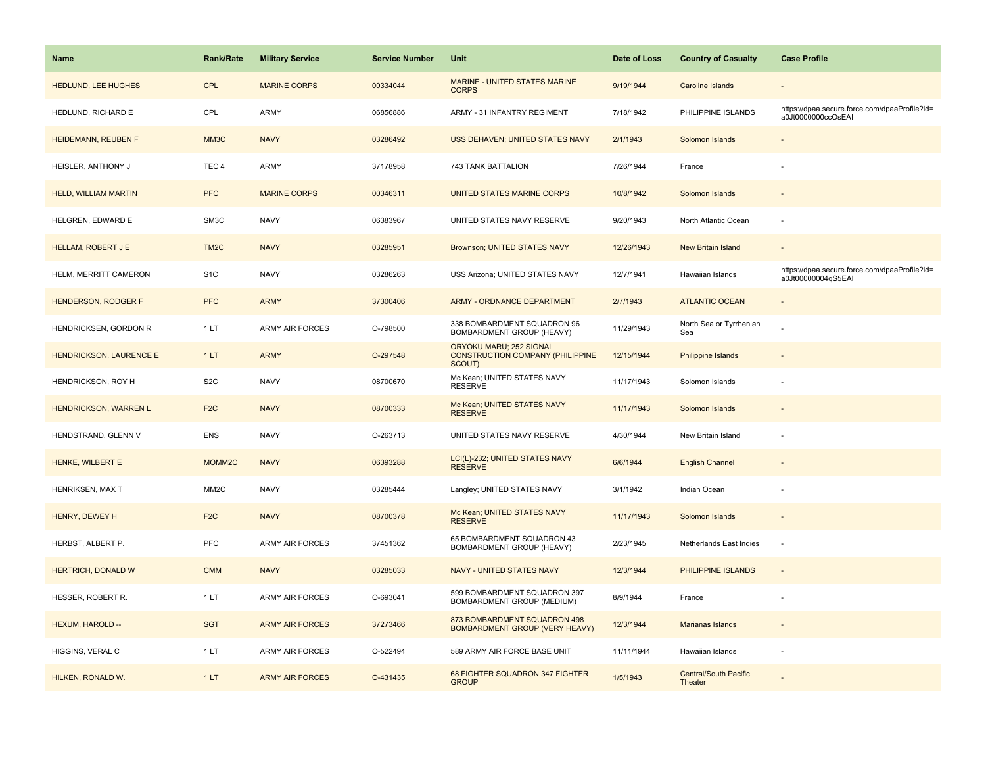| <b>Name</b>                    | Rank/Rate          | <b>Military Service</b> | <b>Service Number</b> | Unit                                                                         | Date of Loss | <b>Country of Casualty</b>       | <b>Case Profile</b>                                                 |
|--------------------------------|--------------------|-------------------------|-----------------------|------------------------------------------------------------------------------|--------------|----------------------------------|---------------------------------------------------------------------|
| HEDLUND, LEE HUGHES            | <b>CPL</b>         | <b>MARINE CORPS</b>     | 00334044              | MARINE - UNITED STATES MARINE<br><b>CORPS</b>                                | 9/19/1944    | Caroline Islands                 |                                                                     |
| HEDLUND, RICHARD E             | CPL                | ARMY                    | 06856886              | ARMY - 31 INFANTRY REGIMENT                                                  | 7/18/1942    | PHILIPPINE ISLANDS               | https://dpaa.secure.force.com/dpaaProfile?id=<br>a0Jt0000000ccOsEAI |
| HEIDEMANN, REUBEN F            | MM3C               | <b>NAVY</b>             | 03286492              | USS DEHAVEN; UNITED STATES NAVY                                              | 2/1/1943     | Solomon Islands                  |                                                                     |
| HEISLER, ANTHONY J             | TEC <sub>4</sub>   | ARMY                    | 37178958              | 743 TANK BATTALION                                                           | 7/26/1944    | France                           |                                                                     |
| <b>HELD, WILLIAM MARTIN</b>    | <b>PFC</b>         | <b>MARINE CORPS</b>     | 00346311              | UNITED STATES MARINE CORPS                                                   | 10/8/1942    | Solomon Islands                  |                                                                     |
| HELGREN, EDWARD E              | SM3C               | <b>NAVY</b>             | 06383967              | UNITED STATES NAVY RESERVE                                                   | 9/20/1943    | North Atlantic Ocean             |                                                                     |
| HELLAM, ROBERT J E             | TM <sub>2</sub> C  | <b>NAVY</b>             | 03285951              | Brownson; UNITED STATES NAVY                                                 | 12/26/1943   | <b>New Britain Island</b>        | $\sim$                                                              |
| HELM, MERRITT CAMERON          | S <sub>1</sub> C   | <b>NAVY</b>             | 03286263              | USS Arizona; UNITED STATES NAVY                                              | 12/7/1941    | Hawaiian Islands                 | https://dpaa.secure.force.com/dpaaProfile?id=<br>a0Jt00000004qS5EAI |
| <b>HENDERSON, RODGER F</b>     | <b>PFC</b>         | <b>ARMY</b>             | 37300406              | ARMY - ORDNANCE DEPARTMENT                                                   | 2/7/1943     | <b>ATLANTIC OCEAN</b>            |                                                                     |
| HENDRICKSEN, GORDON R          | 1LT                | <b>ARMY AIR FORCES</b>  | O-798500              | 338 BOMBARDMENT SQUADRON 96<br>BOMBARDMENT GROUP (HEAVY)                     | 11/29/1943   | North Sea or Tyrrhenian<br>Sea   |                                                                     |
| <b>HENDRICKSON, LAURENCE E</b> | 1LT                | <b>ARMY</b>             | O-297548              | ORYOKU MARU; 252 SIGNAL<br><b>CONSTRUCTION COMPANY (PHILIPPINE</b><br>SCOUT) | 12/15/1944   | <b>Philippine Islands</b>        |                                                                     |
| HENDRICKSON, ROY H             | S <sub>2</sub> C   | <b>NAVY</b>             | 08700670              | Mc Kean; UNITED STATES NAVY<br><b>RESERVE</b>                                | 11/17/1943   | Solomon Islands                  |                                                                     |
| <b>HENDRICKSON, WARREN L</b>   | F <sub>2</sub> C   | <b>NAVY</b>             | 08700333              | Mc Kean; UNITED STATES NAVY<br><b>RESERVE</b>                                | 11/17/1943   | Solomon Islands                  |                                                                     |
| HENDSTRAND, GLENN V            | <b>ENS</b>         | <b>NAVY</b>             | O-263713              | UNITED STATES NAVY RESERVE                                                   | 4/30/1944    | New Britain Island               | ÷,                                                                  |
| HENKE, WILBERT E               | MOMM <sub>2C</sub> | <b>NAVY</b>             | 06393288              | LCI(L)-232; UNITED STATES NAVY<br><b>RESERVE</b>                             | 6/6/1944     | <b>English Channel</b>           |                                                                     |
| HENRIKSEN, MAX T               | MM <sub>2</sub> C  | <b>NAVY</b>             | 03285444              | Langley; UNITED STATES NAVY                                                  | 3/1/1942     | Indian Ocean                     |                                                                     |
| HENRY, DEWEY H                 | F <sub>2</sub> C   | <b>NAVY</b>             | 08700378              | Mc Kean; UNITED STATES NAVY<br><b>RESERVE</b>                                | 11/17/1943   | Solomon Islands                  |                                                                     |
| HERBST, ALBERT P.              | ${\sf PFC}$        | <b>ARMY AIR FORCES</b>  | 37451362              | 65 BOMBARDMENT SQUADRON 43<br>BOMBARDMENT GROUP (HEAVY)                      | 2/23/1945    | Netherlands East Indies          | ÷,                                                                  |
| <b>HERTRICH, DONALD W</b>      | <b>CMM</b>         | <b>NAVY</b>             | 03285033              | <b>NAVY - UNITED STATES NAVY</b>                                             | 12/3/1944    | PHILIPPINE ISLANDS               |                                                                     |
| HESSER, ROBERT R.              | 1LT                | <b>ARMY AIR FORCES</b>  | O-693041              | 599 BOMBARDMENT SQUADRON 397<br>BOMBARDMENT GROUP (MEDIUM)                   | 8/9/1944     | France                           |                                                                     |
| HEXUM, HAROLD --               | <b>SGT</b>         | <b>ARMY AIR FORCES</b>  | 37273466              | 873 BOMBARDMENT SQUADRON 498<br><b>BOMBARDMENT GROUP (VERY HEAVY)</b>        | 12/3/1944    | Marianas Islands                 |                                                                     |
| HIGGINS, VERAL C               | 1 LT               | ARMY AIR FORCES         | O-522494              | 589 ARMY AIR FORCE BASE UNIT                                                 | 11/11/1944   | Hawaiian Islands                 |                                                                     |
| HILKEN, RONALD W.              | 1LT                | <b>ARMY AIR FORCES</b>  | O-431435              | 68 FIGHTER SQUADRON 347 FIGHTER<br><b>GROUP</b>                              | 1/5/1943     | Central/South Pacific<br>Theater |                                                                     |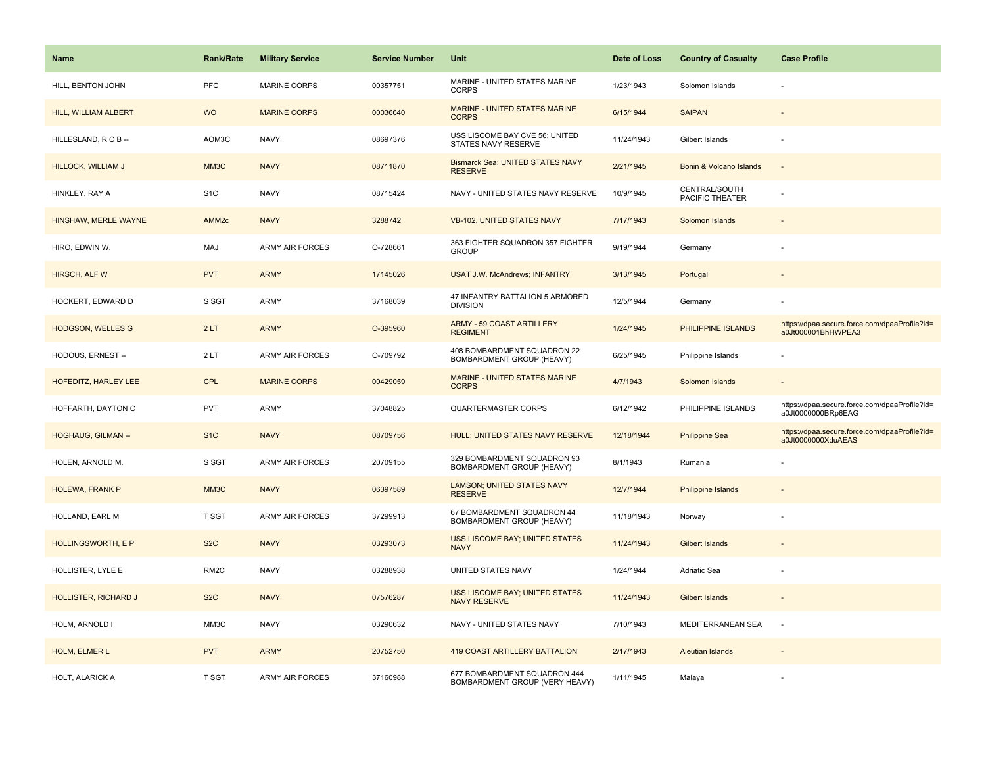| <b>Name</b>                 | <b>Rank/Rate</b>  | <b>Military Service</b> | <b>Service Number</b> | Unit                                                           | Date of Loss | <b>Country of Casualty</b>       | <b>Case Profile</b>                                                 |
|-----------------------------|-------------------|-------------------------|-----------------------|----------------------------------------------------------------|--------------|----------------------------------|---------------------------------------------------------------------|
| HILL, BENTON JOHN           | PFC               | <b>MARINE CORPS</b>     | 00357751              | MARINE - UNITED STATES MARINE<br><b>CORPS</b>                  | 1/23/1943    | Solomon Islands                  |                                                                     |
| HILL, WILLIAM ALBERT        | <b>WO</b>         | <b>MARINE CORPS</b>     | 00036640              | MARINE - UNITED STATES MARINE<br><b>CORPS</b>                  | 6/15/1944    | <b>SAIPAN</b>                    |                                                                     |
| HILLESLAND, R C B --        | AOM3C             | <b>NAVY</b>             | 08697376              | USS LISCOME BAY CVE 56; UNITED<br>STATES NAVY RESERVE          | 11/24/1943   | Gilbert Islands                  |                                                                     |
| HILLOCK, WILLIAM J          | MM3C              | <b>NAVY</b>             | 08711870              | Bismarck Sea; UNITED STATES NAVY<br><b>RESERVE</b>             | 2/21/1945    | Bonin & Volcano Islands          |                                                                     |
| HINKLEY, RAY A              | S <sub>1</sub> C  | <b>NAVY</b>             | 08715424              | NAVY - UNITED STATES NAVY RESERVE                              | 10/9/1945    | CENTRAL/SOUTH<br>PACIFIC THEATER |                                                                     |
| HINSHAW, MERLE WAYNE        | AMM <sub>2c</sub> | <b>NAVY</b>             | 3288742               | <b>VB-102, UNITED STATES NAVY</b>                              | 7/17/1943    | Solomon Islands                  |                                                                     |
| HIRO, EDWIN W.              | MAJ               | <b>ARMY AIR FORCES</b>  | O-728661              | 363 FIGHTER SQUADRON 357 FIGHTER<br><b>GROUP</b>               | 9/19/1944    | Germany                          |                                                                     |
| HIRSCH, ALF W               | <b>PVT</b>        | <b>ARMY</b>             | 17145026              | <b>USAT J.W. McAndrews; INFANTRY</b>                           | 3/13/1945    | Portugal                         |                                                                     |
| HOCKERT, EDWARD D           | S SGT             | ARMY                    | 37168039              | 47 INFANTRY BATTALION 5 ARMORED<br><b>DIVISION</b>             | 12/5/1944    | Germany                          |                                                                     |
| <b>HODGSON, WELLES G</b>    | 2LT               | <b>ARMY</b>             | O-395960              | <b>ARMY - 59 COAST ARTILLERY</b><br><b>REGIMENT</b>            | 1/24/1945    | PHILIPPINE ISLANDS               | https://dpaa.secure.force.com/dpaaProfile?id=<br>a0Jt000001BhHWPEA3 |
| HODOUS, ERNEST --           | 2LT               | <b>ARMY AIR FORCES</b>  | O-709792              | 408 BOMBARDMENT SQUADRON 22<br>BOMBARDMENT GROUP (HEAVY)       | 6/25/1945    | Philippine Islands               |                                                                     |
| HOFEDITZ, HARLEY LEE        | <b>CPL</b>        | <b>MARINE CORPS</b>     | 00429059              | MARINE - UNITED STATES MARINE<br><b>CORPS</b>                  | 4/7/1943     | Solomon Islands                  |                                                                     |
| HOFFARTH, DAYTON C          | <b>PVT</b>        | ARMY                    | 37048825              | <b>QUARTERMASTER CORPS</b>                                     | 6/12/1942    | PHILIPPINE ISLANDS               | https://dpaa.secure.force.com/dpaaProfile?id=<br>a0Jt0000000BRp6EAG |
| <b>HOGHAUG, GILMAN --</b>   | S <sub>1</sub> C  | <b>NAVY</b>             | 08709756              | HULL; UNITED STATES NAVY RESERVE                               | 12/18/1944   | <b>Philippine Sea</b>            | https://dpaa.secure.force.com/dpaaProfile?id=<br>a0Jt0000000XduAEAS |
| HOLEN, ARNOLD M.            | S SGT             | <b>ARMY AIR FORCES</b>  | 20709155              | 329 BOMBARDMENT SQUADRON 93<br>BOMBARDMENT GROUP (HEAVY)       | 8/1/1943     | Rumania                          |                                                                     |
| <b>HOLEWA, FRANK P</b>      | MM3C              | <b>NAVY</b>             | 06397589              | <b>LAMSON; UNITED STATES NAVY</b><br><b>RESERVE</b>            | 12/7/1944    | <b>Philippine Islands</b>        |                                                                     |
| HOLLAND, EARL M             | <b>T SGT</b>      | ARMY AIR FORCES         | 37299913              | 67 BOMBARDMENT SQUADRON 44<br>BOMBARDMENT GROUP (HEAVY)        | 11/18/1943   | Norway                           |                                                                     |
| <b>HOLLINGSWORTH, E P</b>   | S <sub>2</sub> C  | <b>NAVY</b>             | 03293073              | <b>USS LISCOME BAY; UNITED STATES</b><br><b>NAVY</b>           | 11/24/1943   | <b>Gilbert Islands</b>           |                                                                     |
| HOLLISTER, LYLE E           | RM <sub>2</sub> C | <b>NAVY</b>             | 03288938              | UNITED STATES NAVY                                             | 1/24/1944    | Adriatic Sea                     |                                                                     |
| <b>HOLLISTER, RICHARD J</b> | S <sub>2</sub> C  | <b>NAVY</b>             | 07576287              | USS LISCOME BAY; UNITED STATES<br><b>NAVY RESERVE</b>          | 11/24/1943   | <b>Gilbert Islands</b>           |                                                                     |
| HOLM, ARNOLD I              | MM3C              | <b>NAVY</b>             | 03290632              | NAVY - UNITED STATES NAVY                                      | 7/10/1943    | MEDITERRANEAN SEA                | $\sim$                                                              |
| HOLM, ELMER L               | <b>PVT</b>        | <b>ARMY</b>             | 20752750              | <b>419 COAST ARTILLERY BATTALION</b>                           | 2/17/1943    | <b>Aleutian Islands</b>          |                                                                     |
| HOLT, ALARICK A             | T SGT             | <b>ARMY AIR FORCES</b>  | 37160988              | 677 BOMBARDMENT SQUADRON 444<br>BOMBARDMENT GROUP (VERY HEAVY) | 1/11/1945    | Malaya                           |                                                                     |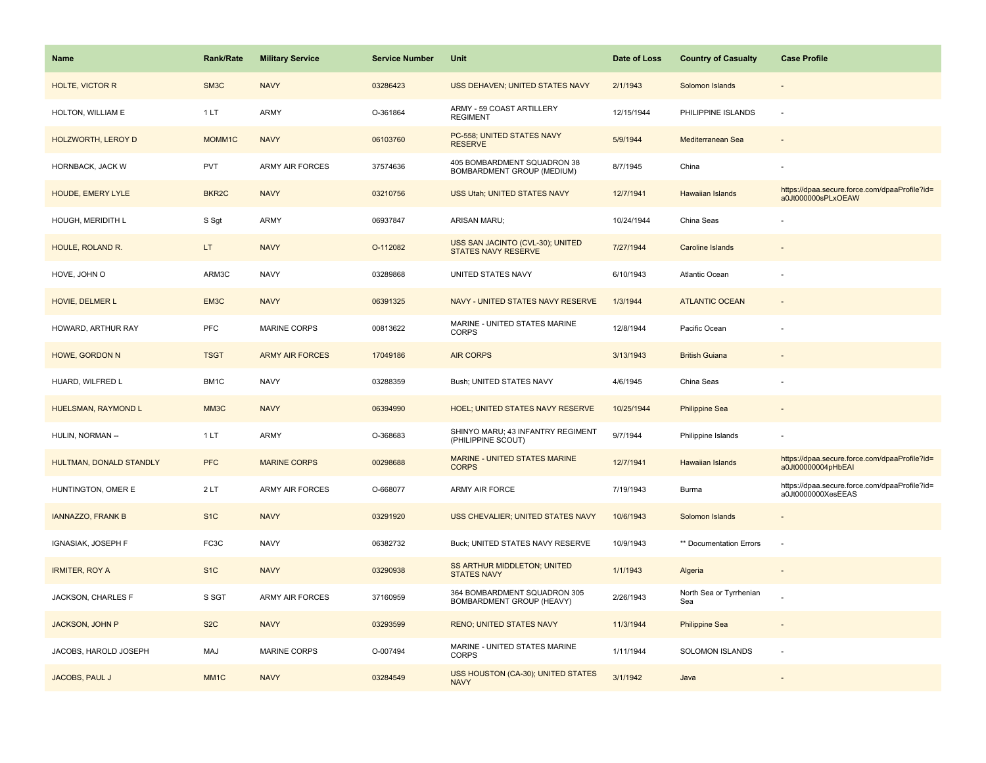| Name                     | <b>Rank/Rate</b>    | <b>Military Service</b> | <b>Service Number</b> | Unit                                                             | Date of Loss | <b>Country of Casualty</b>     | <b>Case Profile</b>                                                 |
|--------------------------|---------------------|-------------------------|-----------------------|------------------------------------------------------------------|--------------|--------------------------------|---------------------------------------------------------------------|
| <b>HOLTE, VICTOR R</b>   | SM <sub>3</sub> C   | <b>NAVY</b>             | 03286423              | USS DEHAVEN; UNITED STATES NAVY                                  | 2/1/1943     | Solomon Islands                |                                                                     |
| HOLTON, WILLIAM E        | 1LT                 | <b>ARMY</b>             | O-361864              | ARMY - 59 COAST ARTILLERY<br><b>REGIMENT</b>                     | 12/15/1944   | PHILIPPINE ISLANDS             | ÷.                                                                  |
| HOLZWORTH, LEROY D       | MOMM <sub>1</sub> C | <b>NAVY</b>             | 06103760              | PC-558; UNITED STATES NAVY<br><b>RESERVE</b>                     | 5/9/1944     | Mediterranean Sea              |                                                                     |
| HORNBACK, JACK W         | <b>PVT</b>          | <b>ARMY AIR FORCES</b>  | 37574636              | 405 BOMBARDMENT SQUADRON 38<br><b>BOMBARDMENT GROUP (MEDIUM)</b> | 8/7/1945     | China                          |                                                                     |
| HOUDE, EMERY LYLE        | BKR <sub>2</sub> C  | <b>NAVY</b>             | 03210756              | USS Utah; UNITED STATES NAVY                                     | 12/7/1941    | Hawaiian Islands               | https://dpaa.secure.force.com/dpaaProfile?id=<br>a0Jt000000sPLxOEAW |
| HOUGH, MERIDITH L        | S Sgt               | <b>ARMY</b>             | 06937847              | ARISAN MARU;                                                     | 10/24/1944   | China Seas                     |                                                                     |
| HOULE, ROLAND R.         | LT.                 | <b>NAVY</b>             | O-112082              | USS SAN JACINTO (CVL-30); UNITED<br><b>STATES NAVY RESERVE</b>   | 7/27/1944    | Caroline Islands               |                                                                     |
| HOVE, JOHN O             | ARM3C               | <b>NAVY</b>             | 03289868              | UNITED STATES NAVY                                               | 6/10/1943    | Atlantic Ocean                 |                                                                     |
| <b>HOVIE, DELMER L</b>   | EM <sub>3</sub> C   | <b>NAVY</b>             | 06391325              | NAVY - UNITED STATES NAVY RESERVE                                | 1/3/1944     | <b>ATLANTIC OCEAN</b>          |                                                                     |
| HOWARD, ARTHUR RAY       | PFC                 | <b>MARINE CORPS</b>     | 00813622              | MARINE - UNITED STATES MARINE<br><b>CORPS</b>                    | 12/8/1944    | Pacific Ocean                  |                                                                     |
| <b>HOWE, GORDON N</b>    | <b>TSGT</b>         | <b>ARMY AIR FORCES</b>  | 17049186              | <b>AIR CORPS</b>                                                 | 3/13/1943    | <b>British Guiana</b>          |                                                                     |
| HUARD, WILFRED L         | BM1C                | <b>NAVY</b>             | 03288359              | Bush; UNITED STATES NAVY                                         | 4/6/1945     | China Seas                     |                                                                     |
| HUELSMAN, RAYMOND L      | MM3C                | <b>NAVY</b>             | 06394990              | <b>HOEL; UNITED STATES NAVY RESERVE</b>                          | 10/25/1944   | <b>Philippine Sea</b>          |                                                                     |
| HULIN, NORMAN --         | 1 LT                | ARMY                    | O-368683              | SHINYO MARU; 43 INFANTRY REGIMENT<br>(PHILIPPINE SCOUT)          | 9/7/1944     | Philippine Islands             |                                                                     |
| HULTMAN, DONALD STANDLY  | <b>PFC</b>          | <b>MARINE CORPS</b>     | 00298688              | <b>MARINE - UNITED STATES MARINE</b><br><b>CORPS</b>             | 12/7/1941    | Hawaiian Islands               | https://dpaa.secure.force.com/dpaaProfile?id=<br>a0Jt00000004pHbEAI |
| HUNTINGTON, OMER E       | 2LT                 | <b>ARMY AIR FORCES</b>  | O-668077              | ARMY AIR FORCE                                                   | 7/19/1943    | Burma                          | https://dpaa.secure.force.com/dpaaProfile?id=<br>a0Jt0000000XesEEAS |
| <b>IANNAZZO, FRANK B</b> | S <sub>1</sub> C    | <b>NAVY</b>             | 03291920              | USS CHEVALIER; UNITED STATES NAVY                                | 10/6/1943    | Solomon Islands                |                                                                     |
| IGNASIAK, JOSEPH F       | FC3C                | <b>NAVY</b>             | 06382732              | Buck; UNITED STATES NAVY RESERVE                                 | 10/9/1943    | ** Documentation Errors        |                                                                     |
| <b>IRMITER, ROY A</b>    | S <sub>1</sub> C    | <b>NAVY</b>             | 03290938              | <b>SS ARTHUR MIDDLETON; UNITED</b><br><b>STATES NAVY</b>         | 1/1/1943     | Algeria                        |                                                                     |
| JACKSON, CHARLES F       | S SGT               | <b>ARMY AIR FORCES</b>  | 37160959              | 364 BOMBARDMENT SQUADRON 305<br><b>BOMBARDMENT GROUP (HEAVY)</b> | 2/26/1943    | North Sea or Tyrrhenian<br>Sea |                                                                     |
| <b>JACKSON, JOHN P</b>   | S <sub>2</sub> C    | <b>NAVY</b>             | 03293599              | <b>RENO; UNITED STATES NAVY</b>                                  | 11/3/1944    | <b>Philippine Sea</b>          |                                                                     |
| JACOBS, HAROLD JOSEPH    | <b>MAJ</b>          | <b>MARINE CORPS</b>     | O-007494              | MARINE - UNITED STATES MARINE<br><b>CORPS</b>                    | 1/11/1944    | <b>SOLOMON ISLANDS</b>         |                                                                     |
| JACOBS, PAUL J           | MM1C                | <b>NAVY</b>             | 03284549              | USS HOUSTON (CA-30); UNITED STATES<br><b>NAVY</b>                | 3/1/1942     | Java                           |                                                                     |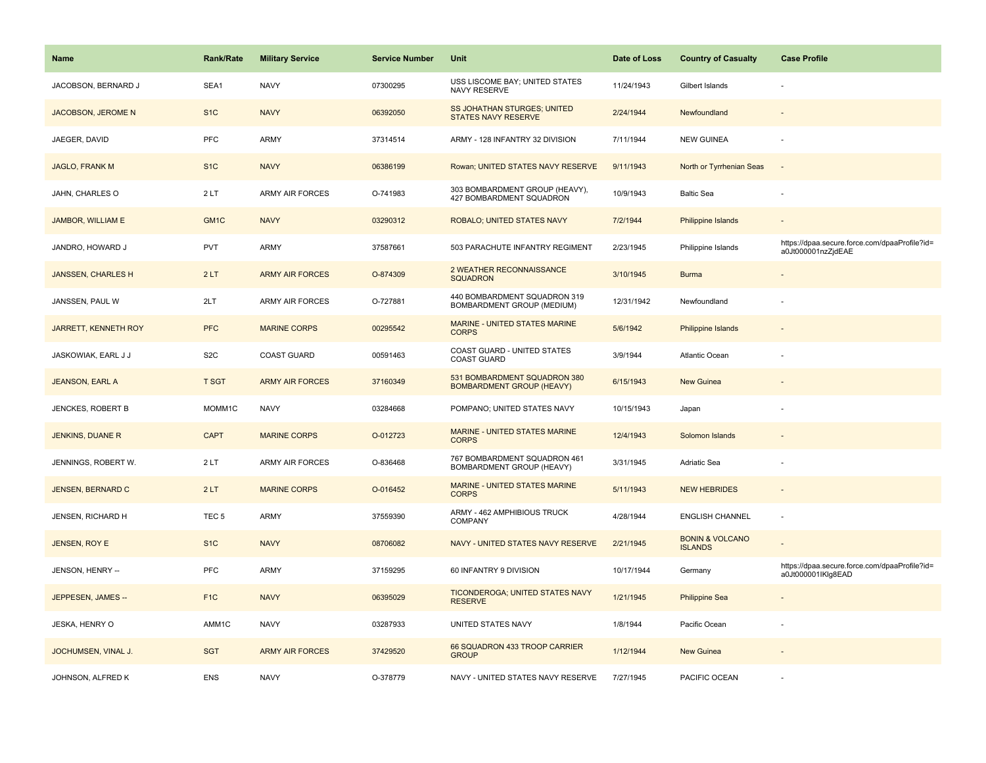| <b>Name</b>               | <b>Rank/Rate</b>  | <b>Military Service</b> | <b>Service Number</b> | Unit                                                             | Date of Loss | <b>Country of Casualty</b>                   | <b>Case Profile</b>                                                 |
|---------------------------|-------------------|-------------------------|-----------------------|------------------------------------------------------------------|--------------|----------------------------------------------|---------------------------------------------------------------------|
| JACOBSON, BERNARD J       | SEA1              | <b>NAVY</b>             | 07300295              | USS LISCOME BAY; UNITED STATES<br>NAVY RESERVE                   | 11/24/1943   | Gilbert Islands                              |                                                                     |
| JACOBSON, JEROME N        | S <sub>1</sub> C  | <b>NAVY</b>             | 06392050              | SS JOHATHAN STURGES; UNITED<br><b>STATES NAVY RESERVE</b>        | 2/24/1944    | Newfoundland                                 |                                                                     |
| JAEGER, DAVID             | <b>PFC</b>        | ARMY                    | 37314514              | ARMY - 128 INFANTRY 32 DIVISION                                  | 7/11/1944    | <b>NEW GUINEA</b>                            |                                                                     |
| <b>JAGLO, FRANK M</b>     | S <sub>1</sub> C  | <b>NAVY</b>             | 06386199              | Rowan; UNITED STATES NAVY RESERVE                                | 9/11/1943    | North or Tyrrhenian Seas                     |                                                                     |
| JAHN, CHARLES O           | 2LT               | <b>ARMY AIR FORCES</b>  | O-741983              | 303 BOMBARDMENT GROUP (HEAVY),<br>427 BOMBARDMENT SQUADRON       | 10/9/1943    | <b>Baltic Sea</b>                            |                                                                     |
| <b>JAMBOR, WILLIAM E</b>  | GM <sub>1</sub> C | <b>NAVY</b>             | 03290312              | ROBALO; UNITED STATES NAVY                                       | 7/2/1944     | Philippine Islands                           |                                                                     |
| JANDRO, HOWARD J          | <b>PVT</b>        | ARMY                    | 37587661              | 503 PARACHUTE INFANTRY REGIMENT                                  | 2/23/1945    | Philippine Islands                           | https://dpaa.secure.force.com/dpaaProfile?id=<br>a0Jt000001nzZjdEAE |
| <b>JANSSEN, CHARLES H</b> | 2LT               | <b>ARMY AIR FORCES</b>  | O-874309              | 2 WEATHER RECONNAISSANCE<br><b>SQUADRON</b>                      | 3/10/1945    | <b>Burma</b>                                 |                                                                     |
| JANSSEN, PAUL W           | 2LT               | <b>ARMY AIR FORCES</b>  | O-727881              | 440 BOMBARDMENT SQUADRON 319<br>BOMBARDMENT GROUP (MEDIUM)       | 12/31/1942   | Newfoundland                                 |                                                                     |
| JARRETT, KENNETH ROY      | <b>PFC</b>        | <b>MARINE CORPS</b>     | 00295542              | MARINE - UNITED STATES MARINE<br><b>CORPS</b>                    | 5/6/1942     | <b>Philippine Islands</b>                    |                                                                     |
| JASKOWIAK, EARL J J       | S <sub>2</sub> C  | <b>COAST GUARD</b>      | 00591463              | <b>COAST GUARD - UNITED STATES</b><br><b>COAST GUARD</b>         | 3/9/1944     | <b>Atlantic Ocean</b>                        |                                                                     |
| <b>JEANSON, EARL A</b>    | <b>T SGT</b>      | <b>ARMY AIR FORCES</b>  | 37160349              | 531 BOMBARDMENT SQUADRON 380<br><b>BOMBARDMENT GROUP (HEAVY)</b> | 6/15/1943    | <b>New Guinea</b>                            |                                                                     |
| JENCKES, ROBERT B         | MOMM1C            | <b>NAVY</b>             | 03284668              | POMPANO; UNITED STATES NAVY                                      | 10/15/1943   | Japan                                        |                                                                     |
| <b>JENKINS, DUANE R</b>   | <b>CAPT</b>       | <b>MARINE CORPS</b>     | O-012723              | <b>MARINE - UNITED STATES MARINE</b><br><b>CORPS</b>             | 12/4/1943    | Solomon Islands                              |                                                                     |
| JENNINGS, ROBERT W.       | 2LT               | <b>ARMY AIR FORCES</b>  | O-836468              | 767 BOMBARDMENT SQUADRON 461<br>BOMBARDMENT GROUP (HEAVY)        | 3/31/1945    | Adriatic Sea                                 |                                                                     |
| JENSEN, BERNARD C         | 2LT               | <b>MARINE CORPS</b>     | O-016452              | MARINE - UNITED STATES MARINE<br><b>CORPS</b>                    | 5/11/1943    | <b>NEW HEBRIDES</b>                          |                                                                     |
| JENSEN, RICHARD H         | TEC <sub>5</sub>  | <b>ARMY</b>             | 37559390              | ARMY - 462 AMPHIBIOUS TRUCK<br><b>COMPANY</b>                    | 4/28/1944    | <b>ENGLISH CHANNEL</b>                       |                                                                     |
| JENSEN, ROY E             | S <sub>1C</sub>   | <b>NAVY</b>             | 08706082              | NAVY - UNITED STATES NAVY RESERVE                                | 2/21/1945    | <b>BONIN &amp; VOLCANO</b><br><b>ISLANDS</b> |                                                                     |
| JENSON, HENRY --          | <b>PFC</b>        | ARMY                    | 37159295              | 60 INFANTRY 9 DIVISION                                           | 10/17/1944   | Germany                                      | https://dpaa.secure.force.com/dpaaProfile?id=<br>a0Jt000001IKlg8EAD |
| JEPPESEN, JAMES --        | F <sub>1</sub> C  | <b>NAVY</b>             | 06395029              | TICONDEROGA; UNITED STATES NAVY<br><b>RESERVE</b>                | 1/21/1945    | <b>Philippine Sea</b>                        |                                                                     |
| JESKA, HENRY O            | AMM1C             | <b>NAVY</b>             | 03287933              | UNITED STATES NAVY                                               | 1/8/1944     | Pacific Ocean                                |                                                                     |
| JOCHUMSEN, VINAL J.       | <b>SGT</b>        | <b>ARMY AIR FORCES</b>  | 37429520              | 66 SQUADRON 433 TROOP CARRIER<br><b>GROUP</b>                    | 1/12/1944    | New Guinea                                   |                                                                     |
| JOHNSON, ALFRED K         | <b>ENS</b>        | <b>NAVY</b>             | O-378779              | NAVY - UNITED STATES NAVY RESERVE                                | 7/27/1945    | PACIFIC OCEAN                                |                                                                     |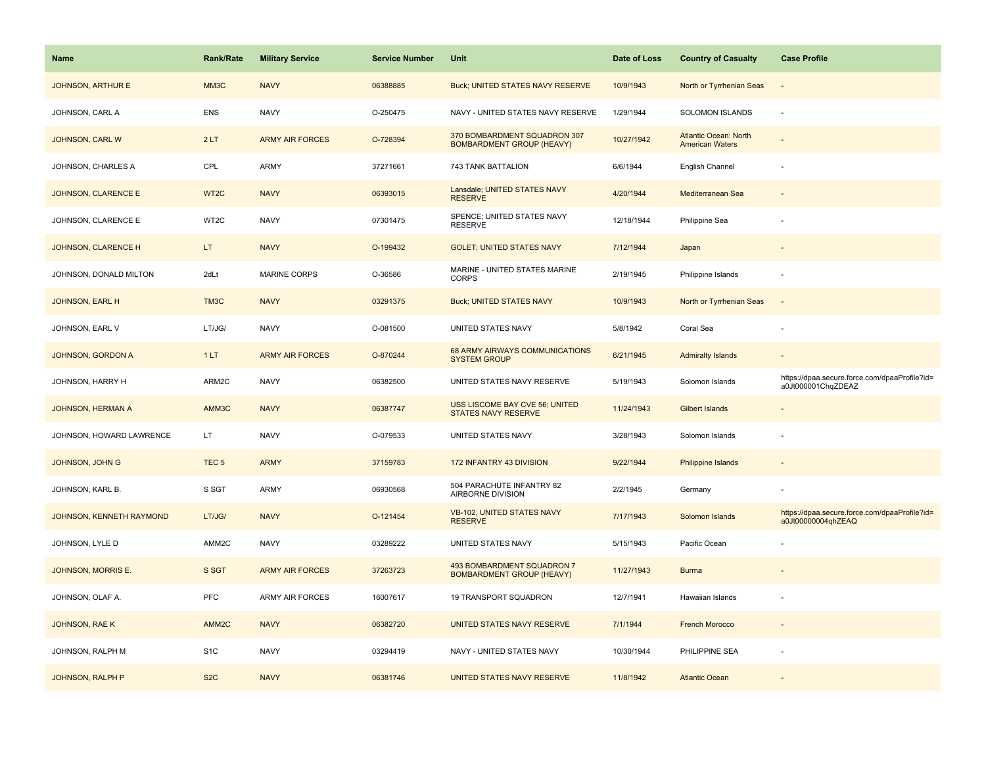| <b>Name</b>              | <b>Rank/Rate</b>  | <b>Military Service</b> | <b>Service Number</b> | Unit                                                                | Date of Loss | <b>Country of Casualty</b>                             | <b>Case Profile</b>                                                 |
|--------------------------|-------------------|-------------------------|-----------------------|---------------------------------------------------------------------|--------------|--------------------------------------------------------|---------------------------------------------------------------------|
| <b>JOHNSON, ARTHUR E</b> | MM3C              | <b>NAVY</b>             | 06388885              | Buck; UNITED STATES NAVY RESERVE                                    | 10/9/1943    | North or Tyrrhenian Seas                               |                                                                     |
| JOHNSON, CARL A          | <b>ENS</b>        | <b>NAVY</b>             | O-250475              | NAVY - UNITED STATES NAVY RESERVE                                   | 1/29/1944    | <b>SOLOMON ISLANDS</b>                                 | ÷.                                                                  |
| <b>JOHNSON, CARL W</b>   | 2LT               | <b>ARMY AIR FORCES</b>  | O-728394              | 370 BOMBARDMENT SQUADRON 307<br><b>BOMBARDMENT GROUP (HEAVY)</b>    | 10/27/1942   | <b>Atlantic Ocean: North</b><br><b>American Waters</b> |                                                                     |
| JOHNSON, CHARLES A       | CPL               | ARMY                    | 37271661              | 743 TANK BATTALION                                                  | 6/6/1944     | English Channel                                        |                                                                     |
| JOHNSON, CLARENCE E      | WT <sub>2</sub> C | <b>NAVY</b>             | 06393015              | Lansdale; UNITED STATES NAVY<br><b>RESERVE</b>                      | 4/20/1944    | Mediterranean Sea                                      |                                                                     |
| JOHNSON, CLARENCE E      | WT2C              | <b>NAVY</b>             | 07301475              | SPENCE; UNITED STATES NAVY<br><b>RESERVE</b>                        | 12/18/1944   | Philippine Sea                                         |                                                                     |
| JOHNSON, CLARENCE H      | LT.               | <b>NAVY</b>             | O-199432              | <b>GOLET; UNITED STATES NAVY</b>                                    | 7/12/1944    | Japan                                                  | $\sim$                                                              |
| JOHNSON, DONALD MILTON   | 2dLt              | MARINE CORPS            | O-36586               | MARINE - UNITED STATES MARINE<br>CORPS                              | 2/19/1945    | Philippine Islands                                     |                                                                     |
| JOHNSON, EARL H          | TM3C              | <b>NAVY</b>             | 03291375              | <b>Buck; UNITED STATES NAVY</b>                                     | 10/9/1943    | North or Tyrrhenian Seas                               | $\sim$                                                              |
| JOHNSON, EARL V          | LT/JG/            | <b>NAVY</b>             | O-081500              | UNITED STATES NAVY                                                  | 5/8/1942     | Coral Sea                                              |                                                                     |
| <b>JOHNSON, GORDON A</b> | 1LT               | <b>ARMY AIR FORCES</b>  | O-870244              | 68 ARMY AIRWAYS COMMUNICATIONS<br><b>SYSTEM GROUP</b>               | 6/21/1945    | <b>Admiralty Islands</b>                               |                                                                     |
| JOHNSON, HARRY H         | ARM2C             | <b>NAVY</b>             | 06382500              | UNITED STATES NAVY RESERVE                                          | 5/19/1943    | Solomon Islands                                        | https://dpaa.secure.force.com/dpaaProfile?id=<br>a0Jt000001ChqZDEAZ |
| <b>JOHNSON, HERMAN A</b> | AMM3C             | <b>NAVY</b>             | 06387747              | <b>USS LISCOME BAY CVE 56; UNITED</b><br><b>STATES NAVY RESERVE</b> | 11/24/1943   | Gilbert Islands                                        |                                                                     |
| JOHNSON, HOWARD LAWRENCE | LT                | <b>NAVY</b>             | O-079533              | UNITED STATES NAVY                                                  | 3/28/1943    | Solomon Islands                                        |                                                                     |
| JOHNSON, JOHN G          | TEC <sub>5</sub>  | <b>ARMY</b>             | 37159783              | 172 INFANTRY 43 DIVISION                                            | 9/22/1944    | Philippine Islands                                     | $\sim$                                                              |
| JOHNSON, KARL B.         | S SGT             | <b>ARMY</b>             | 06930568              | 504 PARACHUTE INFANTRY 82<br>AIRBORNE DIVISION                      | 2/2/1945     | Germany                                                |                                                                     |
| JOHNSON, KENNETH RAYMOND | LT/JG/            | <b>NAVY</b>             | O-121454              | <b>VB-102, UNITED STATES NAVY</b><br><b>RESERVE</b>                 | 7/17/1943    | Solomon Islands                                        | https://dpaa.secure.force.com/dpaaProfile?id=<br>a0Jt00000004qhZEAQ |
| JOHNSON, LYLE D          | AMM2C             | <b>NAVY</b>             | 03289222              | UNITED STATES NAVY                                                  | 5/15/1943    | Pacific Ocean                                          |                                                                     |
| JOHNSON, MORRIS E.       | S SGT             | <b>ARMY AIR FORCES</b>  | 37263723              | 493 BOMBARDMENT SQUADRON 7<br><b>BOMBARDMENT GROUP (HEAVY)</b>      | 11/27/1943   | <b>Burma</b>                                           |                                                                     |
| JOHNSON, OLAF A.         | <b>PFC</b>        | ARMY AIR FORCES         | 16007617              | 19 TRANSPORT SQUADRON                                               | 12/7/1941    | Hawaiian Islands                                       |                                                                     |
| JOHNSON, RAE K           | AMM2C             | <b>NAVY</b>             | 06382720              | UNITED STATES NAVY RESERVE                                          | 7/1/1944     | <b>French Morocco</b>                                  |                                                                     |
| JOHNSON, RALPH M         | S <sub>1</sub> C  | <b>NAVY</b>             | 03294419              | NAVY - UNITED STATES NAVY                                           | 10/30/1944   | PHILIPPINE SEA                                         |                                                                     |
| JOHNSON, RALPH P         | S <sub>2</sub> C  | <b>NAVY</b>             | 06381746              | UNITED STATES NAVY RESERVE                                          | 11/8/1942    | <b>Atlantic Ocean</b>                                  |                                                                     |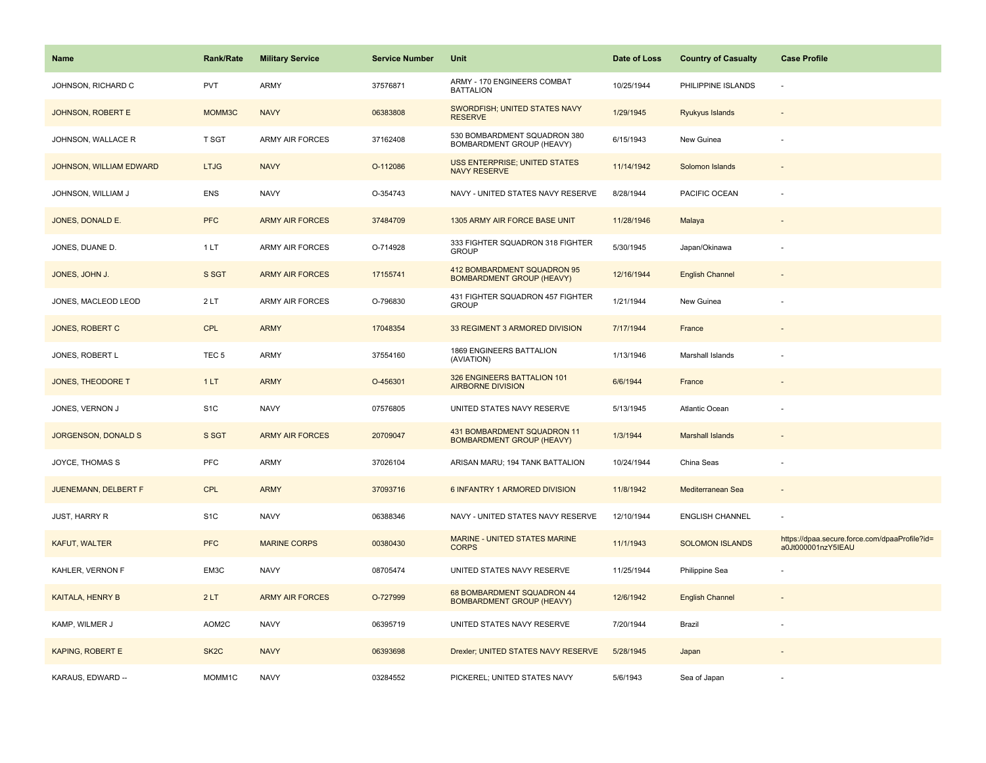| Name                    | <b>Rank/Rate</b>  | <b>Military Service</b> | <b>Service Number</b> | Unit                                                            | Date of Loss | <b>Country of Casualty</b> | <b>Case Profile</b>                                                 |
|-------------------------|-------------------|-------------------------|-----------------------|-----------------------------------------------------------------|--------------|----------------------------|---------------------------------------------------------------------|
| JOHNSON, RICHARD C      | <b>PVT</b>        | <b>ARMY</b>             | 37576871              | ARMY - 170 ENGINEERS COMBAT<br><b>BATTALION</b>                 | 10/25/1944   | PHILIPPINE ISLANDS         | $\sim$                                                              |
| JOHNSON, ROBERT E       | MOMM3C            | <b>NAVY</b>             | 06383808              | SWORDFISH; UNITED STATES NAVY<br><b>RESERVE</b>                 | 1/29/1945    | Ryukyus Islands            |                                                                     |
| JOHNSON, WALLACE R      | T SGT             | <b>ARMY AIR FORCES</b>  | 37162408              | 530 BOMBARDMENT SQUADRON 380<br>BOMBARDMENT GROUP (HEAVY)       | 6/15/1943    | New Guinea                 |                                                                     |
| JOHNSON, WILLIAM EDWARD | <b>LTJG</b>       | <b>NAVY</b>             | O-112086              | USS ENTERPRISE; UNITED STATES<br>NAVY RESERVE                   | 11/14/1942   | Solomon Islands            |                                                                     |
| JOHNSON, WILLIAM J      | <b>ENS</b>        | <b>NAVY</b>             | O-354743              | NAVY - UNITED STATES NAVY RESERVE                               | 8/28/1944    | PACIFIC OCEAN              |                                                                     |
| JONES, DONALD E.        | <b>PFC</b>        | <b>ARMY AIR FORCES</b>  | 37484709              | 1305 ARMY AIR FORCE BASE UNIT                                   | 11/28/1946   | Malaya                     |                                                                     |
| JONES, DUANE D.         | 1LT               | ARMY AIR FORCES         | O-714928              | 333 FIGHTER SQUADRON 318 FIGHTER<br><b>GROUP</b>                | 5/30/1945    | Japan/Okinawa              |                                                                     |
| JONES, JOHN J.          | S SGT             | <b>ARMY AIR FORCES</b>  | 17155741              | 412 BOMBARDMENT SQUADRON 95<br><b>BOMBARDMENT GROUP (HEAVY)</b> | 12/16/1944   | <b>English Channel</b>     |                                                                     |
| JONES, MACLEOD LEOD     | 2LT               | <b>ARMY AIR FORCES</b>  | O-796830              | 431 FIGHTER SQUADRON 457 FIGHTER<br><b>GROUP</b>                | 1/21/1944    | New Guinea                 |                                                                     |
| <b>JONES, ROBERT C</b>  | <b>CPL</b>        | <b>ARMY</b>             | 17048354              | 33 REGIMENT 3 ARMORED DIVISION                                  | 7/17/1944    | France                     |                                                                     |
| JONES, ROBERT L         | TEC <sub>5</sub>  | <b>ARMY</b>             | 37554160              | 1869 ENGINEERS BATTALION<br>(AVIATION)                          | 1/13/1946    | Marshall Islands           |                                                                     |
| JONES, THEODORE T       | 1LT               | <b>ARMY</b>             | O-456301              | 326 ENGINEERS BATTALION 101<br><b>AIRBORNE DIVISION</b>         | 6/6/1944     | France                     |                                                                     |
| JONES, VERNON J         | S <sub>1</sub> C  | <b>NAVY</b>             | 07576805              | UNITED STATES NAVY RESERVE                                      | 5/13/1945    | Atlantic Ocean             |                                                                     |
| JORGENSON, DONALD S     | S SGT             | <b>ARMY AIR FORCES</b>  | 20709047              | 431 BOMBARDMENT SQUADRON 11<br><b>BOMBARDMENT GROUP (HEAVY)</b> | 1/3/1944     | <b>Marshall Islands</b>    |                                                                     |
| JOYCE, THOMAS S         | PFC               | <b>ARMY</b>             | 37026104              | ARISAN MARU; 194 TANK BATTALION                                 | 10/24/1944   | China Seas                 |                                                                     |
| JUENEMANN, DELBERT F    | <b>CPL</b>        | <b>ARMY</b>             | 37093716              | 6 INFANTRY 1 ARMORED DIVISION                                   | 11/8/1942    | Mediterranean Sea          |                                                                     |
| JUST, HARRY R           | S <sub>1</sub> C  | <b>NAVY</b>             | 06388346              | NAVY - UNITED STATES NAVY RESERVE                               | 12/10/1944   | <b>ENGLISH CHANNEL</b>     |                                                                     |
| KAFUT, WALTER           | <b>PFC</b>        | <b>MARINE CORPS</b>     | 00380430              | MARINE - UNITED STATES MARINE<br><b>CORPS</b>                   | 11/1/1943    | <b>SOLOMON ISLANDS</b>     | https://dpaa.secure.force.com/dpaaProfile?id=<br>a0Jt000001nzY5IEAU |
| KAHLER, VERNON F        | EM3C              | <b>NAVY</b>             | 08705474              | UNITED STATES NAVY RESERVE                                      | 11/25/1944   | Philippine Sea             |                                                                     |
| <b>KAITALA, HENRY B</b> | 2LT               | <b>ARMY AIR FORCES</b>  | O-727999              | 68 BOMBARDMENT SQUADRON 44<br><b>BOMBARDMENT GROUP (HEAVY)</b>  | 12/6/1942    | <b>English Channel</b>     |                                                                     |
| KAMP, WILMER J          | AOM2C             | <b>NAVY</b>             | 06395719              | UNITED STATES NAVY RESERVE                                      | 7/20/1944    | <b>Brazil</b>              |                                                                     |
| <b>KAPING, ROBERT E</b> | SK <sub>2</sub> C | <b>NAVY</b>             | 06393698              | Drexler; UNITED STATES NAVY RESERVE                             | 5/28/1945    | Japan                      |                                                                     |
| KARAUS, EDWARD --       | MOMM1C            | <b>NAVY</b>             | 03284552              | PICKEREL; UNITED STATES NAVY                                    | 5/6/1943     | Sea of Japan               |                                                                     |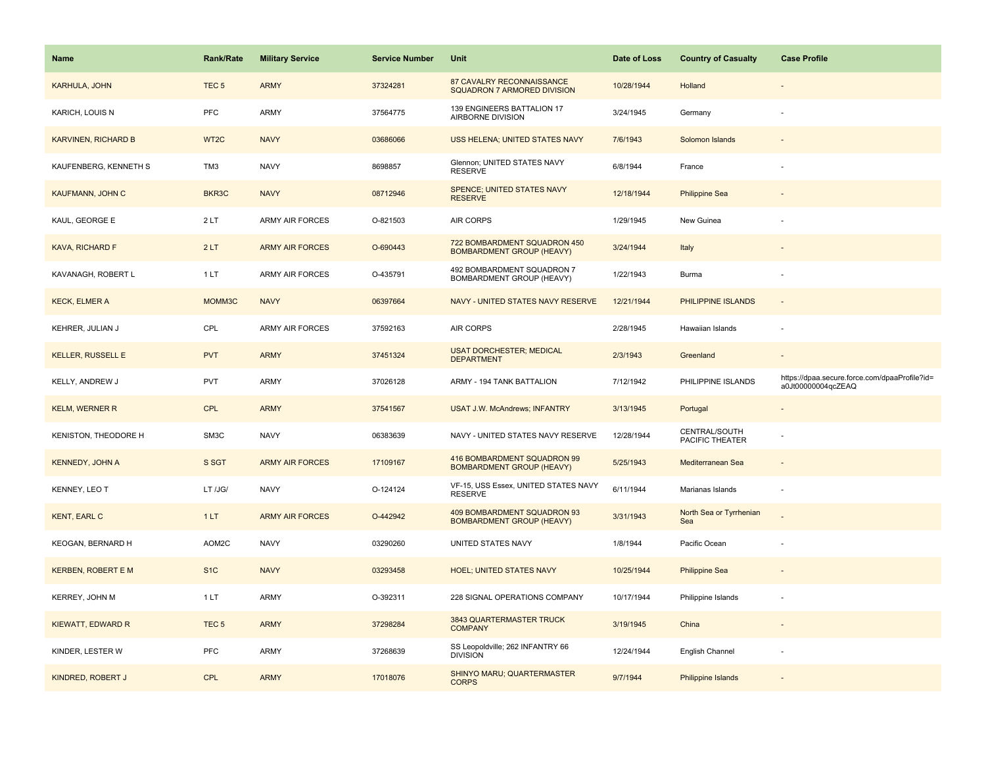| Name                       | <b>Rank/Rate</b> | <b>Military Service</b> | <b>Service Number</b> | Unit                                                             | Date of Loss | <b>Country of Casualty</b>       | <b>Case Profile</b>                           |
|----------------------------|------------------|-------------------------|-----------------------|------------------------------------------------------------------|--------------|----------------------------------|-----------------------------------------------|
| <b>KARHULA, JOHN</b>       | TEC <sub>5</sub> | <b>ARMY</b>             | 37324281              | 87 CAVALRY RECONNAISSANCE<br>SQUADRON 7 ARMORED DIVISION         | 10/28/1944   | Holland                          |                                               |
| KARICH, LOUIS N            | <b>PFC</b>       | ARMY                    | 37564775              | 139 ENGINEERS BATTALION 17<br>AIRBORNE DIVISION                  | 3/24/1945    | Germany                          |                                               |
| <b>KARVINEN, RICHARD B</b> | WT <sub>2C</sub> | <b>NAVY</b>             | 03686066              | <b>USS HELENA; UNITED STATES NAVY</b>                            | 7/6/1943     | Solomon Islands                  |                                               |
| KAUFENBERG, KENNETH S      | TM3              | <b>NAVY</b>             | 8698857               | Glennon; UNITED STATES NAVY<br><b>RESERVE</b>                    | 6/8/1944     | France                           |                                               |
| KAUFMANN, JOHN C           | BKR3C            | <b>NAVY</b>             | 08712946              | SPENCE; UNITED STATES NAVY<br><b>RESERVE</b>                     | 12/18/1944   | <b>Philippine Sea</b>            |                                               |
| KAUL, GEORGE E             | 2LT              | <b>ARMY AIR FORCES</b>  | O-821503              | <b>AIR CORPS</b>                                                 | 1/29/1945    | New Guinea                       |                                               |
| <b>KAVA, RICHARD F</b>     | 2LT              | <b>ARMY AIR FORCES</b>  | O-690443              | 722 BOMBARDMENT SQUADRON 450<br><b>BOMBARDMENT GROUP (HEAVY)</b> | 3/24/1944    | Italy                            |                                               |
| KAVANAGH, ROBERT L         | 1 LT             | <b>ARMY AIR FORCES</b>  | O-435791              | 492 BOMBARDMENT SQUADRON 7<br>BOMBARDMENT GROUP (HEAVY)          | 1/22/1943    | Burma                            | $\overline{a}$                                |
| <b>KECK, ELMER A</b>       | MOMM3C           | <b>NAVY</b>             | 06397664              | NAVY - UNITED STATES NAVY RESERVE                                | 12/21/1944   | PHILIPPINE ISLANDS               | $\sim$                                        |
| KEHRER, JULIAN J           | CPL              | <b>ARMY AIR FORCES</b>  | 37592163              | <b>AIR CORPS</b>                                                 | 2/28/1945    | Hawaiian Islands                 | $\overline{\phantom{a}}$                      |
| <b>KELLER, RUSSELL E</b>   | <b>PVT</b>       | <b>ARMY</b>             | 37451324              | <b>USAT DORCHESTER; MEDICAL</b><br><b>DEPARTMENT</b>             | 2/3/1943     | Greenland                        |                                               |
| KELLY, ANDREW J            | <b>PVT</b>       |                         |                       |                                                                  | 7/12/1942    | PHILIPPINE ISLANDS               | https://dpaa.secure.force.com/dpaaProfile?id= |
|                            |                  | ARMY                    | 37026128              | ARMY - 194 TANK BATTALION                                        |              |                                  | a0Jt00000004qcZEAQ                            |
| <b>KELM, WERNER R</b>      | <b>CPL</b>       | <b>ARMY</b>             | 37541567              | <b>USAT J.W. McAndrews; INFANTRY</b>                             | 3/13/1945    | Portugal                         |                                               |
| KENISTON, THEODORE H       | SM3C             | <b>NAVY</b>             | 06383639              | NAVY - UNITED STATES NAVY RESERVE                                | 12/28/1944   | CENTRAL/SOUTH<br>PACIFIC THEATER |                                               |
| <b>KENNEDY, JOHN A</b>     | S SGT            | <b>ARMY AIR FORCES</b>  | 17109167              | 416 BOMBARDMENT SQUADRON 99<br><b>BOMBARDMENT GROUP (HEAVY)</b>  | 5/25/1943    | Mediterranean Sea                |                                               |
| KENNEY, LEO T              | LT /JG/          | <b>NAVY</b>             | O-124124              | VF-15, USS Essex, UNITED STATES NAVY<br><b>RESERVE</b>           | 6/11/1944    | Marianas Islands                 | $\overline{\phantom{a}}$                      |
| <b>KENT, EARL C</b>        | 1LT              | <b>ARMY AIR FORCES</b>  | O-442942              | 409 BOMBARDMENT SQUADRON 93<br><b>BOMBARDMENT GROUP (HEAVY)</b>  | 3/31/1943    | North Sea or Tyrrhenian<br>Sea   |                                               |
| KEOGAN, BERNARD H          | AOM2C            | <b>NAVY</b>             | 03290260              | UNITED STATES NAVY                                               | 1/8/1944     | Pacific Ocean                    |                                               |
| <b>KERBEN, ROBERT E M</b>  | S <sub>1</sub> C | <b>NAVY</b>             | 03293458              | <b>HOEL; UNITED STATES NAVY</b>                                  | 10/25/1944   | <b>Philippine Sea</b>            |                                               |
| KERREY, JOHN M             | 1 LT             | ARMY                    | O-392311              | 228 SIGNAL OPERATIONS COMPANY                                    | 10/17/1944   | Philippine Islands               |                                               |
| <b>KIEWATT, EDWARD R</b>   | TEC <sub>5</sub> | <b>ARMY</b>             | 37298284              | 3843 QUARTERMASTER TRUCK<br><b>COMPANY</b>                       | 3/19/1945    | China                            |                                               |
| KINDER, LESTER W           | <b>PFC</b>       | ARMY                    | 37268639              | SS Leopoldville; 262 INFANTRY 66<br><b>DIVISION</b>              | 12/24/1944   | English Channel                  |                                               |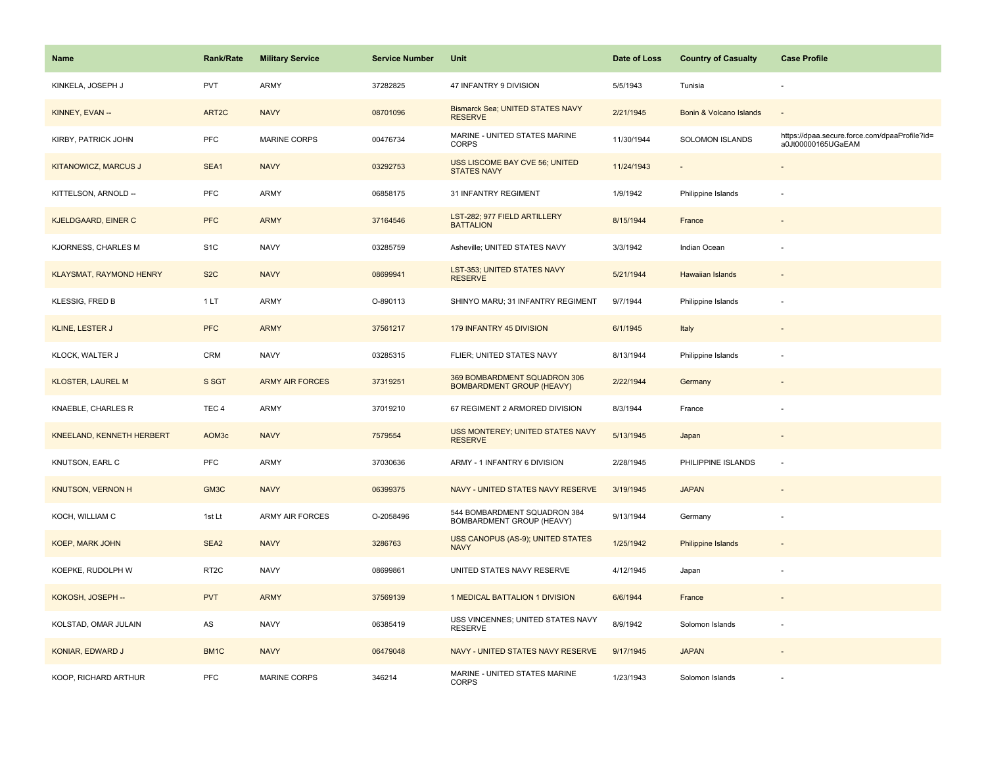| <b>Name</b>                    | Rank/Rate         | <b>Military Service</b> | <b>Service Number</b> | Unit                                                             | Date of Loss | <b>Country of Casualty</b> | <b>Case Profile</b>                                                 |
|--------------------------------|-------------------|-------------------------|-----------------------|------------------------------------------------------------------|--------------|----------------------------|---------------------------------------------------------------------|
| KINKELA, JOSEPH J              | PVT               | ARMY                    | 37282825              | 47 INFANTRY 9 DIVISION                                           | 5/5/1943     | Tunisia                    |                                                                     |
| KINNEY, EVAN --                | ART <sub>2C</sub> | <b>NAVY</b>             | 08701096              | <b>Bismarck Sea; UNITED STATES NAVY</b><br><b>RESERVE</b>        | 2/21/1945    | Bonin & Volcano Islands    | $\sim$                                                              |
| KIRBY, PATRICK JOHN            | PFC               | MARINE CORPS            | 00476734              | MARINE - UNITED STATES MARINE<br>CORPS                           | 11/30/1944   | SOLOMON ISLANDS            | https://dpaa.secure.force.com/dpaaProfile?id=<br>a0Jt00000165UGaEAM |
| <b>KITANOWICZ, MARCUS J</b>    | SEA1              | <b>NAVY</b>             | 03292753              | USS LISCOME BAY CVE 56; UNITED<br><b>STATES NAVY</b>             | 11/24/1943   |                            |                                                                     |
| KITTELSON, ARNOLD --           | PFC               | <b>ARMY</b>             | 06858175              | 31 INFANTRY REGIMENT                                             | 1/9/1942     | Philippine Islands         |                                                                     |
| KJELDGAARD, EINER C            | <b>PFC</b>        | <b>ARMY</b>             | 37164546              | LST-282; 977 FIELD ARTILLERY<br><b>BATTALION</b>                 | 8/15/1944    | France                     | $\overline{\phantom{a}}$                                            |
| KJORNESS, CHARLES M            | S <sub>1</sub> C  | <b>NAVY</b>             | 03285759              | Asheville; UNITED STATES NAVY                                    | 3/3/1942     | Indian Ocean               |                                                                     |
| <b>KLAYSMAT, RAYMOND HENRY</b> | S <sub>2</sub> C  | <b>NAVY</b>             | 08699941              | LST-353; UNITED STATES NAVY<br><b>RESERVE</b>                    | 5/21/1944    | Hawaiian Islands           |                                                                     |
| KLESSIG, FRED B                | 1LT               | ARMY                    | O-890113              | SHINYO MARU; 31 INFANTRY REGIMENT                                | 9/7/1944     | Philippine Islands         | ÷,                                                                  |
| <b>KLINE, LESTER J</b>         | <b>PFC</b>        | <b>ARMY</b>             | 37561217              | 179 INFANTRY 45 DIVISION                                         | 6/1/1945     | Italy                      |                                                                     |
| KLOCK, WALTER J                | CRM               | <b>NAVY</b>             | 03285315              | FLIER; UNITED STATES NAVY                                        | 8/13/1944    | Philippine Islands         |                                                                     |
| <b>KLOSTER, LAUREL M</b>       | S SGT             | <b>ARMY AIR FORCES</b>  | 37319251              | 369 BOMBARDMENT SQUADRON 306<br><b>BOMBARDMENT GROUP (HEAVY)</b> | 2/22/1944    | Germany                    |                                                                     |
| KNAEBLE, CHARLES R             | TEC <sub>4</sub>  | <b>ARMY</b>             | 37019210              | 67 REGIMENT 2 ARMORED DIVISION                                   | 8/3/1944     | France                     |                                                                     |
| KNEELAND, KENNETH HERBERT      | AOM3c             | <b>NAVY</b>             | 7579554               | USS MONTEREY; UNITED STATES NAVY<br><b>RESERVE</b>               | 5/13/1945    | Japan                      | $\sim$                                                              |
| KNUTSON, EARL C                | PFC               | <b>ARMY</b>             | 37030636              | ARMY - 1 INFANTRY 6 DIVISION                                     | 2/28/1945    | PHILIPPINE ISLANDS         | ÷,                                                                  |
| <b>KNUTSON, VERNON H</b>       | GM3C              | <b>NAVY</b>             | 06399375              | NAVY - UNITED STATES NAVY RESERVE                                | 3/19/1945    | <b>JAPAN</b>               |                                                                     |
| KOCH, WILLIAM C                | 1st Lt            | <b>ARMY AIR FORCES</b>  | O-2058496             | 544 BOMBARDMENT SQUADRON 384<br>BOMBARDMENT GROUP (HEAVY)        | 9/13/1944    | Germany                    |                                                                     |
| <b>KOEP, MARK JOHN</b>         | SEA <sub>2</sub>  | <b>NAVY</b>             | 3286763               | USS CANOPUS (AS-9); UNITED STATES<br><b>NAVY</b>                 | 1/25/1942    | <b>Philippine Islands</b>  |                                                                     |
| KOEPKE, RUDOLPH W              | RT <sub>2</sub> C | <b>NAVY</b>             | 08699861              | UNITED STATES NAVY RESERVE                                       | 4/12/1945    | Japan                      |                                                                     |
| KOKOSH, JOSEPH --              | <b>PVT</b>        | <b>ARMY</b>             | 37569139              | 1 MEDICAL BATTALION 1 DIVISION                                   | 6/6/1944     | France                     | $\overline{\phantom{a}}$                                            |
| KOLSTAD, OMAR JULAIN           | AS                | <b>NAVY</b>             | 06385419              | USS VINCENNES; UNITED STATES NAVY<br><b>RESERVE</b>              | 8/9/1942     | Solomon Islands            | ÷                                                                   |
| KONIAR, EDWARD J               | BM1C              | <b>NAVY</b>             | 06479048              | NAVY - UNITED STATES NAVY RESERVE                                | 9/17/1945    | <b>JAPAN</b>               |                                                                     |
| KOOP, RICHARD ARTHUR           | PFC               | MARINE CORPS            | 346214                | MARINE - UNITED STATES MARINE<br><b>CORPS</b>                    | 1/23/1943    | Solomon Islands            |                                                                     |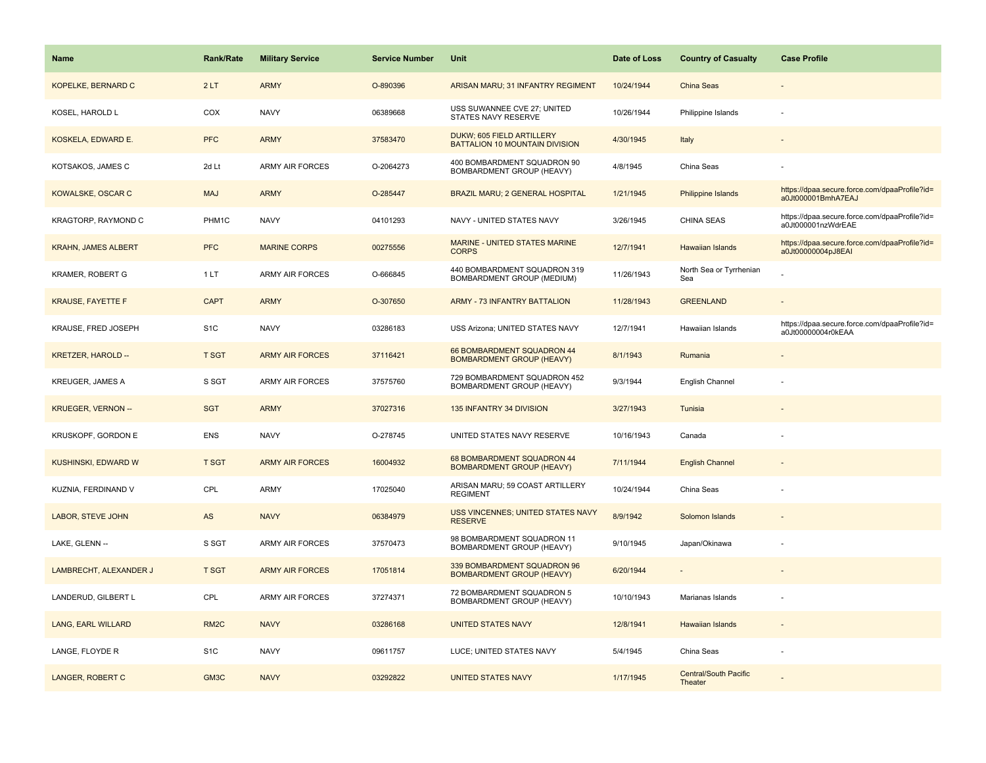| <b>Name</b>                | Rank/Rate         | <b>Military Service</b> | <b>Service Number</b> | Unit                                                               | Date of Loss | <b>Country of Casualty</b>              | <b>Case Profile</b>                                                 |
|----------------------------|-------------------|-------------------------|-----------------------|--------------------------------------------------------------------|--------------|-----------------------------------------|---------------------------------------------------------------------|
| KOPELKE, BERNARD C         | 2LT               | <b>ARMY</b>             | O-890396              | ARISAN MARU; 31 INFANTRY REGIMENT                                  | 10/24/1944   | <b>China Seas</b>                       |                                                                     |
| KOSEL, HAROLD L            | COX               | <b>NAVY</b>             | 06389668              | USS SUWANNEE CVE 27; UNITED<br>STATES NAVY RESERVE                 | 10/26/1944   | Philippine Islands                      |                                                                     |
| KOSKELA, EDWARD E.         | <b>PFC</b>        | <b>ARMY</b>             | 37583470              | DUKW; 605 FIELD ARTILLERY<br><b>BATTALION 10 MOUNTAIN DIVISION</b> | 4/30/1945    | Italy                                   |                                                                     |
| KOTSAKOS, JAMES C          | 2d Lt             | <b>ARMY AIR FORCES</b>  | O-2064273             | 400 BOMBARDMENT SQUADRON 90<br>BOMBARDMENT GROUP (HEAVY)           | 4/8/1945     | China Seas                              |                                                                     |
| KOWALSKE, OSCAR C          | <b>MAJ</b>        | <b>ARMY</b>             | O-285447              | BRAZIL MARU; 2 GENERAL HOSPITAL                                    | 1/21/1945    | Philippine Islands                      | https://dpaa.secure.force.com/dpaaProfile?id=<br>a0Jt000001BmhA7EAJ |
| KRAGTORP, RAYMOND C        | PHM1C             | <b>NAVY</b>             | 04101293              | NAVY - UNITED STATES NAVY                                          | 3/26/1945    | CHINA SEAS                              | https://dpaa.secure.force.com/dpaaProfile?id=<br>a0Jt000001nzWdrEAE |
| <b>KRAHN, JAMES ALBERT</b> | <b>PFC</b>        | <b>MARINE CORPS</b>     | 00275556              | <b>MARINE - UNITED STATES MARINE</b><br><b>CORPS</b>               | 12/7/1941    | <b>Hawaiian Islands</b>                 | https://dpaa.secure.force.com/dpaaProfile?id=<br>a0Jt00000004pJ8EAI |
| KRAMER, ROBERT G           | 1LT               | <b>ARMY AIR FORCES</b>  | O-666845              | 440 BOMBARDMENT SQUADRON 319<br>BOMBARDMENT GROUP (MEDIUM)         | 11/26/1943   | North Sea or Tyrrhenian<br>Sea          |                                                                     |
| <b>KRAUSE, FAYETTE F</b>   | <b>CAPT</b>       | <b>ARMY</b>             | O-307650              | ARMY - 73 INFANTRY BATTALION                                       | 11/28/1943   | <b>GREENLAND</b>                        |                                                                     |
| KRAUSE, FRED JOSEPH        | S <sub>1</sub> C  | <b>NAVY</b>             | 03286183              | USS Arizona; UNITED STATES NAVY                                    | 12/7/1941    | Hawaiian Islands                        | https://dpaa.secure.force.com/dpaaProfile?id=<br>a0Jt00000004r0kEAA |
| <b>KRETZER, HAROLD --</b>  | <b>T SGT</b>      | <b>ARMY AIR FORCES</b>  | 37116421              | 66 BOMBARDMENT SQUADRON 44<br><b>BOMBARDMENT GROUP (HEAVY)</b>     | 8/1/1943     | Rumania                                 |                                                                     |
| <b>KREUGER, JAMES A</b>    | S SGT             | <b>ARMY AIR FORCES</b>  | 37575760              | 729 BOMBARDMENT SQUADRON 452<br><b>BOMBARDMENT GROUP (HEAVY)</b>   | 9/3/1944     | English Channel                         |                                                                     |
| <b>KRUEGER, VERNON --</b>  | <b>SGT</b>        | <b>ARMY</b>             | 37027316              | 135 INFANTRY 34 DIVISION                                           | 3/27/1943    | Tunisia                                 |                                                                     |
| KRUSKOPF, GORDON E         | ENS               | <b>NAVY</b>             | O-278745              | UNITED STATES NAVY RESERVE                                         | 10/16/1943   | Canada                                  |                                                                     |
| KUSHINSKI, EDWARD W        | <b>T SGT</b>      | <b>ARMY AIR FORCES</b>  | 16004932              | 68 BOMBARDMENT SQUADRON 44<br><b>BOMBARDMENT GROUP (HEAVY)</b>     | 7/11/1944    | <b>English Channel</b>                  |                                                                     |
| KUZNIA, FERDINAND V        | CPL               | <b>ARMY</b>             | 17025040              | ARISAN MARU; 59 COAST ARTILLERY<br><b>REGIMENT</b>                 | 10/24/1944   | China Seas                              |                                                                     |
| LABOR, STEVE JOHN          | $\mathsf{AS}$     | <b>NAVY</b>             | 06384979              | <b>USS VINCENNES; UNITED STATES NAVY</b><br><b>RESERVE</b>         | 8/9/1942     | Solomon Islands                         |                                                                     |
| LAKE, GLENN --             | S SGT             | ARMY AIR FORCES         | 37570473              | 98 BOMBARDMENT SQUADRON 11<br>BOMBARDMENT GROUP (HEAVY)            | 9/10/1945    | Japan/Okinawa                           |                                                                     |
| LAMBRECHT, ALEXANDER J     | <b>T SGT</b>      | <b>ARMY AIR FORCES</b>  | 17051814              | 339 BOMBARDMENT SQUADRON 96<br><b>BOMBARDMENT GROUP (HEAVY)</b>    | 6/20/1944    |                                         |                                                                     |
| LANDERUD, GILBERT L        | CPL               | <b>ARMY AIR FORCES</b>  | 37274371              | 72 BOMBARDMENT SQUADRON 5<br>BOMBARDMENT GROUP (HEAVY)             | 10/10/1943   | Marianas Islands                        |                                                                     |
| LANG, EARL WILLARD         | RM <sub>2</sub> C | <b>NAVY</b>             | 03286168              | <b>UNITED STATES NAVY</b>                                          | 12/8/1941    | <b>Hawaiian Islands</b>                 | $\sim$                                                              |
| LANGE, FLOYDE R            | S <sub>1</sub> C  | <b>NAVY</b>             | 09611757              | LUCE; UNITED STATES NAVY                                           | 5/4/1945     | China Seas                              |                                                                     |
| LANGER, ROBERT C           | GM3C              | <b>NAVY</b>             | 03292822              | <b>UNITED STATES NAVY</b>                                          | 1/17/1945    | <b>Central/South Pacific</b><br>Theater |                                                                     |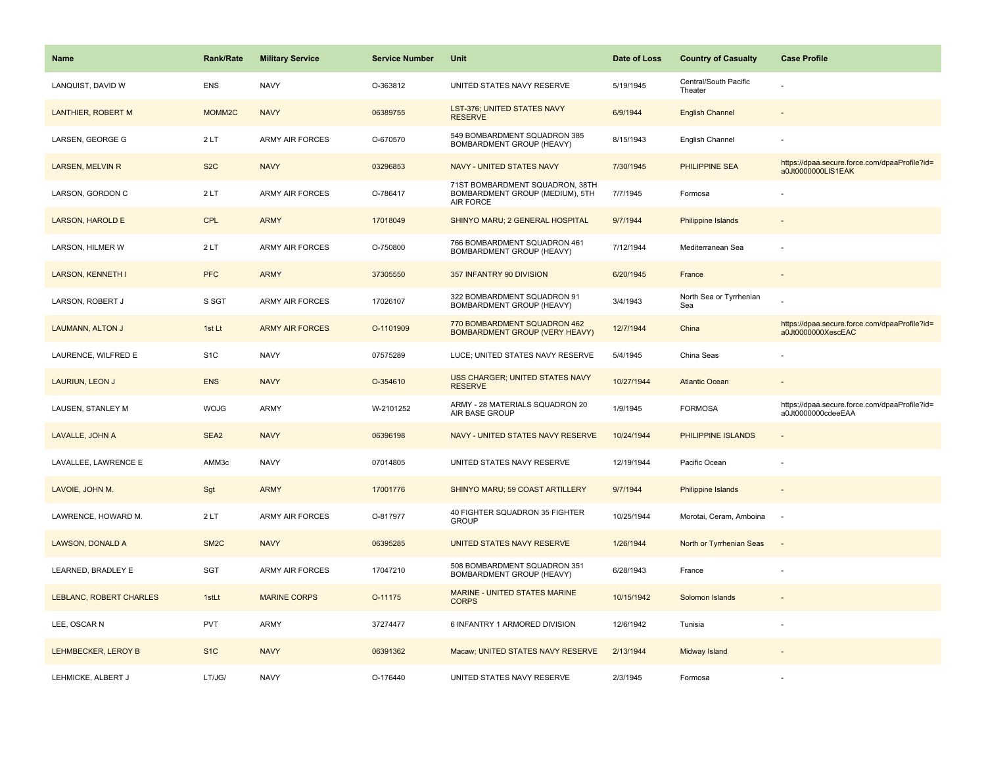| <b>Name</b>               | <b>Rank/Rate</b>   | <b>Military Service</b> | <b>Service Number</b> | Unit                                                                            | Date of Loss | <b>Country of Casualty</b>       | <b>Case Profile</b>                                                 |
|---------------------------|--------------------|-------------------------|-----------------------|---------------------------------------------------------------------------------|--------------|----------------------------------|---------------------------------------------------------------------|
| LANQUIST, DAVID W         | <b>ENS</b>         | <b>NAVY</b>             | O-363812              | UNITED STATES NAVY RESERVE                                                      | 5/19/1945    | Central/South Pacific<br>Theater |                                                                     |
| <b>LANTHIER, ROBERT M</b> | MOMM <sub>2C</sub> | <b>NAVY</b>             | 06389755              | LST-376; UNITED STATES NAVY<br><b>RESERVE</b>                                   | 6/9/1944     | <b>English Channel</b>           |                                                                     |
| LARSEN, GEORGE G          | 2LT                | <b>ARMY AIR FORCES</b>  | O-670570              | 549 BOMBARDMENT SQUADRON 385<br>BOMBARDMENT GROUP (HEAVY)                       | 8/15/1943    | English Channel                  |                                                                     |
| <b>LARSEN, MELVIN R</b>   | S <sub>2</sub> C   | <b>NAVY</b>             | 03296853              | <b>NAVY - UNITED STATES NAVY</b>                                                | 7/30/1945    | <b>PHILIPPINE SEA</b>            | https://dpaa.secure.force.com/dpaaProfile?id=<br>a0Jt0000000LIS1EAK |
| LARSON, GORDON C          | 2LT                | <b>ARMY AIR FORCES</b>  | O-786417              | 71ST BOMBARDMENT SQUADRON, 38TH<br>BOMBARDMENT GROUP (MEDIUM), 5TH<br>AIR FORCE | 7/7/1945     | Formosa                          |                                                                     |
| LARSON, HAROLD E          | <b>CPL</b>         | <b>ARMY</b>             | 17018049              | SHINYO MARU; 2 GENERAL HOSPITAL                                                 | 9/7/1944     | Philippine Islands               |                                                                     |
| LARSON, HILMER W          | 2LT                | ARMY AIR FORCES         | O-750800              | 766 BOMBARDMENT SQUADRON 461<br>BOMBARDMENT GROUP (HEAVY)                       | 7/12/1944    | Mediterranean Sea                |                                                                     |
| <b>LARSON, KENNETH I</b>  | <b>PFC</b>         | <b>ARMY</b>             | 37305550              | 357 INFANTRY 90 DIVISION                                                        | 6/20/1945    | France                           |                                                                     |
| LARSON, ROBERT J          | S SGT              | <b>ARMY AIR FORCES</b>  | 17026107              | 322 BOMBARDMENT SQUADRON 91<br>BOMBARDMENT GROUP (HEAVY)                        | 3/4/1943     | North Sea or Tyrrhenian<br>Sea   |                                                                     |
| LAUMANN, ALTON J          | 1st Lt             | <b>ARMY AIR FORCES</b>  | O-1101909             | 770 BOMBARDMENT SQUADRON 462<br><b>BOMBARDMENT GROUP (VERY HEAVY)</b>           | 12/7/1944    | China                            | https://dpaa.secure.force.com/dpaaProfile?id=<br>a0Jt0000000XescEAC |
| LAURENCE, WILFRED E       | S <sub>1</sub> C   | <b>NAVY</b>             | 07575289              | LUCE; UNITED STATES NAVY RESERVE                                                | 5/4/1945     | China Seas                       |                                                                     |
| <b>LAURIUN, LEON J</b>    | <b>ENS</b>         | <b>NAVY</b>             | O-354610              | USS CHARGER; UNITED STATES NAVY<br><b>RESERVE</b>                               | 10/27/1944   | <b>Atlantic Ocean</b>            |                                                                     |
| LAUSEN, STANLEY M         | <b>WOJG</b>        | ARMY                    | W-2101252             | ARMY - 28 MATERIALS SQUADRON 20<br>AIR BASE GROUP                               | 1/9/1945     | <b>FORMOSA</b>                   | https://dpaa.secure.force.com/dpaaProfile?id=<br>a0Jt0000000cdeeEAA |
| LAVALLE, JOHN A           | SEA <sub>2</sub>   | <b>NAVY</b>             | 06396198              | NAVY - UNITED STATES NAVY RESERVE                                               | 10/24/1944   | <b>PHILIPPINE ISLANDS</b>        |                                                                     |
| LAVALLEE, LAWRENCE E      | AMM3c              | <b>NAVY</b>             | 07014805              | UNITED STATES NAVY RESERVE                                                      | 12/19/1944   | Pacific Ocean                    |                                                                     |
| LAVOIE, JOHN M.           | Sgt                | <b>ARMY</b>             | 17001776              | SHINYO MARU; 59 COAST ARTILLERY                                                 | 9/7/1944     | Philippine Islands               |                                                                     |
| LAWRENCE, HOWARD M.       | 2LT                | <b>ARMY AIR FORCES</b>  | O-817977              | 40 FIGHTER SQUADRON 35 FIGHTER<br><b>GROUP</b>                                  | 10/25/1944   | Morotai, Ceram, Amboina          | $\sim$                                                              |
| LAWSON, DONALD A          | SM <sub>2</sub> C  | <b>NAVY</b>             | 06395285              | UNITED STATES NAVY RESERVE                                                      | 1/26/1944    | North or Tyrrhenian Seas         | $\sim$                                                              |
| LEARNED, BRADLEY E        | <b>SGT</b>         | <b>ARMY AIR FORCES</b>  | 17047210              | 508 BOMBARDMENT SQUADRON 351<br>BOMBARDMENT GROUP (HEAVY)                       | 6/28/1943    | France                           |                                                                     |
| LEBLANC, ROBERT CHARLES   | 1stLt              | <b>MARINE CORPS</b>     | O-11175               | MARINE - UNITED STATES MARINE<br><b>CORPS</b>                                   | 10/15/1942   | Solomon Islands                  |                                                                     |
| LEE, OSCAR N              | <b>PVT</b>         | ARMY                    | 37274477              | 6 INFANTRY 1 ARMORED DIVISION                                                   | 12/6/1942    | Tunisia                          |                                                                     |
| LEHMBECKER, LEROY B       | S <sub>1</sub> C   | <b>NAVY</b>             | 06391362              | Macaw; UNITED STATES NAVY RESERVE                                               | 2/13/1944    | Midway Island                    |                                                                     |
| LEHMICKE, ALBERT J        | LT/JG/             | <b>NAVY</b>             | O-176440              | UNITED STATES NAVY RESERVE                                                      | 2/3/1945     | Formosa                          |                                                                     |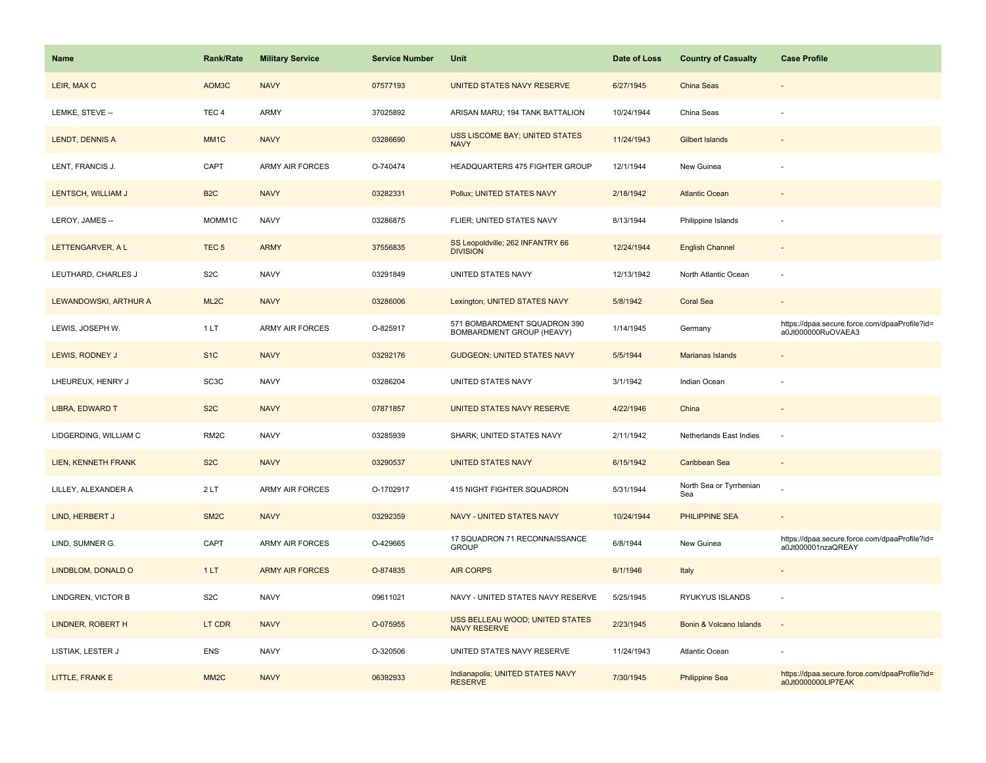| Name                   | <b>Rank/Rate</b>  | <b>Military Service</b> | <b>Service Number</b> | Unit                                                      | Date of Loss | <b>Country of Casualty</b>     | <b>Case Profile</b>                                                 |
|------------------------|-------------------|-------------------------|-----------------------|-----------------------------------------------------------|--------------|--------------------------------|---------------------------------------------------------------------|
| LEIR, MAX C            | AOM3C             | <b>NAVY</b>             | 07577193              | UNITED STATES NAVY RESERVE                                | 6/27/1945    | China Seas                     |                                                                     |
| LEMKE, STEVE --        | TEC <sub>4</sub>  | <b>ARMY</b>             | 37025892              | ARISAN MARU; 194 TANK BATTALION                           | 10/24/1944   | China Seas                     |                                                                     |
| <b>LENDT, DENNIS A</b> | MM <sub>1C</sub>  | <b>NAVY</b>             | 03286690              | <b>USS LISCOME BAY; UNITED STATES</b><br><b>NAVY</b>      | 11/24/1943   | <b>Gilbert Islands</b>         |                                                                     |
| LENT, FRANCIS J.       | CAPT              | <b>ARMY AIR FORCES</b>  | O-740474              | HEADQUARTERS 475 FIGHTER GROUP                            | 12/1/1944    | New Guinea                     |                                                                     |
| LENTSCH, WILLIAM J     | B <sub>2</sub> C  | <b>NAVY</b>             | 03282331              | Pollux; UNITED STATES NAVY                                | 2/18/1942    | <b>Atlantic Ocean</b>          |                                                                     |
| LEROY, JAMES --        | MOMM1C            | <b>NAVY</b>             | 03286875              | FLIER; UNITED STATES NAVY                                 | 8/13/1944    | Philippine Islands             |                                                                     |
| LETTENGARVER, A L      | TEC <sub>5</sub>  | <b>ARMY</b>             | 37556835              | SS Leopoldville; 262 INFANTRY 66<br><b>DIVISION</b>       | 12/24/1944   | <b>English Channel</b>         |                                                                     |
| LEUTHARD, CHARLES J    | S <sub>2</sub> C  | <b>NAVY</b>             | 03291849              | UNITED STATES NAVY                                        | 12/13/1942   | North Atlantic Ocean           |                                                                     |
| LEWANDOWSKI, ARTHUR A  | ML <sub>2</sub> C | <b>NAVY</b>             | 03286006              | Lexington; UNITED STATES NAVY                             | 5/8/1942     | <b>Coral Sea</b>               |                                                                     |
| LEWIS, JOSEPH W.       | 1LT               | <b>ARMY AIR FORCES</b>  | O-825917              | 571 BOMBARDMENT SQUADRON 390<br>BOMBARDMENT GROUP (HEAVY) | 1/14/1945    | Germany                        | https://dpaa.secure.force.com/dpaaProfile?id=<br>a0Jt000000RuOVAEA3 |
| LEWIS, RODNEY J        | S <sub>1</sub> C  | <b>NAVY</b>             | 03292176              | <b>GUDGEON; UNITED STATES NAVY</b>                        | 5/5/1944     | Marianas Islands               |                                                                     |
| LHEUREUX, HENRY J      | SC3C              | <b>NAVY</b>             | 03286204              | UNITED STATES NAVY                                        | 3/1/1942     | Indian Ocean                   |                                                                     |
| <b>LIBRA, EDWARD T</b> | S <sub>2</sub> C  | <b>NAVY</b>             | 07871857              | UNITED STATES NAVY RESERVE                                | 4/22/1946    | China                          |                                                                     |
| LIDGERDING, WILLIAM C  | RM <sub>2</sub> C | <b>NAVY</b>             | 03285939              | SHARK; UNITED STATES NAVY                                 | 2/11/1942    | Netherlands East Indies        | $\overline{\phantom{a}}$                                            |
| LIEN, KENNETH FRANK    | S <sub>2</sub> C  | <b>NAVY</b>             | 03290537              | <b>UNITED STATES NAVY</b>                                 | 6/15/1942    | Caribbean Sea                  |                                                                     |
| LILLEY, ALEXANDER A    | 2LT               | <b>ARMY AIR FORCES</b>  | O-1702917             | 415 NIGHT FIGHTER SQUADRON                                | 5/31/1944    | North Sea or Tyrrhenian<br>Sea |                                                                     |
| LIND, HERBERT J        | SM <sub>2</sub> C | <b>NAVY</b>             | 03292359              | NAVY - UNITED STATES NAVY                                 | 10/24/1944   | PHILIPPINE SEA                 |                                                                     |
| LIND, SUMNER G.        | CAPT              | <b>ARMY AIR FORCES</b>  | O-429665              | 17 SQUADRON 71 RECONNAISSANCE<br><b>GROUP</b>             | 6/8/1944     | New Guinea                     | https://dpaa.secure.force.com/dpaaProfile?id=<br>a0Jt000001nzaQREAY |
| LINDBLOM, DONALD O     | 1LT               | <b>ARMY AIR FORCES</b>  | O-874835              | <b>AIR CORPS</b>                                          | 6/1/1946     | Italy                          |                                                                     |
| LINDGREN, VICTOR B     | S <sub>2</sub> C  | <b>NAVY</b>             | 09611021              | NAVY - UNITED STATES NAVY RESERVE                         | 5/25/1945    | RYUKYUS ISLANDS                |                                                                     |
| LINDNER, ROBERT H      | LT CDR            | <b>NAVY</b>             | O-075955              | USS BELLEAU WOOD; UNITED STATES<br><b>NAVY RESERVE</b>    | 2/23/1945    | Bonin & Volcano Islands        |                                                                     |
| LISTIAK, LESTER J      | <b>ENS</b>        | <b>NAVY</b>             | O-320506              | UNITED STATES NAVY RESERVE                                | 11/24/1943   | <b>Atlantic Ocean</b>          |                                                                     |
| LITTLE, FRANK E        | MM <sub>2</sub> C | <b>NAVY</b>             | 06392933              | Indianapolis; UNITED STATES NAVY<br><b>RESERVE</b>        | 7/30/1945    | <b>Philippine Sea</b>          | https://dpaa.secure.force.com/dpaaProfile?id=<br>a0Jt0000000LIP7EAK |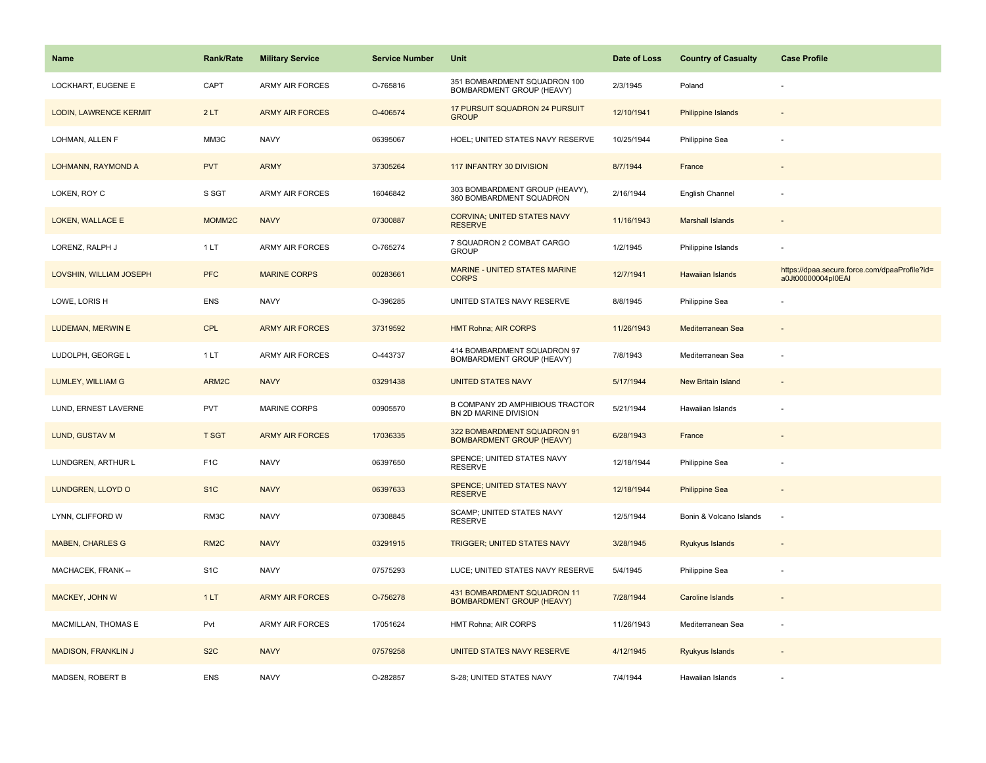| <b>Name</b>                   | <b>Rank/Rate</b>  | <b>Military Service</b> | <b>Service Number</b> | Unit                                                            | Date of Loss | <b>Country of Casualty</b> | <b>Case Profile</b>                                                 |
|-------------------------------|-------------------|-------------------------|-----------------------|-----------------------------------------------------------------|--------------|----------------------------|---------------------------------------------------------------------|
| LOCKHART, EUGENE E            | CAPT              | <b>ARMY AIR FORCES</b>  | O-765816              | 351 BOMBARDMENT SQUADRON 100<br>BOMBARDMENT GROUP (HEAVY)       | 2/3/1945     | Poland                     |                                                                     |
| <b>LODIN, LAWRENCE KERMIT</b> | 2LT               | <b>ARMY AIR FORCES</b>  | O-406574              | 17 PURSUIT SQUADRON 24 PURSUIT<br><b>GROUP</b>                  | 12/10/1941   | <b>Philippine Islands</b>  |                                                                     |
| LOHMAN, ALLEN F               | MM3C              | <b>NAVY</b>             | 06395067              | HOEL; UNITED STATES NAVY RESERVE                                | 10/25/1944   | Philippine Sea             |                                                                     |
| LOHMANN, RAYMOND A            | <b>PVT</b>        | <b>ARMY</b>             | 37305264              | 117 INFANTRY 30 DIVISION                                        | 8/7/1944     | France                     |                                                                     |
| LOKEN, ROY C                  | S SGT             | <b>ARMY AIR FORCES</b>  | 16046842              | 303 BOMBARDMENT GROUP (HEAVY),<br>360 BOMBARDMENT SQUADRON      | 2/16/1944    | English Channel            |                                                                     |
| LOKEN, WALLACE E              | MOMM2C            | <b>NAVY</b>             | 07300887              | <b>CORVINA; UNITED STATES NAVY</b><br><b>RESERVE</b>            | 11/16/1943   | <b>Marshall Islands</b>    |                                                                     |
| LORENZ, RALPH J               | 1 LT              | <b>ARMY AIR FORCES</b>  | O-765274              | 7 SQUADRON 2 COMBAT CARGO<br><b>GROUP</b>                       | 1/2/1945     | Philippine Islands         |                                                                     |
| LOVSHIN, WILLIAM JOSEPH       | <b>PFC</b>        | <b>MARINE CORPS</b>     | 00283661              | MARINE - UNITED STATES MARINE<br><b>CORPS</b>                   | 12/7/1941    | <b>Hawaiian Islands</b>    | https://dpaa.secure.force.com/dpaaProfile?id=<br>a0Jt00000004pI0EAI |
| LOWE, LORIS H                 | ENS               | <b>NAVY</b>             | O-396285              | UNITED STATES NAVY RESERVE                                      | 8/8/1945     | Philippine Sea             |                                                                     |
| <b>LUDEMAN, MERWIN E</b>      | <b>CPL</b>        | <b>ARMY AIR FORCES</b>  | 37319592              | <b>HMT Rohna; AIR CORPS</b>                                     | 11/26/1943   | Mediterranean Sea          |                                                                     |
| LUDOLPH, GEORGE L             | 1 LT              | <b>ARMY AIR FORCES</b>  | O-443737              | 414 BOMBARDMENT SQUADRON 97<br>BOMBARDMENT GROUP (HEAVY)        | 7/8/1943     | Mediterranean Sea          |                                                                     |
| LUMLEY, WILLIAM G             | ARM2C             | <b>NAVY</b>             | 03291438              | <b>UNITED STATES NAVY</b>                                       | 5/17/1944    | New Britain Island         |                                                                     |
| LUND, ERNEST LAVERNE          | <b>PVT</b>        | <b>MARINE CORPS</b>     | 00905570              | <b>B COMPANY 2D AMPHIBIOUS TRACTOR</b><br>BN 2D MARINE DIVISION | 5/21/1944    | Hawaiian Islands           |                                                                     |
| LUND, GUSTAV M                | <b>T SGT</b>      | <b>ARMY AIR FORCES</b>  | 17036335              | 322 BOMBARDMENT SQUADRON 91<br><b>BOMBARDMENT GROUP (HEAVY)</b> | 6/28/1943    | France                     |                                                                     |
| LUNDGREN, ARTHUR L            | F <sub>1</sub> C  | <b>NAVY</b>             | 06397650              | SPENCE; UNITED STATES NAVY<br><b>RESERVE</b>                    | 12/18/1944   | Philippine Sea             |                                                                     |
| LUNDGREN, LLOYD O             | S <sub>1</sub> C  | <b>NAVY</b>             | 06397633              | SPENCE; UNITED STATES NAVY<br><b>RESERVE</b>                    | 12/18/1944   | <b>Philippine Sea</b>      |                                                                     |
| LYNN, CLIFFORD W              | RM3C              | <b>NAVY</b>             | 07308845              | SCAMP; UNITED STATES NAVY<br><b>RESERVE</b>                     | 12/5/1944    | Bonin & Volcano Islands    |                                                                     |
| <b>MABEN, CHARLES G</b>       | RM <sub>2</sub> C | <b>NAVY</b>             | 03291915              | <b>TRIGGER; UNITED STATES NAVY</b>                              | 3/28/1945    | <b>Ryukyus Islands</b>     |                                                                     |
| MACHACEK, FRANK --            | S <sub>1</sub> C  | <b>NAVY</b>             | 07575293              | LUCE; UNITED STATES NAVY RESERVE                                | 5/4/1945     | Philippine Sea             |                                                                     |
| MACKEY, JOHN W                | 1LT               | <b>ARMY AIR FORCES</b>  | O-756278              | 431 BOMBARDMENT SQUADRON 11<br><b>BOMBARDMENT GROUP (HEAVY)</b> | 7/28/1944    | Caroline Islands           |                                                                     |
| MACMILLAN, THOMAS E           | Pvt               | <b>ARMY AIR FORCES</b>  | 17051624              | HMT Rohna; AIR CORPS                                            | 11/26/1943   | Mediterranean Sea          |                                                                     |
| <b>MADISON, FRANKLIN J</b>    | S <sub>2</sub> C  | <b>NAVY</b>             | 07579258              | UNITED STATES NAVY RESERVE                                      | 4/12/1945    | Ryukyus Islands            |                                                                     |
| MADSEN, ROBERT B              | <b>ENS</b>        | <b>NAVY</b>             | O-282857              | S-28; UNITED STATES NAVY                                        | 7/4/1944     | Hawaiian Islands           |                                                                     |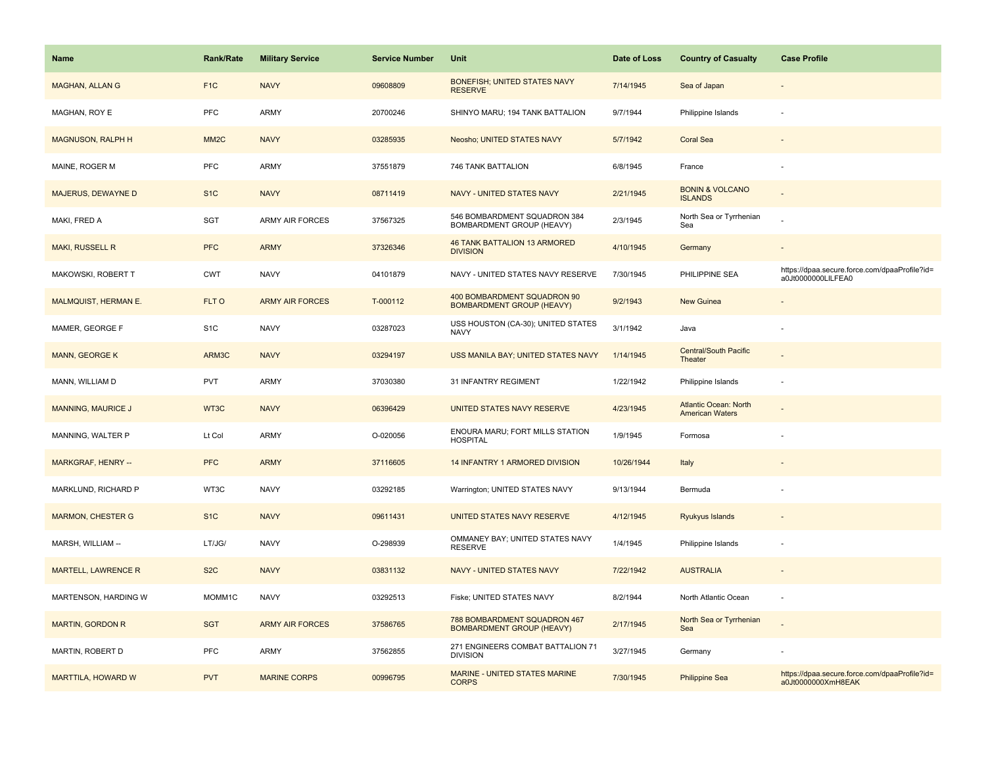| <b>Name</b>                | <b>Rank/Rate</b>  | <b>Military Service</b> | <b>Service Number</b> | Unit                                                             | Date of Loss | <b>Country of Casualty</b>                             | <b>Case Profile</b>                                                 |
|----------------------------|-------------------|-------------------------|-----------------------|------------------------------------------------------------------|--------------|--------------------------------------------------------|---------------------------------------------------------------------|
| <b>MAGHAN, ALLAN G</b>     | F <sub>1</sub> C  | <b>NAVY</b>             | 09608809              | <b>BONEFISH; UNITED STATES NAVY</b><br><b>RESERVE</b>            | 7/14/1945    | Sea of Japan                                           |                                                                     |
| MAGHAN, ROY E              | PFC               | <b>ARMY</b>             | 20700246              | SHINYO MARU; 194 TANK BATTALION                                  | 9/7/1944     | Philippine Islands                                     |                                                                     |
| <b>MAGNUSON, RALPH H</b>   | MM <sub>2</sub> C | <b>NAVY</b>             | 03285935              | Neosho; UNITED STATES NAVY                                       | 5/7/1942     | <b>Coral Sea</b>                                       |                                                                     |
| MAINE, ROGER M             | <b>PFC</b>        | <b>ARMY</b>             | 37551879              | 746 TANK BATTALION                                               | 6/8/1945     | France                                                 |                                                                     |
| MAJERUS, DEWAYNE D         | S <sub>1C</sub>   | <b>NAVY</b>             | 08711419              | <b>NAVY - UNITED STATES NAVY</b>                                 | 2/21/1945    | <b>BONIN &amp; VOLCANO</b><br><b>ISLANDS</b>           |                                                                     |
| MAKI, FRED A               | SGT               | <b>ARMY AIR FORCES</b>  | 37567325              | 546 BOMBARDMENT SQUADRON 384<br>BOMBARDMENT GROUP (HEAVY)        | 2/3/1945     | North Sea or Tyrrhenian<br>Sea                         |                                                                     |
| <b>MAKI, RUSSELL R</b>     | <b>PFC</b>        | <b>ARMY</b>             | 37326346              | <b>46 TANK BATTALION 13 ARMORED</b><br><b>DIVISION</b>           | 4/10/1945    | Germany                                                | $\blacksquare$                                                      |
| MAKOWSKI, ROBERT T         | <b>CWT</b>        | <b>NAVY</b>             | 04101879              | NAVY - UNITED STATES NAVY RESERVE                                | 7/30/1945    | PHILIPPINE SEA                                         | https://dpaa.secure.force.com/dpaaProfile?id=<br>a0Jt0000000LILFEA0 |
| MALMQUIST, HERMAN E.       | FLT O             | <b>ARMY AIR FORCES</b>  | T-000112              | 400 BOMBARDMENT SQUADRON 90<br><b>BOMBARDMENT GROUP (HEAVY)</b>  | 9/2/1943     | New Guinea                                             |                                                                     |
| MAMER, GEORGE F            | S <sub>1</sub> C  | <b>NAVY</b>             | 03287023              | USS HOUSTON (CA-30); UNITED STATES<br><b>NAVY</b>                | 3/1/1942     | Java                                                   |                                                                     |
| MANN, GEORGE K             | ARM3C             | <b>NAVY</b>             | 03294197              | USS MANILA BAY; UNITED STATES NAVY                               | 1/14/1945    | Central/South Pacific<br>Theater                       | $\overline{a}$                                                      |
| MANN, WILLIAM D            | <b>PVT</b>        | <b>ARMY</b>             | 37030380              | 31 INFANTRY REGIMENT                                             | 1/22/1942    | Philippine Islands                                     |                                                                     |
| <b>MANNING, MAURICE J</b>  | WT3C              | <b>NAVY</b>             | 06396429              | UNITED STATES NAVY RESERVE                                       | 4/23/1945    | <b>Atlantic Ocean: North</b><br><b>American Waters</b> |                                                                     |
| MANNING, WALTER P          | Lt Col            | <b>ARMY</b>             | O-020056              | ENOURA MARU; FORT MILLS STATION<br><b>HOSPITAL</b>               | 1/9/1945     | Formosa                                                |                                                                     |
| MARKGRAF, HENRY --         | <b>PFC</b>        | <b>ARMY</b>             | 37116605              | 14 INFANTRY 1 ARMORED DIVISION                                   | 10/26/1944   | Italy                                                  |                                                                     |
| MARKLUND, RICHARD P        | WT3C              | <b>NAVY</b>             | 03292185              | Warrington; UNITED STATES NAVY                                   | 9/13/1944    | Bermuda                                                | $\sim$                                                              |
| <b>MARMON, CHESTER G</b>   | S <sub>1</sub> C  | <b>NAVY</b>             | 09611431              | UNITED STATES NAVY RESERVE                                       | 4/12/1945    | Ryukyus Islands                                        |                                                                     |
| MARSH, WILLIAM --          | LT/JG/            | <b>NAVY</b>             | O-298939              | OMMANEY BAY; UNITED STATES NAVY<br><b>RESERVE</b>                | 1/4/1945     | Philippine Islands                                     |                                                                     |
| <b>MARTELL, LAWRENCE R</b> | S <sub>2</sub> C  | <b>NAVY</b>             | 03831132              | <b>NAVY - UNITED STATES NAVY</b>                                 | 7/22/1942    | <b>AUSTRALIA</b>                                       |                                                                     |
| MARTENSON, HARDING W       | MOMM1C            | <b>NAVY</b>             | 03292513              | Fiske; UNITED STATES NAVY                                        | 8/2/1944     | North Atlantic Ocean                                   |                                                                     |
| <b>MARTIN, GORDON R</b>    | <b>SGT</b>        | <b>ARMY AIR FORCES</b>  | 37586765              | 788 BOMBARDMENT SQUADRON 467<br><b>BOMBARDMENT GROUP (HEAVY)</b> | 2/17/1945    | North Sea or Tyrrhenian<br>Sea                         |                                                                     |
| MARTIN, ROBERT D           | PFC               | ARMY                    | 37562855              | 271 ENGINEERS COMBAT BATTALION 71<br><b>DIVISION</b>             | 3/27/1945    | Germany                                                |                                                                     |
| MARTTILA, HOWARD W         | <b>PVT</b>        | <b>MARINE CORPS</b>     | 00996795              | <b>MARINE - UNITED STATES MARINE</b><br><b>CORPS</b>             | 7/30/1945    | <b>Philippine Sea</b>                                  | https://dpaa.secure.force.com/dpaaProfile?id=<br>a0Jt0000000XmH8EAK |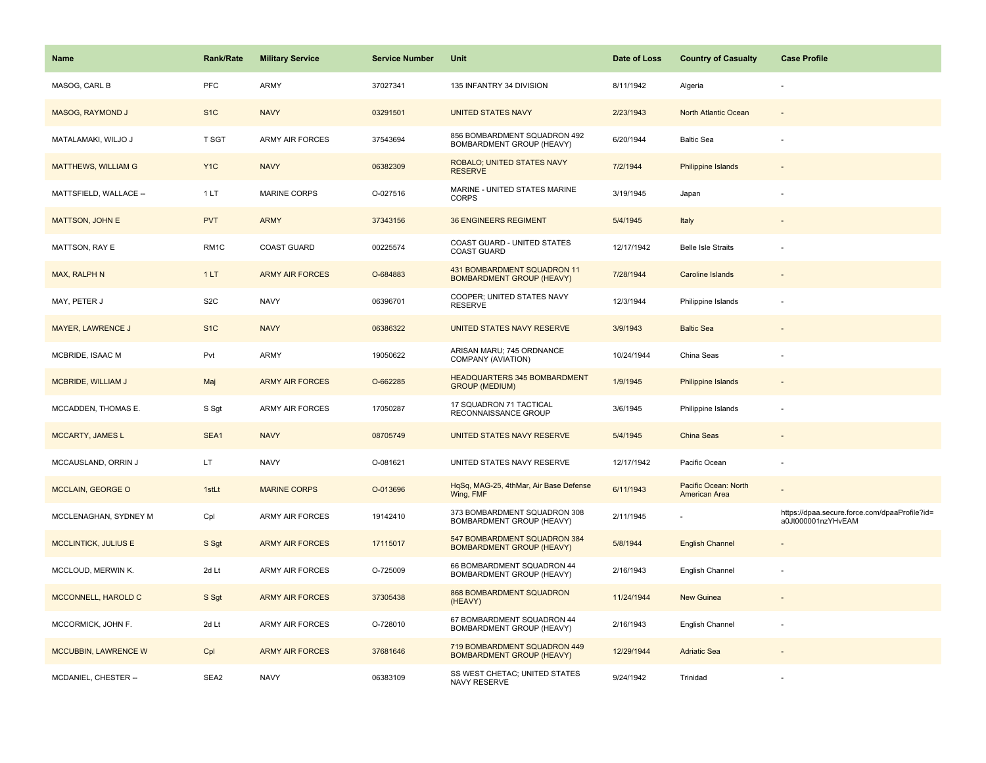| <b>Name</b>                | <b>Rank/Rate</b> | <b>Military Service</b> | <b>Service Number</b> | Unit                                                             | Date of Loss | <b>Country of Casualty</b>            | <b>Case Profile</b>                                                 |
|----------------------------|------------------|-------------------------|-----------------------|------------------------------------------------------------------|--------------|---------------------------------------|---------------------------------------------------------------------|
| MASOG, CARL B              | PFC              | <b>ARMY</b>             | 37027341              | 135 INFANTRY 34 DIVISION                                         | 8/11/1942    | Algeria                               |                                                                     |
| <b>MASOG, RAYMOND J</b>    | S <sub>1</sub> C | <b>NAVY</b>             | 03291501              | <b>UNITED STATES NAVY</b>                                        | 2/23/1943    | North Atlantic Ocean                  |                                                                     |
| MATALAMAKI, WILJO J        | T SGT            | ARMY AIR FORCES         | 37543694              | 856 BOMBARDMENT SQUADRON 492<br>BOMBARDMENT GROUP (HEAVY)        | 6/20/1944    | <b>Baltic Sea</b>                     |                                                                     |
| <b>MATTHEWS, WILLIAM G</b> | Y <sub>1</sub> C | <b>NAVY</b>             | 06382309              | ROBALO; UNITED STATES NAVY<br><b>RESERVE</b>                     | 7/2/1944     | <b>Philippine Islands</b>             |                                                                     |
| MATTSFIELD, WALLACE --     | 1 LT             | <b>MARINE CORPS</b>     | O-027516              | MARINE - UNITED STATES MARINE<br><b>CORPS</b>                    | 3/19/1945    | Japan                                 |                                                                     |
| MATTSON, JOHN E            | <b>PVT</b>       | <b>ARMY</b>             | 37343156              | <b>36 ENGINEERS REGIMENT</b>                                     | 5/4/1945     | Italy                                 |                                                                     |
| MATTSON, RAY E             | RM1C             | <b>COAST GUARD</b>      | 00225574              | COAST GUARD - UNITED STATES<br><b>COAST GUARD</b>                | 12/17/1942   | <b>Belle Isle Straits</b>             |                                                                     |
| MAX, RALPH N               | 1LT              | <b>ARMY AIR FORCES</b>  | O-684883              | 431 BOMBARDMENT SQUADRON 11<br><b>BOMBARDMENT GROUP (HEAVY)</b>  | 7/28/1944    | Caroline Islands                      |                                                                     |
| MAY, PETER J               | S <sub>2</sub> C | <b>NAVY</b>             | 06396701              | COOPER; UNITED STATES NAVY<br><b>RESERVE</b>                     | 12/3/1944    | Philippine Islands                    |                                                                     |
| <b>MAYER, LAWRENCE J</b>   | S <sub>1</sub> C | <b>NAVY</b>             | 06386322              | UNITED STATES NAVY RESERVE                                       | 3/9/1943     | <b>Baltic Sea</b>                     |                                                                     |
| MCBRIDE, ISAAC M           | Pvt              | ARMY                    | 19050622              | ARISAN MARU; 745 ORDNANCE<br>COMPANY (AVIATION)                  | 10/24/1944   | China Seas                            |                                                                     |
| <b>MCBRIDE, WILLIAM J</b>  | Maj              | <b>ARMY AIR FORCES</b>  | O-662285              | <b>HEADQUARTERS 345 BOMBARDMENT</b><br><b>GROUP (MEDIUM)</b>     | 1/9/1945     | Philippine Islands                    |                                                                     |
| MCCADDEN, THOMAS E.        | S Sgt            | <b>ARMY AIR FORCES</b>  | 17050287              | 17 SQUADRON 71 TACTICAL<br>RECONNAISSANCE GROUP                  | 3/6/1945     | Philippine Islands                    |                                                                     |
| <b>MCCARTY, JAMES L</b>    | SEA1             | <b>NAVY</b>             | 08705749              | UNITED STATES NAVY RESERVE                                       | 5/4/1945     | China Seas                            |                                                                     |
| MCCAUSLAND, ORRIN J        | LT.              | <b>NAVY</b>             | O-081621              | UNITED STATES NAVY RESERVE                                       | 12/17/1942   | Pacific Ocean                         |                                                                     |
| <b>MCCLAIN, GEORGE O</b>   | 1stLt            | <b>MARINE CORPS</b>     | O-013696              | HqSq, MAG-25, 4thMar, Air Base Defense<br>Wing, FMF              | 6/11/1943    | Pacific Ocean: North<br>American Area |                                                                     |
| MCCLENAGHAN, SYDNEY M      | Cpl              | <b>ARMY AIR FORCES</b>  | 19142410              | 373 BOMBARDMENT SQUADRON 308<br>BOMBARDMENT GROUP (HEAVY)        | 2/11/1945    |                                       | https://dpaa.secure.force.com/dpaaProfile?id=<br>a0Jt000001nzYHvEAM |
| MCCLINTICK, JULIUS E       | S Sgt            | <b>ARMY AIR FORCES</b>  | 17115017              | 547 BOMBARDMENT SQUADRON 384<br><b>BOMBARDMENT GROUP (HEAVY)</b> | 5/8/1944     | <b>English Channel</b>                |                                                                     |
| MCCLOUD, MERWIN K.         | 2d Lt            | <b>ARMY AIR FORCES</b>  | O-725009              | 66 BOMBARDMENT SQUADRON 44<br>BOMBARDMENT GROUP (HEAVY)          | 2/16/1943    | English Channel                       |                                                                     |
| MCCONNELL, HAROLD C        | S Sgt            | <b>ARMY AIR FORCES</b>  | 37305438              | 868 BOMBARDMENT SQUADRON<br>(HEAVY)                              | 11/24/1944   | New Guinea                            |                                                                     |
| MCCORMICK, JOHN F.         | 2d Lt            | <b>ARMY AIR FORCES</b>  | O-728010              | 67 BOMBARDMENT SQUADRON 44<br>BOMBARDMENT GROUP (HEAVY)          | 2/16/1943    | English Channel                       | $\sim$                                                              |
| MCCUBBIN, LAWRENCE W       | Cpl              | <b>ARMY AIR FORCES</b>  | 37681646              | 719 BOMBARDMENT SQUADRON 449<br><b>BOMBARDMENT GROUP (HEAVY)</b> | 12/29/1944   | <b>Adriatic Sea</b>                   |                                                                     |
| MCDANIEL, CHESTER --       | SEA2             | <b>NAVY</b>             | 06383109              | SS WEST CHETAC; UNITED STATES<br>NAVY RESERVE                    | 9/24/1942    | Trinidad                              |                                                                     |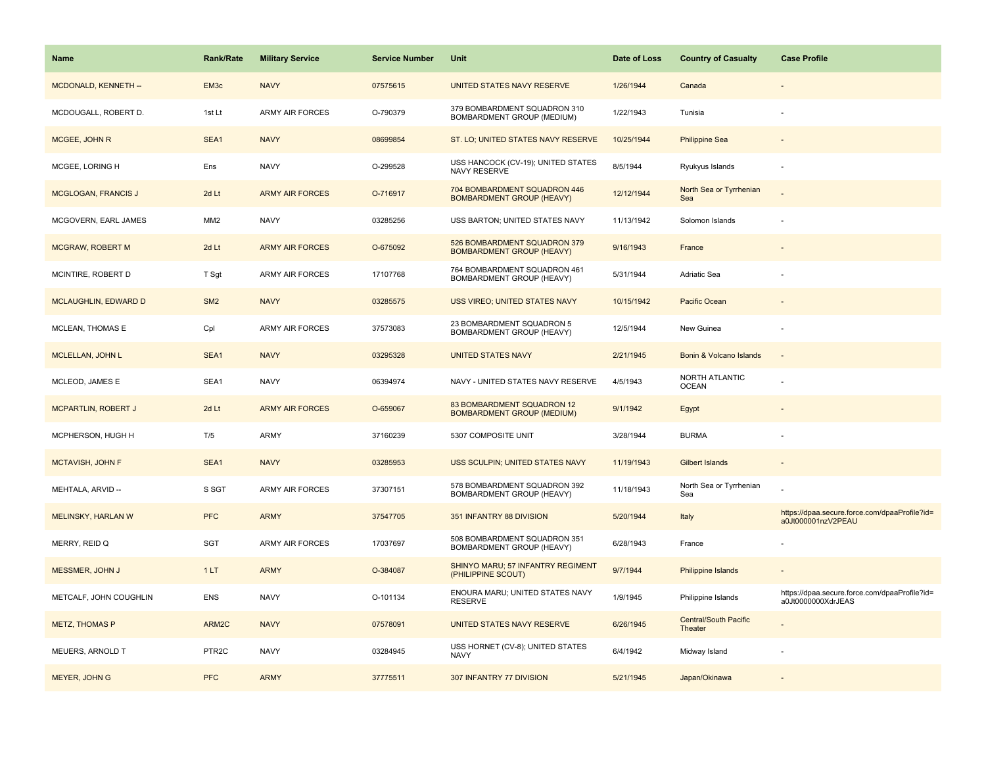| Name                        | <b>Rank/Rate</b>   | <b>Military Service</b> | <b>Service Number</b> | Unit                                                             | Date of Loss | <b>Country of Casualty</b>       | <b>Case Profile</b>                                                 |
|-----------------------------|--------------------|-------------------------|-----------------------|------------------------------------------------------------------|--------------|----------------------------------|---------------------------------------------------------------------|
| MCDONALD, KENNETH --        | EM <sub>3c</sub>   | <b>NAVY</b>             | 07575615              | UNITED STATES NAVY RESERVE                                       | 1/26/1944    | Canada                           |                                                                     |
| MCDOUGALL, ROBERT D.        | 1st Lt             | ARMY AIR FORCES         | O-790379              | 379 BOMBARDMENT SQUADRON 310<br>BOMBARDMENT GROUP (MEDIUM)       | 1/22/1943    | Tunisia                          |                                                                     |
| MCGEE, JOHN R               | SEA1               | <b>NAVY</b>             | 08699854              | ST. LO; UNITED STATES NAVY RESERVE                               | 10/25/1944   | <b>Philippine Sea</b>            |                                                                     |
| MCGEE, LORING H             | Ens                | <b>NAVY</b>             | O-299528              | USS HANCOCK (CV-19); UNITED STATES<br>NAVY RESERVE               | 8/5/1944     | Ryukyus Islands                  |                                                                     |
| <b>MCGLOGAN, FRANCIS J</b>  | 2d Lt              | <b>ARMY AIR FORCES</b>  | O-716917              | 704 BOMBARDMENT SQUADRON 446<br><b>BOMBARDMENT GROUP (HEAVY)</b> | 12/12/1944   | North Sea or Tyrrhenian<br>Sea   |                                                                     |
| MCGOVERN, EARL JAMES        | MM <sub>2</sub>    | <b>NAVY</b>             | 03285256              | USS BARTON; UNITED STATES NAVY                                   | 11/13/1942   | Solomon Islands                  |                                                                     |
| <b>MCGRAW, ROBERT M</b>     | 2d Lt              | <b>ARMY AIR FORCES</b>  | O-675092              | 526 BOMBARDMENT SQUADRON 379<br><b>BOMBARDMENT GROUP (HEAVY)</b> | 9/16/1943    | France                           |                                                                     |
| MCINTIRE, ROBERT D          | T Sgt              | ARMY AIR FORCES         | 17107768              | 764 BOMBARDMENT SQUADRON 461<br>BOMBARDMENT GROUP (HEAVY)        | 5/31/1944    | Adriatic Sea                     |                                                                     |
| <b>MCLAUGHLIN, EDWARD D</b> | SM <sub>2</sub>    | <b>NAVY</b>             | 03285575              | <b>USS VIREO; UNITED STATES NAVY</b>                             | 10/15/1942   | <b>Pacific Ocean</b>             |                                                                     |
| MCLEAN, THOMAS E            | Cpl                | ARMY AIR FORCES         | 37573083              | 23 BOMBARDMENT SQUADRON 5<br>BOMBARDMENT GROUP (HEAVY)           | 12/5/1944    | New Guinea                       |                                                                     |
| <b>MCLELLAN, JOHN L</b>     | SEA1               | <b>NAVY</b>             | 03295328              | <b>UNITED STATES NAVY</b>                                        | 2/21/1945    | Bonin & Volcano Islands          |                                                                     |
| MCLEOD, JAMES E             | SEA1               | <b>NAVY</b>             | 06394974              | NAVY - UNITED STATES NAVY RESERVE                                | 4/5/1943     | NORTH ATLANTIC<br><b>OCEAN</b>   |                                                                     |
| <b>MCPARTLIN, ROBERT J</b>  | 2d Lt              | <b>ARMY AIR FORCES</b>  | O-659067              | 83 BOMBARDMENT SQUADRON 12<br><b>BOMBARDMENT GROUP (MEDIUM)</b>  | 9/1/1942     | Egypt                            |                                                                     |
| MCPHERSON, HUGH H           | T/5                | <b>ARMY</b>             | 37160239              | 5307 COMPOSITE UNIT                                              | 3/28/1944    | <b>BURMA</b>                     |                                                                     |
| MCTAVISH, JOHN F            | SEA1               | <b>NAVY</b>             | 03285953              | USS SCULPIN; UNITED STATES NAVY                                  | 11/19/1943   | <b>Gilbert Islands</b>           |                                                                     |
| MEHTALA, ARVID --           | S SGT              | <b>ARMY AIR FORCES</b>  | 37307151              | 578 BOMBARDMENT SQUADRON 392<br>BOMBARDMENT GROUP (HEAVY)        | 11/18/1943   | North Sea or Tyrrhenian<br>Sea   |                                                                     |
| MELINSKY, HARLAN W          | <b>PFC</b>         | <b>ARMY</b>             | 37547705              | 351 INFANTRY 88 DIVISION                                         | 5/20/1944    | Italy                            | https://dpaa.secure.force.com/dpaaProfile?id=<br>a0Jt000001nzV2PEAU |
| MERRY, REID Q               | SGT                | <b>ARMY AIR FORCES</b>  | 17037697              | 508 BOMBARDMENT SQUADRON 351<br>BOMBARDMENT GROUP (HEAVY)        | 6/28/1943    | France                           |                                                                     |
| MESSMER, JOHN J             | 1LT                | <b>ARMY</b>             | O-384087              | SHINYO MARU; 57 INFANTRY REGIMENT<br>(PHILIPPINE SCOUT)          | 9/7/1944     | Philippine Islands               |                                                                     |
| METCALF, JOHN COUGHLIN      | <b>ENS</b>         | <b>NAVY</b>             | O-101134              | ENOURA MARU; UNITED STATES NAVY<br><b>RESERVE</b>                | 1/9/1945     | Philippine Islands               | https://dpaa.secure.force.com/dpaaProfile?id=<br>a0Jt0000000XdrJEAS |
| <b>METZ, THOMAS P</b>       | ARM2C              | <b>NAVY</b>             | 07578091              | UNITED STATES NAVY RESERVE                                       | 6/26/1945    | Central/South Pacific<br>Theater |                                                                     |
| MEUERS, ARNOLD T            | PTR <sub>2</sub> C | <b>NAVY</b>             | 03284945              | USS HORNET (CV-8); UNITED STATES<br><b>NAVY</b>                  | 6/4/1942     | Midway Island                    |                                                                     |
| <b>MEYER, JOHN G</b>        | <b>PFC</b>         | <b>ARMY</b>             | 37775511              | 307 INFANTRY 77 DIVISION                                         | 5/21/1945    | Japan/Okinawa                    |                                                                     |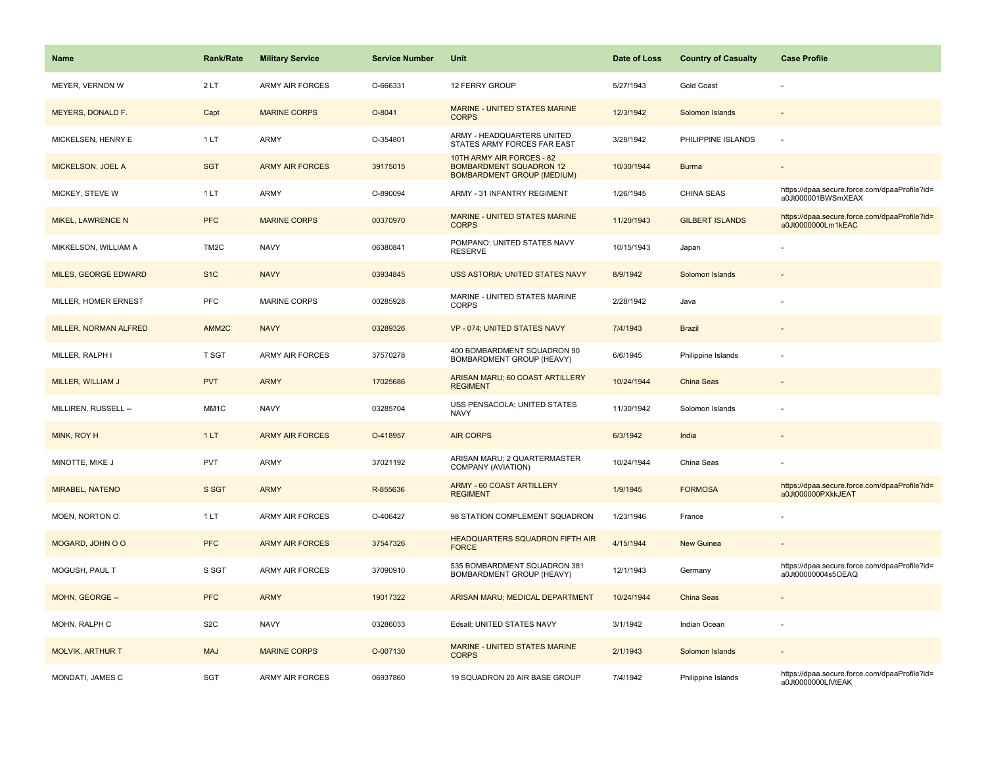| Name                         | <b>Rank/Rate</b>  | <b>Military Service</b> | <b>Service Number</b> | Unit                                                                                             | Date of Loss | <b>Country of Casualty</b> | <b>Case Profile</b>                                                 |
|------------------------------|-------------------|-------------------------|-----------------------|--------------------------------------------------------------------------------------------------|--------------|----------------------------|---------------------------------------------------------------------|
| MEYER, VERNON W              | 2LT               | <b>ARMY AIR FORCES</b>  | O-666331              | 12 FERRY GROUP                                                                                   | 5/27/1943    | <b>Gold Coast</b>          |                                                                     |
| MEYERS, DONALD F.            | Capt              | <b>MARINE CORPS</b>     | O-8041                | <b>MARINE - UNITED STATES MARINE</b><br><b>CORPS</b>                                             | 12/3/1942    | Solomon Islands            |                                                                     |
| MICKELSEN, HENRY E           | 1LT               | <b>ARMY</b>             | O-354801              | ARMY - HEADQUARTERS UNITED<br>STATES ARMY FORCES FAR EAST                                        | 3/28/1942    | PHILIPPINE ISLANDS         | $\sim$                                                              |
| MICKELSON, JOEL A            | <b>SGT</b>        | <b>ARMY AIR FORCES</b>  | 39175015              | 10TH ARMY AIR FORCES - 82<br><b>BOMBARDMENT SQUADRON 12</b><br><b>BOMBARDMENT GROUP (MEDIUM)</b> | 10/30/1944   | <b>Burma</b>               |                                                                     |
| MICKEY, STEVE W              | 1LT               | <b>ARMY</b>             | O-890094              | ARMY - 31 INFANTRY REGIMENT                                                                      | 1/26/1945    | <b>CHINA SEAS</b>          | https://dpaa.secure.force.com/dpaaProfile?id=<br>a0Jt000001BWSmXEAX |
| MIKEL, LAWRENCE N            | <b>PFC</b>        | <b>MARINE CORPS</b>     | 00370970              | <b>MARINE - UNITED STATES MARINE</b><br><b>CORPS</b>                                             | 11/20/1943   | <b>GILBERT ISLANDS</b>     | https://dpaa.secure.force.com/dpaaProfile?id=<br>a0Jt0000000Lm1kEAC |
| MIKKELSON, WILLIAM A         | TM <sub>2</sub> C | <b>NAVY</b>             | 06380841              | POMPANO: UNITED STATES NAVY<br><b>RESERVE</b>                                                    | 10/15/1943   | Japan                      |                                                                     |
| MILES, GEORGE EDWARD         | S <sub>1</sub> C  | <b>NAVY</b>             | 03934845              | USS ASTORIA; UNITED STATES NAVY                                                                  | 8/9/1942     | Solomon Islands            |                                                                     |
| MILLER, HOMER ERNEST         | PFC               | <b>MARINE CORPS</b>     | 00285928              | MARINE - UNITED STATES MARINE<br><b>CORPS</b>                                                    | 2/28/1942    | Java                       |                                                                     |
| <b>MILLER, NORMAN ALFRED</b> | AMM <sub>2C</sub> | <b>NAVY</b>             | 03289326              | VP - 074; UNITED STATES NAVY                                                                     | 7/4/1943     | <b>Brazil</b>              |                                                                     |
| MILLER, RALPH I              | T SGT             | <b>ARMY AIR FORCES</b>  | 37570278              | 400 BOMBARDMENT SQUADRON 90<br>BOMBARDMENT GROUP (HEAVY)                                         | 6/6/1945     | Philippine Islands         |                                                                     |
| MILLER, WILLIAM J            | <b>PVT</b>        | <b>ARMY</b>             | 17025686              | ARISAN MARU; 60 COAST ARTILLERY<br><b>REGIMENT</b>                                               | 10/24/1944   | China Seas                 |                                                                     |
| MILLIREN, RUSSELL --         | MM1C              | <b>NAVY</b>             | 03285704              | USS PENSACOLA; UNITED STATES<br>NAVY                                                             | 11/30/1942   | Solomon Islands            |                                                                     |
| MINK, ROY H                  | 1LT               | <b>ARMY AIR FORCES</b>  | O-418957              | <b>AIR CORPS</b>                                                                                 | 6/3/1942     | India                      |                                                                     |
| MINOTTE, MIKE J              | PVT               | <b>ARMY</b>             | 37021192              | ARISAN MARU; 2 QUARTERMASTER<br>COMPANY (AVIATION)                                               | 10/24/1944   | China Seas                 |                                                                     |
| <b>MIRABEL, NATENO</b>       | S SGT             | <b>ARMY</b>             | R-855636              | <b>ARMY - 60 COAST ARTILLERY</b><br><b>REGIMENT</b>                                              | 1/9/1945     | <b>FORMOSA</b>             | https://dpaa.secure.force.com/dpaaProfile?id=<br>a0Jt000000PXkkJEAT |
| MOEN, NORTON O.              | 1LT               | <b>ARMY AIR FORCES</b>  | O-406427              | 98 STATION COMPLEMENT SQUADRON                                                                   | 1/23/1946    | France                     |                                                                     |
| MOGARD, JOHN O O             | <b>PFC</b>        | <b>ARMY AIR FORCES</b>  | 37547326              | <b>HEADQUARTERS SQUADRON FIFTH AIR</b><br><b>FORCE</b>                                           | 4/15/1944    | New Guinea                 |                                                                     |
| MOGUSH, PAUL T               | S SGT             | <b>ARMY AIR FORCES</b>  | 37090910              | 535 BOMBARDMENT SQUADRON 381<br>BOMBARDMENT GROUP (HEAVY)                                        | 12/1/1943    | Germany                    | https://dpaa.secure.force.com/dpaaProfile?id=<br>a0Jt00000004s5OEAQ |
| MOHN, GEORGE --              | <b>PFC</b>        | <b>ARMY</b>             | 19017322              | ARISAN MARU; MEDICAL DEPARTMENT                                                                  | 10/24/1944   | China Seas                 |                                                                     |
| MOHN, RALPH C                | S <sub>2</sub> C  | <b>NAVY</b>             | 03286033              | Edsall; UNITED STATES NAVY                                                                       | 3/1/1942     | Indian Ocean               |                                                                     |
| <b>MOLVIK, ARTHUR T</b>      | <b>MAJ</b>        | <b>MARINE CORPS</b>     | O-007130              | <b>MARINE - UNITED STATES MARINE</b><br><b>CORPS</b>                                             | 2/1/1943     | Solomon Islands            |                                                                     |
| MONDATI, JAMES C             | <b>SGT</b>        | ARMY AIR FORCES         | 06937860              | 19 SQUADRON 20 AIR BASE GROUP                                                                    | 7/4/1942     | Philippine Islands         | https://dpaa.secure.force.com/dpaaProfile?id=<br>a0Jt0000000LIVtEAK |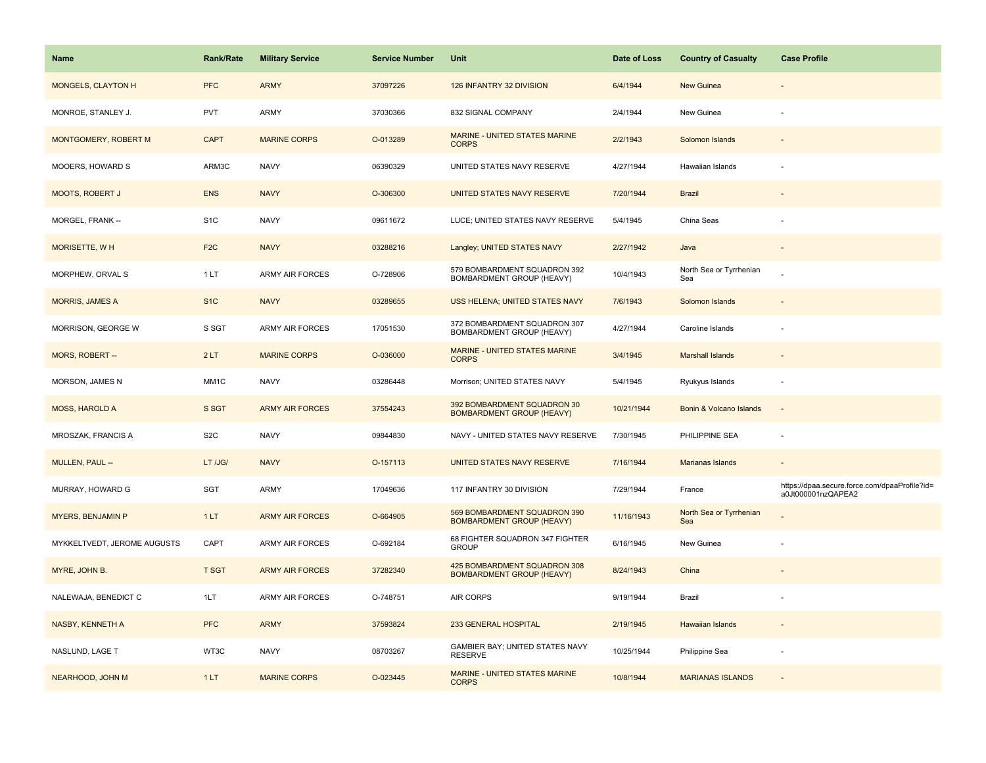| Name                        | <b>Rank/Rate</b> | <b>Military Service</b> | <b>Service Number</b> | Unit                                                             | Date of Loss | <b>Country of Casualty</b>     | <b>Case Profile</b>                                                 |
|-----------------------------|------------------|-------------------------|-----------------------|------------------------------------------------------------------|--------------|--------------------------------|---------------------------------------------------------------------|
| <b>MONGELS, CLAYTON H</b>   | <b>PFC</b>       | <b>ARMY</b>             | 37097226              | 126 INFANTRY 32 DIVISION                                         | 6/4/1944     | <b>New Guinea</b>              |                                                                     |
| MONROE, STANLEY J.          | <b>PVT</b>       | ARMY                    | 37030366              | 832 SIGNAL COMPANY                                               | 2/4/1944     | New Guinea                     |                                                                     |
| MONTGOMERY, ROBERT M        | <b>CAPT</b>      | <b>MARINE CORPS</b>     | O-013289              | MARINE - UNITED STATES MARINE<br><b>CORPS</b>                    | 2/2/1943     | Solomon Islands                |                                                                     |
| MOOERS, HOWARD S            | ARM3C            | <b>NAVY</b>             | 06390329              | UNITED STATES NAVY RESERVE                                       | 4/27/1944    | Hawaiian Islands               |                                                                     |
| <b>MOOTS, ROBERT J</b>      | <b>ENS</b>       | <b>NAVY</b>             | O-306300              | UNITED STATES NAVY RESERVE                                       | 7/20/1944    | <b>Brazil</b>                  |                                                                     |
| MORGEL, FRANK --            | S <sub>1</sub> C | <b>NAVY</b>             | 09611672              | LUCE; UNITED STATES NAVY RESERVE                                 | 5/4/1945     | China Seas                     |                                                                     |
| MORISETTE, WH               | F <sub>2</sub> C | <b>NAVY</b>             | 03288216              | Langley; UNITED STATES NAVY                                      | 2/27/1942    | Java                           |                                                                     |
| MORPHEW, ORVAL S            | 1LT              | <b>ARMY AIR FORCES</b>  | O-728906              | 579 BOMBARDMENT SQUADRON 392<br>BOMBARDMENT GROUP (HEAVY)        | 10/4/1943    | North Sea or Tyrrhenian<br>Sea |                                                                     |
| <b>MORRIS, JAMES A</b>      | S <sub>1</sub> C | <b>NAVY</b>             | 03289655              | USS HELENA; UNITED STATES NAVY                                   | 7/6/1943     | Solomon Islands                |                                                                     |
| MORRISON, GEORGE W          | S SGT            | ARMY AIR FORCES         | 17051530              | 372 BOMBARDMENT SQUADRON 307<br>BOMBARDMENT GROUP (HEAVY)        | 4/27/1944    | Caroline Islands               |                                                                     |
| MORS, ROBERT --             | 2LT              | <b>MARINE CORPS</b>     | O-036000              | MARINE - UNITED STATES MARINE<br><b>CORPS</b>                    | 3/4/1945     | <b>Marshall Islands</b>        |                                                                     |
| MORSON, JAMES N             | MM1C             | <b>NAVY</b>             | 03286448              | Morrison; UNITED STATES NAVY                                     | 5/4/1945     | Ryukyus Islands                |                                                                     |
| <b>MOSS, HAROLD A</b>       | S SGT            | <b>ARMY AIR FORCES</b>  | 37554243              | 392 BOMBARDMENT SQUADRON 30<br><b>BOMBARDMENT GROUP (HEAVY)</b>  | 10/21/1944   | Bonin & Volcano Islands        |                                                                     |
| MROSZAK, FRANCIS A          | S <sub>2</sub> C | <b>NAVY</b>             | 09844830              | NAVY - UNITED STATES NAVY RESERVE                                | 7/30/1945    | PHILIPPINE SEA                 |                                                                     |
| MULLEN, PAUL --             | LT /JG/          | <b>NAVY</b>             | O-157113              | UNITED STATES NAVY RESERVE                                       | 7/16/1944    | Marianas Islands               |                                                                     |
| MURRAY, HOWARD G            | SGT              | ARMY                    | 17049636              | 117 INFANTRY 30 DIVISION                                         | 7/29/1944    | France                         | https://dpaa.secure.force.com/dpaaProfile?id=<br>a0Jt000001nzQAPEA2 |
| <b>MYERS, BENJAMIN P</b>    | 1LT              | <b>ARMY AIR FORCES</b>  | O-664905              | 569 BOMBARDMENT SQUADRON 390<br><b>BOMBARDMENT GROUP (HEAVY)</b> | 11/16/1943   | North Sea or Tyrrhenian<br>Sea |                                                                     |
| MYKKELTVEDT, JEROME AUGUSTS | CAPT             | ARMY AIR FORCES         | O-692184              | 68 FIGHTER SQUADRON 347 FIGHTER<br><b>GROUP</b>                  | 6/16/1945    | New Guinea                     |                                                                     |
| MYRE, JOHN B.               | <b>T SGT</b>     | <b>ARMY AIR FORCES</b>  | 37282340              | 425 BOMBARDMENT SQUADRON 308<br><b>BOMBARDMENT GROUP (HEAVY)</b> | 8/24/1943    | China                          |                                                                     |
| NALEWAJA, BENEDICT C        | 1LT              | <b>ARMY AIR FORCES</b>  | O-748751              | AIR CORPS                                                        | 9/19/1944    | Brazil                         |                                                                     |
| NASBY, KENNETH A            | <b>PFC</b>       | <b>ARMY</b>             | 37593824              | 233 GENERAL HOSPITAL                                             | 2/19/1945    | Hawaiian Islands               |                                                                     |
| NASLUND, LAGE T             | WT3C             | <b>NAVY</b>             | 08703267              | GAMBIER BAY; UNITED STATES NAVY<br><b>RESERVE</b>                | 10/25/1944   | Philippine Sea                 |                                                                     |
| NEARHOOD, JOHN M            | 1LT              | <b>MARINE CORPS</b>     | O-023445              | MARINE - UNITED STATES MARINE<br><b>CORPS</b>                    | 10/8/1944    | <b>MARIANAS ISLANDS</b>        |                                                                     |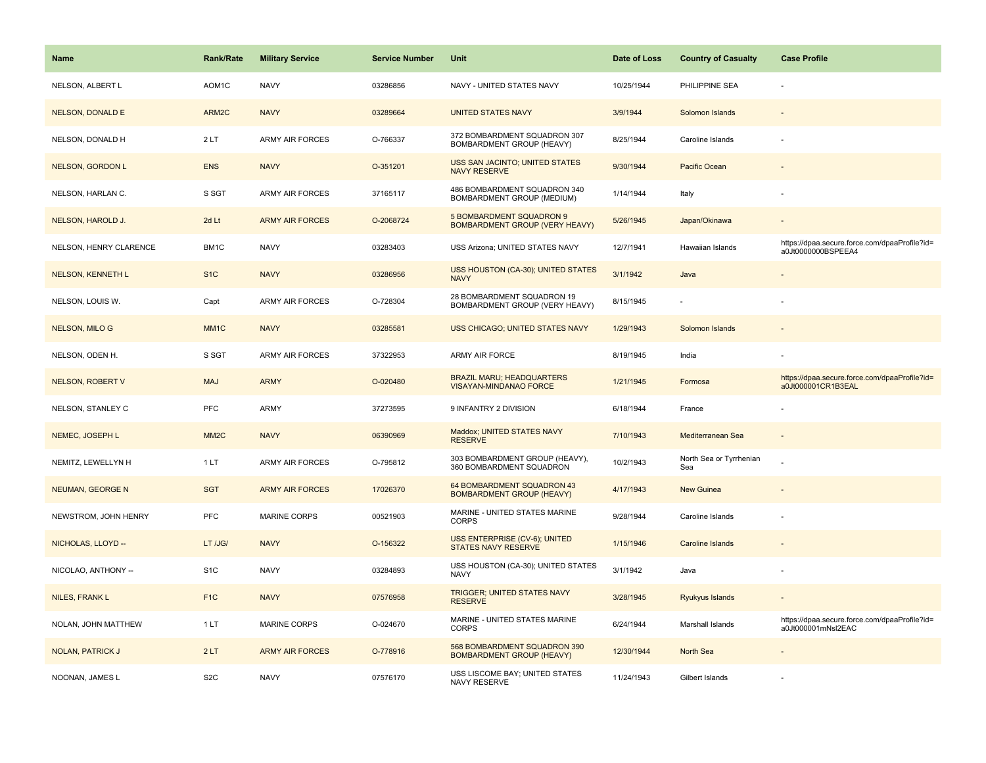| <b>Name</b>              | <b>Rank/Rate</b>  | <b>Military Service</b> | <b>Service Number</b> | Unit                                                              | Date of Loss | <b>Country of Casualty</b>     | <b>Case Profile</b>                                                 |
|--------------------------|-------------------|-------------------------|-----------------------|-------------------------------------------------------------------|--------------|--------------------------------|---------------------------------------------------------------------|
| NELSON, ALBERT L         | AOM1C             | <b>NAVY</b>             | 03286856              | NAVY - UNITED STATES NAVY                                         | 10/25/1944   | PHILIPPINE SEA                 |                                                                     |
| <b>NELSON, DONALD E</b>  | ARM2C             | <b>NAVY</b>             | 03289664              | <b>UNITED STATES NAVY</b>                                         | 3/9/1944     | Solomon Islands                |                                                                     |
| NELSON, DONALD H         | 2LT               | <b>ARMY AIR FORCES</b>  | O-766337              | 372 BOMBARDMENT SQUADRON 307<br>BOMBARDMENT GROUP (HEAVY)         | 8/25/1944    | Caroline Islands               |                                                                     |
| NELSON, GORDON L         | <b>ENS</b>        | <b>NAVY</b>             | O-351201              | USS SAN JACINTO; UNITED STATES<br><b>NAVY RESERVE</b>             | 9/30/1944    | Pacific Ocean                  |                                                                     |
| NELSON, HARLAN C.        | S SGT             | <b>ARMY AIR FORCES</b>  | 37165117              | 486 BOMBARDMENT SQUADRON 340<br>BOMBARDMENT GROUP (MEDIUM)        | 1/14/1944    | Italy                          |                                                                     |
| NELSON, HAROLD J.        | 2d Lt             | <b>ARMY AIR FORCES</b>  | O-2068724             | 5 BOMBARDMENT SQUADRON 9<br><b>BOMBARDMENT GROUP (VERY HEAVY)</b> | 5/26/1945    | Japan/Okinawa                  | $\overline{\phantom{a}}$                                            |
| NELSON, HENRY CLARENCE   | BM1C              | <b>NAVY</b>             | 03283403              | USS Arizona; UNITED STATES NAVY                                   | 12/7/1941    | Hawaiian Islands               | https://dpaa.secure.force.com/dpaaProfile?id=<br>a0Jt0000000BSPEEA4 |
| <b>NELSON, KENNETH L</b> | S <sub>1</sub> C  | <b>NAVY</b>             | 03286956              | USS HOUSTON (CA-30); UNITED STATES<br><b>NAVY</b>                 | 3/1/1942     | Java                           |                                                                     |
| NELSON, LOUIS W.         | Capt              | <b>ARMY AIR FORCES</b>  | O-728304              | 28 BOMBARDMENT SQUADRON 19<br>BOMBARDMENT GROUP (VERY HEAVY)      | 8/15/1945    |                                |                                                                     |
| <b>NELSON, MILO G</b>    | MM <sub>1</sub> C | <b>NAVY</b>             | 03285581              | USS CHICAGO; UNITED STATES NAVY                                   | 1/29/1943    | Solomon Islands                |                                                                     |
| NELSON, ODEN H.          | S SGT             | ARMY AIR FORCES         | 37322953              | ARMY AIR FORCE                                                    | 8/19/1945    | India                          |                                                                     |
| <b>NELSON, ROBERT V</b>  | <b>MAJ</b>        | <b>ARMY</b>             | O-020480              | <b>BRAZIL MARU; HEADQUARTERS</b><br><b>VISAYAN-MINDANAO FORCE</b> | 1/21/1945    | Formosa                        | https://dpaa.secure.force.com/dpaaProfile?id=<br>a0Jt000001CR1B3EAL |
| NELSON, STANLEY C        | PFC               | <b>ARMY</b>             | 37273595              | 9 INFANTRY 2 DIVISION                                             | 6/18/1944    | France                         |                                                                     |
| NEMEC, JOSEPH L          | MM <sub>2</sub> C | <b>NAVY</b>             | 06390969              | Maddox; UNITED STATES NAVY<br><b>RESERVE</b>                      | 7/10/1943    | Mediterranean Sea              | $\sim$                                                              |
| NEMITZ, LEWELLYN H       | 1LT               | <b>ARMY AIR FORCES</b>  | O-795812              | 303 BOMBARDMENT GROUP (HEAVY),<br>360 BOMBARDMENT SQUADRON        | 10/2/1943    | North Sea or Tyrrhenian<br>Sea |                                                                     |
| <b>NEUMAN, GEORGE N</b>  | <b>SGT</b>        | <b>ARMY AIR FORCES</b>  | 17026370              | 64 BOMBARDMENT SQUADRON 43<br><b>BOMBARDMENT GROUP (HEAVY)</b>    | 4/17/1943    | <b>New Guinea</b>              |                                                                     |
| NEWSTROM, JOHN HENRY     | <b>PFC</b>        | <b>MARINE CORPS</b>     | 00521903              | MARINE - UNITED STATES MARINE<br><b>CORPS</b>                     | 9/28/1944    | Caroline Islands               |                                                                     |
| NICHOLAS, LLOYD --       | LT /JG/           | <b>NAVY</b>             | O-156322              | USS ENTERPRISE (CV-6); UNITED<br>STATES NAVY RESERVE              | 1/15/1946    | <b>Caroline Islands</b>        |                                                                     |
| NICOLAO, ANTHONY --      | S <sub>1</sub> C  | <b>NAVY</b>             | 03284893              | USS HOUSTON (CA-30); UNITED STATES<br><b>NAVY</b>                 | 3/1/1942     | Java                           |                                                                     |
| NILES, FRANK L           | F <sub>1</sub> C  | <b>NAVY</b>             | 07576958              | TRIGGER; UNITED STATES NAVY<br><b>RESERVE</b>                     | 3/28/1945    | Ryukyus Islands                | $\sim$                                                              |
| NOLAN, JOHN MATTHEW      | 1LT               | <b>MARINE CORPS</b>     | O-024670              | MARINE - UNITED STATES MARINE<br><b>CORPS</b>                     | 6/24/1944    | Marshall Islands               | https://dpaa.secure.force.com/dpaaProfile?id=<br>a0Jt000001mNsl2EAC |
| <b>NOLAN, PATRICK J</b>  | 2LT               | <b>ARMY AIR FORCES</b>  | O-778916              | 568 BOMBARDMENT SQUADRON 390<br><b>BOMBARDMENT GROUP (HEAVY)</b>  | 12/30/1944   | North Sea                      |                                                                     |
| NOONAN, JAMES L          | S <sub>2</sub> C  | <b>NAVY</b>             | 07576170              | USS LISCOME BAY; UNITED STATES<br>NAVY RESERVE                    | 11/24/1943   | Gilbert Islands                |                                                                     |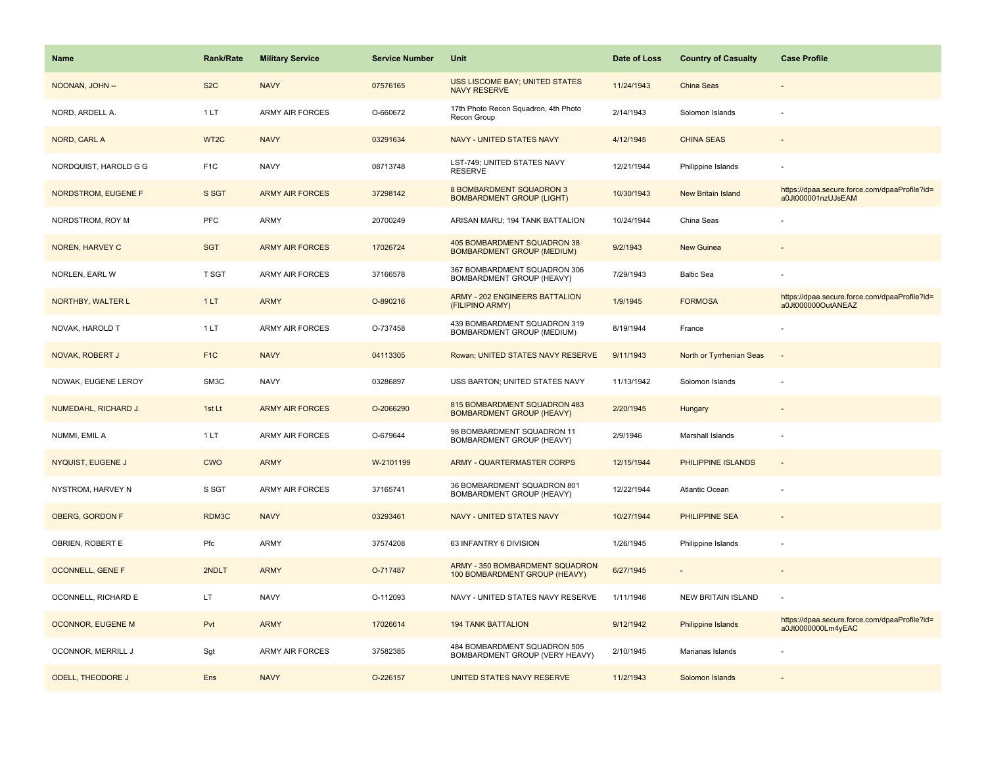| Name                       | <b>Rank/Rate</b>  | <b>Military Service</b> | <b>Service Number</b> | Unit                                                             | Date of Loss | <b>Country of Casualty</b> | <b>Case Profile</b>                                                 |
|----------------------------|-------------------|-------------------------|-----------------------|------------------------------------------------------------------|--------------|----------------------------|---------------------------------------------------------------------|
| NOONAN, JOHN --            | S <sub>2</sub> C  | <b>NAVY</b>             | 07576165              | USS LISCOME BAY; UNITED STATES<br><b>NAVY RESERVE</b>            | 11/24/1943   | <b>China Seas</b>          |                                                                     |
| NORD, ARDELL A.            | 1LT               | ARMY AIR FORCES         | O-660672              | 17th Photo Recon Squadron, 4th Photo<br>Recon Group              | 2/14/1943    | Solomon Islands            |                                                                     |
| NORD, CARL A               | WT <sub>2</sub> C | <b>NAVY</b>             | 03291634              | NAVY - UNITED STATES NAVY                                        | 4/12/1945    | <b>CHINA SEAS</b>          |                                                                     |
| NORDQUIST, HAROLD G G      | F <sub>1</sub> C  | <b>NAVY</b>             | 08713748              | LST-749; UNITED STATES NAVY<br><b>RESERVE</b>                    | 12/21/1944   | Philippine Islands         |                                                                     |
| <b>NORDSTROM, EUGENE F</b> | S SGT             | <b>ARMY AIR FORCES</b>  | 37298142              | 8 BOMBARDMENT SQUADRON 3<br><b>BOMBARDMENT GROUP (LIGHT)</b>     | 10/30/1943   | <b>New Britain Island</b>  | https://dpaa.secure.force.com/dpaaProfile?id=<br>a0Jt000001nzUJsEAM |
| NORDSTROM, ROY M           | PFC               | ARMY                    | 20700249              | ARISAN MARU; 194 TANK BATTALION                                  | 10/24/1944   | China Seas                 |                                                                     |
| <b>NOREN, HARVEY C</b>     | <b>SGT</b>        | <b>ARMY AIR FORCES</b>  | 17026724              | 405 BOMBARDMENT SQUADRON 38<br><b>BOMBARDMENT GROUP (MEDIUM)</b> | 9/2/1943     | <b>New Guinea</b>          |                                                                     |
| NORLEN, EARL W             | T SGT             | ARMY AIR FORCES         | 37166578              | 367 BOMBARDMENT SQUADRON 306<br>BOMBARDMENT GROUP (HEAVY)        | 7/29/1943    | <b>Baltic Sea</b>          |                                                                     |
| NORTHBY, WALTER L          | 1LT               | <b>ARMY</b>             | O-890216              | ARMY - 202 ENGINEERS BATTALION<br>(FILIPINO ARMY)                | 1/9/1945     | <b>FORMOSA</b>             | https://dpaa.secure.force.com/dpaaProfile?id=<br>a0Jt000000OutANEAZ |
| NOVAK, HAROLD T            | 1LT               | <b>ARMY AIR FORCES</b>  | O-737458              | 439 BOMBARDMENT SQUADRON 319<br>BOMBARDMENT GROUP (MEDIUM)       | 8/19/1944    | France                     |                                                                     |
| NOVAK, ROBERT J            | F <sub>1</sub> C  | <b>NAVY</b>             | 04113305              | Rowan; UNITED STATES NAVY RESERVE                                | 9/11/1943    | North or Tyrrhenian Seas   |                                                                     |
| NOWAK, EUGENE LEROY        | SM3C              | <b>NAVY</b>             | 03286897              | USS BARTON; UNITED STATES NAVY                                   | 11/13/1942   | Solomon Islands            |                                                                     |
| NUMEDAHL, RICHARD J.       | 1st Lt            | <b>ARMY AIR FORCES</b>  | O-2066290             | 815 BOMBARDMENT SQUADRON 483<br><b>BOMBARDMENT GROUP (HEAVY)</b> | 2/20/1945    | Hungary                    |                                                                     |
| NUMMI, EMIL A              | 1 LT              | ARMY AIR FORCES         | O-679644              | 98 BOMBARDMENT SQUADRON 11<br>BOMBARDMENT GROUP (HEAVY)          | 2/9/1946     | Marshall Islands           |                                                                     |
| NYQUIST, EUGENE J          | <b>CWO</b>        | <b>ARMY</b>             | W-2101199             | <b>ARMY - QUARTERMASTER CORPS</b>                                | 12/15/1944   | PHILIPPINE ISLANDS         | $\sim$                                                              |
| NYSTROM, HARVEY N          | S SGT             | ARMY AIR FORCES         | 37165741              | 36 BOMBARDMENT SQUADRON 801<br>BOMBARDMENT GROUP (HEAVY)         | 12/22/1944   | Atlantic Ocean             |                                                                     |
| <b>OBERG, GORDON F</b>     | RDM3C             | <b>NAVY</b>             | 03293461              | <b>NAVY - UNITED STATES NAVY</b>                                 | 10/27/1944   | <b>PHILIPPINE SEA</b>      |                                                                     |
| OBRIEN, ROBERT E           | Pfc               | ARMY                    | 37574208              | 63 INFANTRY 6 DIVISION                                           | 1/26/1945    | Philippine Islands         |                                                                     |
| <b>OCONNELL, GENE F</b>    | 2NDLT             | <b>ARMY</b>             | O-717487              | ARMY - 350 BOMBARDMENT SQUADRON<br>100 BOMBARDMENT GROUP (HEAVY) | 6/27/1945    |                            |                                                                     |
| OCONNELL, RICHARD E        | LT.               | <b>NAVY</b>             | O-112093              | NAVY - UNITED STATES NAVY RESERVE                                | 1/11/1946    | <b>NEW BRITAIN ISLAND</b>  |                                                                     |
| <b>OCONNOR, EUGENE M</b>   | Pvt               | <b>ARMY</b>             | 17026614              | <b>194 TANK BATTALION</b>                                        | 9/12/1942    | Philippine Islands         | https://dpaa.secure.force.com/dpaaProfile?id=<br>a0Jt0000000Lm4yEAC |
| OCONNOR, MERRILL J         | Sgt               | <b>ARMY AIR FORCES</b>  | 37582385              | 484 BOMBARDMENT SQUADRON 505<br>BOMBARDMENT GROUP (VERY HEAVY)   | 2/10/1945    | Marianas Islands           |                                                                     |
| <b>ODELL, THEODORE J</b>   | Ens               | <b>NAVY</b>             | O-226157              | UNITED STATES NAVY RESERVE                                       | 11/2/1943    | Solomon Islands            |                                                                     |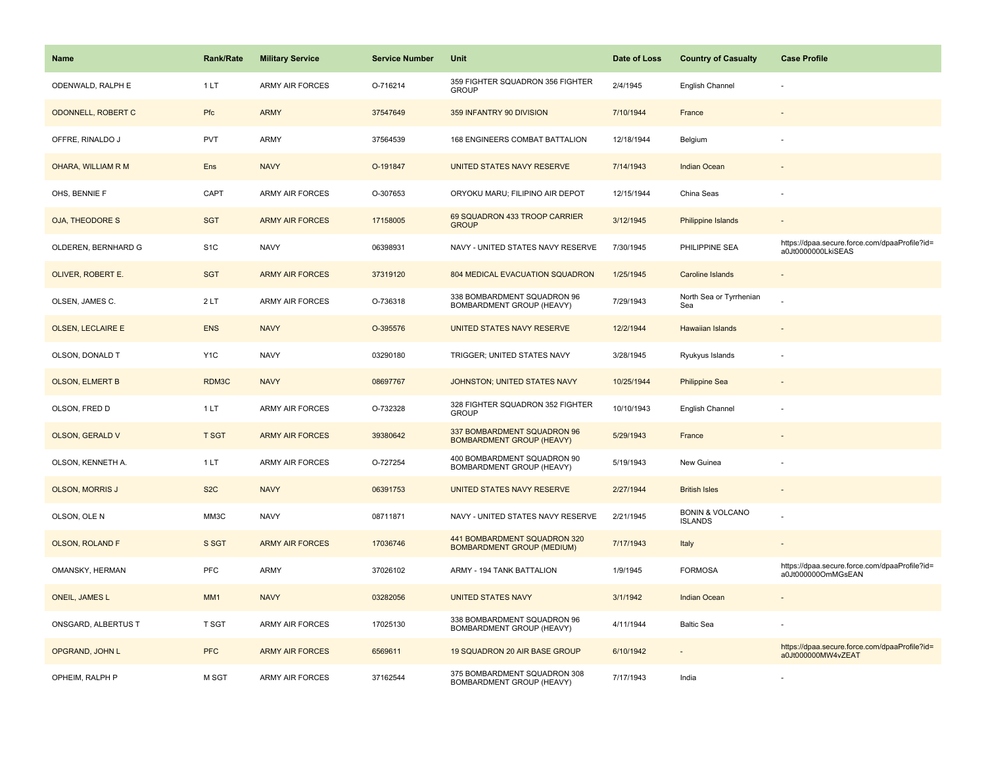| Name                     | <b>Rank/Rate</b> | <b>Military Service</b> | <b>Service Number</b> | Unit                                                              | Date of Loss | <b>Country of Casualty</b>                   | <b>Case Profile</b>                                                 |
|--------------------------|------------------|-------------------------|-----------------------|-------------------------------------------------------------------|--------------|----------------------------------------------|---------------------------------------------------------------------|
| ODENWALD, RALPH E        | 1LT              | <b>ARMY AIR FORCES</b>  | O-716214              | 359 FIGHTER SQUADRON 356 FIGHTER<br><b>GROUP</b>                  | 2/4/1945     | English Channel                              |                                                                     |
| ODONNELL, ROBERT C       | Pfc              | <b>ARMY</b>             | 37547649              | 359 INFANTRY 90 DIVISION                                          | 7/10/1944    | France                                       |                                                                     |
| OFFRE, RINALDO J         | PVT              | <b>ARMY</b>             | 37564539              | 168 ENGINEERS COMBAT BATTALION                                    | 12/18/1944   | Belgium                                      |                                                                     |
| OHARA, WILLIAM R M       | Ens              | <b>NAVY</b>             | O-191847              | UNITED STATES NAVY RESERVE                                        | 7/14/1943    | <b>Indian Ocean</b>                          |                                                                     |
| OHS, BENNIE F            | CAPT             | <b>ARMY AIR FORCES</b>  | O-307653              | ORYOKU MARU; FILIPINO AIR DEPOT                                   | 12/15/1944   | China Seas                                   |                                                                     |
| OJA, THEODORE S          | <b>SGT</b>       | <b>ARMY AIR FORCES</b>  | 17158005              | 69 SQUADRON 433 TROOP CARRIER<br><b>GROUP</b>                     | 3/12/1945    | <b>Philippine Islands</b>                    |                                                                     |
| OLDEREN, BERNHARD G      | S <sub>1</sub> C | <b>NAVY</b>             | 06398931              | NAVY - UNITED STATES NAVY RESERVE                                 | 7/30/1945    | PHILIPPINE SEA                               | https://dpaa.secure.force.com/dpaaProfile?id=<br>a0Jt0000000LkiSEAS |
| OLIVER, ROBERT E.        | <b>SGT</b>       | <b>ARMY AIR FORCES</b>  | 37319120              | 804 MEDICAL EVACUATION SQUADRON                                   | 1/25/1945    | Caroline Islands                             | $\sim$                                                              |
| OLSEN, JAMES C.          | 2LT              | <b>ARMY AIR FORCES</b>  | O-736318              | 338 BOMBARDMENT SQUADRON 96<br>BOMBARDMENT GROUP (HEAVY)          | 7/29/1943    | North Sea or Tyrrhenian<br>Sea               |                                                                     |
| <b>OLSEN, LECLAIRE E</b> | <b>ENS</b>       | <b>NAVY</b>             | O-395576              | UNITED STATES NAVY RESERVE                                        | 12/2/1944    | <b>Hawaiian Islands</b>                      |                                                                     |
| OLSON, DONALD T          | Y <sub>1</sub> C | <b>NAVY</b>             | 03290180              | TRIGGER; UNITED STATES NAVY                                       | 3/28/1945    | Ryukyus Islands                              |                                                                     |
| <b>OLSON, ELMERT B</b>   | RDM3C            | <b>NAVY</b>             | 08697767              | JOHNSTON; UNITED STATES NAVY                                      | 10/25/1944   | <b>Philippine Sea</b>                        |                                                                     |
| OLSON, FRED D            | 1LT              | <b>ARMY AIR FORCES</b>  | O-732328              | 328 FIGHTER SQUADRON 352 FIGHTER<br><b>GROUP</b>                  | 10/10/1943   | English Channel                              |                                                                     |
| <b>OLSON, GERALD V</b>   | <b>T SGT</b>     | <b>ARMY AIR FORCES</b>  | 39380642              | 337 BOMBARDMENT SQUADRON 96<br><b>BOMBARDMENT GROUP (HEAVY)</b>   | 5/29/1943    | France                                       |                                                                     |
| OLSON, KENNETH A.        | 1LT              | <b>ARMY AIR FORCES</b>  | O-727254              | 400 BOMBARDMENT SQUADRON 90<br>BOMBARDMENT GROUP (HEAVY)          | 5/19/1943    | New Guinea                                   |                                                                     |
| <b>OLSON, MORRIS J</b>   | S <sub>2</sub> C | <b>NAVY</b>             | 06391753              | UNITED STATES NAVY RESERVE                                        | 2/27/1944    | <b>British Isles</b>                         | $\sim$                                                              |
| OLSON, OLE N             | MM3C             | <b>NAVY</b>             | 08711871              | NAVY - UNITED STATES NAVY RESERVE                                 | 2/21/1945    | <b>BONIN &amp; VOLCANO</b><br><b>ISLANDS</b> |                                                                     |
| <b>OLSON, ROLAND F</b>   | S SGT            | <b>ARMY AIR FORCES</b>  | 17036746              | 441 BOMBARDMENT SQUADRON 320<br><b>BOMBARDMENT GROUP (MEDIUM)</b> | 7/17/1943    | Italy                                        |                                                                     |
| OMANSKY, HERMAN          | PFC              | <b>ARMY</b>             | 37026102              | ARMY - 194 TANK BATTALION                                         | 1/9/1945     | <b>FORMOSA</b>                               | https://dpaa.secure.force.com/dpaaProfile?id=<br>a0Jt000000OmMGsEAN |
| <b>ONEIL, JAMES L</b>    | MM <sub>1</sub>  | <b>NAVY</b>             | 03282056              | <b>UNITED STATES NAVY</b>                                         | 3/1/1942     | <b>Indian Ocean</b>                          |                                                                     |
| ONSGARD, ALBERTUS T      | T SGT            | ARMY AIR FORCES         | 17025130              | 338 BOMBARDMENT SQUADRON 96<br><b>BOMBARDMENT GROUP (HEAVY)</b>   | 4/11/1944    | <b>Baltic Sea</b>                            |                                                                     |
| OPGRAND, JOHN L          | <b>PFC</b>       | <b>ARMY AIR FORCES</b>  | 6569611               | 19 SQUADRON 20 AIR BASE GROUP                                     | 6/10/1942    |                                              | https://dpaa.secure.force.com/dpaaProfile?id=<br>a0Jt000000MW4vZEAT |
| OPHEIM, RALPH P          | M SGT            | <b>ARMY AIR FORCES</b>  | 37162544              | 375 BOMBARDMENT SQUADRON 308<br><b>BOMBARDMENT GROUP (HEAVY)</b>  | 7/17/1943    | India                                        |                                                                     |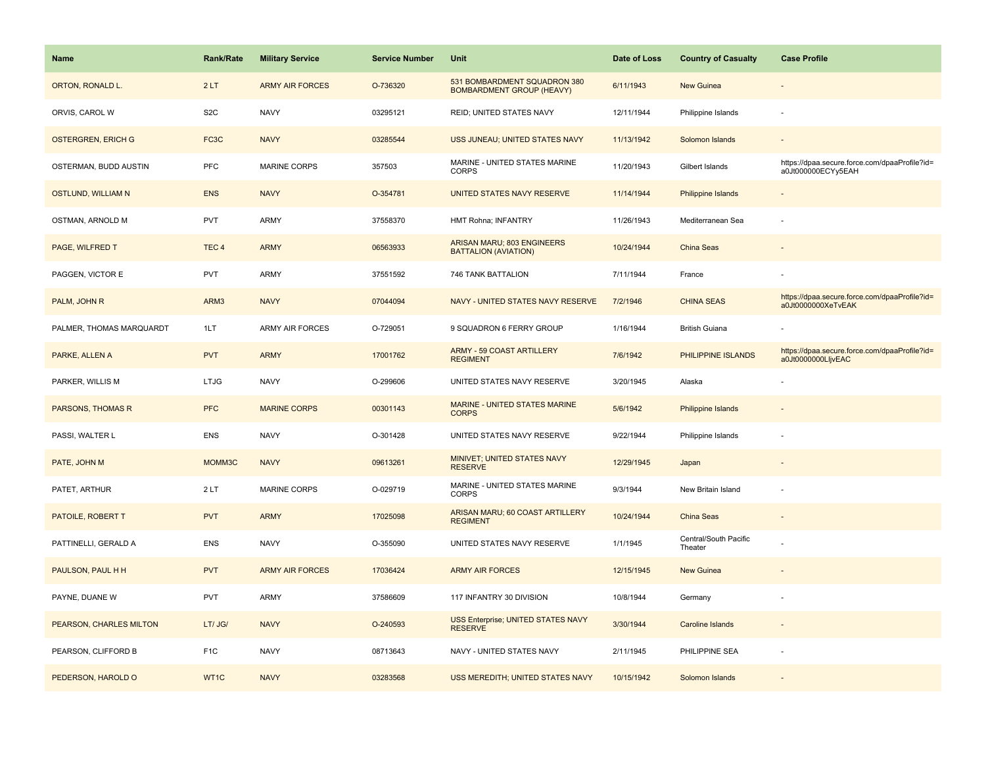| <b>Name</b>               | <b>Rank/Rate</b> | <b>Military Service</b> | <b>Service Number</b> | Unit                                                             | Date of Loss | <b>Country of Casualty</b>       | <b>Case Profile</b>                                                 |
|---------------------------|------------------|-------------------------|-----------------------|------------------------------------------------------------------|--------------|----------------------------------|---------------------------------------------------------------------|
| ORTON, RONALD L.          | 2LT              | <b>ARMY AIR FORCES</b>  | O-736320              | 531 BOMBARDMENT SQUADRON 380<br><b>BOMBARDMENT GROUP (HEAVY)</b> | 6/11/1943    | <b>New Guinea</b>                |                                                                     |
| ORVIS, CAROL W            | S <sub>2</sub> C | <b>NAVY</b>             | 03295121              | REID; UNITED STATES NAVY                                         | 12/11/1944   | Philippine Islands               |                                                                     |
| <b>OSTERGREN, ERICH G</b> | FC3C             | <b>NAVY</b>             | 03285544              | USS JUNEAU; UNITED STATES NAVY                                   | 11/13/1942   | Solomon Islands                  |                                                                     |
| OSTERMAN, BUDD AUSTIN     | PFC              | MARINE CORPS            | 357503                | MARINE - UNITED STATES MARINE<br><b>CORPS</b>                    | 11/20/1943   | Gilbert Islands                  | https://dpaa.secure.force.com/dpaaProfile?id=<br>a0Jt000000ECYy5EAH |
| <b>OSTLUND, WILLIAM N</b> | <b>ENS</b>       | <b>NAVY</b>             | O-354781              | UNITED STATES NAVY RESERVE                                       | 11/14/1944   | <b>Philippine Islands</b>        |                                                                     |
| OSTMAN, ARNOLD M          | <b>PVT</b>       | <b>ARMY</b>             | 37558370              | HMT Rohna; INFANTRY                                              | 11/26/1943   | Mediterranean Sea                |                                                                     |
| PAGE, WILFRED T           | TEC <sub>4</sub> | <b>ARMY</b>             | 06563933              | <b>ARISAN MARU; 803 ENGINEERS</b><br><b>BATTALION (AVIATION)</b> | 10/24/1944   | China Seas                       |                                                                     |
| PAGGEN, VICTOR E          | PVT              | <b>ARMY</b>             | 37551592              | 746 TANK BATTALION                                               | 7/11/1944    | France                           |                                                                     |
| PALM, JOHN R              | ARM3             | <b>NAVY</b>             | 07044094              | NAVY - UNITED STATES NAVY RESERVE                                | 7/2/1946     | <b>CHINA SEAS</b>                | https://dpaa.secure.force.com/dpaaProfile?id=<br>a0Jt0000000XeTvEAK |
| PALMER, THOMAS MARQUARDT  | 1LT              | <b>ARMY AIR FORCES</b>  | O-729051              | 9 SQUADRON 6 FERRY GROUP                                         | 1/16/1944    | <b>British Guiana</b>            |                                                                     |
| PARKE, ALLEN A            | <b>PVT</b>       | <b>ARMY</b>             | 17001762              | <b>ARMY - 59 COAST ARTILLERY</b><br><b>REGIMENT</b>              | 7/6/1942     | PHILIPPINE ISLANDS               | https://dpaa.secure.force.com/dpaaProfile?id=<br>a0Jt0000000LljvEAC |
| PARKER, WILLIS M          | <b>LTJG</b>      | <b>NAVY</b>             | O-299606              | UNITED STATES NAVY RESERVE                                       | 3/20/1945    | Alaska                           |                                                                     |
| PARSONS, THOMAS R         | <b>PFC</b>       | <b>MARINE CORPS</b>     | 00301143              | <b>MARINE - UNITED STATES MARINE</b><br><b>CORPS</b>             | 5/6/1942     | <b>Philippine Islands</b>        |                                                                     |
| PASSI, WALTER L           | ENS              | <b>NAVY</b>             | O-301428              | UNITED STATES NAVY RESERVE                                       | 9/22/1944    | Philippine Islands               | ÷,                                                                  |
| PATE, JOHN M              | MOMM3C           | <b>NAVY</b>             | 09613261              | MINIVET; UNITED STATES NAVY<br><b>RESERVE</b>                    | 12/29/1945   | Japan                            |                                                                     |
| PATET, ARTHUR             | 2LT              | MARINE CORPS            | O-029719              | MARINE - UNITED STATES MARINE<br><b>CORPS</b>                    | 9/3/1944     | New Britain Island               |                                                                     |
| PATOILE, ROBERT T         | <b>PVT</b>       | <b>ARMY</b>             | 17025098              | ARISAN MARU; 60 COAST ARTILLERY<br><b>REGIMENT</b>               | 10/24/1944   | <b>China Seas</b>                |                                                                     |
| PATTINELLI, GERALD A      | <b>ENS</b>       | <b>NAVY</b>             | O-355090              | UNITED STATES NAVY RESERVE                                       | 1/1/1945     | Central/South Pacific<br>Theater |                                                                     |
| PAULSON, PAUL H H         | <b>PVT</b>       | <b>ARMY AIR FORCES</b>  | 17036424              | <b>ARMY AIR FORCES</b>                                           | 12/15/1945   | <b>New Guinea</b>                |                                                                     |
| PAYNE, DUANE W            | <b>PVT</b>       | <b>ARMY</b>             | 37586609              | 117 INFANTRY 30 DIVISION                                         | 10/8/1944    | Germany                          |                                                                     |
| PEARSON, CHARLES MILTON   | LT/ JG/          | <b>NAVY</b>             | O-240593              | USS Enterprise; UNITED STATES NAVY<br><b>RESERVE</b>             | 3/30/1944    | Caroline Islands                 |                                                                     |
| PEARSON, CLIFFORD B       | F <sub>1</sub> C | <b>NAVY</b>             | 08713643              | NAVY - UNITED STATES NAVY                                        | 2/11/1945    | PHILIPPINE SEA                   |                                                                     |
| PEDERSON, HAROLD O        | WT1C             | <b>NAVY</b>             | 03283568              | USS MEREDITH; UNITED STATES NAVY                                 | 10/15/1942   | Solomon Islands                  |                                                                     |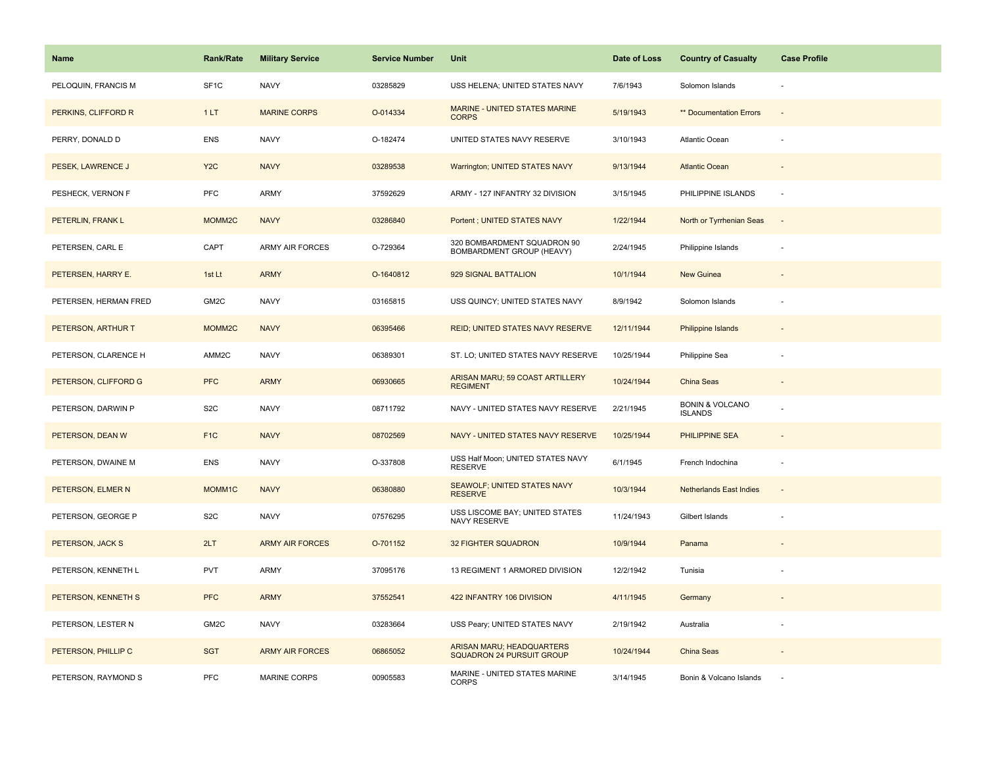| Name                  | <b>Rank/Rate</b>   | <b>Military Service</b> | <b>Service Number</b> | Unit                                                          | Date of Loss | <b>Country of Casualty</b>                   | <b>Case Profile</b>      |
|-----------------------|--------------------|-------------------------|-----------------------|---------------------------------------------------------------|--------------|----------------------------------------------|--------------------------|
| PELOQUIN, FRANCIS M   | SF <sub>1</sub> C  | <b>NAVY</b>             | 03285829              | USS HELENA; UNITED STATES NAVY                                | 7/6/1943     | Solomon Islands                              |                          |
| PERKINS, CLIFFORD R   | 1LT                | <b>MARINE CORPS</b>     | O-014334              | MARINE - UNITED STATES MARINE<br><b>CORPS</b>                 | 5/19/1943    | ** Documentation Errors                      |                          |
| PERRY, DONALD D       | <b>ENS</b>         | <b>NAVY</b>             | O-182474              | UNITED STATES NAVY RESERVE                                    | 3/10/1943    | Atlantic Ocean                               |                          |
| PESEK, LAWRENCE J     | Y <sub>2</sub> C   | <b>NAVY</b>             | 03289538              | Warrington; UNITED STATES NAVY                                | 9/13/1944    | <b>Atlantic Ocean</b>                        |                          |
| PESHECK, VERNON F     | <b>PFC</b>         | ARMY                    | 37592629              | ARMY - 127 INFANTRY 32 DIVISION                               | 3/15/1945    | PHILIPPINE ISLANDS                           |                          |
| PETERLIN, FRANK L     | MOMM <sub>2C</sub> | <b>NAVY</b>             | 03286840              | Portent ; UNITED STATES NAVY                                  | 1/22/1944    | North or Tyrrhenian Seas                     | $\overline{\phantom{a}}$ |
| PETERSEN, CARL E      | CAPT               | <b>ARMY AIR FORCES</b>  | O-729364              | 320 BOMBARDMENT SQUADRON 90<br>BOMBARDMENT GROUP (HEAVY)      | 2/24/1945    | Philippine Islands                           | $\sim$                   |
| PETERSEN, HARRY E.    | 1st Lt             | <b>ARMY</b>             | O-1640812             | 929 SIGNAL BATTALION                                          | 10/1/1944    | <b>New Guinea</b>                            |                          |
| PETERSEN, HERMAN FRED | GM2C               | <b>NAVY</b>             | 03165815              | USS QUINCY; UNITED STATES NAVY                                | 8/9/1942     | Solomon Islands                              |                          |
| PETERSON, ARTHUR T    | MOMM2C             | <b>NAVY</b>             | 06395466              | REID; UNITED STATES NAVY RESERVE                              | 12/11/1944   | <b>Philippine Islands</b>                    |                          |
| PETERSON, CLARENCE H  | AMM2C              | <b>NAVY</b>             | 06389301              | ST. LO; UNITED STATES NAVY RESERVE                            | 10/25/1944   | Philippine Sea                               |                          |
| PETERSON, CLIFFORD G  | <b>PFC</b>         | <b>ARMY</b>             | 06930665              | ARISAN MARU; 59 COAST ARTILLERY<br><b>REGIMENT</b>            | 10/24/1944   | China Seas                                   | $\sim$                   |
| PETERSON, DARWIN P    | S <sub>2</sub> C   | <b>NAVY</b>             | 08711792              | NAVY - UNITED STATES NAVY RESERVE                             | 2/21/1945    | <b>BONIN &amp; VOLCANO</b><br><b>ISLANDS</b> |                          |
| PETERSON, DEAN W      | F <sub>1</sub> C   | <b>NAVY</b>             | 08702569              | NAVY - UNITED STATES NAVY RESERVE                             | 10/25/1944   | PHILIPPINE SEA                               |                          |
| PETERSON, DWAINE M    | ENS                | <b>NAVY</b>             | O-337808              | USS Half Moon; UNITED STATES NAVY<br><b>RESERVE</b>           | 6/1/1945     | French Indochina                             |                          |
| PETERSON, ELMER N     | MOMM1C             | <b>NAVY</b>             | 06380880              | <b>SEAWOLF; UNITED STATES NAVY</b><br><b>RESERVE</b>          | 10/3/1944    | <b>Netherlands East Indies</b>               |                          |
| PETERSON, GEORGE P    | S <sub>2</sub> C   | <b>NAVY</b>             | 07576295              | USS LISCOME BAY; UNITED STATES<br>NAVY RESERVE                | 11/24/1943   | Gilbert Islands                              |                          |
| PETERSON, JACK S      | 2LT                | <b>ARMY AIR FORCES</b>  | O-701152              | <b>32 FIGHTER SQUADRON</b>                                    | 10/9/1944    | Panama                                       |                          |
| PETERSON, KENNETH L   | <b>PVT</b>         | ARMY                    | 37095176              | 13 REGIMENT 1 ARMORED DIVISION                                | 12/2/1942    | Tunisia                                      |                          |
| PETERSON, KENNETH S   | <b>PFC</b>         | <b>ARMY</b>             | 37552541              | 422 INFANTRY 106 DIVISION                                     | 4/11/1945    | Germany                                      |                          |
| PETERSON, LESTER N    | GM2C               | <b>NAVY</b>             | 03283664              | USS Peary; UNITED STATES NAVY                                 | 2/19/1942    | Australia                                    |                          |
| PETERSON, PHILLIP C   | <b>SGT</b>         | <b>ARMY AIR FORCES</b>  | 06865052              | <b>ARISAN MARU; HEADQUARTERS</b><br>SQUADRON 24 PURSUIT GROUP | 10/24/1944   | China Seas                                   |                          |
| PETERSON, RAYMOND S   | PFC                | <b>MARINE CORPS</b>     | 00905583              | MARINE - UNITED STATES MARINE<br><b>CORPS</b>                 | 3/14/1945    | Bonin & Volcano Islands                      |                          |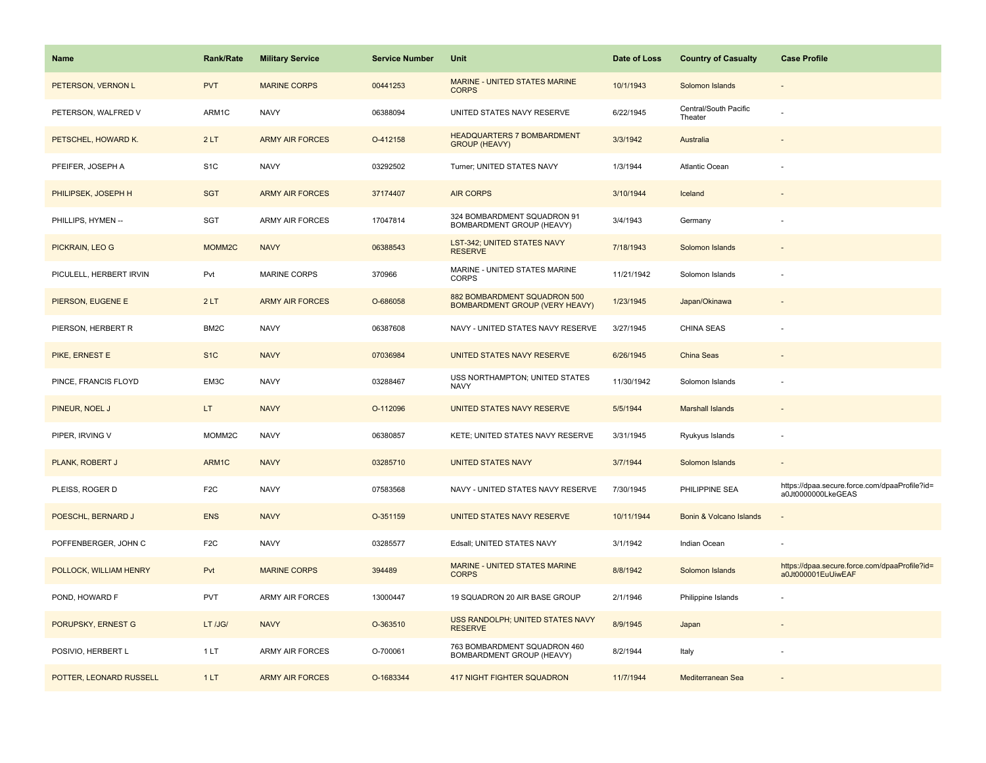| <b>Name</b>             | <b>Rank/Rate</b>   | <b>Military Service</b> | <b>Service Number</b> | Unit                                                           | Date of Loss | <b>Country of Casualty</b>       | <b>Case Profile</b>                                                 |
|-------------------------|--------------------|-------------------------|-----------------------|----------------------------------------------------------------|--------------|----------------------------------|---------------------------------------------------------------------|
| PETERSON, VERNON L      | <b>PVT</b>         | <b>MARINE CORPS</b>     | 00441253              | MARINE - UNITED STATES MARINE<br><b>CORPS</b>                  | 10/1/1943    | Solomon Islands                  |                                                                     |
| PETERSON, WALFRED V     | ARM1C              | <b>NAVY</b>             | 06388094              | UNITED STATES NAVY RESERVE                                     | 6/22/1945    | Central/South Pacific<br>Theater |                                                                     |
| PETSCHEL, HOWARD K.     | 2LT                | <b>ARMY AIR FORCES</b>  | O-412158              | <b>HEADQUARTERS 7 BOMBARDMENT</b><br><b>GROUP (HEAVY)</b>      | 3/3/1942     | Australia                        |                                                                     |
| PFEIFER, JOSEPH A       | S <sub>1</sub> C   | <b>NAVY</b>             | 03292502              | Turner; UNITED STATES NAVY                                     | 1/3/1944     | Atlantic Ocean                   |                                                                     |
| PHILIPSEK, JOSEPH H     | <b>SGT</b>         | <b>ARMY AIR FORCES</b>  | 37174407              | <b>AIR CORPS</b>                                               | 3/10/1944    | Iceland                          |                                                                     |
| PHILLIPS, HYMEN --      | SGT                | <b>ARMY AIR FORCES</b>  | 17047814              | 324 BOMBARDMENT SQUADRON 91<br>BOMBARDMENT GROUP (HEAVY)       | 3/4/1943     | Germany                          |                                                                     |
| PICKRAIN, LEO G         | MOMM <sub>2C</sub> | <b>NAVY</b>             | 06388543              | <b>LST-342; UNITED STATES NAVY</b><br><b>RESERVE</b>           | 7/18/1943    | Solomon Islands                  |                                                                     |
| PICULELL, HERBERT IRVIN | Pvt                | <b>MARINE CORPS</b>     | 370966                | MARINE - UNITED STATES MARINE<br><b>CORPS</b>                  | 11/21/1942   | Solomon Islands                  |                                                                     |
| PIERSON, EUGENE E       | 2LT                | <b>ARMY AIR FORCES</b>  | O-686058              | 882 BOMBARDMENT SQUADRON 500<br>BOMBARDMENT GROUP (VERY HEAVY) | 1/23/1945    | Japan/Okinawa                    |                                                                     |
| PIERSON, HERBERT R      | BM2C               | <b>NAVY</b>             | 06387608              | NAVY - UNITED STATES NAVY RESERVE                              | 3/27/1945    | CHINA SEAS                       |                                                                     |
| PIKE, ERNEST E          | S <sub>1</sub> C   | <b>NAVY</b>             | 07036984              | UNITED STATES NAVY RESERVE                                     | 6/26/1945    | <b>China Seas</b>                |                                                                     |
| PINCE, FRANCIS FLOYD    | EM3C               | <b>NAVY</b>             | 03288467              | USS NORTHAMPTON; UNITED STATES<br><b>NAVY</b>                  | 11/30/1942   | Solomon Islands                  |                                                                     |
| PINEUR, NOEL J          | LT.                | <b>NAVY</b>             | O-112096              | UNITED STATES NAVY RESERVE                                     | 5/5/1944     | <b>Marshall Islands</b>          |                                                                     |
| PIPER, IRVING V         | MOMM2C             | <b>NAVY</b>             | 06380857              | KETE; UNITED STATES NAVY RESERVE                               | 3/31/1945    | Ryukyus Islands                  |                                                                     |
| PLANK, ROBERT J         | ARM1C              | <b>NAVY</b>             | 03285710              | <b>UNITED STATES NAVY</b>                                      | 3/7/1944     | Solomon Islands                  |                                                                     |
| PLEISS, ROGER D         | F <sub>2</sub> C   | <b>NAVY</b>             | 07583568              | NAVY - UNITED STATES NAVY RESERVE                              | 7/30/1945    | PHILIPPINE SEA                   | https://dpaa.secure.force.com/dpaaProfile?id=<br>a0Jt0000000LkeGEAS |
| POESCHL, BERNARD J      | <b>ENS</b>         | <b>NAVY</b>             | O-351159              | UNITED STATES NAVY RESERVE                                     | 10/11/1944   | Bonin & Volcano Islands          |                                                                     |
| POFFENBERGER, JOHN C    | F <sub>2</sub> C   | <b>NAVY</b>             | 03285577              | Edsall; UNITED STATES NAVY                                     | 3/1/1942     | Indian Ocean                     |                                                                     |
| POLLOCK, WILLIAM HENRY  | Pvt                | <b>MARINE CORPS</b>     | 394489                | MARINE - UNITED STATES MARINE<br><b>CORPS</b>                  | 8/8/1942     | Solomon Islands                  | https://dpaa.secure.force.com/dpaaProfile?id=<br>a0Jt000001EuUiwEAF |
| POND, HOWARD F          | <b>PVT</b>         | ARMY AIR FORCES         | 13000447              | 19 SQUADRON 20 AIR BASE GROUP                                  | 2/1/1946     | Philippine Islands               |                                                                     |
| PORUPSKY, ERNEST G      | LT /JG/            | <b>NAVY</b>             | O-363510              | USS RANDOLPH; UNITED STATES NAVY<br><b>RESERVE</b>             | 8/9/1945     | Japan                            |                                                                     |
| POSIVIO, HERBERT L      | 1 LT               | ARMY AIR FORCES         | O-700061              | 763 BOMBARDMENT SQUADRON 460<br>BOMBARDMENT GROUP (HEAVY)      | 8/2/1944     | Italy                            |                                                                     |
| POTTER, LEONARD RUSSELL | 1LT                | <b>ARMY AIR FORCES</b>  | O-1683344             | <b>417 NIGHT FIGHTER SQUADRON</b>                              | 11/7/1944    | Mediterranean Sea                |                                                                     |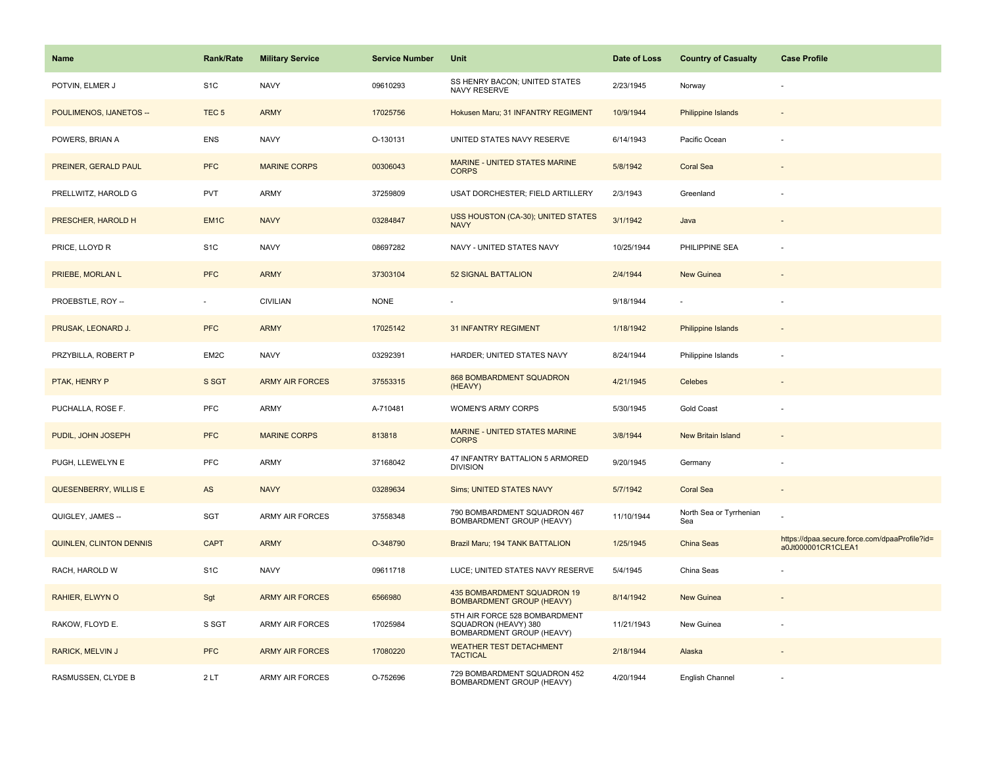| <b>Name</b>                    | Rank/Rate        | <b>Military Service</b> | <b>Service Number</b> | Unit                                                                               | Date of Loss | <b>Country of Casualty</b>     | <b>Case Profile</b>                                                 |
|--------------------------------|------------------|-------------------------|-----------------------|------------------------------------------------------------------------------------|--------------|--------------------------------|---------------------------------------------------------------------|
| POTVIN, ELMER J                | S <sub>1</sub> C | <b>NAVY</b>             | 09610293              | SS HENRY BACON; UNITED STATES<br><b>NAVY RESERVE</b>                               | 2/23/1945    | Norway                         |                                                                     |
| POULIMENOS, IJANETOS --        | TEC <sub>5</sub> | <b>ARMY</b>             | 17025756              | Hokusen Maru; 31 INFANTRY REGIMENT                                                 | 10/9/1944    | <b>Philippine Islands</b>      |                                                                     |
| POWERS, BRIAN A                | ENS              | <b>NAVY</b>             | O-130131              | UNITED STATES NAVY RESERVE                                                         | 6/14/1943    | Pacific Ocean                  |                                                                     |
| PREINER, GERALD PAUL           | <b>PFC</b>       | <b>MARINE CORPS</b>     | 00306043              | MARINE - UNITED STATES MARINE<br><b>CORPS</b>                                      | 5/8/1942     | <b>Coral Sea</b>               |                                                                     |
| PRELLWITZ, HAROLD G            | <b>PVT</b>       | <b>ARMY</b>             | 37259809              | USAT DORCHESTER; FIELD ARTILLERY                                                   | 2/3/1943     | Greenland                      |                                                                     |
| PRESCHER, HAROLD H             | EM <sub>1C</sub> | <b>NAVY</b>             | 03284847              | USS HOUSTON (CA-30); UNITED STATES<br><b>NAVY</b>                                  | 3/1/1942     | Java                           |                                                                     |
| PRICE, LLOYD R                 | S <sub>1</sub> C | <b>NAVY</b>             | 08697282              | NAVY - UNITED STATES NAVY                                                          | 10/25/1944   | PHILIPPINE SEA                 |                                                                     |
| PRIEBE, MORLAN L               | <b>PFC</b>       | <b>ARMY</b>             | 37303104              | <b>52 SIGNAL BATTALION</b>                                                         | 2/4/1944     | <b>New Guinea</b>              |                                                                     |
| PROEBSTLE, ROY --              |                  | <b>CIVILIAN</b>         | <b>NONE</b>           |                                                                                    | 9/18/1944    |                                |                                                                     |
| PRUSAK, LEONARD J.             | <b>PFC</b>       | <b>ARMY</b>             | 17025142              | <b>31 INFANTRY REGIMENT</b>                                                        | 1/18/1942    | <b>Philippine Islands</b>      |                                                                     |
| PRZYBILLA, ROBERT P            | EM2C             | <b>NAVY</b>             | 03292391              | HARDER; UNITED STATES NAVY                                                         | 8/24/1944    | Philippine Islands             |                                                                     |
| PTAK, HENRY P                  | S SGT            | <b>ARMY AIR FORCES</b>  | 37553315              | <b>868 BOMBARDMENT SQUADRON</b><br>(HEAVY)                                         | 4/21/1945    | Celebes                        | $\sim$                                                              |
| PUCHALLA, ROSE F.              | <b>PFC</b>       | ARMY                    | A-710481              | WOMEN'S ARMY CORPS                                                                 | 5/30/1945    | <b>Gold Coast</b>              |                                                                     |
| PUDIL, JOHN JOSEPH             | <b>PFC</b>       | <b>MARINE CORPS</b>     | 813818                | <b>MARINE - UNITED STATES MARINE</b><br><b>CORPS</b>                               | 3/8/1944     | New Britain Island             |                                                                     |
| PUGH, LLEWELYN E               | PFC              | <b>ARMY</b>             | 37168042              | 47 INFANTRY BATTALION 5 ARMORED<br><b>DIVISION</b>                                 | 9/20/1945    | Germany                        | ÷,                                                                  |
| QUESENBERRY, WILLIS E          | AS               | <b>NAVY</b>             | 03289634              | Sims; UNITED STATES NAVY                                                           | 5/7/1942     | <b>Coral Sea</b>               |                                                                     |
| QUIGLEY, JAMES --              | SGT              | <b>ARMY AIR FORCES</b>  | 37558348              | 790 BOMBARDMENT SQUADRON 467<br>BOMBARDMENT GROUP (HEAVY)                          | 11/10/1944   | North Sea or Tyrrhenian<br>Sea |                                                                     |
| <b>QUINLEN, CLINTON DENNIS</b> | <b>CAPT</b>      | <b>ARMY</b>             | O-348790              | Brazil Maru; 194 TANK BATTALION                                                    | 1/25/1945    | China Seas                     | https://dpaa.secure.force.com/dpaaProfile?id=<br>a0Jt000001CR1CLEA1 |
| RACH, HAROLD W                 | S <sub>1</sub> C | <b>NAVY</b>             | 09611718              | LUCE; UNITED STATES NAVY RESERVE                                                   | 5/4/1945     | China Seas                     |                                                                     |
| RAHIER, ELWYN O                | Sgt              | <b>ARMY AIR FORCES</b>  | 6566980               | 435 BOMBARDMENT SQUADRON 19<br><b>BOMBARDMENT GROUP (HEAVY)</b>                    | 8/14/1942    | <b>New Guinea</b>              |                                                                     |
| RAKOW, FLOYD E.                | S SGT            | <b>ARMY AIR FORCES</b>  | 17025984              | 5TH AIR FORCE 528 BOMBARDMENT<br>SQUADRON (HEAVY) 380<br>BOMBARDMENT GROUP (HEAVY) | 11/21/1943   | New Guinea                     |                                                                     |
| <b>RARICK, MELVIN J</b>        | <b>PFC</b>       | <b>ARMY AIR FORCES</b>  | 17080220              | <b>WEATHER TEST DETACHMENT</b><br><b>TACTICAL</b>                                  | 2/18/1944    | Alaska                         |                                                                     |
| RASMUSSEN, CLYDE B             | 2LT              | ARMY AIR FORCES         | O-752696              | 729 BOMBARDMENT SQUADRON 452<br><b>BOMBARDMENT GROUP (HEAVY)</b>                   | 4/20/1944    | English Channel                |                                                                     |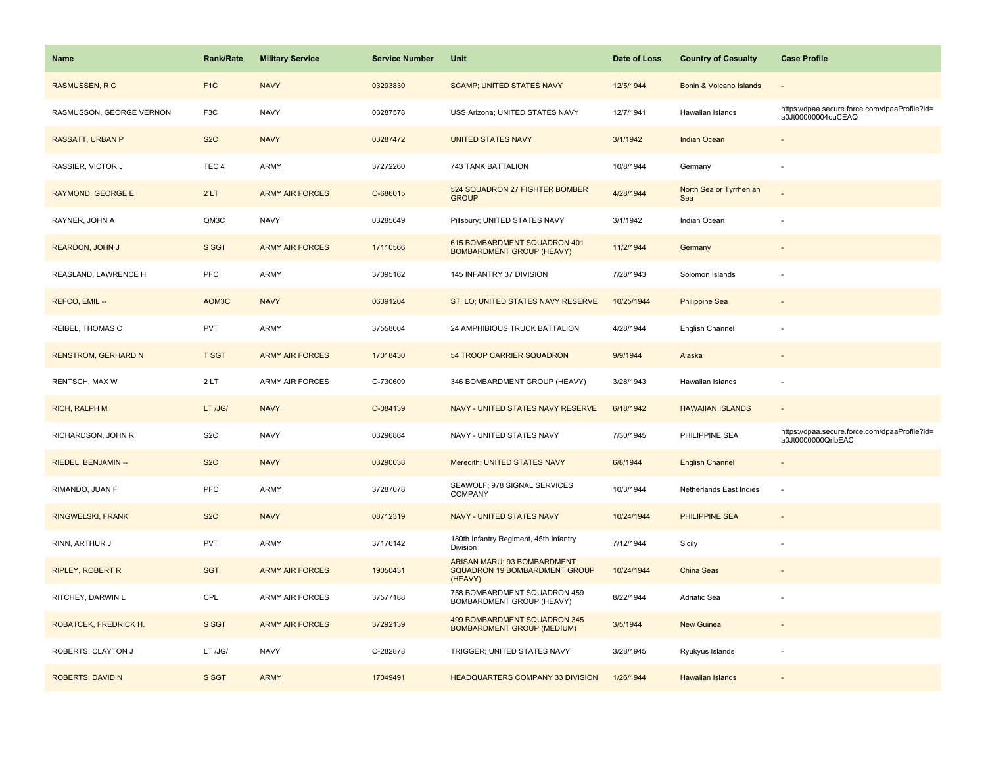| Name                       | Rank/Rate        | <b>Military Service</b> | <b>Service Number</b> | Unit                                                                    | Date of Loss | <b>Country of Casualty</b>     | <b>Case Profile</b>                                                 |
|----------------------------|------------------|-------------------------|-----------------------|-------------------------------------------------------------------------|--------------|--------------------------------|---------------------------------------------------------------------|
| <b>RASMUSSEN, R C</b>      | F <sub>1</sub> C | <b>NAVY</b>             | 03293830              | <b>SCAMP; UNITED STATES NAVY</b>                                        | 12/5/1944    | Bonin & Volcano Islands        |                                                                     |
| RASMUSSON, GEORGE VERNON   | F <sub>3</sub> C | <b>NAVY</b>             | 03287578              | USS Arizona; UNITED STATES NAVY                                         | 12/7/1941    | Hawaiian Islands               | https://dpaa.secure.force.com/dpaaProfile?id=<br>a0Jt00000004ouCEAQ |
| <b>RASSATT, URBAN P</b>    | S <sub>2</sub> C | <b>NAVY</b>             | 03287472              | <b>UNITED STATES NAVY</b>                                               | 3/1/1942     | <b>Indian Ocean</b>            |                                                                     |
| RASSIER, VICTOR J          | TEC <sub>4</sub> | <b>ARMY</b>             | 37272260              | 743 TANK BATTALION                                                      | 10/8/1944    | Germany                        |                                                                     |
| <b>RAYMOND, GEORGE E</b>   | 2LT              | <b>ARMY AIR FORCES</b>  | O-686015              | 524 SQUADRON 27 FIGHTER BOMBER<br><b>GROUP</b>                          | 4/28/1944    | North Sea or Tyrrhenian<br>Sea |                                                                     |
| RAYNER, JOHN A             | QM3C             | <b>NAVY</b>             | 03285649              | Pillsbury; UNITED STATES NAVY                                           | 3/1/1942     | Indian Ocean                   |                                                                     |
| REARDON, JOHN J            | S SGT            | <b>ARMY AIR FORCES</b>  | 17110566              | 615 BOMBARDMENT SQUADRON 401<br><b>BOMBARDMENT GROUP (HEAVY)</b>        | 11/2/1944    | Germany                        |                                                                     |
| REASLAND, LAWRENCE H       | <b>PFC</b>       | ARMY                    | 37095162              | 145 INFANTRY 37 DIVISION                                                | 7/28/1943    | Solomon Islands                |                                                                     |
| REFCO, EMIL --             | AOM3C            | <b>NAVY</b>             | 06391204              | ST. LO; UNITED STATES NAVY RESERVE                                      | 10/25/1944   | <b>Philippine Sea</b>          |                                                                     |
| REIBEL, THOMAS C           | <b>PVT</b>       | ARMY                    | 37558004              | 24 AMPHIBIOUS TRUCK BATTALION                                           | 4/28/1944    | English Channel                | ÷,                                                                  |
| <b>RENSTROM, GERHARD N</b> | <b>T SGT</b>     | <b>ARMY AIR FORCES</b>  | 17018430              | 54 TROOP CARRIER SQUADRON                                               | 9/9/1944     | Alaska                         |                                                                     |
| RENTSCH, MAX W             | 2LT              | <b>ARMY AIR FORCES</b>  | O-730609              | 346 BOMBARDMENT GROUP (HEAVY)                                           | 3/28/1943    | Hawaiian Islands               |                                                                     |
| RICH, RALPH M              | LT /JG/          | <b>NAVY</b>             | O-084139              | NAVY - UNITED STATES NAVY RESERVE                                       | 6/18/1942    | <b>HAWAIIAN ISLANDS</b>        |                                                                     |
| RICHARDSON, JOHN R         | S <sub>2</sub> C | <b>NAVY</b>             | 03296864              | NAVY - UNITED STATES NAVY                                               | 7/30/1945    | PHILIPPINE SEA                 | https://dpaa.secure.force.com/dpaaProfile?id=<br>a0Jt0000000QrlbEAC |
| RIEDEL, BENJAMIN --        | S <sub>2</sub> C | <b>NAVY</b>             | 03290038              | Meredith; UNITED STATES NAVY                                            | 6/8/1944     | <b>English Channel</b>         | $\sim$                                                              |
| RIMANDO, JUAN F            | <b>PFC</b>       | ARMY                    | 37287078              | SEAWOLF; 978 SIGNAL SERVICES<br>COMPANY                                 | 10/3/1944    | Netherlands East Indies        | ÷,                                                                  |
| <b>RINGWELSKI, FRANK</b>   | S <sub>2</sub> C | <b>NAVY</b>             | 08712319              | NAVY - UNITED STATES NAVY                                               | 10/24/1944   | PHILIPPINE SEA                 |                                                                     |
| RINN, ARTHUR J             | PVT              | ARMY                    | 37176142              | 180th Infantry Regiment, 45th Infantry<br>Division                      | 7/12/1944    | Sicily                         |                                                                     |
| <b>RIPLEY, ROBERT R</b>    | <b>SGT</b>       | <b>ARMY AIR FORCES</b>  | 19050431              | ARISAN MARU; 93 BOMBARDMENT<br>SQUADRON 19 BOMBARDMENT GROUP<br>(HEAVY) | 10/24/1944   | China Seas                     |                                                                     |
| RITCHEY, DARWIN L          | CPL              | <b>ARMY AIR FORCES</b>  | 37577188              | 758 BOMBARDMENT SQUADRON 459<br>BOMBARDMENT GROUP (HEAVY)               | 8/22/1944    | Adriatic Sea                   |                                                                     |
| ROBATCEK, FREDRICK H.      | S SGT            | <b>ARMY AIR FORCES</b>  | 37292139              | 499 BOMBARDMENT SQUADRON 345<br><b>BOMBARDMENT GROUP (MEDIUM)</b>       | 3/5/1944     | <b>New Guinea</b>              |                                                                     |
| ROBERTS, CLAYTON J         | LT /JG/          | <b>NAVY</b>             | O-282878              | TRIGGER; UNITED STATES NAVY                                             | 3/28/1945    | Ryukyus Islands                |                                                                     |
| <b>ROBERTS, DAVID N</b>    | S SGT            | <b>ARMY</b>             | 17049491              | <b>HEADQUARTERS COMPANY 33 DIVISION</b>                                 | 1/26/1944    | <b>Hawaiian Islands</b>        |                                                                     |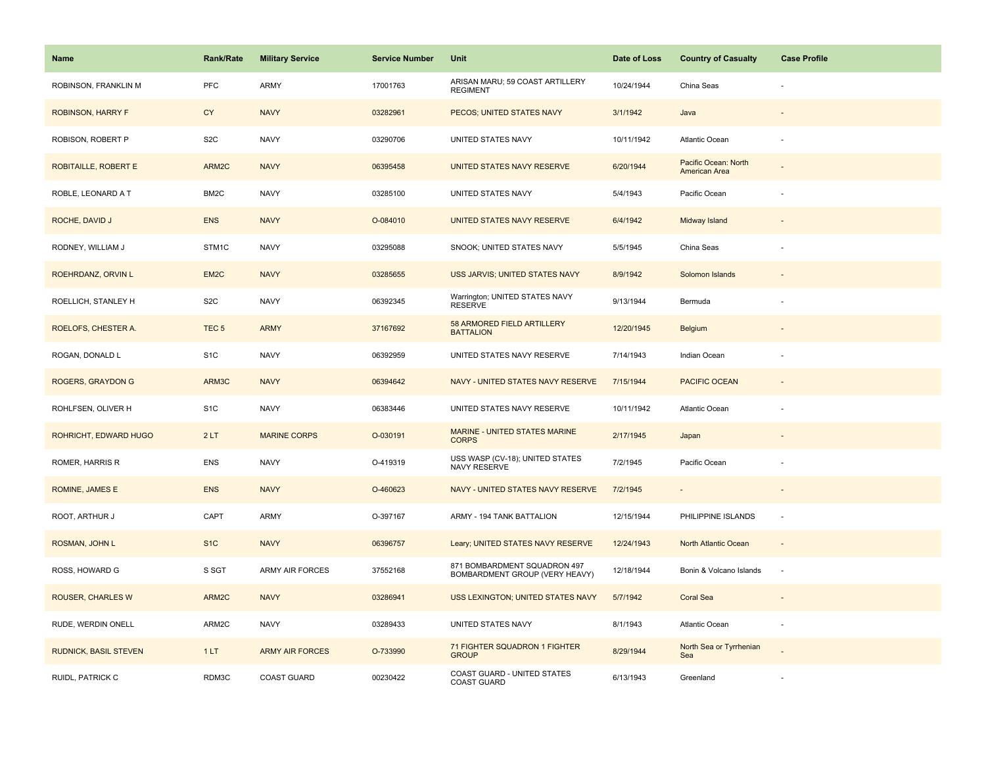| <b>Name</b>                  | <b>Rank/Rate</b>  | <b>Military Service</b> | <b>Service Number</b> | Unit                                                           | Date of Loss | <b>Country of Casualty</b>            | <b>Case Profile</b> |
|------------------------------|-------------------|-------------------------|-----------------------|----------------------------------------------------------------|--------------|---------------------------------------|---------------------|
| ROBINSON, FRANKLIN M         | PFC               | <b>ARMY</b>             | 17001763              | ARISAN MARU; 59 COAST ARTILLERY<br><b>REGIMENT</b>             | 10/24/1944   | China Seas                            |                     |
| <b>ROBINSON, HARRY F</b>     | <b>CY</b>         | <b>NAVY</b>             | 03282961              | PECOS; UNITED STATES NAVY                                      | 3/1/1942     | Java                                  |                     |
| ROBISON, ROBERT P            | S <sub>2</sub> C  | <b>NAVY</b>             | 03290706              | UNITED STATES NAVY                                             | 10/11/1942   | Atlantic Ocean                        |                     |
| <b>ROBITAILLE, ROBERT E</b>  | ARM2C             | <b>NAVY</b>             | 06395458              | UNITED STATES NAVY RESERVE                                     | 6/20/1944    | Pacific Ocean: North<br>American Area |                     |
| ROBLE, LEONARD A T           | BM <sub>2</sub> C | <b>NAVY</b>             | 03285100              | UNITED STATES NAVY                                             | 5/4/1943     | Pacific Ocean                         |                     |
| ROCHE, DAVID J               | <b>ENS</b>        | <b>NAVY</b>             | O-084010              | UNITED STATES NAVY RESERVE                                     | 6/4/1942     | Midway Island                         |                     |
| RODNEY, WILLIAM J            | STM1C             | <b>NAVY</b>             | 03295088              | SNOOK; UNITED STATES NAVY                                      | 5/5/1945     | China Seas                            |                     |
| ROEHRDANZ, ORVIN L           | EM <sub>2</sub> C | <b>NAVY</b>             | 03285655              | USS JARVIS; UNITED STATES NAVY                                 | 8/9/1942     | Solomon Islands                       |                     |
| ROELLICH, STANLEY H          | S <sub>2</sub> C  | <b>NAVY</b>             | 06392345              | Warrington; UNITED STATES NAVY<br><b>RESERVE</b>               | 9/13/1944    | Bermuda                               |                     |
| ROELOFS, CHESTER A.          | TEC <sub>5</sub>  | <b>ARMY</b>             | 37167692              | 58 ARMORED FIELD ARTILLERY<br><b>BATTALION</b>                 | 12/20/1945   | Belgium                               |                     |
| ROGAN, DONALD L              | S <sub>1</sub> C  | <b>NAVY</b>             | 06392959              | UNITED STATES NAVY RESERVE                                     | 7/14/1943    | Indian Ocean                          |                     |
| ROGERS, GRAYDON G            | ARM3C             | <b>NAVY</b>             | 06394642              | NAVY - UNITED STATES NAVY RESERVE                              | 7/15/1944    | PACIFIC OCEAN                         | $\sim$              |
| ROHLFSEN, OLIVER H           | S <sub>1</sub> C  | <b>NAVY</b>             | 06383446              | UNITED STATES NAVY RESERVE                                     | 10/11/1942   | Atlantic Ocean                        |                     |
| ROHRICHT, EDWARD HUGO        | 2LT               | <b>MARINE CORPS</b>     | O-030191              | MARINE - UNITED STATES MARINE<br><b>CORPS</b>                  | 2/17/1945    | Japan                                 |                     |
| ROMER, HARRIS R              | <b>ENS</b>        | <b>NAVY</b>             | O-419319              | USS WASP (CV-18); UNITED STATES<br>NAVY RESERVE                | 7/2/1945     | Pacific Ocean                         |                     |
| ROMINE, JAMES E              | <b>ENS</b>        | <b>NAVY</b>             | O-460623              | NAVY - UNITED STATES NAVY RESERVE                              | 7/2/1945     |                                       |                     |
| ROOT, ARTHUR J               | CAPT              | <b>ARMY</b>             | O-397167              | ARMY - 194 TANK BATTALION                                      | 12/15/1944   | PHILIPPINE ISLANDS                    | ÷.                  |
| ROSMAN, JOHN L               | S <sub>1</sub> C  | <b>NAVY</b>             | 06396757              | Leary; UNITED STATES NAVY RESERVE                              | 12/24/1943   | North Atlantic Ocean                  |                     |
| ROSS, HOWARD G               | S SGT             | <b>ARMY AIR FORCES</b>  | 37552168              | 871 BOMBARDMENT SQUADRON 497<br>BOMBARDMENT GROUP (VERY HEAVY) | 12/18/1944   | Bonin & Volcano Islands               | $\sim$              |
| ROUSER, CHARLES W            | ARM2C             | <b>NAVY</b>             | 03286941              | USS LEXINGTON; UNITED STATES NAVY                              | 5/7/1942     | <b>Coral Sea</b>                      | $\sim$              |
| RUDE, WERDIN ONELL           | ARM2C             | <b>NAVY</b>             | 03289433              | UNITED STATES NAVY                                             | 8/1/1943     | Atlantic Ocean                        | ÷.                  |
| <b>RUDNICK, BASIL STEVEN</b> | 1LT               | <b>ARMY AIR FORCES</b>  | O-733990              | 71 FIGHTER SQUADRON 1 FIGHTER<br><b>GROUP</b>                  | 8/29/1944    | North Sea or Tyrrhenian<br>Sea        |                     |
| RUIDL, PATRICK C             | RDM3C             | <b>COAST GUARD</b>      | 00230422              | COAST GUARD - UNITED STATES<br><b>COAST GUARD</b>              | 6/13/1943    | Greenland                             |                     |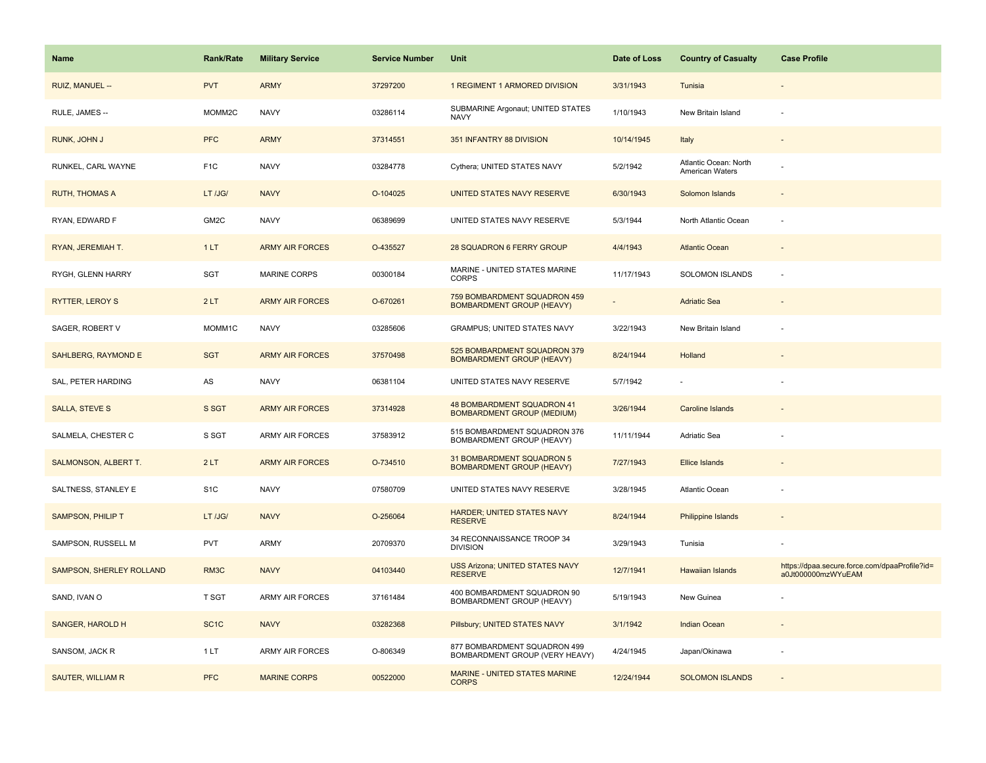| <b>Name</b>                     | <b>Rank/Rate</b>  | <b>Military Service</b> | <b>Service Number</b> | Unit                                                             | Date of Loss | <b>Country of Casualty</b>                      | <b>Case Profile</b>                                                 |
|---------------------------------|-------------------|-------------------------|-----------------------|------------------------------------------------------------------|--------------|-------------------------------------------------|---------------------------------------------------------------------|
| RUIZ, MANUEL --                 | <b>PVT</b>        | <b>ARMY</b>             | 37297200              | 1 REGIMENT 1 ARMORED DIVISION                                    | 3/31/1943    | Tunisia                                         |                                                                     |
| RULE, JAMES --                  | MOMM2C            | <b>NAVY</b>             | 03286114              | SUBMARINE Argonaut; UNITED STATES<br><b>NAVY</b>                 | 1/10/1943    | New Britain Island                              |                                                                     |
| RUNK, JOHN J                    | <b>PFC</b>        | <b>ARMY</b>             | 37314551              | 351 INFANTRY 88 DIVISION                                         | 10/14/1945   | Italy                                           |                                                                     |
| RUNKEL, CARL WAYNE              | F <sub>1</sub> C  | <b>NAVY</b>             | 03284778              | Cythera; UNITED STATES NAVY                                      | 5/2/1942     | Atlantic Ocean: North<br><b>American Waters</b> |                                                                     |
| <b>RUTH, THOMAS A</b>           | LT /JG/           | <b>NAVY</b>             | O-104025              | UNITED STATES NAVY RESERVE                                       | 6/30/1943    | Solomon Islands                                 |                                                                     |
| RYAN, EDWARD F                  | GM2C              | <b>NAVY</b>             | 06389699              | UNITED STATES NAVY RESERVE                                       | 5/3/1944     | North Atlantic Ocean                            |                                                                     |
| RYAN, JEREMIAH T.               | 1LT               | <b>ARMY AIR FORCES</b>  | O-435527              | 28 SQUADRON 6 FERRY GROUP                                        | 4/4/1943     | <b>Atlantic Ocean</b>                           |                                                                     |
| RYGH, GLENN HARRY               | SGT               | <b>MARINE CORPS</b>     | 00300184              | MARINE - UNITED STATES MARINE<br>CORPS                           | 11/17/1943   | <b>SOLOMON ISLANDS</b>                          |                                                                     |
| <b>RYTTER, LEROY S</b>          | 2LT               | <b>ARMY AIR FORCES</b>  | O-670261              | 759 BOMBARDMENT SQUADRON 459<br><b>BOMBARDMENT GROUP (HEAVY)</b> |              | <b>Adriatic Sea</b>                             |                                                                     |
| SAGER, ROBERT V                 | MOMM1C            | <b>NAVY</b>             | 03285606              | <b>GRAMPUS; UNITED STATES NAVY</b>                               | 3/22/1943    | New Britain Island                              |                                                                     |
| SAHLBERG, RAYMOND E             | <b>SGT</b>        | <b>ARMY AIR FORCES</b>  | 37570498              | 525 BOMBARDMENT SQUADRON 379<br><b>BOMBARDMENT GROUP (HEAVY)</b> | 8/24/1944    | Holland                                         |                                                                     |
| SAL, PETER HARDING              | AS                | <b>NAVY</b>             | 06381104              | UNITED STATES NAVY RESERVE                                       | 5/7/1942     |                                                 |                                                                     |
| SALLA, STEVE S                  | S SGT             | <b>ARMY AIR FORCES</b>  | 37314928              | 48 BOMBARDMENT SQUADRON 41<br><b>BOMBARDMENT GROUP (MEDIUM)</b>  | 3/26/1944    | <b>Caroline Islands</b>                         |                                                                     |
| SALMELA, CHESTER C              | S SGT             | ARMY AIR FORCES         | 37583912              | 515 BOMBARDMENT SQUADRON 376<br>BOMBARDMENT GROUP (HEAVY)        | 11/11/1944   | Adriatic Sea                                    |                                                                     |
| SALMONSON, ALBERT T.            | 2LT               | <b>ARMY AIR FORCES</b>  | O-734510              | 31 BOMBARDMENT SQUADRON 5<br><b>BOMBARDMENT GROUP (HEAVY)</b>    | 7/27/1943    | Ellice Islands                                  |                                                                     |
| SALTNESS, STANLEY E             | S <sub>1</sub> C  | <b>NAVY</b>             | 07580709              | UNITED STATES NAVY RESERVE                                       | 3/28/1945    | Atlantic Ocean                                  |                                                                     |
| <b>SAMPSON, PHILIP T</b>        | LT /JG/           | <b>NAVY</b>             | O-256064              | HARDER; UNITED STATES NAVY<br><b>RESERVE</b>                     | 8/24/1944    | Philippine Islands                              |                                                                     |
| SAMPSON, RUSSELL M              | <b>PVT</b>        | ARMY                    | 20709370              | 34 RECONNAISSANCE TROOP 34<br><b>DIVISION</b>                    | 3/29/1943    | Tunisia                                         |                                                                     |
| <b>SAMPSON, SHERLEY ROLLAND</b> | RM <sub>3</sub> C | <b>NAVY</b>             | 04103440              | <b>USS Arizona; UNITED STATES NAVY</b><br><b>RESERVE</b>         | 12/7/1941    | <b>Hawaiian Islands</b>                         | https://dpaa.secure.force.com/dpaaProfile?id=<br>a0Jt000000mzWYuEAM |
| SAND, IVAN O                    | T SGT             | <b>ARMY AIR FORCES</b>  | 37161484              | 400 BOMBARDMENT SQUADRON 90<br>BOMBARDMENT GROUP (HEAVY)         | 5/19/1943    | New Guinea                                      |                                                                     |
| <b>SANGER, HAROLD H</b>         | SC <sub>1</sub> C | <b>NAVY</b>             | 03282368              | Pillsbury; UNITED STATES NAVY                                    | 3/1/1942     | Indian Ocean                                    |                                                                     |
| SANSOM, JACK R                  | 1LT               | <b>ARMY AIR FORCES</b>  | O-806349              | 877 BOMBARDMENT SQUADRON 499<br>BOMBARDMENT GROUP (VERY HEAVY)   | 4/24/1945    | Japan/Okinawa                                   |                                                                     |
| <b>SAUTER, WILLIAM R</b>        | <b>PFC</b>        | <b>MARINE CORPS</b>     | 00522000              | MARINE - UNITED STATES MARINE<br><b>CORPS</b>                    | 12/24/1944   | <b>SOLOMON ISLANDS</b>                          |                                                                     |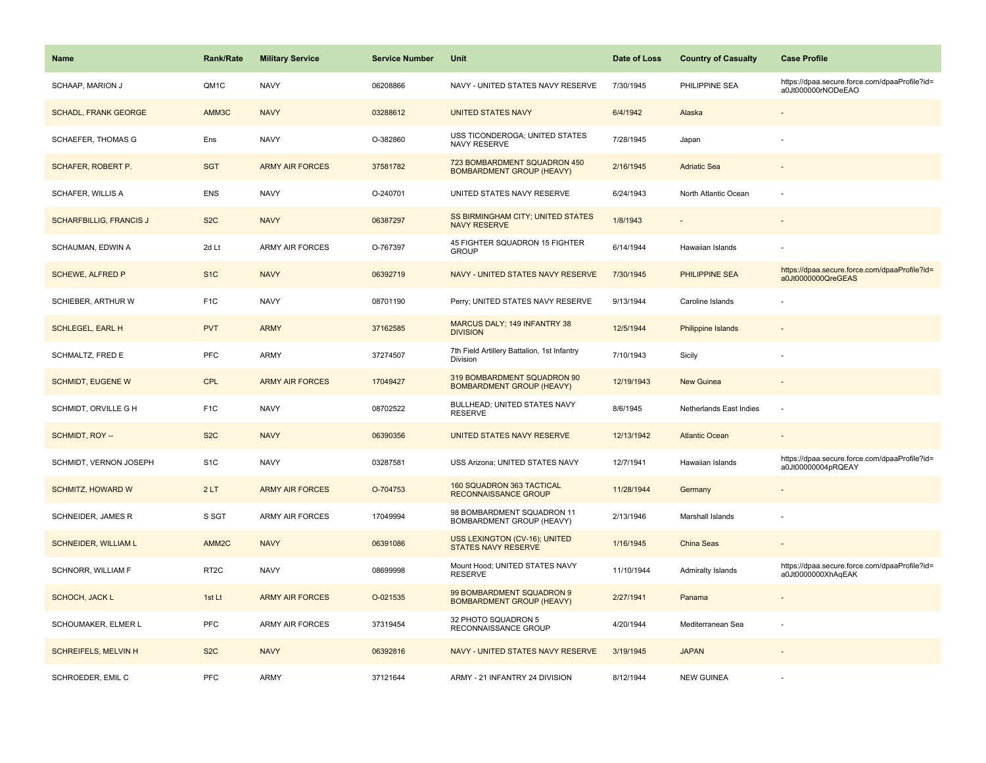| <b>Name</b>                    | Rank/Rate         | <b>Military Service</b> | <b>Service Number</b> | Unit                                                             | Date of Loss | <b>Country of Casualty</b>     | <b>Case Profile</b>                                                 |
|--------------------------------|-------------------|-------------------------|-----------------------|------------------------------------------------------------------|--------------|--------------------------------|---------------------------------------------------------------------|
| SCHAAP, MARION J               | QM1C              | <b>NAVY</b>             | 06208866              | NAVY - UNITED STATES NAVY RESERVE                                | 7/30/1945    | PHILIPPINE SEA                 | https://dpaa.secure.force.com/dpaaProfile?id=<br>a0Jt000000rNODeEAO |
| <b>SCHADL, FRANK GEORGE</b>    | AMM3C             | <b>NAVY</b>             | 03288612              | <b>UNITED STATES NAVY</b>                                        | 6/4/1942     | Alaska                         |                                                                     |
| <b>SCHAEFER, THOMAS G</b>      | Ens               | <b>NAVY</b>             | O-382860              | USS TICONDEROGA; UNITED STATES<br>NAVY RESERVE                   | 7/28/1945    | Japan                          |                                                                     |
| SCHAFER, ROBERT P.             | <b>SGT</b>        | <b>ARMY AIR FORCES</b>  | 37581782              | 723 BOMBARDMENT SQUADRON 450<br><b>BOMBARDMENT GROUP (HEAVY)</b> | 2/16/1945    | <b>Adriatic Sea</b>            |                                                                     |
| <b>SCHAFER, WILLIS A</b>       | <b>ENS</b>        | <b>NAVY</b>             | O-240701              | UNITED STATES NAVY RESERVE                                       | 6/24/1943    | North Atlantic Ocean           |                                                                     |
| <b>SCHARFBILLIG, FRANCIS J</b> | S <sub>2</sub> C  | <b>NAVY</b>             | 06387297              | SS BIRMINGHAM CITY; UNITED STATES<br><b>NAVY RESERVE</b>         | 1/8/1943     |                                |                                                                     |
| SCHAUMAN, EDWIN A              | 2d Lt             | ARMY AIR FORCES         | O-767397              | 45 FIGHTER SQUADRON 15 FIGHTER<br><b>GROUP</b>                   | 6/14/1944    | Hawaiian Islands               |                                                                     |
| <b>SCHEWE, ALFRED P</b>        | S <sub>1</sub> C  | <b>NAVY</b>             | 06392719              | NAVY - UNITED STATES NAVY RESERVE                                | 7/30/1945    | <b>PHILIPPINE SEA</b>          | https://dpaa.secure.force.com/dpaaProfile?id=<br>a0Jt0000000QreGEAS |
| SCHIEBER, ARTHUR W             | F <sub>1</sub> C  | <b>NAVY</b>             | 08701190              | Perry; UNITED STATES NAVY RESERVE                                | 9/13/1944    | Caroline Islands               |                                                                     |
| <b>SCHLEGEL, EARL H</b>        | <b>PVT</b>        | <b>ARMY</b>             | 37162585              | MARCUS DALY; 149 INFANTRY 38<br><b>DIVISION</b>                  | 12/5/1944    | <b>Philippine Islands</b>      |                                                                     |
| SCHMALTZ, FRED E               | <b>PFC</b>        | <b>ARMY</b>             | 37274507              | 7th Field Artillery Battalion, 1st Infantry<br>Division          | 7/10/1943    | Sicily                         |                                                                     |
| <b>SCHMIDT, EUGENE W</b>       | <b>CPL</b>        | <b>ARMY AIR FORCES</b>  | 17049427              | 319 BOMBARDMENT SQUADRON 90<br><b>BOMBARDMENT GROUP (HEAVY)</b>  | 12/19/1943   | <b>New Guinea</b>              | $\sim$                                                              |
| SCHMIDT, ORVILLE G H           | F <sub>1</sub> C  | <b>NAVY</b>             | 08702522              | BULLHEAD; UNITED STATES NAVY<br><b>RESERVE</b>                   | 8/6/1945     | <b>Netherlands East Indies</b> | ÷,                                                                  |
| SCHMIDT, ROY --                | S <sub>2</sub> C  | <b>NAVY</b>             | 06390356              | UNITED STATES NAVY RESERVE                                       | 12/13/1942   | <b>Atlantic Ocean</b>          |                                                                     |
| SCHMIDT, VERNON JOSEPH         | S <sub>1</sub> C  | <b>NAVY</b>             | 03287581              | USS Arizona; UNITED STATES NAVY                                  | 12/7/1941    | Hawaiian Islands               | https://dpaa.secure.force.com/dpaaProfile?id=<br>a0Jt00000004pRQEAY |
| SCHMITZ, HOWARD W              | 2LT               | <b>ARMY AIR FORCES</b>  | O-704753              | 160 SQUADRON 363 TACTICAL<br>RECONNAISSANCE GROUP                | 11/28/1944   | Germany                        |                                                                     |
| SCHNEIDER, JAMES R             | S SGT             | <b>ARMY AIR FORCES</b>  | 17049994              | 98 BOMBARDMENT SQUADRON 11<br>BOMBARDMENT GROUP (HEAVY)          | 2/13/1946    | Marshall Islands               |                                                                     |
| <b>SCHNEIDER, WILLIAM L</b>    | AMM <sub>2C</sub> | <b>NAVY</b>             | 06391086              | USS LEXINGTON (CV-16); UNITED<br><b>STATES NAVY RESERVE</b>      | 1/16/1945    | China Seas                     |                                                                     |
| SCHNORR, WILLIAM F             | RT <sub>2</sub> C | <b>NAVY</b>             | 08699998              | Mount Hood; UNITED STATES NAVY<br><b>RESERVE</b>                 | 11/10/1944   | Admiralty Islands              | https://dpaa.secure.force.com/dpaaProfile?id=<br>a0Jt0000000XhAqEAK |
| <b>SCHOCH, JACK L</b>          | 1st Lt            | <b>ARMY AIR FORCES</b>  | O-021535              | 99 BOMBARDMENT SQUADRON 9<br><b>BOMBARDMENT GROUP (HEAVY)</b>    | 2/27/1941    | Panama                         |                                                                     |
| SCHOUMAKER, ELMER L            | PFC               | <b>ARMY AIR FORCES</b>  | 37319454              | 32 PHOTO SQUADRON 5<br>RECONNAISSANCE GROUP                      | 4/20/1944    | Mediterranean Sea              |                                                                     |
| <b>SCHREIFELS, MELVIN H</b>    | S <sub>2</sub> C  | <b>NAVY</b>             | 06392816              | NAVY - UNITED STATES NAVY RESERVE                                | 3/19/1945    | <b>JAPAN</b>                   |                                                                     |
| SCHROEDER, EMIL C              | PFC               | <b>ARMY</b>             | 37121644              | ARMY - 21 INFANTRY 24 DIVISION                                   | 8/12/1944    | <b>NEW GUINEA</b>              |                                                                     |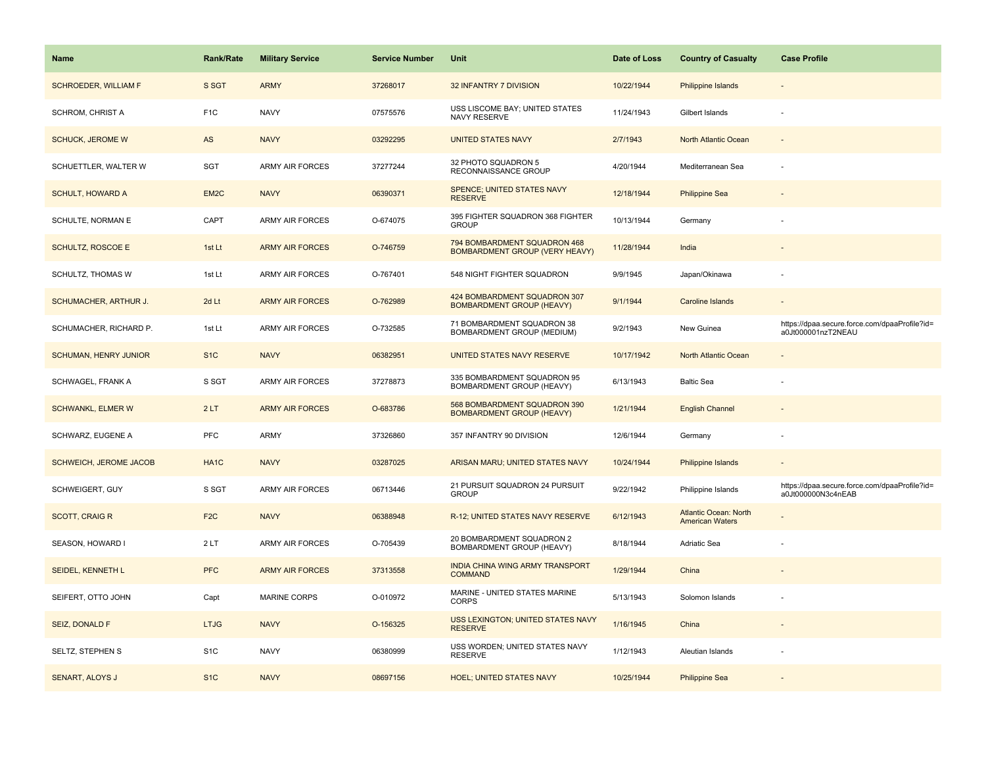| Name                        | <b>Rank/Rate</b>  | <b>Military Service</b> | <b>Service Number</b> | Unit                                                                  | Date of Loss | <b>Country of Casualty</b>                             | <b>Case Profile</b>                                                 |
|-----------------------------|-------------------|-------------------------|-----------------------|-----------------------------------------------------------------------|--------------|--------------------------------------------------------|---------------------------------------------------------------------|
| <b>SCHROEDER, WILLIAM F</b> | S SGT             | <b>ARMY</b>             | 37268017              | 32 INFANTRY 7 DIVISION                                                | 10/22/1944   | Philippine Islands                                     |                                                                     |
| SCHROM, CHRIST A            | F <sub>1</sub> C  | <b>NAVY</b>             | 07575576              | USS LISCOME BAY; UNITED STATES<br>NAVY RESERVE                        | 11/24/1943   | Gilbert Islands                                        |                                                                     |
| <b>SCHUCK, JEROME W</b>     | AS                | <b>NAVY</b>             | 03292295              | <b>UNITED STATES NAVY</b>                                             | 2/7/1943     | North Atlantic Ocean                                   |                                                                     |
| SCHUETTLER, WALTER W        | <b>SGT</b>        | <b>ARMY AIR FORCES</b>  | 37277244              | 32 PHOTO SQUADRON 5<br>RECONNAISSANCE GROUP                           | 4/20/1944    | Mediterranean Sea                                      |                                                                     |
| <b>SCHULT, HOWARD A</b>     | EM <sub>2</sub> C | <b>NAVY</b>             | 06390371              | <b>SPENCE: UNITED STATES NAVY</b><br><b>RESERVE</b>                   | 12/18/1944   | <b>Philippine Sea</b>                                  |                                                                     |
| SCHULTE, NORMAN E           | CAPT              | <b>ARMY AIR FORCES</b>  | O-674075              | 395 FIGHTER SQUADRON 368 FIGHTER<br><b>GROUP</b>                      | 10/13/1944   | Germany                                                |                                                                     |
| SCHULTZ, ROSCOE E           | 1st Lt            | <b>ARMY AIR FORCES</b>  | O-746759              | 794 BOMBARDMENT SQUADRON 468<br><b>BOMBARDMENT GROUP (VERY HEAVY)</b> | 11/28/1944   | India                                                  |                                                                     |
| SCHULTZ, THOMAS W           | 1st Lt            | <b>ARMY AIR FORCES</b>  | O-767401              | 548 NIGHT FIGHTER SQUADRON                                            | 9/9/1945     | Japan/Okinawa                                          |                                                                     |
| SCHUMACHER, ARTHUR J.       | 2d Lt             | <b>ARMY AIR FORCES</b>  | O-762989              | 424 BOMBARDMENT SQUADRON 307<br><b>BOMBARDMENT GROUP (HEAVY)</b>      | 9/1/1944     | <b>Caroline Islands</b>                                |                                                                     |
| SCHUMACHER, RICHARD P.      | 1st Lt            | <b>ARMY AIR FORCES</b>  | O-732585              | 71 BOMBARDMENT SQUADRON 38<br>BOMBARDMENT GROUP (MEDIUM)              | 9/2/1943     | New Guinea                                             | https://dpaa.secure.force.com/dpaaProfile?id=<br>a0Jt000001nzT2NEAU |
| SCHUMAN, HENRY JUNIOR       | S <sub>1</sub> C  | <b>NAVY</b>             | 06382951              | UNITED STATES NAVY RESERVE                                            | 10/17/1942   | North Atlantic Ocean                                   |                                                                     |
| SCHWAGEL, FRANK A           | S SGT             | ARMY AIR FORCES         | 37278873              | 335 BOMBARDMENT SQUADRON 95<br>BOMBARDMENT GROUP (HEAVY)              | 6/13/1943    | <b>Baltic Sea</b>                                      |                                                                     |
| <b>SCHWANKL, ELMER W</b>    | 2LT               | <b>ARMY AIR FORCES</b>  | O-683786              | 568 BOMBARDMENT SQUADRON 390<br><b>BOMBARDMENT GROUP (HEAVY)</b>      | 1/21/1944    | <b>English Channel</b>                                 |                                                                     |
| SCHWARZ, EUGENE A           | <b>PFC</b>        | <b>ARMY</b>             | 37326860              | 357 INFANTRY 90 DIVISION                                              | 12/6/1944    | Germany                                                |                                                                     |
| SCHWEICH, JEROME JACOB      | HA <sub>1</sub> C | <b>NAVY</b>             | 03287025              | ARISAN MARU; UNITED STATES NAVY                                       | 10/24/1944   | Philippine Islands                                     | $\overline{\phantom{a}}$                                            |
| SCHWEIGERT, GUY             | S SGT             | <b>ARMY AIR FORCES</b>  | 06713446              | 21 PURSUIT SQUADRON 24 PURSUIT<br><b>GROUP</b>                        | 9/22/1942    | Philippine Islands                                     | https://dpaa.secure.force.com/dpaaProfile?id=<br>a0Jt000000N3c4nEAB |
| <b>SCOTT, CRAIG R</b>       | F <sub>2C</sub>   | <b>NAVY</b>             | 06388948              | R-12; UNITED STATES NAVY RESERVE                                      | 6/12/1943    | <b>Atlantic Ocean: North</b><br><b>American Waters</b> |                                                                     |
| SEASON, HOWARD I            | 2LT               | ARMY AIR FORCES         | O-705439              | 20 BOMBARDMENT SQUADRON 2<br>BOMBARDMENT GROUP (HEAVY)                | 8/18/1944    | Adriatic Sea                                           |                                                                     |
| SEIDEL, KENNETH L           | <b>PFC</b>        | <b>ARMY AIR FORCES</b>  | 37313558              | INDIA CHINA WING ARMY TRANSPORT<br><b>COMMAND</b>                     | 1/29/1944    | China                                                  |                                                                     |
| SEIFERT, OTTO JOHN          | Capt              | <b>MARINE CORPS</b>     | O-010972              | MARINE - UNITED STATES MARINE<br><b>CORPS</b>                         | 5/13/1943    | Solomon Islands                                        |                                                                     |
| SEIZ, DONALD F              | <b>LTJG</b>       | <b>NAVY</b>             | O-156325              | USS LEXINGTON; UNITED STATES NAVY<br><b>RESERVE</b>                   | 1/16/1945    | China                                                  |                                                                     |
| SELTZ, STEPHEN S            | S <sub>1</sub> C  | <b>NAVY</b>             | 06380999              | USS WORDEN; UNITED STATES NAVY<br><b>RESERVE</b>                      | 1/12/1943    | Aleutian Islands                                       |                                                                     |
| SENART, ALOYS J             | S <sub>1C</sub>   | <b>NAVY</b>             | 08697156              | <b>HOEL; UNITED STATES NAVY</b>                                       | 10/25/1944   | <b>Philippine Sea</b>                                  |                                                                     |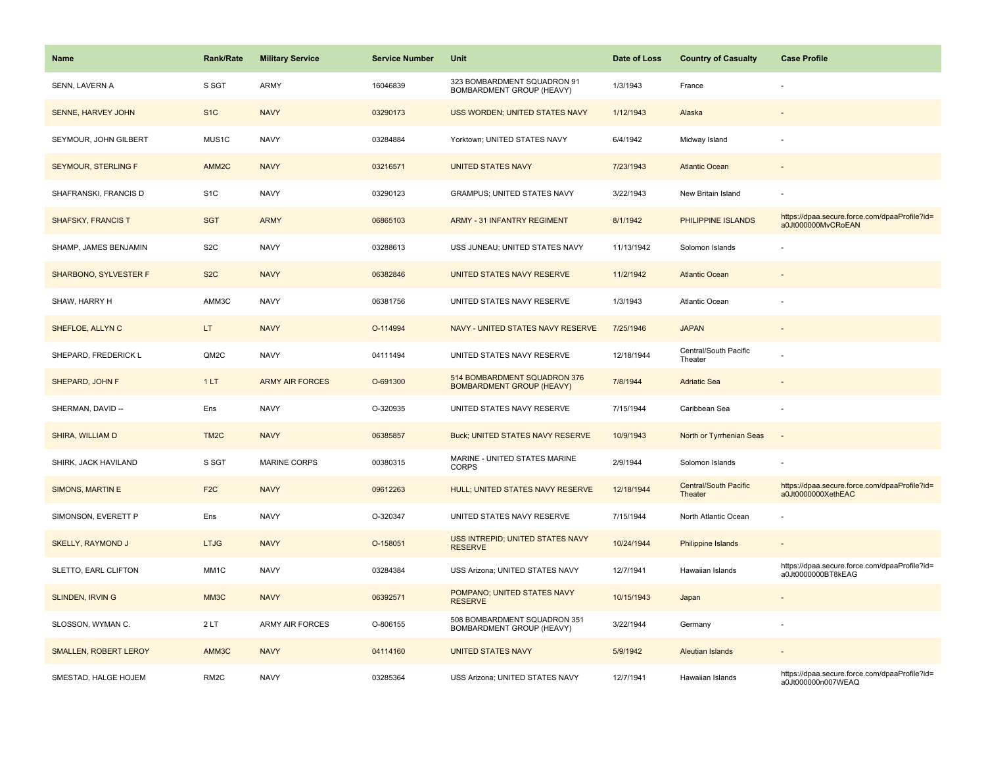| <b>Name</b>                  | <b>Rank/Rate</b>  | <b>Military Service</b> | <b>Service Number</b> | Unit                                                             | Date of Loss | <b>Country of Casualty</b>       | <b>Case Profile</b>                                                 |
|------------------------------|-------------------|-------------------------|-----------------------|------------------------------------------------------------------|--------------|----------------------------------|---------------------------------------------------------------------|
| SENN, LAVERN A               | S SGT             | <b>ARMY</b>             | 16046839              | 323 BOMBARDMENT SQUADRON 91<br>BOMBARDMENT GROUP (HEAVY)         | 1/3/1943     | France                           |                                                                     |
| SENNE, HARVEY JOHN           | S <sub>1C</sub>   | <b>NAVY</b>             | 03290173              | USS WORDEN; UNITED STATES NAVY                                   | 1/12/1943    | Alaska                           |                                                                     |
| SEYMOUR, JOHN GILBERT        | MUS1C             | <b>NAVY</b>             | 03284884              | Yorktown; UNITED STATES NAVY                                     | 6/4/1942     | Midway Island                    |                                                                     |
| <b>SEYMOUR, STERLING F</b>   | AMM <sub>2C</sub> | <b>NAVY</b>             | 03216571              | <b>UNITED STATES NAVY</b>                                        | 7/23/1943    | <b>Atlantic Ocean</b>            |                                                                     |
| SHAFRANSKI, FRANCIS D        | S <sub>1</sub> C  | <b>NAVY</b>             | 03290123              | <b>GRAMPUS; UNITED STATES NAVY</b>                               | 3/22/1943    | New Britain Island               |                                                                     |
| <b>SHAFSKY, FRANCIS T</b>    | <b>SGT</b>        | <b>ARMY</b>             | 06865103              | <b>ARMY - 31 INFANTRY REGIMENT</b>                               | 8/1/1942     | PHILIPPINE ISLANDS               | https://dpaa.secure.force.com/dpaaProfile?id=<br>a0Jt000000MvCRoEAN |
| SHAMP, JAMES BENJAMIN        | S <sub>2</sub> C  | <b>NAVY</b>             | 03288613              | USS JUNEAU; UNITED STATES NAVY                                   | 11/13/1942   | Solomon Islands                  |                                                                     |
| SHARBONO, SYLVESTER F        | S <sub>2</sub> C  | <b>NAVY</b>             | 06382846              | UNITED STATES NAVY RESERVE                                       | 11/2/1942    | <b>Atlantic Ocean</b>            |                                                                     |
| SHAW, HARRY H                | AMM3C             | <b>NAVY</b>             | 06381756              | UNITED STATES NAVY RESERVE                                       | 1/3/1943     | Atlantic Ocean                   |                                                                     |
| SHEFLOE, ALLYN C             | LT                | <b>NAVY</b>             | O-114994              | NAVY - UNITED STATES NAVY RESERVE                                | 7/25/1946    | <b>JAPAN</b>                     |                                                                     |
| SHEPARD, FREDERICK L         | QM2C              | <b>NAVY</b>             | 04111494              | UNITED STATES NAVY RESERVE                                       | 12/18/1944   | Central/South Pacific<br>Theater |                                                                     |
| SHEPARD, JOHN F              | 1LT               | <b>ARMY AIR FORCES</b>  | O-691300              | 514 BOMBARDMENT SQUADRON 376<br><b>BOMBARDMENT GROUP (HEAVY)</b> | 7/8/1944     | <b>Adriatic Sea</b>              |                                                                     |
| SHERMAN, DAVID --            | Ens               | <b>NAVY</b>             | O-320935              | UNITED STATES NAVY RESERVE                                       | 7/15/1944    | Caribbean Sea                    |                                                                     |
| SHIRA, WILLIAM D             | TM <sub>2</sub> C | <b>NAVY</b>             | 06385857              | <b>Buck; UNITED STATES NAVY RESERVE</b>                          | 10/9/1943    | North or Tyrrhenian Seas         | ٠                                                                   |
| SHIRK, JACK HAVILAND         | S SGT             | <b>MARINE CORPS</b>     | 00380315              | MARINE - UNITED STATES MARINE<br><b>CORPS</b>                    | 2/9/1944     | Solomon Islands                  |                                                                     |
| <b>SIMONS, MARTIN E</b>      | F <sub>2C</sub>   | <b>NAVY</b>             | 09612263              | HULL; UNITED STATES NAVY RESERVE                                 | 12/18/1944   | Central/South Pacific<br>Theater | https://dpaa.secure.force.com/dpaaProfile?id=<br>a0Jt0000000XethEAC |
| SIMONSON, EVERETT P          | Ens               | <b>NAVY</b>             | O-320347              | UNITED STATES NAVY RESERVE                                       | 7/15/1944    | North Atlantic Ocean             |                                                                     |
| SKELLY, RAYMOND J            | <b>LTJG</b>       | <b>NAVY</b>             | O-158051              | USS INTREPID; UNITED STATES NAVY<br><b>RESERVE</b>               | 10/24/1944   | <b>Philippine Islands</b>        |                                                                     |
| SLETTO, EARL CLIFTON         | MM1C              | <b>NAVY</b>             | 03284384              | USS Arizona; UNITED STATES NAVY                                  | 12/7/1941    | Hawaiian Islands                 | https://dpaa.secure.force.com/dpaaProfile?id=<br>a0Jt0000000BT8kEAG |
| <b>SLINDEN, IRVING</b>       | MM3C              | <b>NAVY</b>             | 06392571              | POMPANO; UNITED STATES NAVY<br><b>RESERVE</b>                    | 10/15/1943   | Japan                            | $\sim$                                                              |
| SLOSSON, WYMAN C.            | 2LT               | <b>ARMY AIR FORCES</b>  | O-806155              | 508 BOMBARDMENT SQUADRON 351<br>BOMBARDMENT GROUP (HEAVY)        | 3/22/1944    | Germany                          | ÷,                                                                  |
| <b>SMALLEN, ROBERT LEROY</b> | AMM3C             | <b>NAVY</b>             | 04114160              | <b>UNITED STATES NAVY</b>                                        | 5/9/1942     | <b>Aleutian Islands</b>          |                                                                     |
| SMESTAD, HALGE HOJEM         | RM <sub>2</sub> C | <b>NAVY</b>             | 03285364              | <b>USS Arizona: UNITED STATES NAVY</b>                           | 12/7/1941    | Hawaiian Islands                 | https://dpaa.secure.force.com/dpaaProfile?id=<br>a0Jt000000n007WEAQ |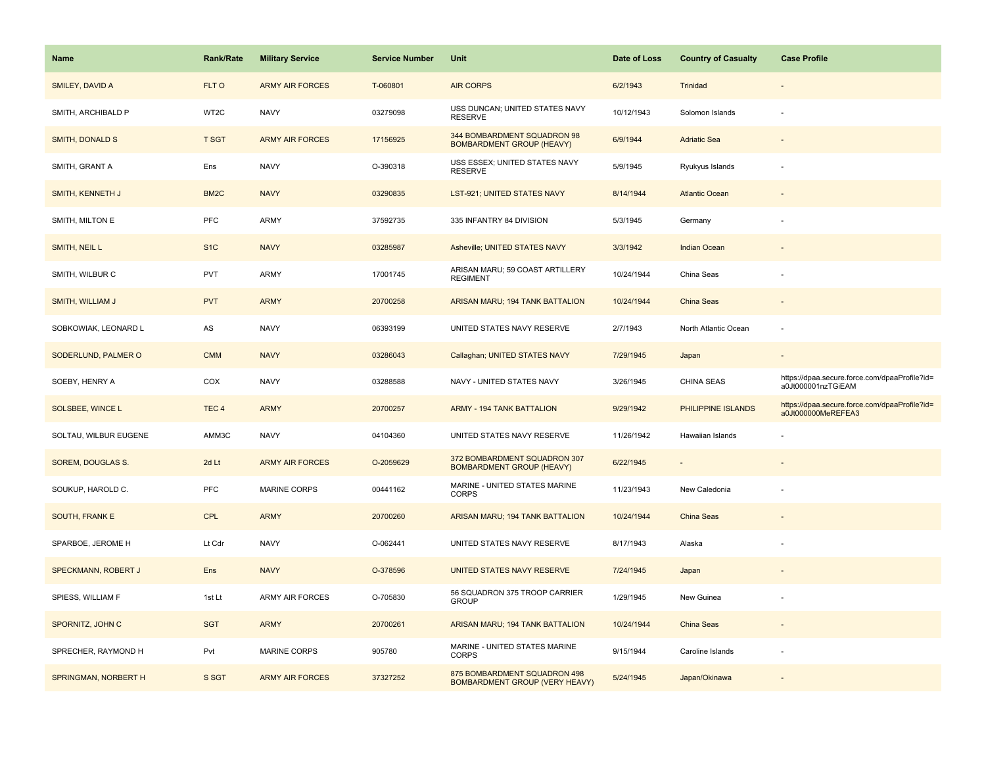| <b>Name</b>            | <b>Rank/Rate</b>  | <b>Military Service</b> | <b>Service Number</b> | Unit                                                                  | Date of Loss | <b>Country of Casualty</b> | <b>Case Profile</b>                                                 |
|------------------------|-------------------|-------------------------|-----------------------|-----------------------------------------------------------------------|--------------|----------------------------|---------------------------------------------------------------------|
| SMILEY, DAVID A        | FLT O             | <b>ARMY AIR FORCES</b>  | T-060801              | <b>AIR CORPS</b>                                                      | 6/2/1943     | Trinidad                   |                                                                     |
| SMITH, ARCHIBALD P     | WT2C              | <b>NAVY</b>             | 03279098              | USS DUNCAN; UNITED STATES NAVY<br><b>RESERVE</b>                      | 10/12/1943   | Solomon Islands            |                                                                     |
| <b>SMITH, DONALD S</b> | <b>T SGT</b>      | <b>ARMY AIR FORCES</b>  | 17156925              | 344 BOMBARDMENT SQUADRON 98<br><b>BOMBARDMENT GROUP (HEAVY)</b>       | 6/9/1944     | <b>Adriatic Sea</b>        |                                                                     |
| SMITH, GRANT A         | Ens               | <b>NAVY</b>             | O-390318              | USS ESSEX; UNITED STATES NAVY<br><b>RESERVE</b>                       | 5/9/1945     | Ryukyus Islands            |                                                                     |
| SMITH, KENNETH J       | BM <sub>2</sub> C | <b>NAVY</b>             | 03290835              | <b>LST-921; UNITED STATES NAVY</b>                                    | 8/14/1944    | <b>Atlantic Ocean</b>      |                                                                     |
| SMITH, MILTON E        | PFC               | ARMY                    | 37592735              | 335 INFANTRY 84 DIVISION                                              | 5/3/1945     | Germany                    |                                                                     |
| SMITH, NEIL L          | S <sub>1</sub> C  | <b>NAVY</b>             | 03285987              | Asheville; UNITED STATES NAVY                                         | 3/3/1942     | Indian Ocean               |                                                                     |
| SMITH, WILBUR C        | <b>PVT</b>        | <b>ARMY</b>             | 17001745              | ARISAN MARU; 59 COAST ARTILLERY<br><b>REGIMENT</b>                    | 10/24/1944   | China Seas                 |                                                                     |
| SMITH, WILLIAM J       | <b>PVT</b>        | <b>ARMY</b>             | 20700258              | ARISAN MARU; 194 TANK BATTALION                                       | 10/24/1944   | China Seas                 |                                                                     |
| SOBKOWIAK, LEONARD L   | AS                | <b>NAVY</b>             | 06393199              | UNITED STATES NAVY RESERVE                                            | 2/7/1943     | North Atlantic Ocean       | ÷.                                                                  |
| SODERLUND, PALMER O    | <b>CMM</b>        | <b>NAVY</b>             | 03286043              | Callaghan; UNITED STATES NAVY                                         | 7/29/1945    | Japan                      |                                                                     |
| SOEBY, HENRY A         | COX               | <b>NAVY</b>             | 03288588              | NAVY - UNITED STATES NAVY                                             | 3/26/1945    | CHINA SEAS                 | https://dpaa.secure.force.com/dpaaProfile?id=<br>a0Jt000001nzTGiEAM |
| SOLSBEE, WINCE L       | TEC <sub>4</sub>  | <b>ARMY</b>             | 20700257              | <b>ARMY - 194 TANK BATTALION</b>                                      | 9/29/1942    | PHILIPPINE ISLANDS         | https://dpaa.secure.force.com/dpaaProfile?id=<br>a0Jt000000MeREFEA3 |
| SOLTAU, WILBUR EUGENE  | AMM3C             | <b>NAVY</b>             | 04104360              | UNITED STATES NAVY RESERVE                                            | 11/26/1942   | Hawaiian Islands           |                                                                     |
| SOREM, DOUGLAS S.      | 2d Lt             | <b>ARMY AIR FORCES</b>  | O-2059629             | 372 BOMBARDMENT SQUADRON 307<br><b>BOMBARDMENT GROUP (HEAVY)</b>      | 6/22/1945    | $\sim$                     |                                                                     |
| SOUKUP, HAROLD C.      | PFC               | MARINE CORPS            | 00441162              | MARINE - UNITED STATES MARINE<br><b>CORPS</b>                         | 11/23/1943   | New Caledonia              |                                                                     |
| SOUTH, FRANK E         | <b>CPL</b>        | <b>ARMY</b>             | 20700260              | ARISAN MARU; 194 TANK BATTALION                                       | 10/24/1944   | <b>China Seas</b>          |                                                                     |
| SPARBOE, JEROME H      | Lt Cdr            | <b>NAVY</b>             | O-062441              | UNITED STATES NAVY RESERVE                                            | 8/17/1943    | Alaska                     |                                                                     |
| SPECKMANN, ROBERT J    | Ens               | <b>NAVY</b>             | O-378596              | UNITED STATES NAVY RESERVE                                            | 7/24/1945    | Japan                      |                                                                     |
| SPIESS, WILLIAM F      | 1st Lt            | <b>ARMY AIR FORCES</b>  | O-705830              | 56 SQUADRON 375 TROOP CARRIER<br><b>GROUP</b>                         | 1/29/1945    | New Guinea                 |                                                                     |
| SPORNITZ, JOHN C       | <b>SGT</b>        | <b>ARMY</b>             | 20700261              | ARISAN MARU; 194 TANK BATTALION                                       | 10/24/1944   | China Seas                 |                                                                     |
| SPRECHER, RAYMOND H    | Pvt               | <b>MARINE CORPS</b>     | 905780                | MARINE - UNITED STATES MARINE<br><b>CORPS</b>                         | 9/15/1944    | Caroline Islands           |                                                                     |
| SPRINGMAN, NORBERT H   | S SGT             | <b>ARMY AIR FORCES</b>  | 37327252              | 875 BOMBARDMENT SQUADRON 498<br><b>BOMBARDMENT GROUP (VERY HEAVY)</b> | 5/24/1945    | Japan/Okinawa              |                                                                     |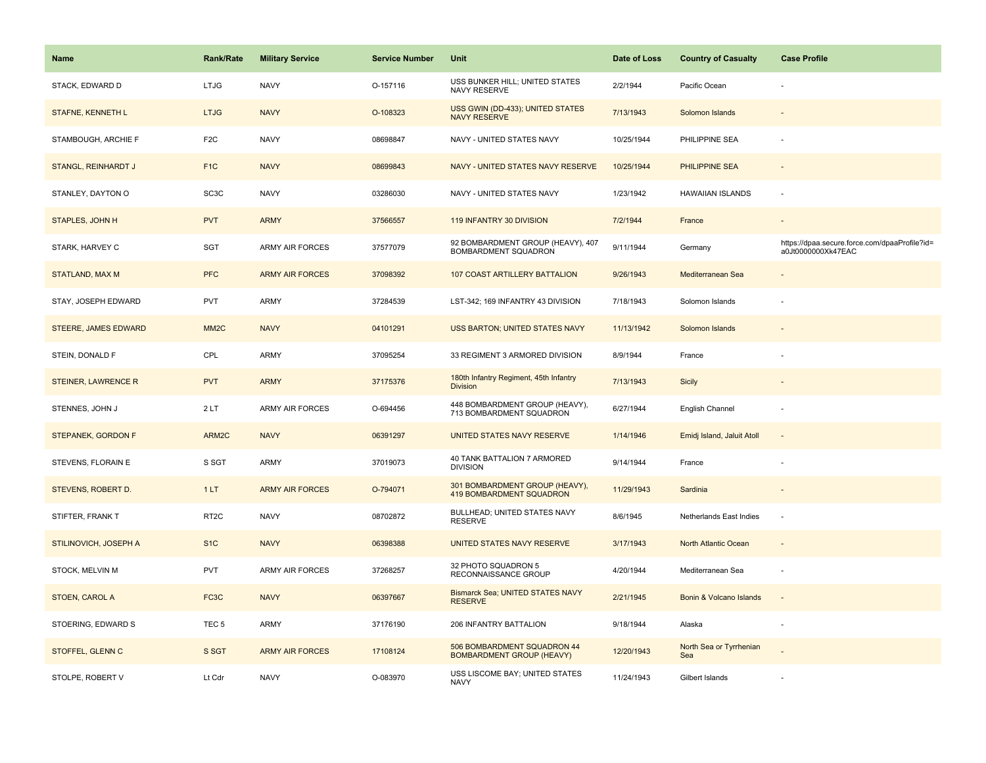| <b>Name</b>            | <b>Rank/Rate</b>  | <b>Military Service</b> | <b>Service Number</b> | Unit                                                              | Date of Loss | <b>Country of Casualty</b>     | <b>Case Profile</b>                                                 |
|------------------------|-------------------|-------------------------|-----------------------|-------------------------------------------------------------------|--------------|--------------------------------|---------------------------------------------------------------------|
| STACK, EDWARD D        | <b>LTJG</b>       | <b>NAVY</b>             | O-157116              | USS BUNKER HILL; UNITED STATES<br>NAVY RESERVE                    | 2/2/1944     | Pacific Ocean                  |                                                                     |
| STAFNE, KENNETH L      | <b>LTJG</b>       | <b>NAVY</b>             | O-108323              | USS GWIN (DD-433); UNITED STATES<br>NAVY RESERVE                  | 7/13/1943    | Solomon Islands                |                                                                     |
| STAMBOUGH, ARCHIE F    | F <sub>2</sub> C  | <b>NAVY</b>             | 08698847              | NAVY - UNITED STATES NAVY                                         | 10/25/1944   | PHILIPPINE SEA                 |                                                                     |
| STANGL, REINHARDT J    | F <sub>1</sub> C  | <b>NAVY</b>             | 08699843              | NAVY - UNITED STATES NAVY RESERVE                                 | 10/25/1944   | <b>PHILIPPINE SEA</b>          |                                                                     |
| STANLEY, DAYTON O      | SC <sub>3</sub> C | <b>NAVY</b>             | 03286030              | NAVY - UNITED STATES NAVY                                         | 1/23/1942    | <b>HAWAIIAN ISLANDS</b>        |                                                                     |
| STAPLES, JOHN H        | <b>PVT</b>        | <b>ARMY</b>             | 37566557              | 119 INFANTRY 30 DIVISION                                          | 7/2/1944     | France                         |                                                                     |
| STARK, HARVEY C        | SGT               | <b>ARMY AIR FORCES</b>  | 37577079              | 92 BOMBARDMENT GROUP (HEAVY), 407<br>BOMBARDMENT SQUADRON         | 9/11/1944    | Germany                        | https://dpaa.secure.force.com/dpaaProfile?id=<br>a0Jt0000000Xk47EAC |
| <b>STATLAND, MAX M</b> | <b>PFC</b>        | <b>ARMY AIR FORCES</b>  | 37098392              | 107 COAST ARTILLERY BATTALION                                     | 9/26/1943    | Mediterranean Sea              |                                                                     |
| STAY, JOSEPH EDWARD    | <b>PVT</b>        | ARMY                    | 37284539              | LST-342; 169 INFANTRY 43 DIVISION                                 | 7/18/1943    | Solomon Islands                |                                                                     |
| STEERE, JAMES EDWARD   | MM <sub>2</sub> C | <b>NAVY</b>             | 04101291              | USS BARTON; UNITED STATES NAVY                                    | 11/13/1942   | Solomon Islands                |                                                                     |
| STEIN, DONALD F        | CPL               | <b>ARMY</b>             | 37095254              | 33 REGIMENT 3 ARMORED DIVISION                                    | 8/9/1944     | France                         |                                                                     |
| STEINER, LAWRENCE R    | <b>PVT</b>        | <b>ARMY</b>             | 37175376              | 180th Infantry Regiment, 45th Infantry<br><b>Division</b>         | 7/13/1943    | <b>Sicily</b>                  |                                                                     |
| STENNES, JOHN J        | 2LT               | <b>ARMY AIR FORCES</b>  | O-694456              | 448 BOMBARDMENT GROUP (HEAVY),<br>713 BOMBARDMENT SQUADRON        | 6/27/1944    | English Channel                |                                                                     |
| STEPANEK, GORDON F     | ARM2C             | <b>NAVY</b>             | 06391297              | UNITED STATES NAVY RESERVE                                        | 1/14/1946    | Emidj Island, Jaluit Atoll     | $\sim$                                                              |
| STEVENS, FLORAIN E     | S SGT             | ARMY                    | 37019073              | 40 TANK BATTALION 7 ARMORED<br><b>DIVISION</b>                    | 9/14/1944    | France                         |                                                                     |
| STEVENS, ROBERT D.     | 1LT               | <b>ARMY AIR FORCES</b>  | O-794071              | 301 BOMBARDMENT GROUP (HEAVY),<br><b>419 BOMBARDMENT SQUADRON</b> | 11/29/1943   | Sardinia                       |                                                                     |
| STIFTER, FRANK T       | RT <sub>2</sub> C | <b>NAVY</b>             | 08702872              | BULLHEAD; UNITED STATES NAVY<br><b>RESERVE</b>                    | 8/6/1945     | Netherlands East Indies        | $\sim$                                                              |
| STILINOVICH, JOSEPH A  | S <sub>1</sub> C  | <b>NAVY</b>             | 06398388              | UNITED STATES NAVY RESERVE                                        | 3/17/1943    | North Atlantic Ocean           |                                                                     |
| STOCK, MELVIN M        | <b>PVT</b>        | ARMY AIR FORCES         | 37268257              | 32 PHOTO SQUADRON 5<br>RECONNAISSANCE GROUP                       | 4/20/1944    | Mediterranean Sea              | $\overline{\phantom{a}}$                                            |
| STOEN, CAROL A         | FC <sub>3</sub> C | <b>NAVY</b>             | 06397667              | Bismarck Sea; UNITED STATES NAVY<br><b>RESERVE</b>                | 2/21/1945    | Bonin & Volcano Islands        | $\overline{\phantom{a}}$                                            |
| STOERING, EDWARD S     | TEC <sub>5</sub>  | ARMY                    | 37176190              | 206 INFANTRY BATTALION                                            | 9/18/1944    | Alaska                         |                                                                     |
| STOFFEL, GLENN C       | S SGT             | <b>ARMY AIR FORCES</b>  | 17108124              | 506 BOMBARDMENT SQUADRON 44<br><b>BOMBARDMENT GROUP (HEAVY)</b>   | 12/20/1943   | North Sea or Tyrrhenian<br>Sea |                                                                     |
| STOLPE, ROBERT V       | Lt Cdr            | <b>NAVY</b>             | O-083970              | USS LISCOME BAY; UNITED STATES<br><b>NAVY</b>                     | 11/24/1943   | Gilbert Islands                |                                                                     |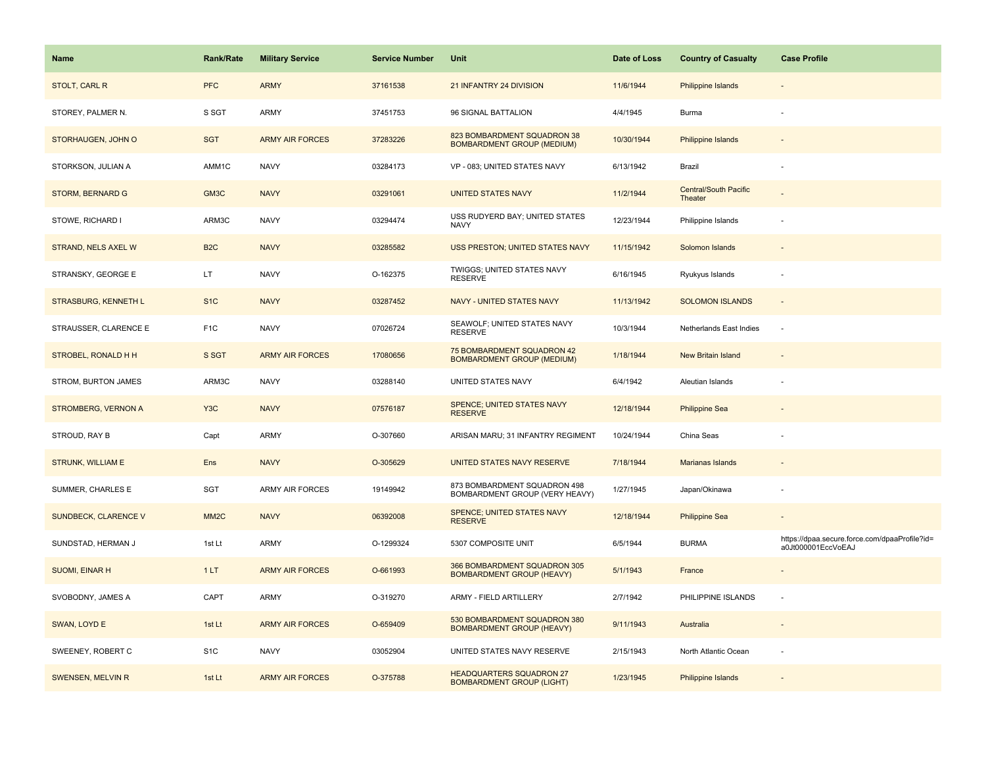| Name                        | <b>Rank/Rate</b>  | <b>Military Service</b> | <b>Service Number</b> | Unit                                                                | Date of Loss | <b>Country of Casualty</b>              | <b>Case Profile</b>                                                 |
|-----------------------------|-------------------|-------------------------|-----------------------|---------------------------------------------------------------------|--------------|-----------------------------------------|---------------------------------------------------------------------|
| STOLT, CARL R               | <b>PFC</b>        | <b>ARMY</b>             | 37161538              | 21 INFANTRY 24 DIVISION                                             | 11/6/1944    | <b>Philippine Islands</b>               |                                                                     |
| STOREY, PALMER N.           | S SGT             | ARMY                    | 37451753              | 96 SIGNAL BATTALION                                                 | 4/4/1945     | Burma                                   |                                                                     |
| STORHAUGEN, JOHN O          | <b>SGT</b>        | <b>ARMY AIR FORCES</b>  | 37283226              | 823 BOMBARDMENT SQUADRON 38<br><b>BOMBARDMENT GROUP (MEDIUM)</b>    | 10/30/1944   | Philippine Islands                      |                                                                     |
| STORKSON, JULIAN A          | AMM1C             | <b>NAVY</b>             | 03284173              | VP - 083; UNITED STATES NAVY                                        | 6/13/1942    | Brazil                                  |                                                                     |
| <b>STORM, BERNARD G</b>     | GM <sub>3</sub> C | <b>NAVY</b>             | 03291061              | <b>UNITED STATES NAVY</b>                                           | 11/2/1944    | <b>Central/South Pacific</b><br>Theater |                                                                     |
| STOWE, RICHARD I            | ARM3C             | <b>NAVY</b>             | 03294474              | USS RUDYERD BAY; UNITED STATES<br><b>NAVY</b>                       | 12/23/1944   | Philippine Islands                      |                                                                     |
| STRAND, NELS AXEL W         | B <sub>2</sub> C  | <b>NAVY</b>             | 03285582              | USS PRESTON; UNITED STATES NAVY                                     | 11/15/1942   | Solomon Islands                         | $\sim$                                                              |
| STRANSKY, GEORGE E          | LT.               | <b>NAVY</b>             | O-162375              | TWIGGS; UNITED STATES NAVY<br><b>RESERVE</b>                        | 6/16/1945    | Ryukyus Islands                         |                                                                     |
| <b>STRASBURG, KENNETH L</b> | S <sub>1</sub> C  | <b>NAVY</b>             | 03287452              | NAVY - UNITED STATES NAVY                                           | 11/13/1942   | <b>SOLOMON ISLANDS</b>                  | $\sim$                                                              |
| STRAUSSER, CLARENCE E       | F <sub>1</sub> C  | <b>NAVY</b>             | 07026724              | SEAWOLF; UNITED STATES NAVY<br><b>RESERVE</b>                       | 10/3/1944    | Netherlands East Indies                 | $\sim$                                                              |
| STROBEL, RONALD H H         | S SGT             | <b>ARMY AIR FORCES</b>  | 17080656              | 75 BOMBARDMENT SQUADRON 42<br><b>BOMBARDMENT GROUP (MEDIUM)</b>     | 1/18/1944    | <b>New Britain Island</b>               |                                                                     |
| STROM, BURTON JAMES         | ARM3C             | <b>NAVY</b>             | 03288140              | UNITED STATES NAVY                                                  | 6/4/1942     | Aleutian Islands                        |                                                                     |
| <b>STROMBERG, VERNON A</b>  | Y <sub>3</sub> C  | <b>NAVY</b>             | 07576187              | <b>SPENCE; UNITED STATES NAVY</b><br><b>RESERVE</b>                 | 12/18/1944   | <b>Philippine Sea</b>                   |                                                                     |
| STROUD, RAY B               | Capt              | <b>ARMY</b>             | O-307660              | ARISAN MARU; 31 INFANTRY REGIMENT                                   | 10/24/1944   | China Seas                              |                                                                     |
| <b>STRUNK, WILLIAM E</b>    | Ens               | <b>NAVY</b>             | O-305629              | UNITED STATES NAVY RESERVE                                          | 7/18/1944    | Marianas Islands                        |                                                                     |
| SUMMER, CHARLES E           | SGT               | <b>ARMY AIR FORCES</b>  | 19149942              | 873 BOMBARDMENT SQUADRON 498<br>BOMBARDMENT GROUP (VERY HEAVY)      | 1/27/1945    | Japan/Okinawa                           |                                                                     |
| <b>SUNDBECK, CLARENCE V</b> | MM <sub>2</sub> C | <b>NAVY</b>             | 06392008              | <b>SPENCE; UNITED STATES NAVY</b><br><b>RESERVE</b>                 | 12/18/1944   | <b>Philippine Sea</b>                   |                                                                     |
| SUNDSTAD, HERMAN J          | 1st Lt            | <b>ARMY</b>             | O-1299324             | 5307 COMPOSITE UNIT                                                 | 6/5/1944     | <b>BURMA</b>                            | https://dpaa.secure.force.com/dpaaProfile?id=<br>a0Jt000001EccVoEAJ |
| SUOMI, EINAR H              | 1LT               | <b>ARMY AIR FORCES</b>  | O-661993              | 366 BOMBARDMENT SQUADRON 305<br><b>BOMBARDMENT GROUP (HEAVY)</b>    | 5/1/1943     | France                                  |                                                                     |
| SVOBODNY, JAMES A           | CAPT              | <b>ARMY</b>             | O-319270              | ARMY - FIELD ARTILLERY                                              | 2/7/1942     | PHILIPPINE ISLANDS                      |                                                                     |
| SWAN, LOYD E                | 1st Lt            | <b>ARMY AIR FORCES</b>  | O-659409              | 530 BOMBARDMENT SQUADRON 380<br><b>BOMBARDMENT GROUP (HEAVY)</b>    | 9/11/1943    | Australia                               | $\sim$                                                              |
| SWEENEY, ROBERT C           | S <sub>1</sub> C  | <b>NAVY</b>             | 03052904              | UNITED STATES NAVY RESERVE                                          | 2/15/1943    | North Atlantic Ocean                    |                                                                     |
| <b>SWENSEN, MELVIN R</b>    | 1st Lt            | <b>ARMY AIR FORCES</b>  | O-375788              | <b>HEADQUARTERS SQUADRON 27</b><br><b>BOMBARDMENT GROUP (LIGHT)</b> | 1/23/1945    | Philippine Islands                      |                                                                     |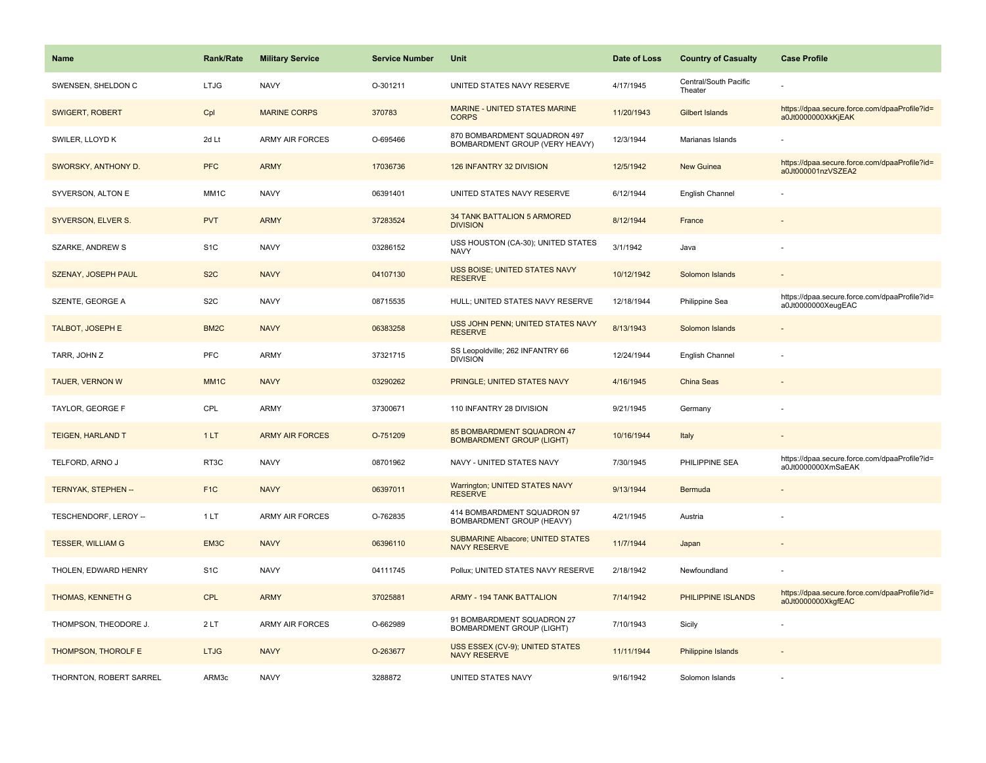| Name                     | <b>Rank/Rate</b>  | <b>Military Service</b> | <b>Service Number</b> | Unit                                                            | Date of Loss | <b>Country of Casualty</b>       | <b>Case Profile</b>                                                 |
|--------------------------|-------------------|-------------------------|-----------------------|-----------------------------------------------------------------|--------------|----------------------------------|---------------------------------------------------------------------|
| SWENSEN, SHELDON C       | <b>LTJG</b>       | <b>NAVY</b>             | O-301211              | UNITED STATES NAVY RESERVE                                      | 4/17/1945    | Central/South Pacific<br>Theater |                                                                     |
| <b>SWIGERT, ROBERT</b>   | Cpl               | <b>MARINE CORPS</b>     | 370783                | MARINE - UNITED STATES MARINE<br><b>CORPS</b>                   | 11/20/1943   | Gilbert Islands                  | https://dpaa.secure.force.com/dpaaProfile?id=<br>a0Jt0000000XkKjEAK |
| SWILER, LLOYD K          | 2d Lt             | <b>ARMY AIR FORCES</b>  | O-695466              | 870 BOMBARDMENT SQUADRON 497<br>BOMBARDMENT GROUP (VERY HEAVY)  | 12/3/1944    | Marianas Islands                 |                                                                     |
| SWORSKY, ANTHONY D.      | <b>PFC</b>        | <b>ARMY</b>             | 17036736              | 126 INFANTRY 32 DIVISION                                        | 12/5/1942    | <b>New Guinea</b>                | https://dpaa.secure.force.com/dpaaProfile?id=<br>a0Jt000001nzVSZEA2 |
| SYVERSON, ALTON E        | MM1C              | <b>NAVY</b>             | 06391401              | UNITED STATES NAVY RESERVE                                      | 6/12/1944    | English Channel                  |                                                                     |
| SYVERSON, ELVER S.       | <b>PVT</b>        | <b>ARMY</b>             | 37283524              | 34 TANK BATTALION 5 ARMORED<br><b>DIVISION</b>                  | 8/12/1944    | France                           |                                                                     |
| SZARKE, ANDREW S         | S <sub>1</sub> C  | <b>NAVY</b>             | 03286152              | USS HOUSTON (CA-30); UNITED STATES<br>NAVY                      | 3/1/1942     | Java                             |                                                                     |
| SZENAY, JOSEPH PAUL      | S <sub>2</sub> C  | <b>NAVY</b>             | 04107130              | <b>USS BOISE; UNITED STATES NAVY</b><br><b>RESERVE</b>          | 10/12/1942   | Solomon Islands                  |                                                                     |
| SZENTE, GEORGE A         | S <sub>2</sub> C  | <b>NAVY</b>             | 08715535              | HULL; UNITED STATES NAVY RESERVE                                | 12/18/1944   | Philippine Sea                   | https://dpaa.secure.force.com/dpaaProfile?id=<br>a0Jt0000000XeugEAC |
| TALBOT, JOSEPH E         | BM <sub>2</sub> C | <b>NAVY</b>             | 06383258              | USS JOHN PENN; UNITED STATES NAVY<br><b>RESERVE</b>             | 8/13/1943    | Solomon Islands                  |                                                                     |
| TARR, JOHN Z             | <b>PFC</b>        | <b>ARMY</b>             | 37321715              | SS Leopoldville; 262 INFANTRY 66<br><b>DIVISION</b>             | 12/24/1944   | English Channel                  |                                                                     |
| TAUER, VERNON W          | MM <sub>1C</sub>  | <b>NAVY</b>             | 03290262              | PRINGLE; UNITED STATES NAVY                                     | 4/16/1945    | China Seas                       |                                                                     |
| TAYLOR, GEORGE F         | CPL               | <b>ARMY</b>             | 37300671              | 110 INFANTRY 28 DIVISION                                        | 9/21/1945    | Germany                          |                                                                     |
| <b>TEIGEN, HARLAND T</b> | 1LT               | <b>ARMY AIR FORCES</b>  | O-751209              | 85 BOMBARDMENT SQUADRON 47<br><b>BOMBARDMENT GROUP (LIGHT)</b>  | 10/16/1944   | Italy                            |                                                                     |
| TELFORD, ARNO J          | RT3C              | <b>NAVY</b>             | 08701962              | NAVY - UNITED STATES NAVY                                       | 7/30/1945    | PHILIPPINE SEA                   | https://dpaa.secure.force.com/dpaaProfile?id=<br>a0Jt0000000XmSaEAK |
| TERNYAK, STEPHEN --      | F <sub>1</sub> C  | <b>NAVY</b>             | 06397011              | Warrington; UNITED STATES NAVY<br><b>RESERVE</b>                | 9/13/1944    | Bermuda                          |                                                                     |
| TESCHENDORF, LEROY --    | 1LT               | <b>ARMY AIR FORCES</b>  | O-762835              | 414 BOMBARDMENT SQUADRON 97<br><b>BOMBARDMENT GROUP (HEAVY)</b> | 4/21/1945    | Austria                          |                                                                     |
| <b>TESSER, WILLIAM G</b> | EM3C              | <b>NAVY</b>             | 06396110              | <b>SUBMARINE Albacore; UNITED STATES</b><br><b>NAVY RESERVE</b> | 11/7/1944    | Japan                            |                                                                     |
| THOLEN, EDWARD HENRY     | S <sub>1</sub> C  | <b>NAVY</b>             | 04111745              | Pollux; UNITED STATES NAVY RESERVE                              | 2/18/1942    | Newfoundland                     |                                                                     |
| <b>THOMAS, KENNETH G</b> | <b>CPL</b>        | <b>ARMY</b>             | 37025881              | <b>ARMY - 194 TANK BATTALION</b>                                | 7/14/1942    | PHILIPPINE ISLANDS               | https://dpaa.secure.force.com/dpaaProfile?id=<br>a0Jt0000000XkgfEAC |
| THOMPSON, THEODORE J.    | 2LT               | <b>ARMY AIR FORCES</b>  | O-662989              | 91 BOMBARDMENT SQUADRON 27<br><b>BOMBARDMENT GROUP (LIGHT)</b>  | 7/10/1943    | Sicily                           |                                                                     |
| THOMPSON, THOROLF E      | <b>LTJG</b>       | <b>NAVY</b>             | O-263677              | <b>USS ESSEX (CV-9); UNITED STATES</b><br><b>NAVY RESERVE</b>   | 11/11/1944   | Philippine Islands               |                                                                     |
| THORNTON, ROBERT SARREL  | ARM3c             | <b>NAVY</b>             | 3288872               | UNITED STATES NAVY                                              | 9/16/1942    | Solomon Islands                  |                                                                     |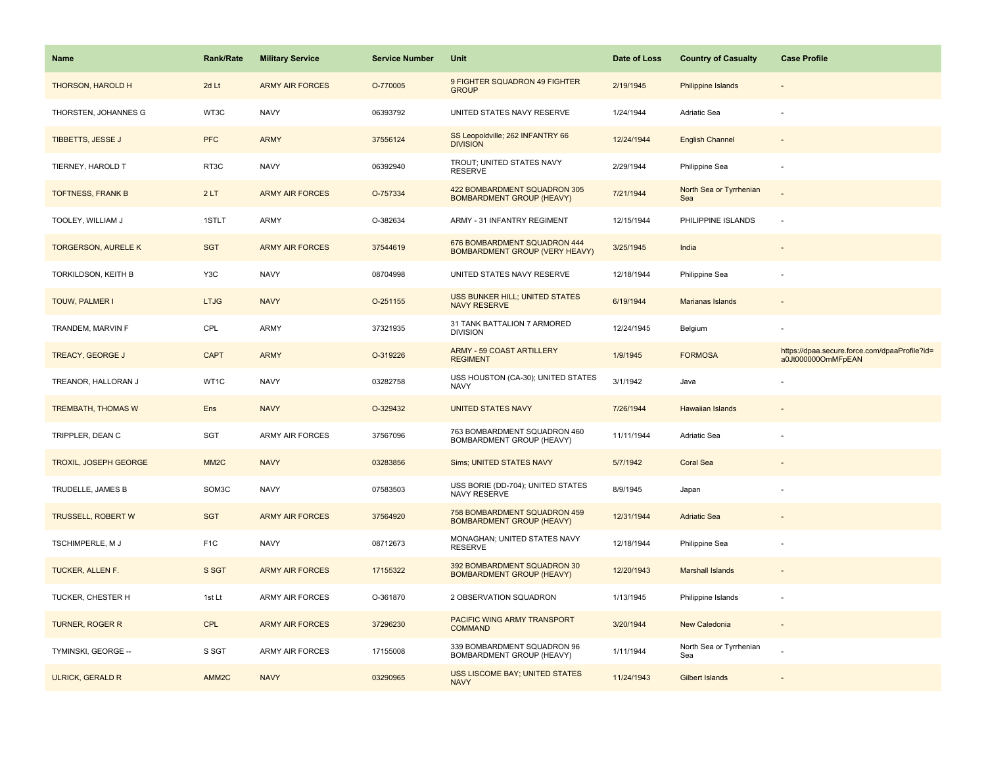| <b>Name</b>                  | <b>Rank/Rate</b>  | <b>Military Service</b> | <b>Service Number</b> | Unit                                                                  | Date of Loss | <b>Country of Casualty</b>     | <b>Case Profile</b>                                                 |
|------------------------------|-------------------|-------------------------|-----------------------|-----------------------------------------------------------------------|--------------|--------------------------------|---------------------------------------------------------------------|
| THORSON, HAROLD H            | 2d Lt             | <b>ARMY AIR FORCES</b>  | O-770005              | 9 FIGHTER SQUADRON 49 FIGHTER<br><b>GROUP</b>                         | 2/19/1945    | <b>Philippine Islands</b>      |                                                                     |
| THORSTEN, JOHANNES G         | WT3C              | <b>NAVY</b>             | 06393792              | UNITED STATES NAVY RESERVE                                            | 1/24/1944    | Adriatic Sea                   |                                                                     |
| TIBBETTS, JESSE J            | <b>PFC</b>        | <b>ARMY</b>             | 37556124              | SS Leopoldville; 262 INFANTRY 66<br><b>DIVISION</b>                   | 12/24/1944   | <b>English Channel</b>         |                                                                     |
| TIERNEY, HAROLD T            | RT3C              | <b>NAVY</b>             | 06392940              | TROUT; UNITED STATES NAVY<br><b>RESERVE</b>                           | 2/29/1944    | Philippine Sea                 |                                                                     |
| <b>TOFTNESS, FRANK B</b>     | 2LT               | <b>ARMY AIR FORCES</b>  | O-757334              | 422 BOMBARDMENT SQUADRON 305<br><b>BOMBARDMENT GROUP (HEAVY)</b>      | 7/21/1944    | North Sea or Tyrrhenian<br>Sea |                                                                     |
| TOOLEY, WILLIAM J            | 1STLT             | <b>ARMY</b>             | O-382634              | ARMY - 31 INFANTRY REGIMENT                                           | 12/15/1944   | PHILIPPINE ISLANDS             |                                                                     |
| <b>TORGERSON, AURELE K</b>   | <b>SGT</b>        | <b>ARMY AIR FORCES</b>  | 37544619              | 676 BOMBARDMENT SQUADRON 444<br><b>BOMBARDMENT GROUP (VERY HEAVY)</b> | 3/25/1945    | India                          |                                                                     |
| TORKILDSON, KEITH B          | Y3C               | <b>NAVY</b>             | 08704998              | UNITED STATES NAVY RESERVE                                            | 12/18/1944   | Philippine Sea                 |                                                                     |
| <b>TOUW, PALMER I</b>        | <b>LTJG</b>       | <b>NAVY</b>             | O-251155              | USS BUNKER HILL; UNITED STATES<br><b>NAVY RESERVE</b>                 | 6/19/1944    | Marianas Islands               |                                                                     |
| TRANDEM, MARVIN F            | CPL               | <b>ARMY</b>             | 37321935              | 31 TANK BATTALION 7 ARMORED<br><b>DIVISION</b>                        | 12/24/1945   | Belgium                        |                                                                     |
| <b>TREACY, GEORGE J</b>      | <b>CAPT</b>       | <b>ARMY</b>             | O-319226              | <b>ARMY - 59 COAST ARTILLERY</b><br><b>REGIMENT</b>                   | 1/9/1945     | <b>FORMOSA</b>                 | https://dpaa.secure.force.com/dpaaProfile?id=<br>a0Jt000000OmMFpEAN |
| TREANOR, HALLORAN J          | WT1C              | <b>NAVY</b>             | 03282758              | USS HOUSTON (CA-30); UNITED STATES<br><b>NAVY</b>                     | 3/1/1942     | Java                           |                                                                     |
| <b>TREMBATH, THOMAS W</b>    | <b>Ens</b>        | <b>NAVY</b>             | O-329432              | <b>UNITED STATES NAVY</b>                                             | 7/26/1944    | Hawaiian Islands               |                                                                     |
| TRIPPLER, DEAN C             | <b>SGT</b>        | <b>ARMY AIR FORCES</b>  | 37567096              | 763 BOMBARDMENT SQUADRON 460<br>BOMBARDMENT GROUP (HEAVY)             | 11/11/1944   | Adriatic Sea                   |                                                                     |
| <b>TROXIL, JOSEPH GEORGE</b> | MM <sub>2</sub> C | <b>NAVY</b>             | 03283856              | Sims; UNITED STATES NAVY                                              | 5/7/1942     | <b>Coral Sea</b>               |                                                                     |
| TRUDELLE, JAMES B            | SOM3C             | <b>NAVY</b>             | 07583503              | USS BORIE (DD-704); UNITED STATES<br>NAVY RESERVE                     | 8/9/1945     | Japan                          |                                                                     |
| <b>TRUSSELL, ROBERT W</b>    | <b>SGT</b>        | <b>ARMY AIR FORCES</b>  | 37564920              | 758 BOMBARDMENT SQUADRON 459<br><b>BOMBARDMENT GROUP (HEAVY)</b>      | 12/31/1944   | <b>Adriatic Sea</b>            |                                                                     |
| TSCHIMPERLE, M J             | F <sub>1</sub> C  | <b>NAVY</b>             | 08712673              | MONAGHAN; UNITED STATES NAVY<br><b>RESERVE</b>                        | 12/18/1944   | Philippine Sea                 |                                                                     |
| TUCKER, ALLEN F.             | S SGT             | <b>ARMY AIR FORCES</b>  | 17155322              | 392 BOMBARDMENT SQUADRON 30<br><b>BOMBARDMENT GROUP (HEAVY)</b>       | 12/20/1943   | <b>Marshall Islands</b>        |                                                                     |
| TUCKER, CHESTER H            | 1st Lt            | <b>ARMY AIR FORCES</b>  | O-361870              | 2 OBSERVATION SQUADRON                                                | 1/13/1945    | Philippine Islands             |                                                                     |
| <b>TURNER, ROGER R</b>       | <b>CPL</b>        | <b>ARMY AIR FORCES</b>  | 37296230              | PACIFIC WING ARMY TRANSPORT<br><b>COMMAND</b>                         | 3/20/1944    | New Caledonia                  |                                                                     |
| TYMINSKI, GEORGE --          | S SGT             | <b>ARMY AIR FORCES</b>  | 17155008              | 339 BOMBARDMENT SQUADRON 96<br>BOMBARDMENT GROUP (HEAVY)              | 1/11/1944    | North Sea or Tyrrhenian<br>Sea |                                                                     |
| <b>ULRICK, GERALD R</b>      | AMM <sub>2C</sub> | <b>NAVY</b>             | 03290965              | <b>USS LISCOME BAY; UNITED STATES</b><br><b>NAVY</b>                  | 11/24/1943   | Gilbert Islands                |                                                                     |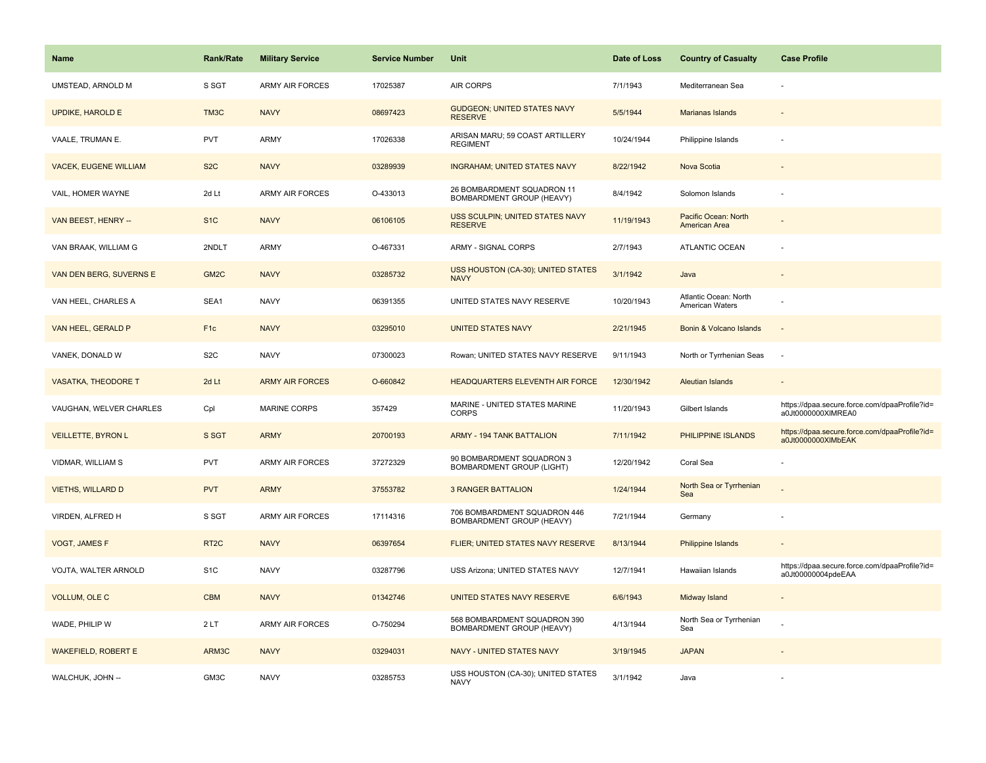| <b>Name</b>                  | <b>Rank/Rate</b>  | <b>Military Service</b> | <b>Service Number</b> | Unit                                                          | Date of Loss | <b>Country of Casualty</b>                      | <b>Case Profile</b>                                                 |
|------------------------------|-------------------|-------------------------|-----------------------|---------------------------------------------------------------|--------------|-------------------------------------------------|---------------------------------------------------------------------|
| UMSTEAD, ARNOLD M            | S SGT             | <b>ARMY AIR FORCES</b>  | 17025387              | <b>AIR CORPS</b>                                              | 7/1/1943     | Mediterranean Sea                               |                                                                     |
| UPDIKE, HAROLD E             | TM3C              | <b>NAVY</b>             | 08697423              | <b>GUDGEON; UNITED STATES NAVY</b><br><b>RESERVE</b>          | 5/5/1944     | Marianas Islands                                |                                                                     |
| VAALE, TRUMAN E.             | <b>PVT</b>        | <b>ARMY</b>             | 17026338              | ARISAN MARU; 59 COAST ARTILLERY<br><b>REGIMENT</b>            | 10/24/1944   | Philippine Islands                              |                                                                     |
| <b>VACEK, EUGENE WILLIAM</b> | S <sub>2</sub> C  | <b>NAVY</b>             | 03289939              | <b>INGRAHAM; UNITED STATES NAVY</b>                           | 8/22/1942    | <b>Nova Scotia</b>                              |                                                                     |
| VAIL, HOMER WAYNE            | 2d Lt             | <b>ARMY AIR FORCES</b>  | O-433013              | 26 BOMBARDMENT SQUADRON 11<br>BOMBARDMENT GROUP (HEAVY)       | 8/4/1942     | Solomon Islands                                 |                                                                     |
| VAN BEEST, HENRY --          | S <sub>1</sub> C  | <b>NAVY</b>             | 06106105              | USS SCULPIN; UNITED STATES NAVY<br><b>RESERVE</b>             | 11/19/1943   | Pacific Ocean: North<br><b>American Area</b>    |                                                                     |
| VAN BRAAK, WILLIAM G         | 2NDLT             | <b>ARMY</b>             | O-467331              | ARMY - SIGNAL CORPS                                           | 2/7/1943     | ATLANTIC OCEAN                                  |                                                                     |
| VAN DEN BERG, SUVERNS E      | GM <sub>2</sub> C | <b>NAVY</b>             | 03285732              | USS HOUSTON (CA-30); UNITED STATES<br><b>NAVY</b>             | 3/1/1942     | Java                                            |                                                                     |
| VAN HEEL, CHARLES A          | SEA1              | <b>NAVY</b>             | 06391355              | UNITED STATES NAVY RESERVE                                    | 10/20/1943   | Atlantic Ocean: North<br><b>American Waters</b> |                                                                     |
| VAN HEEL, GERALD P           | F <sub>1c</sub>   | <b>NAVY</b>             | 03295010              | <b>UNITED STATES NAVY</b>                                     | 2/21/1945    | Bonin & Volcano Islands                         |                                                                     |
| VANEK, DONALD W              | S <sub>2</sub> C  | <b>NAVY</b>             | 07300023              | Rowan; UNITED STATES NAVY RESERVE                             | 9/11/1943    | North or Tyrrhenian Seas                        | $\sim$                                                              |
| <b>VASATKA, THEODORE T</b>   | 2d Lt             | <b>ARMY AIR FORCES</b>  | O-660842              | HEADQUARTERS ELEVENTH AIR FORCE                               | 12/30/1942   | <b>Aleutian Islands</b>                         |                                                                     |
| VAUGHAN, WELVER CHARLES      | Cpl               | <b>MARINE CORPS</b>     | 357429                | MARINE - UNITED STATES MARINE<br><b>CORPS</b>                 | 11/20/1943   | Gilbert Islands                                 | https://dpaa.secure.force.com/dpaaProfile?id=<br>a0Jt0000000XIMREA0 |
| <b>VEILLETTE, BYRON L</b>    | S SGT             | <b>ARMY</b>             | 20700193              | <b>ARMY - 194 TANK BATTALION</b>                              | 7/11/1942    | PHILIPPINE ISLANDS                              | https://dpaa.secure.force.com/dpaaProfile?id=<br>a0Jt0000000XIMbEAK |
| VIDMAR, WILLIAM S            | PVT               | <b>ARMY AIR FORCES</b>  | 37272329              | 90 BOMBARDMENT SQUADRON 3<br><b>BOMBARDMENT GROUP (LIGHT)</b> | 12/20/1942   | Coral Sea                                       |                                                                     |
| <b>VIETHS, WILLARD D</b>     | <b>PVT</b>        | <b>ARMY</b>             | 37553782              | <b>3 RANGER BATTALION</b>                                     | 1/24/1944    | North Sea or Tyrrhenian<br>Sea                  |                                                                     |
| VIRDEN, ALFRED H             | S SGT             | <b>ARMY AIR FORCES</b>  | 17114316              | 706 BOMBARDMENT SQUADRON 446<br>BOMBARDMENT GROUP (HEAVY)     | 7/21/1944    | Germany                                         |                                                                     |
| VOGT, JAMES F                | RT <sub>2</sub> C | <b>NAVY</b>             | 06397654              | FLIER; UNITED STATES NAVY RESERVE                             | 8/13/1944    | Philippine Islands                              |                                                                     |
| VOJTA, WALTER ARNOLD         | S <sub>1</sub> C  | <b>NAVY</b>             | 03287796              | USS Arizona; UNITED STATES NAVY                               | 12/7/1941    | Hawaiian Islands                                | https://dpaa.secure.force.com/dpaaProfile?id=<br>a0Jt00000004pdeEAA |
| <b>VOLLUM, OLE C</b>         | <b>CBM</b>        | <b>NAVY</b>             | 01342746              | UNITED STATES NAVY RESERVE                                    | 6/6/1943     | Midway Island                                   |                                                                     |
| WADE, PHILIP W               | 2LT               | <b>ARMY AIR FORCES</b>  | O-750294              | 568 BOMBARDMENT SQUADRON 390<br>BOMBARDMENT GROUP (HEAVY)     | 4/13/1944    | North Sea or Tyrrhenian<br>Sea                  |                                                                     |
| <b>WAKEFIELD, ROBERT E</b>   | ARM3C             | <b>NAVY</b>             | 03294031              | <b>NAVY - UNITED STATES NAVY</b>                              | 3/19/1945    | <b>JAPAN</b>                                    |                                                                     |
| WALCHUK, JOHN --             | GM3C              | <b>NAVY</b>             | 03285753              | USS HOUSTON (CA-30); UNITED STATES<br><b>NAVY</b>             | 3/1/1942     | Java                                            |                                                                     |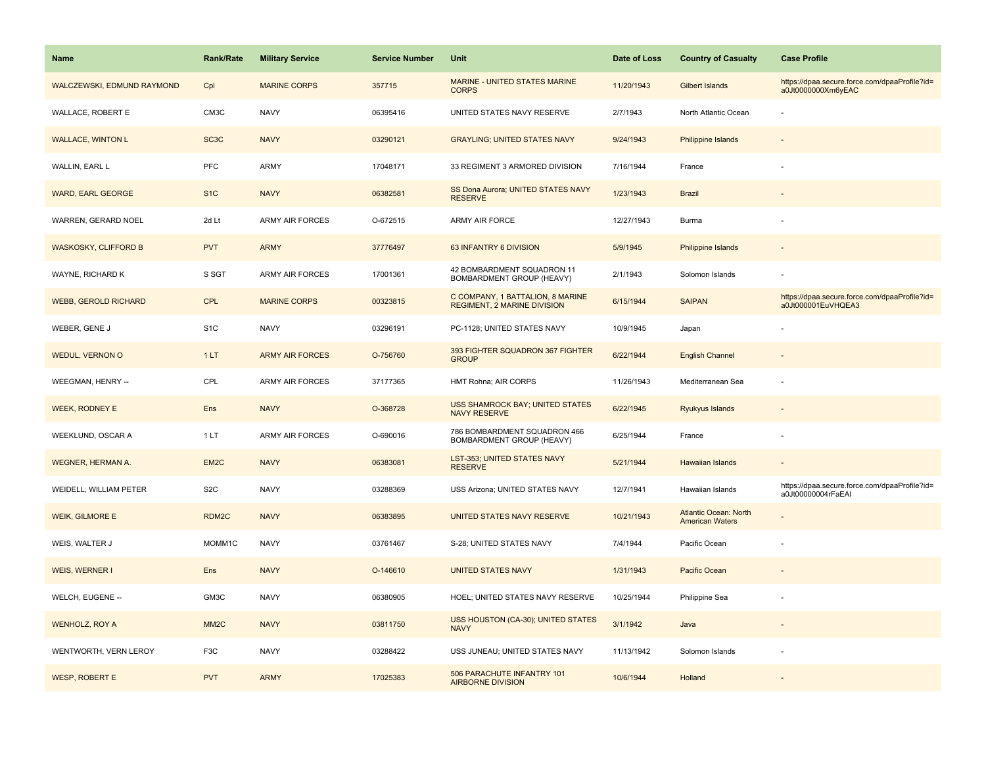| <b>Name</b>                 | <b>Rank/Rate</b>  | <b>Military Service</b> | <b>Service Number</b> | Unit                                                                   | Date of Loss | <b>Country of Casualty</b>                             | <b>Case Profile</b>                                                 |
|-----------------------------|-------------------|-------------------------|-----------------------|------------------------------------------------------------------------|--------------|--------------------------------------------------------|---------------------------------------------------------------------|
| WALCZEWSKI, EDMUND RAYMOND  | Cpl               | <b>MARINE CORPS</b>     | 357715                | MARINE - UNITED STATES MARINE<br><b>CORPS</b>                          | 11/20/1943   | Gilbert Islands                                        | https://dpaa.secure.force.com/dpaaProfile?id=<br>a0Jt0000000Xm6yEAC |
| WALLACE, ROBERT E           | CM3C              | <b>NAVY</b>             | 06395416              | UNITED STATES NAVY RESERVE                                             | 2/7/1943     | North Atlantic Ocean                                   |                                                                     |
| <b>WALLACE, WINTON L</b>    | SC <sub>3</sub> C | <b>NAVY</b>             | 03290121              | <b>GRAYLING; UNITED STATES NAVY</b>                                    | 9/24/1943    | <b>Philippine Islands</b>                              |                                                                     |
| WALLIN, EARL L              | PFC               | <b>ARMY</b>             | 17048171              | 33 REGIMENT 3 ARMORED DIVISION                                         | 7/16/1944    | France                                                 |                                                                     |
| <b>WARD, EARL GEORGE</b>    | S <sub>1</sub> C  | <b>NAVY</b>             | 06382581              | SS Dona Aurora; UNITED STATES NAVY<br><b>RESERVE</b>                   | 1/23/1943    | <b>Brazil</b>                                          |                                                                     |
| WARREN, GERARD NOEL         | 2d Lt             | <b>ARMY AIR FORCES</b>  | O-672515              | ARMY AIR FORCE                                                         | 12/27/1943   | Burma                                                  |                                                                     |
| <b>WASKOSKY, CLIFFORD B</b> | <b>PVT</b>        | <b>ARMY</b>             | 37776497              | 63 INFANTRY 6 DIVISION                                                 | 5/9/1945     | Philippine Islands                                     | $\sim$                                                              |
| WAYNE, RICHARD K            | S SGT             | <b>ARMY AIR FORCES</b>  | 17001361              | 42 BOMBARDMENT SQUADRON 11<br>BOMBARDMENT GROUP (HEAVY)                | 2/1/1943     | Solomon Islands                                        |                                                                     |
| <b>WEBB, GEROLD RICHARD</b> | <b>CPL</b>        | <b>MARINE CORPS</b>     | 00323815              | C COMPANY, 1 BATTALION, 8 MARINE<br><b>REGIMENT, 2 MARINE DIVISION</b> | 6/15/1944    | <b>SAIPAN</b>                                          | https://dpaa.secure.force.com/dpaaProfile?id=<br>a0Jt000001EuVHQEA3 |
| WEBER, GENE J               | S <sub>1</sub> C  | <b>NAVY</b>             | 03296191              | PC-1128; UNITED STATES NAVY                                            | 10/9/1945    | Japan                                                  |                                                                     |
| <b>WEDUL, VERNON O</b>      | 1LT               | <b>ARMY AIR FORCES</b>  | O-756760              | 393 FIGHTER SQUADRON 367 FIGHTER<br><b>GROUP</b>                       | 6/22/1944    | <b>English Channel</b>                                 |                                                                     |
| WEEGMAN, HENRY --           | CPL               | <b>ARMY AIR FORCES</b>  | 37177365              | HMT Rohna; AIR CORPS                                                   | 11/26/1943   | Mediterranean Sea                                      |                                                                     |
| <b>WEEK, RODNEY E</b>       | <b>Ens</b>        | <b>NAVY</b>             | O-368728              | <b>USS SHAMROCK BAY; UNITED STATES</b><br><b>NAVY RESERVE</b>          | 6/22/1945    | Ryukyus Islands                                        |                                                                     |
| WEEKLUND, OSCAR A           | 1LT               | <b>ARMY AIR FORCES</b>  | O-690016              | 786 BOMBARDMENT SQUADRON 466<br>BOMBARDMENT GROUP (HEAVY)              | 6/25/1944    | France                                                 |                                                                     |
| <b>WEGNER, HERMAN A.</b>    | EM <sub>2C</sub>  | <b>NAVY</b>             | 06383081              | <b>LST-353; UNITED STATES NAVY</b><br><b>RESERVE</b>                   | 5/21/1944    | <b>Hawaiian Islands</b>                                | $\sim$                                                              |
| WEIDELL, WILLIAM PETER      | S <sub>2</sub> C  | <b>NAVY</b>             | 03288369              | USS Arizona; UNITED STATES NAVY                                        | 12/7/1941    | Hawaiian Islands                                       | https://dpaa.secure.force.com/dpaaProfile?id=<br>a0Jt00000004rFaEAI |
| <b>WEIK, GILMORE E</b>      | RDM2C             | <b>NAVY</b>             | 06383895              | UNITED STATES NAVY RESERVE                                             | 10/21/1943   | <b>Atlantic Ocean: North</b><br><b>American Waters</b> |                                                                     |
| WEIS, WALTER J              | MOMM1C            | <b>NAVY</b>             | 03761467              | S-28; UNITED STATES NAVY                                               | 7/4/1944     | Pacific Ocean                                          |                                                                     |
| WEIS, WERNER I              | Ens               | <b>NAVY</b>             | O-146610              | <b>UNITED STATES NAVY</b>                                              | 1/31/1943    | Pacific Ocean                                          |                                                                     |
| WELCH, EUGENE --            | GM3C              | <b>NAVY</b>             | 06380905              | HOEL; UNITED STATES NAVY RESERVE                                       | 10/25/1944   | Philippine Sea                                         |                                                                     |
| <b>WENHOLZ, ROY A</b>       | MM <sub>2</sub> C | <b>NAVY</b>             | 03811750              | USS HOUSTON (CA-30); UNITED STATES<br><b>NAVY</b>                      | 3/1/1942     | Java                                                   | $\sim$                                                              |
| WENTWORTH, VERN LEROY       | F <sub>3</sub> C  | <b>NAVY</b>             | 03288422              | USS JUNEAU; UNITED STATES NAVY                                         | 11/13/1942   | Solomon Islands                                        |                                                                     |
| <b>WESP, ROBERT E</b>       | <b>PVT</b>        | <b>ARMY</b>             | 17025383              | 506 PARACHUTE INFANTRY 101<br><b>AIRBORNE DIVISION</b>                 | 10/6/1944    | Holland                                                |                                                                     |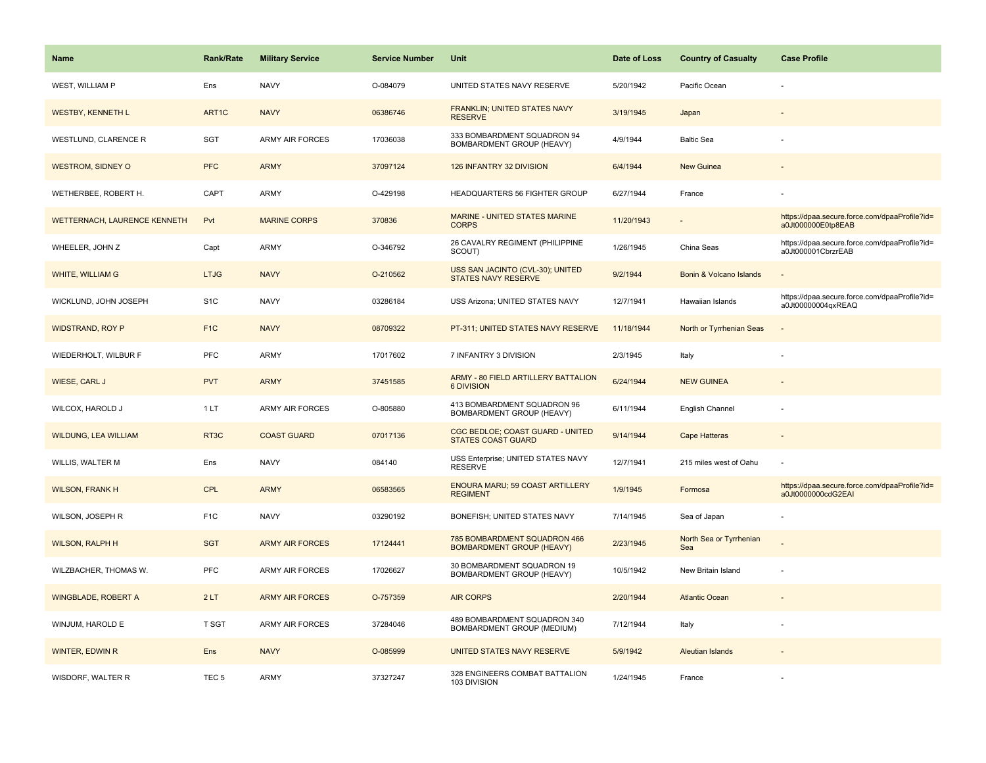| Name                                | <b>Rank/Rate</b> | <b>Military Service</b> | <b>Service Number</b> | Unit                                                             | Date of Loss | <b>Country of Casualty</b>     | <b>Case Profile</b>                                                 |
|-------------------------------------|------------------|-------------------------|-----------------------|------------------------------------------------------------------|--------------|--------------------------------|---------------------------------------------------------------------|
| WEST, WILLIAM P                     | Ens              | <b>NAVY</b>             | O-084079              | UNITED STATES NAVY RESERVE                                       | 5/20/1942    | Pacific Ocean                  |                                                                     |
| <b>WESTBY, KENNETH L</b>            | ART1C            | <b>NAVY</b>             | 06386746              | <b>FRANKLIN; UNITED STATES NAVY</b><br><b>RESERVE</b>            | 3/19/1945    | Japan                          |                                                                     |
| <b>WESTLUND, CLARENCE R</b>         | <b>SGT</b>       | <b>ARMY AIR FORCES</b>  | 17036038              | 333 BOMBARDMENT SQUADRON 94<br>BOMBARDMENT GROUP (HEAVY)         | 4/9/1944     | <b>Baltic Sea</b>              |                                                                     |
| <b>WESTROM, SIDNEY O</b>            | <b>PFC</b>       | <b>ARMY</b>             | 37097124              | 126 INFANTRY 32 DIVISION                                         | 6/4/1944     | <b>New Guinea</b>              |                                                                     |
| WETHERBEE, ROBERT H.                | CAPT             | ARMY                    | O-429198              | HEADQUARTERS 56 FIGHTER GROUP                                    | 6/27/1944    | France                         |                                                                     |
| <b>WETTERNACH, LAURENCE KENNETH</b> | Pvt              | <b>MARINE CORPS</b>     | 370836                | MARINE - UNITED STATES MARINE<br><b>CORPS</b>                    | 11/20/1943   | $\overline{\phantom{a}}$       | https://dpaa.secure.force.com/dpaaProfile?id=<br>a0Jt000000E0tp8EAB |
| WHEELER, JOHN Z                     | Capt             | ARMY                    | O-346792              | 26 CAVALRY REGIMENT (PHILIPPINE<br>SCOUT)                        | 1/26/1945    | China Seas                     | https://dpaa.secure.force.com/dpaaProfile?id=<br>a0Jt000001CbrzrEAB |
| <b>WHITE, WILLIAM G</b>             | <b>LTJG</b>      | <b>NAVY</b>             | O-210562              | USS SAN JACINTO (CVL-30); UNITED<br><b>STATES NAVY RESERVE</b>   | 9/2/1944     | Bonin & Volcano Islands        |                                                                     |
| WICKLUND, JOHN JOSEPH               | S <sub>1</sub> C | <b>NAVY</b>             | 03286184              | USS Arizona; UNITED STATES NAVY                                  | 12/7/1941    | Hawaiian Islands               | https://dpaa.secure.force.com/dpaaProfile?id=<br>a0Jt00000004qxREAQ |
| <b>WIDSTRAND, ROY P</b>             | F <sub>1</sub> C | <b>NAVY</b>             | 08709322              | PT-311; UNITED STATES NAVY RESERVE                               | 11/18/1944   | North or Tyrrhenian Seas       |                                                                     |
| WIEDERHOLT, WILBUR F                | <b>PFC</b>       | ARMY                    | 17017602              | 7 INFANTRY 3 DIVISION                                            | 2/3/1945     | Italy                          |                                                                     |
| WIESE, CARL J                       | <b>PVT</b>       | <b>ARMY</b>             | 37451585              | ARMY - 80 FIELD ARTILLERY BATTALION<br><b>6 DIVISION</b>         | 6/24/1944    | <b>NEW GUINEA</b>              |                                                                     |
| WILCOX, HAROLD J                    | 1LT              | ARMY AIR FORCES         | O-805880              | 413 BOMBARDMENT SQUADRON 96<br>BOMBARDMENT GROUP (HEAVY)         | 6/11/1944    | English Channel                |                                                                     |
| <b>WILDUNG, LEA WILLIAM</b>         | RT3C             | <b>COAST GUARD</b>      | 07017136              | CGC BEDLOE; COAST GUARD - UNITED<br><b>STATES COAST GUARD</b>    | 9/14/1944    | <b>Cape Hatteras</b>           |                                                                     |
| WILLIS, WALTER M                    | Ens              | <b>NAVY</b>             | 084140                | USS Enterprise; UNITED STATES NAVY<br><b>RESERVE</b>             | 12/7/1941    | 215 miles west of Oahu         |                                                                     |
| <b>WILSON, FRANK H</b>              | <b>CPL</b>       | <b>ARMY</b>             | 06583565              | ENOURA MARU; 59 COAST ARTILLERY<br><b>REGIMENT</b>               | 1/9/1945     | Formosa                        | https://dpaa.secure.force.com/dpaaProfile?id=<br>a0Jt0000000cdG2EAI |
| WILSON, JOSEPH R                    | F <sub>1</sub> C | <b>NAVY</b>             | 03290192              | BONEFISH; UNITED STATES NAVY                                     | 7/14/1945    | Sea of Japan                   |                                                                     |
| <b>WILSON, RALPH H</b>              | <b>SGT</b>       | <b>ARMY AIR FORCES</b>  | 17124441              | 785 BOMBARDMENT SQUADRON 466<br><b>BOMBARDMENT GROUP (HEAVY)</b> | 2/23/1945    | North Sea or Tyrrhenian<br>Sea |                                                                     |
| WILZBACHER, THOMAS W.               | <b>PFC</b>       | <b>ARMY AIR FORCES</b>  | 17026627              | 30 BOMBARDMENT SQUADRON 19<br>BOMBARDMENT GROUP (HEAVY)          | 10/5/1942    | New Britain Island             |                                                                     |
| <b>WINGBLADE, ROBERT A</b>          | 2LT              | <b>ARMY AIR FORCES</b>  | O-757359              | <b>AIR CORPS</b>                                                 | 2/20/1944    | <b>Atlantic Ocean</b>          |                                                                     |
| WINJUM, HAROLD E                    | <b>T SGT</b>     | ARMY AIR FORCES         | 37284046              | 489 BOMBARDMENT SQUADRON 340<br>BOMBARDMENT GROUP (MEDIUM)       | 7/12/1944    | Italy                          |                                                                     |
| <b>WINTER, EDWIN R</b>              | Ens              | <b>NAVY</b>             | O-085999              | UNITED STATES NAVY RESERVE                                       | 5/9/1942     | <b>Aleutian Islands</b>        |                                                                     |
| WISDORF, WALTER R                   | TEC <sub>5</sub> | ARMY                    | 37327247              | 328 ENGINEERS COMBAT BATTALION<br>103 DIVISION                   | 1/24/1945    | France                         |                                                                     |